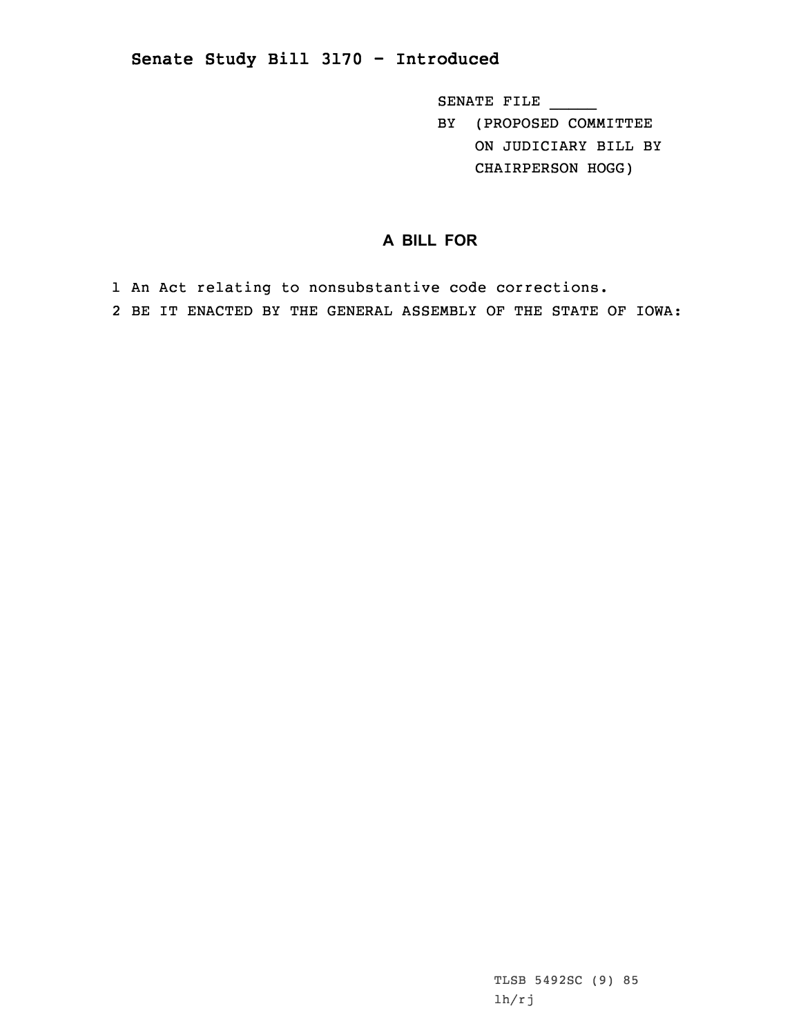## **Senate Study Bill 3170 - Introduced**

SENATE FILE \_\_\_\_\_

BY (PROPOSED COMMITTEE ON JUDICIARY BILL BY CHAIRPERSON HOGG)

**A BILL FOR**

1 An Act relating to nonsubstantive code corrections. 2 BE IT ENACTED BY THE GENERAL ASSEMBLY OF THE STATE OF IOWA:

> TLSB 5492SC (9) 85 lh/rj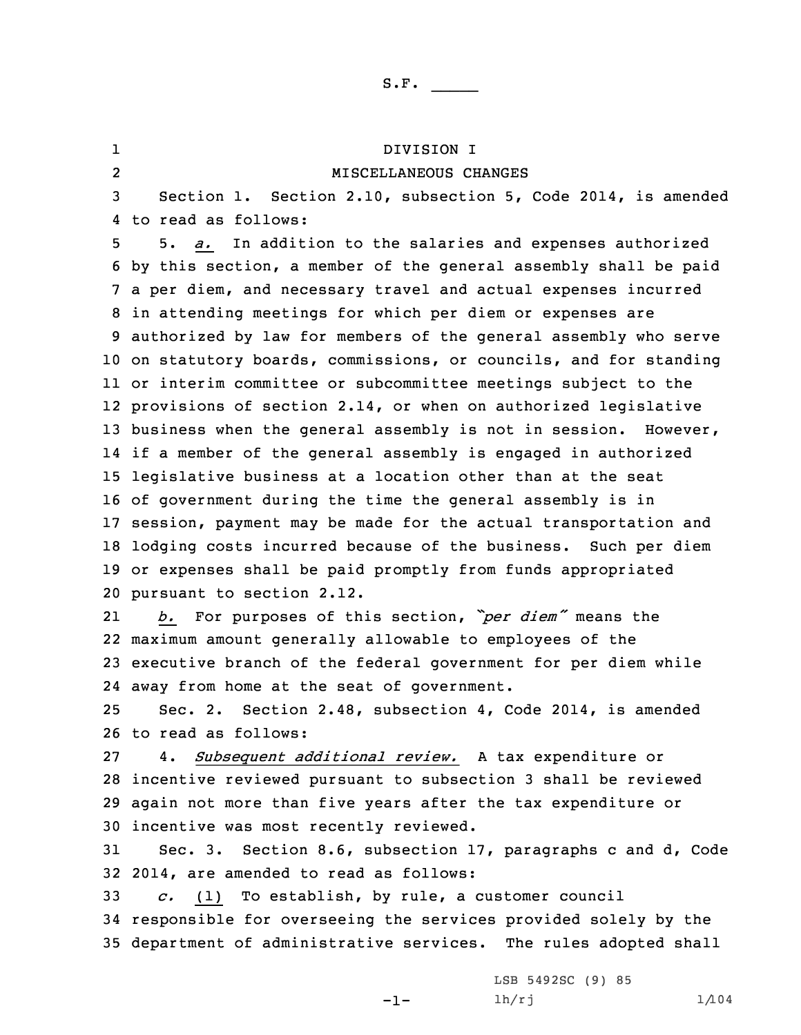| ı              | DIVISION I                                                         |
|----------------|--------------------------------------------------------------------|
| $\overline{2}$ | MISCELLANEOUS CHANGES                                              |
| 3              | Section 1. Section 2.10, subsection 5, Code 2014, is amended       |
| 4              | to read as follows:                                                |
| 5              | 5. a. In addition to the salaries and expenses authorized          |
| 6              | by this section, a member of the general assembly shall be paid    |
|                | 7 a per diem, and necessary travel and actual expenses incurred    |
| 8              | in attending meetings for which per diem or expenses are           |
|                | 9 authorized by law for members of the general assembly who serve  |
|                | 10 on statutory boards, commissions, or councils, and for standing |
|                | 11 or interim committee or subcommittee meetings subject to the    |
|                | 12 provisions of section 2.14, or when on authorized legislative   |
|                | 13 business when the general assembly is not in session. However,  |
|                | 14 if a member of the general assembly is engaged in authorized    |
| 15             | legislative business at a location other than at the seat          |
|                | 16 of government during the time the general assembly is in        |
|                | 17 session, payment may be made for the actual transportation and  |
|                | 18 lodging costs incurred because of the business. Such per diem   |
|                | 19 or expenses shall be paid promptly from funds appropriated      |
|                | 20 pursuant to section 2.12.                                       |
| 21             | For purposes of this section, "per diem" means the<br>b.           |
|                | 22 maximum amount generally allowable to employees of the          |
|                | 23 executive branch of the federal government for per diem while   |
|                | 24 away from home at the seat of government.                       |
| 25             | Sec. 2. Section 2.48, subsection 4, Code 2014, is amended          |
|                | 26 to read as follows:                                             |
| 27             | 4. Subsequent additional review. A tax expenditure or              |
|                | 28 incentive reviewed pursuant to subsection 3 shall be reviewed   |
|                | 29 again not more than five years after the tax expenditure or     |
|                | 30 incentive was most recently reviewed.                           |
| 31             | Sec. 3. Section 8.6, subsection 17, paragraphs c and d, Code       |
|                | 32 2014, are amended to read as follows:                           |
| 33             | $c.$ (1) To establish, by rule, a customer council                 |
|                | 34 responsible for overseeing the services provided solely by the  |

35 department of administrative services. The rules adopted shall

-1-

LSB 5492SC (9) 85  $lh/rj$   $1/104$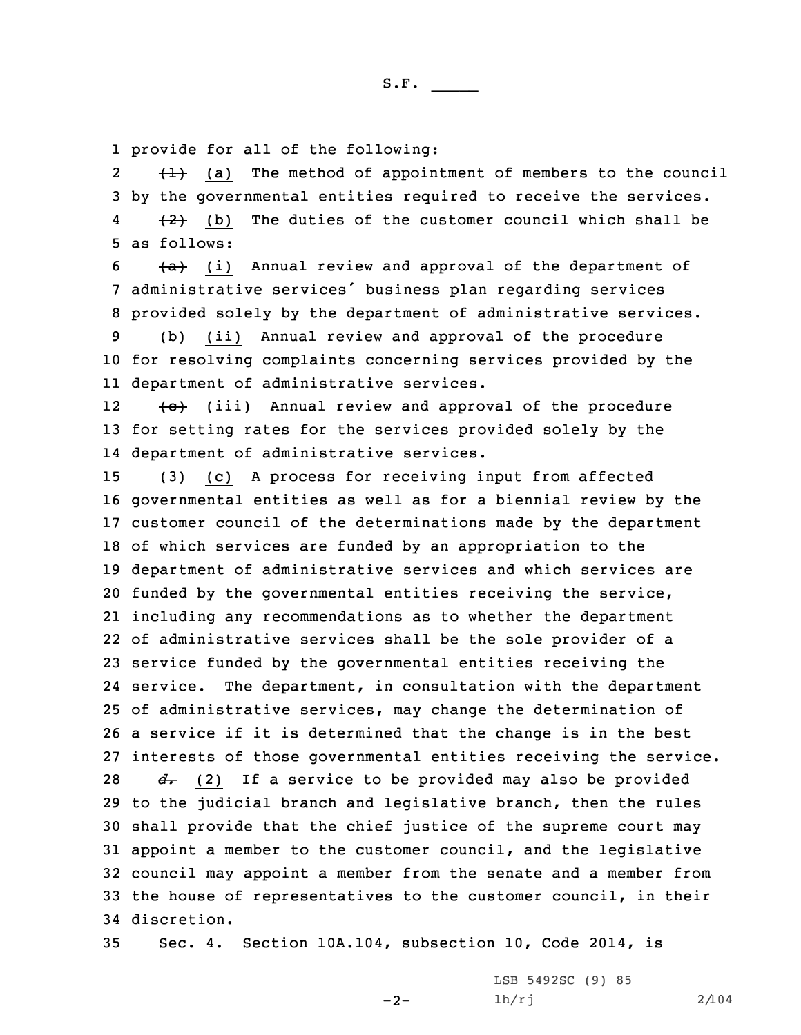1 provide for all of the following:

2 $\{\pm\}$  (a) The method of appointment of members to the council 3 by the governmental entities required to receive the services. 4 $\{2\}$  (b) The duties of the customer council which shall be 5 as follows:

 $6$   $\{a\}$  (i) Annual review and approval of the department of <sup>7</sup> administrative services' business plan regarding services 8 provided solely by the department of administrative services.

9 (ii) Annual review and approval of the procedure 10 for resolving complaints concerning services provided by the 11 department of administrative services.

12 $\{e\}$  (iii) Annual review and approval of the procedure 13 for setting rates for the services provided solely by the 14 department of administrative services.

 $(3)$  (c) A process for receiving input from affected governmental entities as well as for <sup>a</sup> biennial review by the customer council of the determinations made by the department of which services are funded by an appropriation to the department of administrative services and which services are funded by the governmental entities receiving the service, including any recommendations as to whether the department of administrative services shall be the sole provider of <sup>a</sup> service funded by the governmental entities receiving the service. The department, in consultation with the department of administrative services, may change the determination of <sup>a</sup> service if it is determined that the change is in the best interests of those governmental entities receiving the service. *d*. (2) If a service to be provided may also be provided to the judicial branch and legislative branch, then the rules shall provide that the chief justice of the supreme court may appoint <sup>a</sup> member to the customer council, and the legislative council may appoint <sup>a</sup> member from the senate and <sup>a</sup> member from the house of representatives to the customer council, in their discretion.

35 Sec. 4. Section 10A.104, subsection 10, Code 2014, is

 $-2-$ 

LSB 5492SC (9) 85 lh/rj 2/104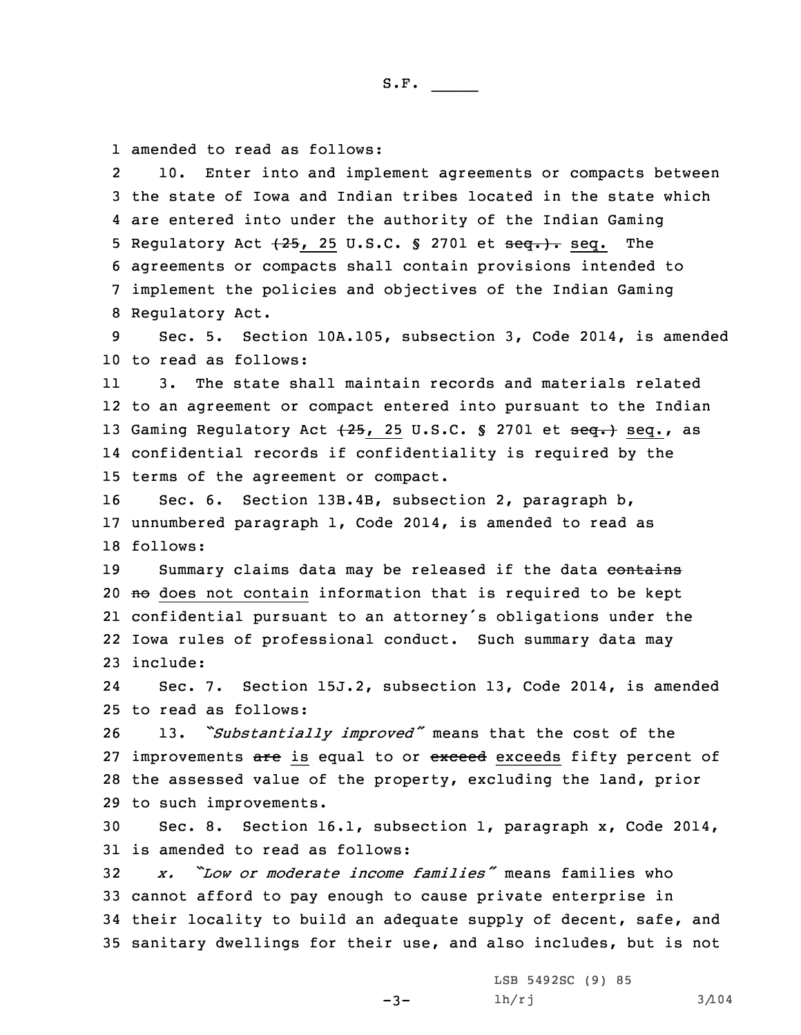1 amended to read as follows:

2 10. Enter into and implement agreements or compacts between the state of Iowa and Indian tribes located in the state which are entered into under the authority of the Indian Gaming Regulatory Act (25, 25 U.S.C. § 2701 et seq.). seq. The agreements or compacts shall contain provisions intended to implement the policies and objectives of the Indian Gaming Regulatory Act.

9 Sec. 5. Section 10A.105, subsection 3, Code 2014, is amended 10 to read as follows:

11 3. The state shall maintain records and materials related 12 to an agreement or compact entered into pursuant to the Indian 13 Gaming Regulatory Act  $\{25, 25, 0.5, 0.5, 2701$  et seq.} seq., as 14 confidential records if confidentiality is required by the 15 terms of the agreement or compact.

16 Sec. 6. Section 13B.4B, subsection 2, paragraph b, 17 unnumbered paragraph 1, Code 2014, is amended to read as 18 follows:

19 Summary claims data may be released if the data contains 20  $\theta$  does not contain information that is required to be kept 21 confidential pursuant to an attorney's obligations under the 22 Iowa rules of professional conduct. Such summary data may 23 include:

24 Sec. 7. Section 15J.2, subsection 13, Code 2014, is amended 25 to read as follows:

 13. *"Substantially improved"* means that the cost of the 27 improvements are is equal to or exceed exceeds fifty percent of the assessed value of the property, excluding the land, prior to such improvements.

30 Sec. 8. Section 16.1, subsection 1, paragraph x, Code 2014, 31 is amended to read as follows:

 *x. "Low or moderate income families"* means families who cannot afford to pay enough to cause private enterprise in their locality to build an adequate supply of decent, safe, and sanitary dwellings for their use, and also includes, but is not

-3-

LSB 5492SC (9) 85  $lh/rj$  3/104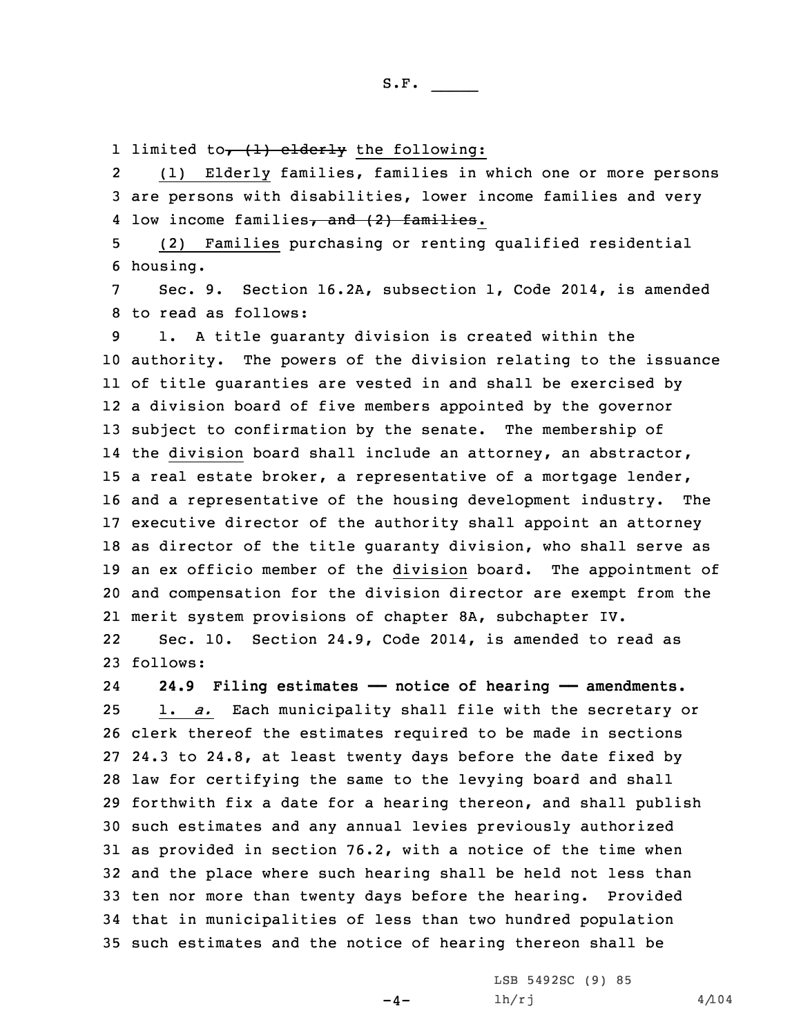1 limited to<del>, (1) elderly</del> the following:

2 (1) Elderly families, families in which one or more persons 3 are persons with disabilities, lower income families and very 4 low income families<del>, and (2) families</del>.

5 (2) Families purchasing or renting qualified residential 6 housing.

7 Sec. 9. Section 16.2A, subsection 1, Code 2014, is amended 8 to read as follows:

 1. <sup>A</sup> title guaranty division is created within the authority. The powers of the division relating to the issuance of title guaranties are vested in and shall be exercised by <sup>a</sup> division board of five members appointed by the governor subject to confirmation by the senate. The membership of the division board shall include an attorney, an abstractor, <sup>a</sup> real estate broker, <sup>a</sup> representative of <sup>a</sup> mortgage lender, and <sup>a</sup> representative of the housing development industry. The executive director of the authority shall appoint an attorney as director of the title guaranty division, who shall serve as an ex officio member of the division board. The appointment of and compensation for the division director are exempt from the merit system provisions of chapter 8A, subchapter IV.

22 Sec. 10. Section 24.9, Code 2014, is amended to read as 23 follows:

24 **24.9 Filing estimates —— notice of hearing —— amendments.** 1. *a.* Each municipality shall file with the secretary or clerk thereof the estimates required to be made in sections 24.3 to 24.8, at least twenty days before the date fixed by law for certifying the same to the levying board and shall forthwith fix <sup>a</sup> date for <sup>a</sup> hearing thereon, and shall publish such estimates and any annual levies previously authorized as provided in section 76.2, with <sup>a</sup> notice of the time when and the place where such hearing shall be held not less than ten nor more than twenty days before the hearing. Provided that in municipalities of less than two hundred population such estimates and the notice of hearing thereon shall be

 $-4-$ 

LSB 5492SC (9) 85  $1h/rj$  4/104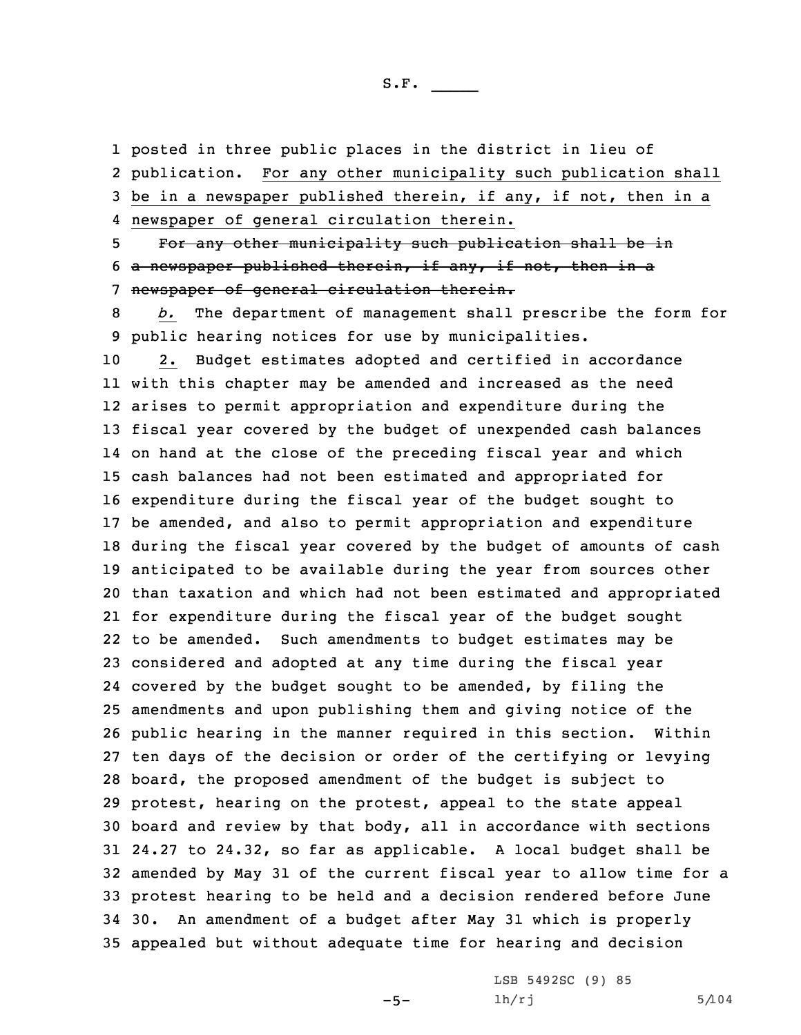1 posted in three public places in the district in lieu of

2 publication. For any other municipality such publication shall 3 be in <sup>a</sup> newspaper published therein, if any, if not, then in <sup>a</sup> 4 newspaper of general circulation therein.

5 For any other municipality such publication shall be in 6 <sup>a</sup> newspaper published therein, if any, if not, then in <sup>a</sup> 7 newspaper of general circulation therein.

8 *b.* The department of management shall prescribe the form for 9 public hearing notices for use by municipalities.

 2. Budget estimates adopted and certified in accordance with this chapter may be amended and increased as the need arises to permit appropriation and expenditure during the fiscal year covered by the budget of unexpended cash balances on hand at the close of the preceding fiscal year and which cash balances had not been estimated and appropriated for expenditure during the fiscal year of the budget sought to be amended, and also to permit appropriation and expenditure during the fiscal year covered by the budget of amounts of cash anticipated to be available during the year from sources other than taxation and which had not been estimated and appropriated for expenditure during the fiscal year of the budget sought to be amended. Such amendments to budget estimates may be considered and adopted at any time during the fiscal year covered by the budget sought to be amended, by filing the amendments and upon publishing them and giving notice of the public hearing in the manner required in this section. Within ten days of the decision or order of the certifying or levying board, the proposed amendment of the budget is subject to protest, hearing on the protest, appeal to the state appeal board and review by that body, all in accordance with sections 24.27 to 24.32, so far as applicable. <sup>A</sup> local budget shall be amended by May 31 of the current fiscal year to allow time for <sup>a</sup> protest hearing to be held and <sup>a</sup> decision rendered before June 30. An amendment of <sup>a</sup> budget after May 31 which is properly appealed but without adequate time for hearing and decision

 $-5-$ 

LSB 5492SC (9) 85  $1h/rj$  5/104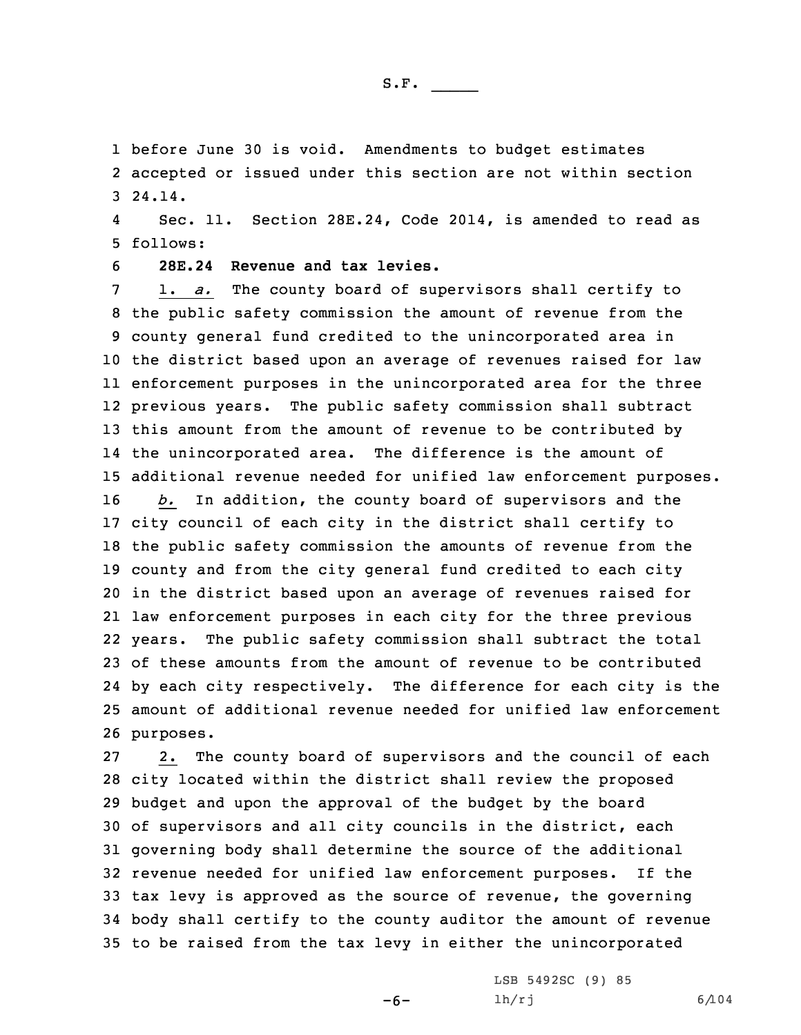1 before June 30 is void. Amendments to budget estimates 2 accepted or issued under this section are not within section 3 24.14.

4 Sec. 11. Section 28E.24, Code 2014, is amended to read as 5 follows:

6 **28E.24 Revenue and tax levies.**

 1. *a.* The county board of supervisors shall certify to the public safety commission the amount of revenue from the county general fund credited to the unincorporated area in the district based upon an average of revenues raised for law enforcement purposes in the unincorporated area for the three previous years. The public safety commission shall subtract this amount from the amount of revenue to be contributed by the unincorporated area. The difference is the amount of additional revenue needed for unified law enforcement purposes. *b.* In addition, the county board of supervisors and the city council of each city in the district shall certify to the public safety commission the amounts of revenue from the county and from the city general fund credited to each city in the district based upon an average of revenues raised for law enforcement purposes in each city for the three previous years. The public safety commission shall subtract the total of these amounts from the amount of revenue to be contributed by each city respectively. The difference for each city is the amount of additional revenue needed for unified law enforcement purposes.

 2. The county board of supervisors and the council of each city located within the district shall review the proposed budget and upon the approval of the budget by the board of supervisors and all city councils in the district, each governing body shall determine the source of the additional revenue needed for unified law enforcement purposes. If the tax levy is approved as the source of revenue, the governing body shall certify to the county auditor the amount of revenue to be raised from the tax levy in either the unincorporated

-6-

LSB 5492SC (9) 85 lh/rj 6/104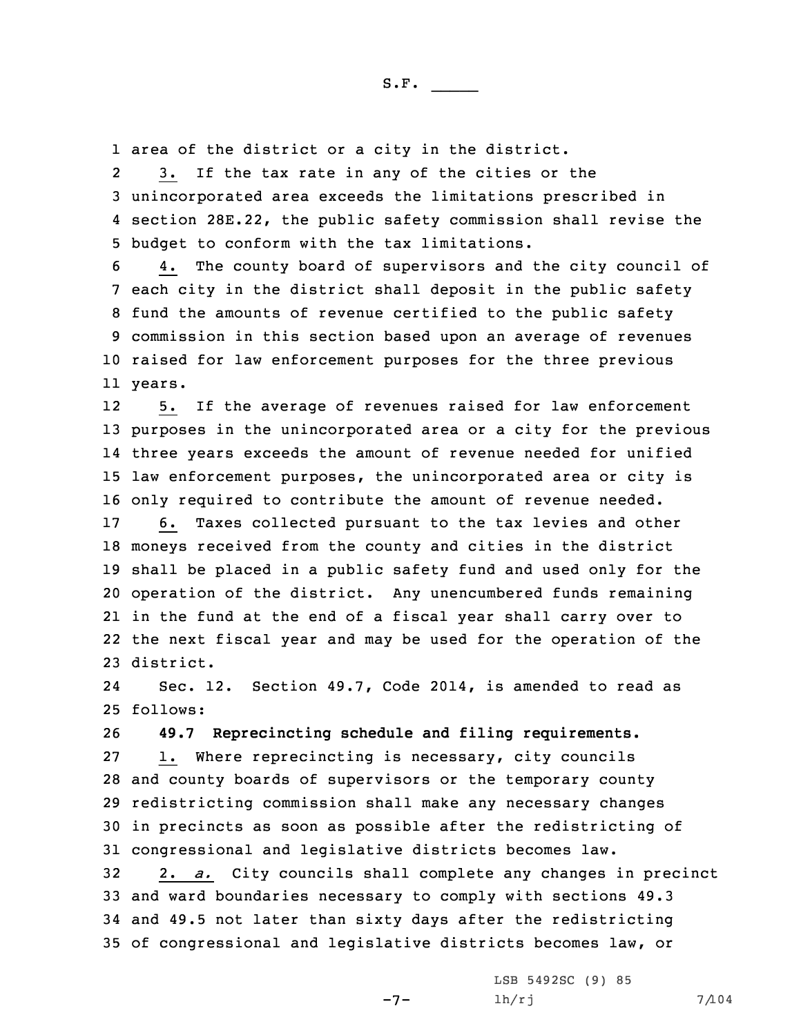1 area of the district or <sup>a</sup> city in the district.

2 3. If the tax rate in any of the cities or the 3 unincorporated area exceeds the limitations prescribed in 4 section 28E.22, the public safety commission shall revise the 5 budget to conform with the tax limitations.

 4. The county board of supervisors and the city council of each city in the district shall deposit in the public safety fund the amounts of revenue certified to the public safety commission in this section based upon an average of revenues raised for law enforcement purposes for the three previous 11 years.

12 5. If the average of revenues raised for law enforcement purposes in the unincorporated area or <sup>a</sup> city for the previous three years exceeds the amount of revenue needed for unified law enforcement purposes, the unincorporated area or city is only required to contribute the amount of revenue needed.

 6. Taxes collected pursuant to the tax levies and other moneys received from the county and cities in the district shall be placed in <sup>a</sup> public safety fund and used only for the operation of the district. Any unencumbered funds remaining in the fund at the end of <sup>a</sup> fiscal year shall carry over to the next fiscal year and may be used for the operation of the district.

24 Sec. 12. Section 49.7, Code 2014, is amended to read as 25 follows:

26 **49.7 Reprecincting schedule and filing requirements.**

 1. Where reprecincting is necessary, city councils and county boards of supervisors or the temporary county redistricting commission shall make any necessary changes in precincts as soon as possible after the redistricting of congressional and legislative districts becomes law.

 2. *a.* City councils shall complete any changes in precinct and ward boundaries necessary to comply with sections 49.3 and 49.5 not later than sixty days after the redistricting of congressional and legislative districts becomes law, or

 $-7-$ 

LSB 5492SC (9) 85  $lh/rj$  7/104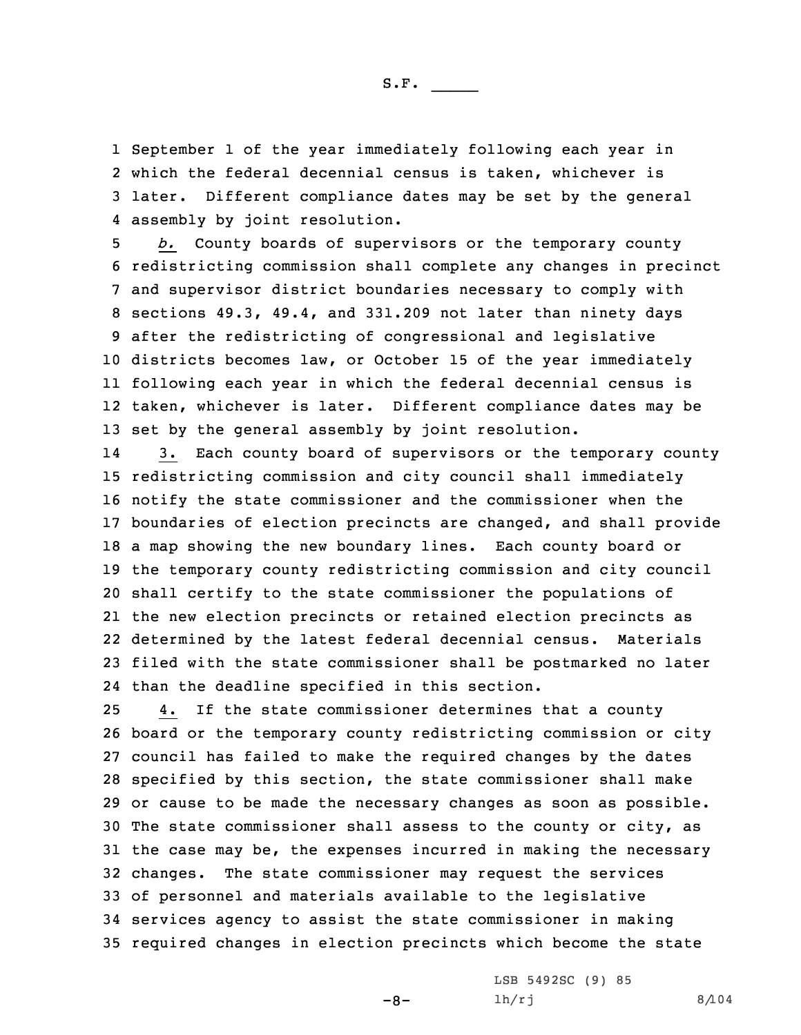September 1 of the year immediately following each year in which the federal decennial census is taken, whichever is later. Different compliance dates may be set by the general assembly by joint resolution.

 *b.* County boards of supervisors or the temporary county redistricting commission shall complete any changes in precinct and supervisor district boundaries necessary to comply with sections 49.3, 49.4, and 331.209 not later than ninety days after the redistricting of congressional and legislative districts becomes law, or October 15 of the year immediately following each year in which the federal decennial census is taken, whichever is later. Different compliance dates may be set by the general assembly by joint resolution.

14 3. Each county board of supervisors or the temporary county redistricting commission and city council shall immediately notify the state commissioner and the commissioner when the boundaries of election precincts are changed, and shall provide <sup>a</sup> map showing the new boundary lines. Each county board or the temporary county redistricting commission and city council shall certify to the state commissioner the populations of the new election precincts or retained election precincts as determined by the latest federal decennial census. Materials filed with the state commissioner shall be postmarked no later than the deadline specified in this section.

 4. If the state commissioner determines that <sup>a</sup> county board or the temporary county redistricting commission or city council has failed to make the required changes by the dates specified by this section, the state commissioner shall make or cause to be made the necessary changes as soon as possible. The state commissioner shall assess to the county or city, as the case may be, the expenses incurred in making the necessary changes. The state commissioner may request the services of personnel and materials available to the legislative services agency to assist the state commissioner in making required changes in election precincts which become the state

 $-8-$ 

LSB 5492SC (9) 85 lh/rj 8/104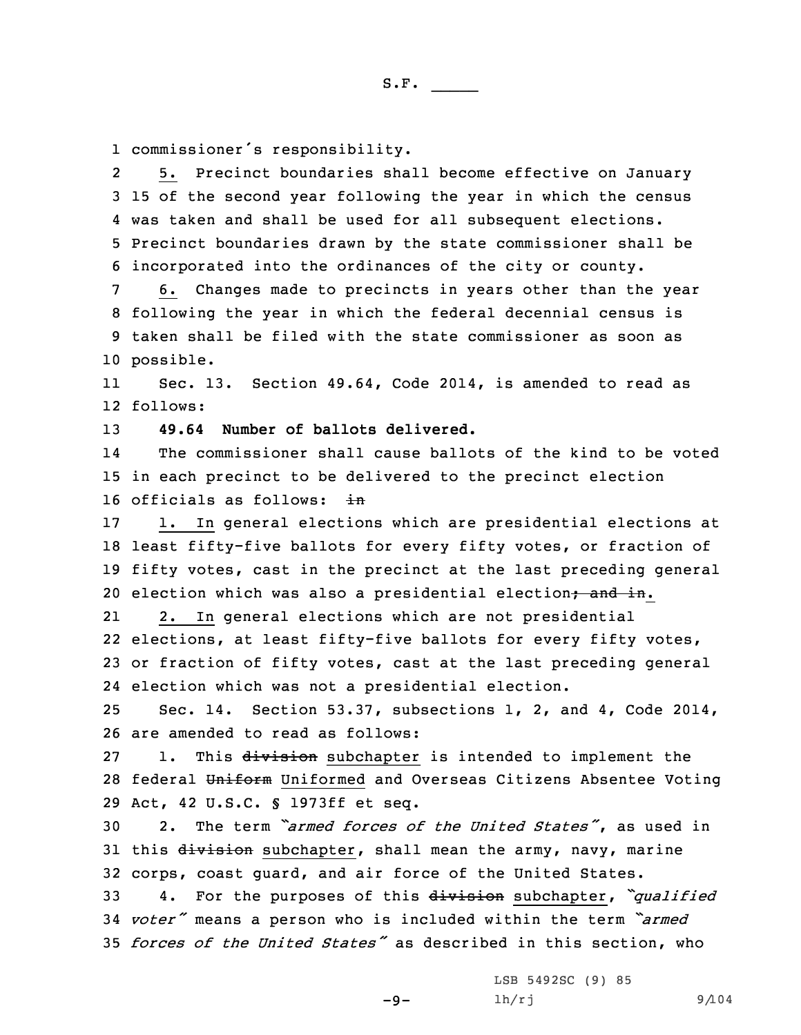1 commissioner's responsibility.

2 5. Precinct boundaries shall become effective on January 15 of the second year following the year in which the census was taken and shall be used for all subsequent elections. Precinct boundaries drawn by the state commissioner shall be incorporated into the ordinances of the city or county.

 6. Changes made to precincts in years other than the year following the year in which the federal decennial census is taken shall be filed with the state commissioner as soon as possible.

11 Sec. 13. Section 49.64, Code 2014, is amended to read as 12 follows:

13 **49.64 Number of ballots delivered.**

14 The commissioner shall cause ballots of the kind to be voted 15 in each precinct to be delivered to the precinct election 16 officials as follows: in

 1. In general elections which are presidential elections at least fifty-five ballots for every fifty votes, or fraction of fifty votes, cast in the precinct at the last preceding general 20 election which was also a presidential election; and in.

21 2. In general elections which are not presidential 22 elections, at least fifty-five ballots for every fifty votes, 23 or fraction of fifty votes, cast at the last preceding general 24 election which was not <sup>a</sup> presidential election.

25 Sec. 14. Section 53.37, subsections 1, 2, and 4, Code 2014, 26 are amended to read as follows:

27 1. This division subchapter is intended to implement the 28 federal Uniform Uniformed and Overseas Citizens Absentee Voting 29 Act, 42 U.S.C. § 1973ff et seq.

30 2. The term *"armed forces of the United States"*, as used in 31 this division subchapter, shall mean the army, navy, marine 32 corps, coast guard, and air force of the United States.

<sup>33</sup> 4. For the purposes of this division subchapter, *"qualified* <sup>34</sup> *voter"* means <sup>a</sup> person who is included within the term *"armed* 35 *forces of the United States"* as described in this section, who

 $-9-$ 

LSB 5492SC (9) 85 lh/rj 9/104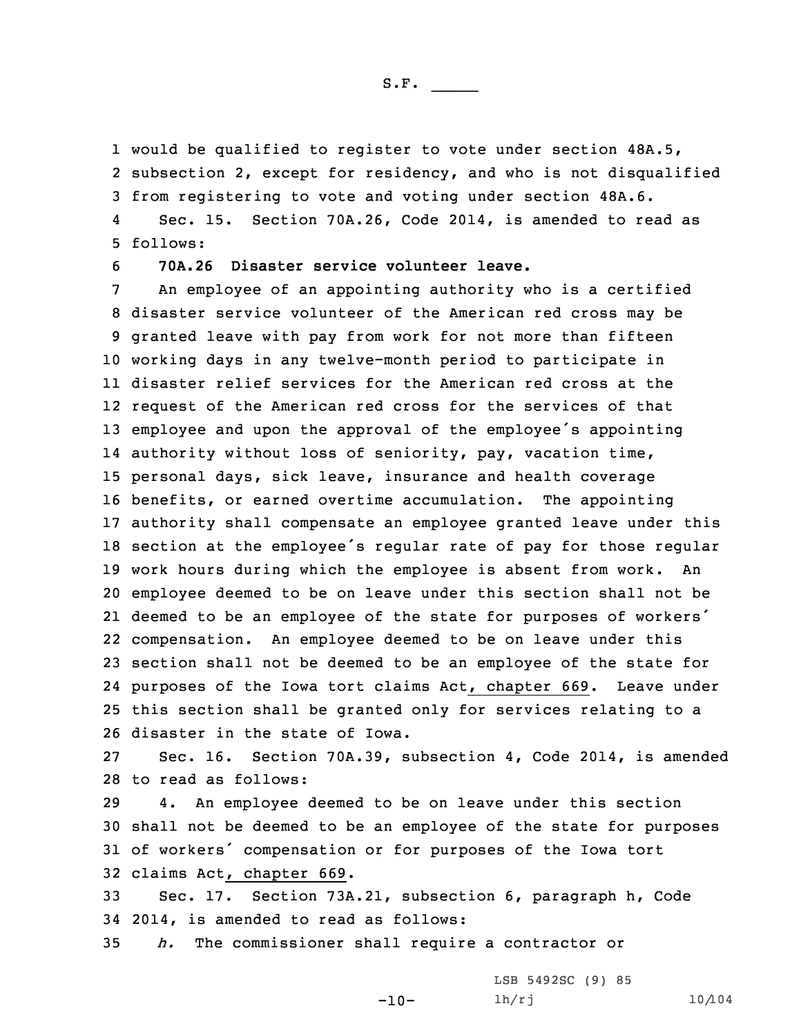1 would be qualified to register to vote under section 48A.5, 2 subsection 2, except for residency, and who is not disqualified 3 from registering to vote and voting under section 48A.6.

4 Sec. 15. Section 70A.26, Code 2014, is amended to read as 5 follows:

6 **70A.26 Disaster service volunteer leave.**

 An employee of an appointing authority who is <sup>a</sup> certified disaster service volunteer of the American red cross may be granted leave with pay from work for not more than fifteen working days in any twelve-month period to participate in disaster relief services for the American red cross at the request of the American red cross for the services of that employee and upon the approval of the employee's appointing authority without loss of seniority, pay, vacation time, personal days, sick leave, insurance and health coverage benefits, or earned overtime accumulation. The appointing authority shall compensate an employee granted leave under this section at the employee's regular rate of pay for those regular work hours during which the employee is absent from work. An employee deemed to be on leave under this section shall not be deemed to be an employee of the state for purposes of workers' compensation. An employee deemed to be on leave under this section shall not be deemed to be an employee of the state for purposes of the Iowa tort claims Act, chapter 669. Leave under this section shall be granted only for services relating to <sup>a</sup> disaster in the state of Iowa.

27 Sec. 16. Section 70A.39, subsection 4, Code 2014, is amended 28 to read as follows:

 4. An employee deemed to be on leave under this section shall not be deemed to be an employee of the state for purposes of workers' compensation or for purposes of the Iowa tort claims Act, chapter 669.

33 Sec. 17. Section 73A.21, subsection 6, paragraph h, Code 34 2014, is amended to read as follows:

-10-

35 *h.* The commissioner shall require <sup>a</sup> contractor or

LSB 5492SC (9) 85 lh/rj 10/104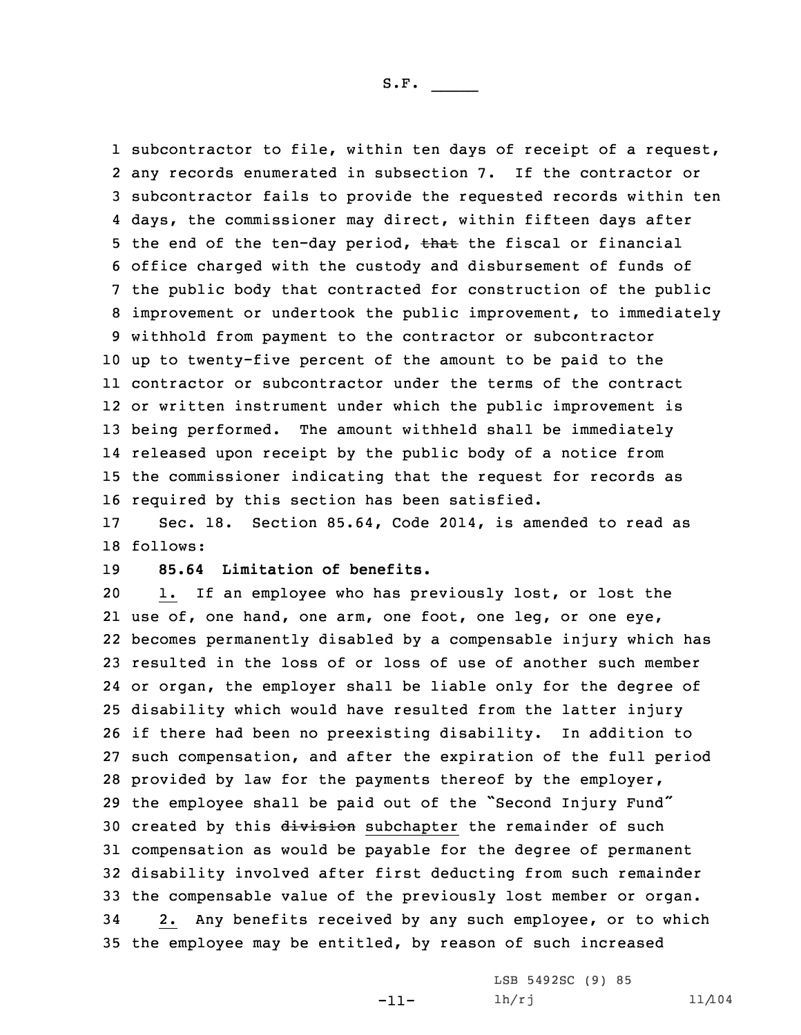subcontractor to file, within ten days of receipt of <sup>a</sup> request, any records enumerated in subsection 7. If the contractor or subcontractor fails to provide the requested records within ten days, the commissioner may direct, within fifteen days after 5 the end of the ten-day period, that the fiscal or financial office charged with the custody and disbursement of funds of the public body that contracted for construction of the public improvement or undertook the public improvement, to immediately withhold from payment to the contractor or subcontractor up to twenty-five percent of the amount to be paid to the contractor or subcontractor under the terms of the contract or written instrument under which the public improvement is being performed. The amount withheld shall be immediately released upon receipt by the public body of <sup>a</sup> notice from the commissioner indicating that the request for records as required by this section has been satisfied.

17 Sec. 18. Section 85.64, Code 2014, is amended to read as 18 follows:

## 19 **85.64 Limitation of benefits.**

 1. If an employee who has previously lost, or lost the use of, one hand, one arm, one foot, one leg, or one eye, becomes permanently disabled by <sup>a</sup> compensable injury which has resulted in the loss of or loss of use of another such member or organ, the employer shall be liable only for the degree of disability which would have resulted from the latter injury if there had been no preexisting disability. In addition to such compensation, and after the expiration of the full period provided by law for the payments thereof by the employer, the employee shall be paid out of the "Second Injury Fund" 30 created by this division subchapter the remainder of such compensation as would be payable for the degree of permanent disability involved after first deducting from such remainder the compensable value of the previously lost member or organ. 2. Any benefits received by any such employee, or to which the employee may be entitled, by reason of such increased

-11-

LSB 5492SC (9) 85 lh/rj 11/104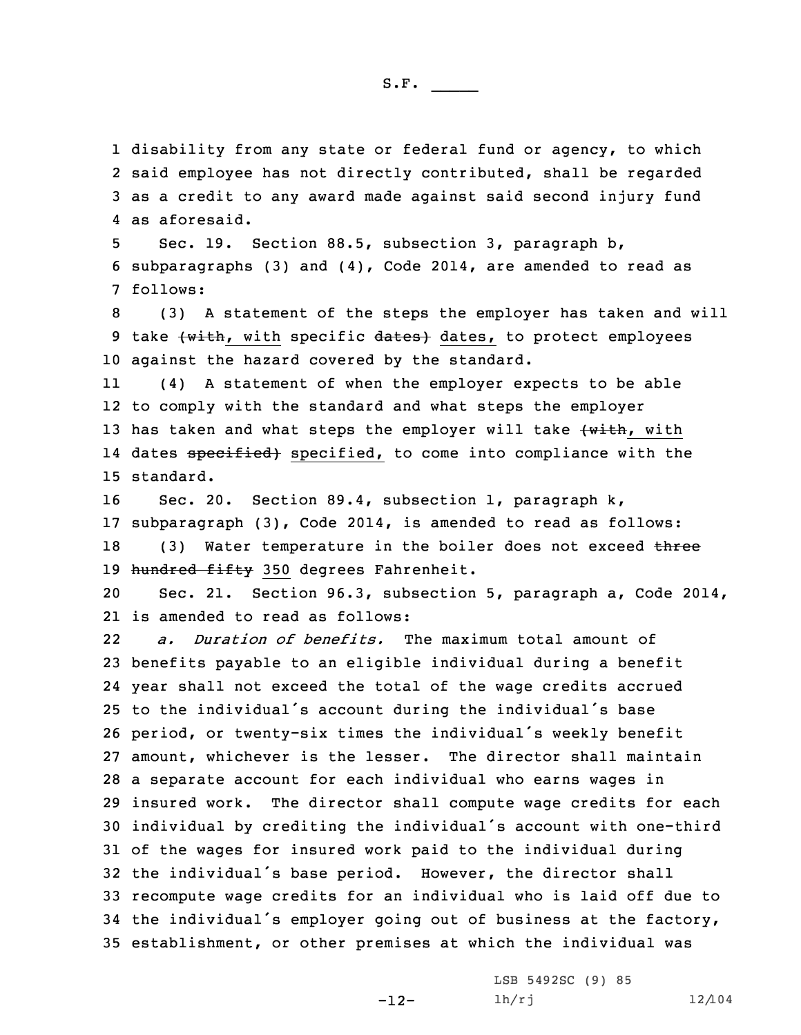disability from any state or federal fund or agency, to which said employee has not directly contributed, shall be regarded as <sup>a</sup> credit to any award made against said second injury fund as aforesaid.

5 Sec. 19. Section 88.5, subsection 3, paragraph b, 6 subparagraphs (3) and (4), Code 2014, are amended to read as 7 follows:

8 (3) <sup>A</sup> statement of the steps the employer has taken and will 9 take (with, with specific dates) dates, to protect employees 10 against the hazard covered by the standard.

11 (4) <sup>A</sup> statement of when the employer expects to be able 12 to comply with the standard and what steps the employer 13 has taken and what steps the employer will take (with, with 14 dates <del>specified)</del> specified, to come into compliance with the 15 standard.

16 Sec. 20. Section 89.4, subsection 1, paragraph k, 17 subparagraph (3), Code 2014, is amended to read as follows: 18 (3) Water temperature in the boiler does not exceed three 19 hundred fifty 350 degrees Fahrenheit.

20 Sec. 21. Section 96.3, subsection 5, paragraph a, Code 2014, 21 is amended to read as follows:

22 *a. Duration of benefits.* The maximum total amount of benefits payable to an eligible individual during <sup>a</sup> benefit year shall not exceed the total of the wage credits accrued to the individual's account during the individual's base period, or twenty-six times the individual's weekly benefit amount, whichever is the lesser. The director shall maintain <sup>a</sup> separate account for each individual who earns wages in insured work. The director shall compute wage credits for each individual by crediting the individual's account with one-third of the wages for insured work paid to the individual during the individual's base period. However, the director shall recompute wage credits for an individual who is laid off due to the individual's employer going out of business at the factory, establishment, or other premises at which the individual was

-12-

LSB 5492SC (9) 85  $lh/rj$  12/104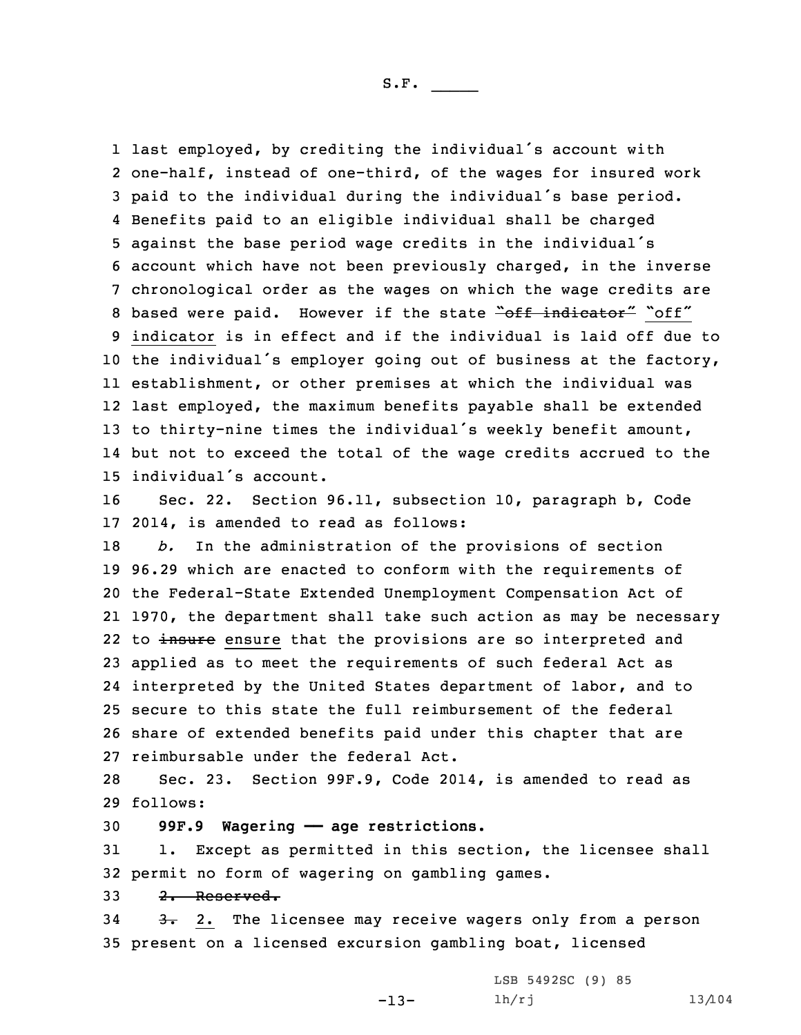last employed, by crediting the individual's account with one-half, instead of one-third, of the wages for insured work paid to the individual during the individual's base period. Benefits paid to an eligible individual shall be charged against the base period wage credits in the individual's account which have not been previously charged, in the inverse chronological order as the wages on which the wage credits are 8 based were paid. However if the state "off indicator" "off" indicator is in effect and if the individual is laid off due to the individual's employer going out of business at the factory, establishment, or other premises at which the individual was last employed, the maximum benefits payable shall be extended to thirty-nine times the individual's weekly benefit amount, but not to exceed the total of the wage credits accrued to the individual's account.

16 Sec. 22. Section 96.11, subsection 10, paragraph b, Code 17 2014, is amended to read as follows:

 *b.* In the administration of the provisions of section 96.29 which are enacted to conform with the requirements of the Federal-State Extended Unemployment Compensation Act of 1970, the department shall take such action as may be necessary 22 to insure ensure that the provisions are so interpreted and applied as to meet the requirements of such federal Act as interpreted by the United States department of labor, and to secure to this state the full reimbursement of the federal share of extended benefits paid under this chapter that are reimbursable under the federal Act.

28 Sec. 23. Section 99F.9, Code 2014, is amended to read as 29 follows:

30 **99F.9 Wagering —— age restrictions.**

31 1. Except as permitted in this section, the licensee shall 32 permit no form of wagering on gambling games.

 $33 \quad 2.$  Reserved.

34 3. 2. The licensee may receive wagers only from a person 35 present on <sup>a</sup> licensed excursion gambling boat, licensed

-13-

LSB 5492SC (9) 85 lh/rj 13/104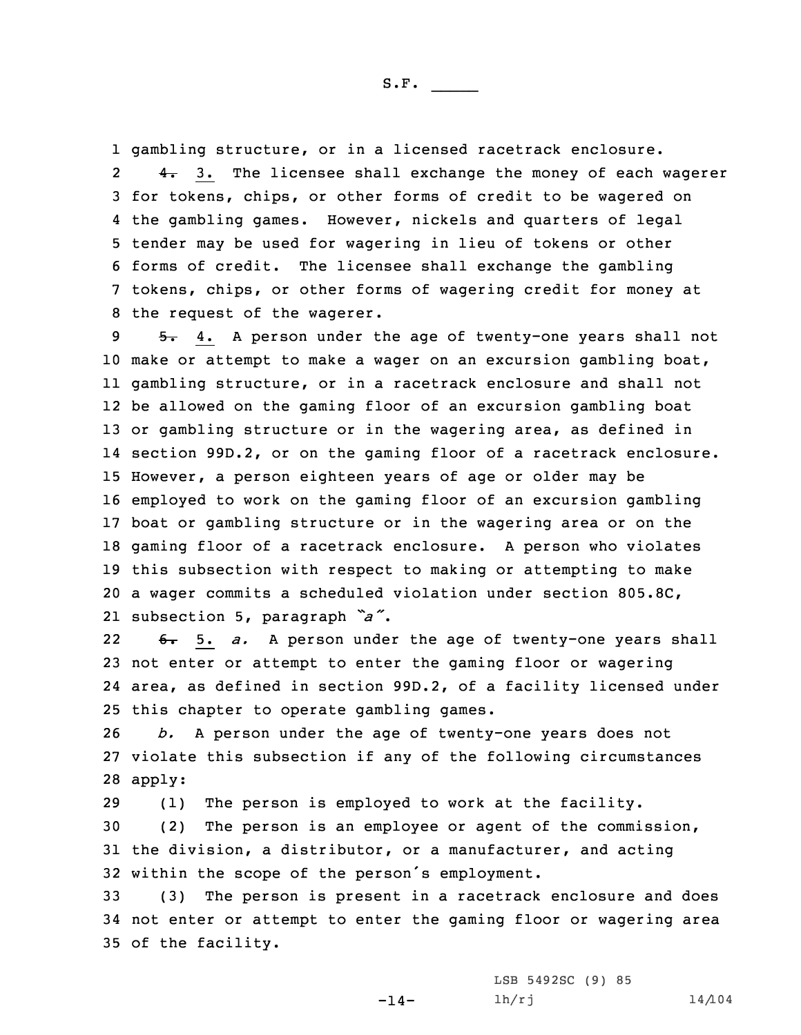gambling structure, or in <sup>a</sup> licensed racetrack enclosure. 2 4. 3. The licensee shall exchange the money of each wagerer for tokens, chips, or other forms of credit to be wagered on the gambling games. However, nickels and quarters of legal tender may be used for wagering in lieu of tokens or other forms of credit. The licensee shall exchange the gambling tokens, chips, or other forms of wagering credit for money at the request of the wagerer.

9 5. 4. A person under the age of twenty-one years shall not make or attempt to make <sup>a</sup> wager on an excursion gambling boat, gambling structure, or in <sup>a</sup> racetrack enclosure and shall not be allowed on the gaming floor of an excursion gambling boat or gambling structure or in the wagering area, as defined in section 99D.2, or on the gaming floor of <sup>a</sup> racetrack enclosure. However, <sup>a</sup> person eighteen years of age or older may be employed to work on the gaming floor of an excursion gambling boat or gambling structure or in the wagering area or on the gaming floor of <sup>a</sup> racetrack enclosure. <sup>A</sup> person who violates this subsection with respect to making or attempting to make <sup>a</sup> wager commits <sup>a</sup> scheduled violation under section 805.8C, subsection 5, paragraph *"a"*.

22 6. 5. *a.* <sup>A</sup> person under the age of twenty-one years shall 23 not enter or attempt to enter the gaming floor or wagering 24 area, as defined in section 99D.2, of <sup>a</sup> facility licensed under 25 this chapter to operate gambling games.

26 *b.* <sup>A</sup> person under the age of twenty-one years does not 27 violate this subsection if any of the following circumstances 28 apply:

 (1) The person is employed to work at the facility. (2) The person is an employee or agent of the commission, the division, <sup>a</sup> distributor, or <sup>a</sup> manufacturer, and acting within the scope of the person's employment.

33 (3) The person is present in <sup>a</sup> racetrack enclosure and does 34 not enter or attempt to enter the gaming floor or wagering area 35 of the facility.

 $-14-$ 

LSB 5492SC (9) 85  $1h/rj$   $14/104$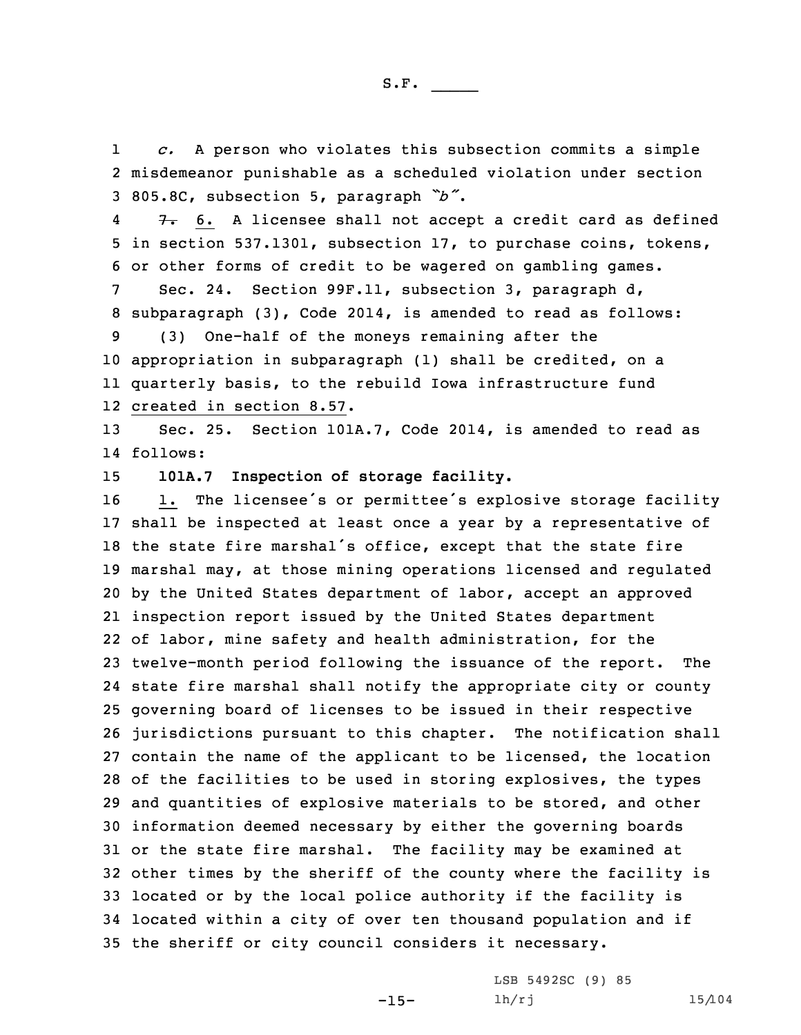1 *c.* <sup>A</sup> person who violates this subsection commits <sup>a</sup> simple 2 misdemeanor punishable as <sup>a</sup> scheduled violation under section <sup>3</sup> 805.8C, subsection 5, paragraph *"b"*.

4 $7. 6. A license shall not accept a credit card as defined$ 5 in section 537.1301, subsection 17, to purchase coins, tokens, 6 or other forms of credit to be wagered on gambling games.

7 Sec. 24. Section 99F.11, subsection 3, paragraph d, 8 subparagraph (3), Code 2014, is amended to read as follows:

 (3) One-half of the moneys remaining after the appropriation in subparagraph (1) shall be credited, on <sup>a</sup> quarterly basis, to the rebuild Iowa infrastructure fund created in section 8.57.

13 Sec. 25. Section 101A.7, Code 2014, is amended to read as 14 follows:

15 **101A.7 Inspection of storage facility.**

16 1. The licensee's or permittee's explosive storage facility shall be inspected at least once <sup>a</sup> year by <sup>a</sup> representative of the state fire marshal's office, except that the state fire marshal may, at those mining operations licensed and regulated by the United States department of labor, accept an approved inspection report issued by the United States department of labor, mine safety and health administration, for the twelve-month period following the issuance of the report. The state fire marshal shall notify the appropriate city or county governing board of licenses to be issued in their respective jurisdictions pursuant to this chapter. The notification shall contain the name of the applicant to be licensed, the location of the facilities to be used in storing explosives, the types and quantities of explosive materials to be stored, and other information deemed necessary by either the governing boards or the state fire marshal. The facility may be examined at other times by the sheriff of the county where the facility is located or by the local police authority if the facility is located within <sup>a</sup> city of over ten thousand population and if the sheriff or city council considers it necessary.

-15-

LSB 5492SC (9) 85 lh/rj 15/104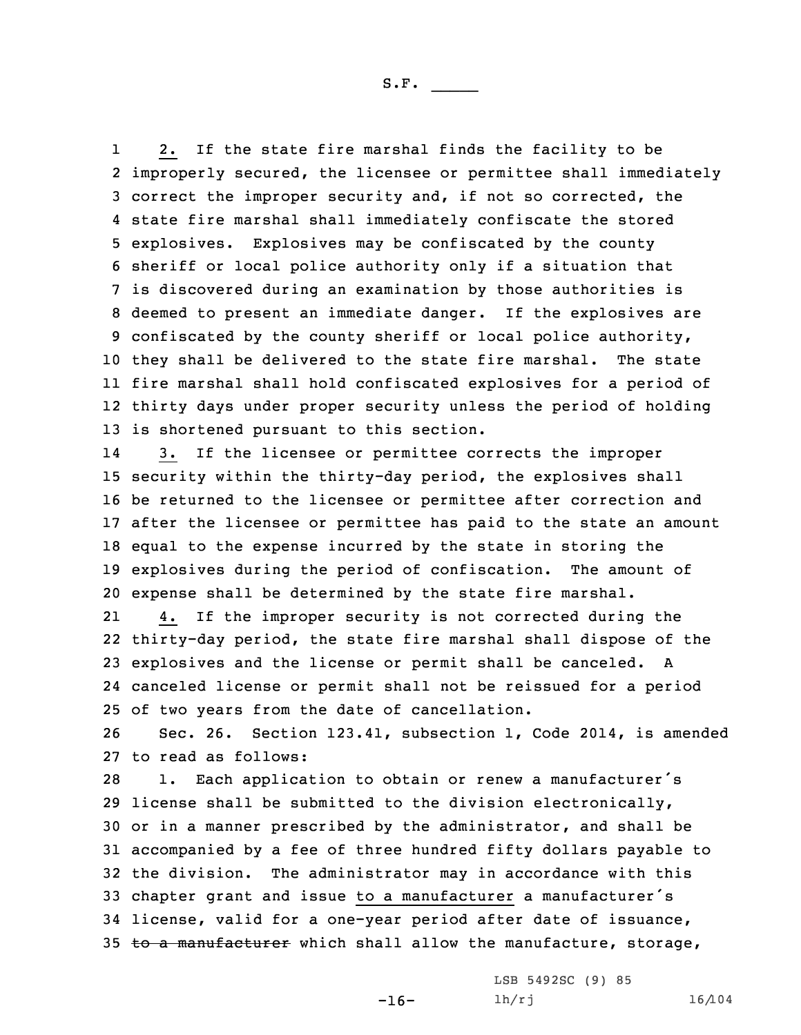1 2. If the state fire marshal finds the facility to be improperly secured, the licensee or permittee shall immediately correct the improper security and, if not so corrected, the state fire marshal shall immediately confiscate the stored explosives. Explosives may be confiscated by the county sheriff or local police authority only if <sup>a</sup> situation that is discovered during an examination by those authorities is deemed to present an immediate danger. If the explosives are confiscated by the county sheriff or local police authority, they shall be delivered to the state fire marshal. The state fire marshal shall hold confiscated explosives for <sup>a</sup> period of thirty days under proper security unless the period of holding is shortened pursuant to this section.

14 3. If the licensee or permittee corrects the improper security within the thirty-day period, the explosives shall be returned to the licensee or permittee after correction and after the licensee or permittee has paid to the state an amount equal to the expense incurred by the state in storing the explosives during the period of confiscation. The amount of expense shall be determined by the state fire marshal.

21 4. If the improper security is not corrected during the thirty-day period, the state fire marshal shall dispose of the explosives and the license or permit shall be canceled. <sup>A</sup> canceled license or permit shall not be reissued for <sup>a</sup> period of two years from the date of cancellation.

26 Sec. 26. Section 123.41, subsection 1, Code 2014, is amended 27 to read as follows:

 1. Each application to obtain or renew <sup>a</sup> manufacturer's license shall be submitted to the division electronically, or in <sup>a</sup> manner prescribed by the administrator, and shall be accompanied by <sup>a</sup> fee of three hundred fifty dollars payable to the division. The administrator may in accordance with this chapter grant and issue to <sup>a</sup> manufacturer <sup>a</sup> manufacturer's license, valid for <sup>a</sup> one-year period after date of issuance, 35 to a manufacturer which shall allow the manufacture, storage,

-16-

LSB 5492SC (9) 85 lh/rj 16/104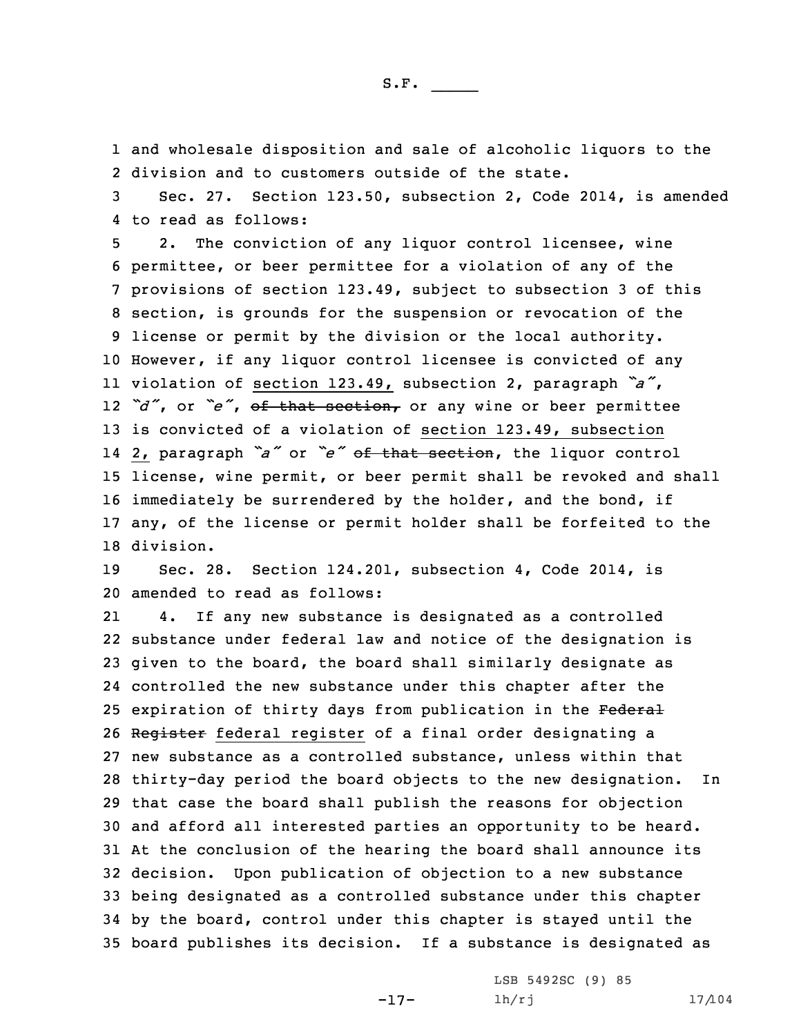1 and wholesale disposition and sale of alcoholic liquors to the 2 division and to customers outside of the state.

3 Sec. 27. Section 123.50, subsection 2, Code 2014, is amended 4 to read as follows:

 2. The conviction of any liquor control licensee, wine permittee, or beer permittee for <sup>a</sup> violation of any of the provisions of section 123.49, subject to subsection 3 of this section, is grounds for the suspension or revocation of the license or permit by the division or the local authority. However, if any liquor control licensee is convicted of any violation of section 123.49, subsection 2, paragraph *"a"*, *"d"*, or *"e"*, of that section, or any wine or beer permittee is convicted of <sup>a</sup> violation of section 123.49, subsection 2, paragraph *"a"* or *"e"* of that section, the liquor control license, wine permit, or beer permit shall be revoked and shall 16 immediately be surrendered by the holder, and the bond, if any, of the license or permit holder shall be forfeited to the division.

19 Sec. 28. Section 124.201, subsection 4, Code 2014, is 20 amended to read as follows:

21 4. If any new substance is designated as <sup>a</sup> controlled substance under federal law and notice of the designation is given to the board, the board shall similarly designate as controlled the new substance under this chapter after the 25 expiration of thirty days from publication in the Federal Register federal register of <sup>a</sup> final order designating <sup>a</sup> new substance as <sup>a</sup> controlled substance, unless within that thirty-day period the board objects to the new designation. In that case the board shall publish the reasons for objection and afford all interested parties an opportunity to be heard. At the conclusion of the hearing the board shall announce its decision. Upon publication of objection to <sup>a</sup> new substance being designated as <sup>a</sup> controlled substance under this chapter by the board, control under this chapter is stayed until the board publishes its decision. If <sup>a</sup> substance is designated as

-17-

LSB 5492SC (9) 85  $lh/rj$  17/104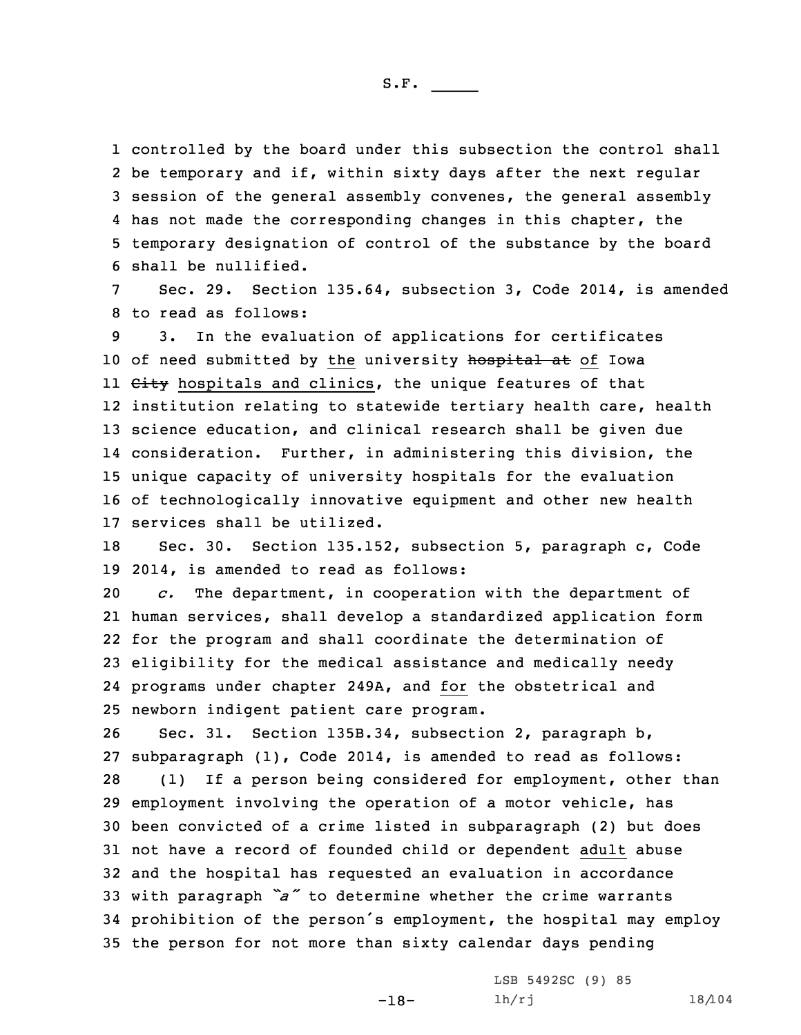controlled by the board under this subsection the control shall be temporary and if, within sixty days after the next regular session of the general assembly convenes, the general assembly 4 has not made the corresponding changes in this chapter, the temporary designation of control of the substance by the board shall be nullified.

7 Sec. 29. Section 135.64, subsection 3, Code 2014, is amended 8 to read as follows:

 3. In the evaluation of applications for certificates 10 of need submitted by the university hospital at of Iowa 11 <del>City</del> hospitals and clinics, the unique features of that institution relating to statewide tertiary health care, health science education, and clinical research shall be given due consideration. Further, in administering this division, the unique capacity of university hospitals for the evaluation of technologically innovative equipment and other new health services shall be utilized.

18 Sec. 30. Section 135.152, subsection 5, paragraph c, Code 19 2014, is amended to read as follows:

 *c.* The department, in cooperation with the department of human services, shall develop <sup>a</sup> standardized application form for the program and shall coordinate the determination of eligibility for the medical assistance and medically needy programs under chapter 249A, and for the obstetrical and newborn indigent patient care program.

 Sec. 31. Section 135B.34, subsection 2, paragraph b, subparagraph (1), Code 2014, is amended to read as follows: (1) If <sup>a</sup> person being considered for employment, other than employment involving the operation of <sup>a</sup> motor vehicle, has been convicted of <sup>a</sup> crime listed in subparagraph (2) but does not have <sup>a</sup> record of founded child or dependent adult abuse and the hospital has requested an evaluation in accordance with paragraph *"a"* to determine whether the crime warrants prohibition of the person's employment, the hospital may employ the person for not more than sixty calendar days pending

-18-

LSB 5492SC (9) 85 lh/rj 18/104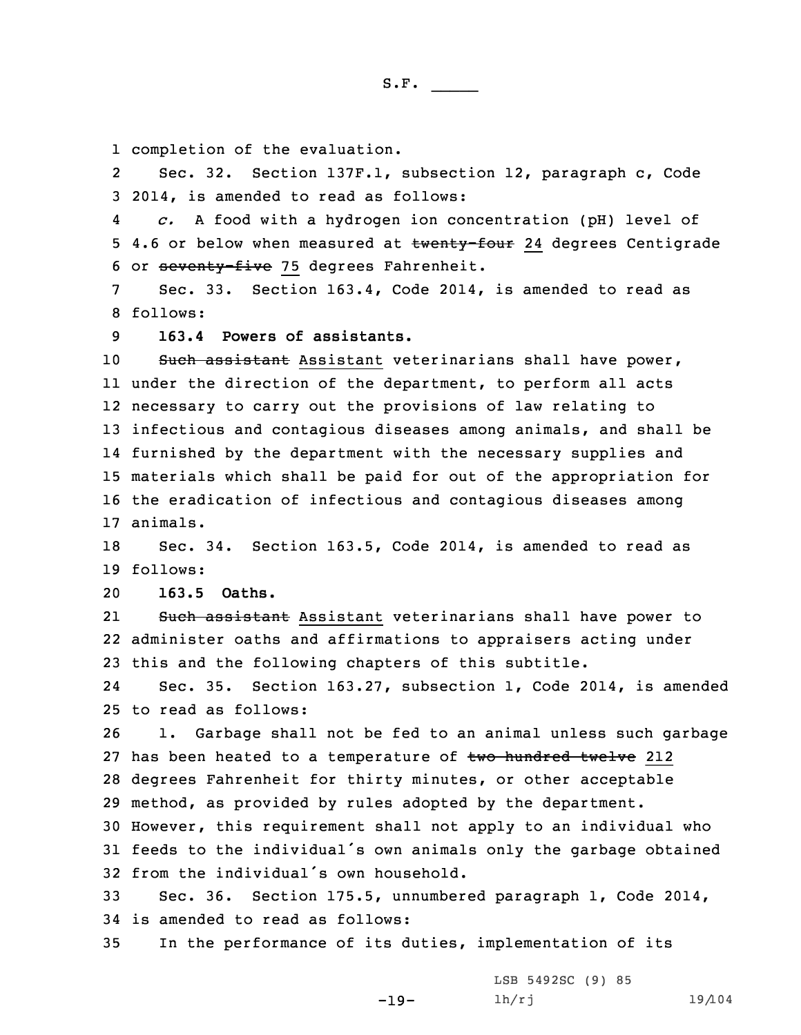1 completion of the evaluation.

2 Sec. 32. Section 137F.1, subsection 12, paragraph c, Code 3 2014, is amended to read as follows:

4 *c.* <sup>A</sup> food with <sup>a</sup> hydrogen ion concentration (pH) level of 5 4.6 or below when measured at twenty-four 24 degrees Centigrade 6 or seventy-five 75 degrees Fahrenheit.

7 Sec. 33. Section 163.4, Code 2014, is amended to read as 8 follows:

9 **163.4 Powers of assistants.**

 Such assistant Assistant veterinarians shall have power, under the direction of the department, to perform all acts necessary to carry out the provisions of law relating to infectious and contagious diseases among animals, and shall be furnished by the department with the necessary supplies and materials which shall be paid for out of the appropriation for the eradication of infectious and contagious diseases among 17 animals.

18 Sec. 34. Section 163.5, Code 2014, is amended to read as 19 follows:

20 **163.5 Oaths.**

21Such assistant Assistant veterinarians shall have power to 22 administer oaths and affirmations to appraisers acting under 23 this and the following chapters of this subtitle.

24 Sec. 35. Section 163.27, subsection 1, Code 2014, is amended 25 to read as follows:

 1. Garbage shall not be fed to an animal unless such garbage 27 has been heated to a temperature of two hundred twelve 212 degrees Fahrenheit for thirty minutes, or other acceptable method, as provided by rules adopted by the department.

30 However, this requirement shall not apply to an individual who <sup>31</sup> feeds to the individual's own animals only the garbage obtained 32 from the individual's own household.

33 Sec. 36. Section 175.5, unnumbered paragraph 1, Code 2014, 34 is amended to read as follows:

-19-

35 In the performance of its duties, implementation of its

LSB 5492SC (9) 85 lh/rj 19/104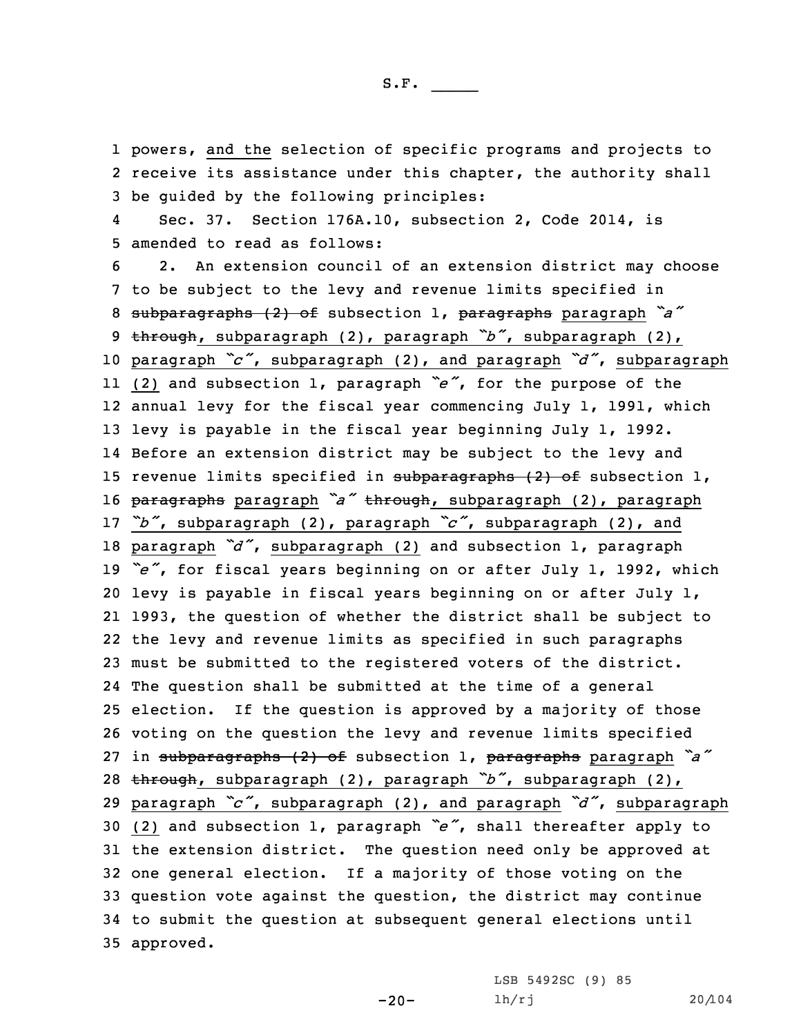1 powers, and the selection of specific programs and projects to 2 receive its assistance under this chapter, the authority shall 3 be guided by the following principles:

4 Sec. 37. Section 176A.10, subsection 2, Code 2014, is 5 amended to read as follows:

 2. An extension council of an extension district may choose to be subject to the levy and revenue limits specified in subparagraphs (2) of subsection 1, paragraphs paragraph *"a"* through, subparagraph (2), paragraph *"b"*, subparagraph (2), paragraph *"c"*, subparagraph (2), and paragraph *"d"*, subparagraph (2) and subsection 1, paragraph *"e"*, for the purpose of the annual levy for the fiscal year commencing July 1, 1991, which levy is payable in the fiscal year beginning July 1, 1992. Before an extension district may be subject to the levy and 15 revenue limits specified in subparagraphs (2) of subsection 1, paragraphs paragraph *"a"* through, subparagraph (2), paragraph *"b"*, subparagraph (2), paragraph *"c"*, subparagraph (2), and paragraph *"d"*, subparagraph (2) and subsection 1, paragraph *"e"*, for fiscal years beginning on or after July 1, 1992, which levy is payable in fiscal years beginning on or after July 1, 1993, the question of whether the district shall be subject to the levy and revenue limits as specified in such paragraphs must be submitted to the registered voters of the district. The question shall be submitted at the time of <sup>a</sup> general election. If the question is approved by <sup>a</sup> majority of those voting on the question the levy and revenue limits specified in subparagraphs (2) of subsection 1, paragraphs paragraph *"a"* through, subparagraph (2), paragraph *"b"*, subparagraph (2), paragraph *"c"*, subparagraph (2), and paragraph *"d"*, subparagraph (2) and subsection 1, paragraph *"e"*, shall thereafter apply to the extension district. The question need only be approved at one general election. If <sup>a</sup> majority of those voting on the question vote against the question, the district may continue to submit the question at subsequent general elections until approved.

 $-20-$ 

LSB 5492SC (9) 85 lh/rj 20/104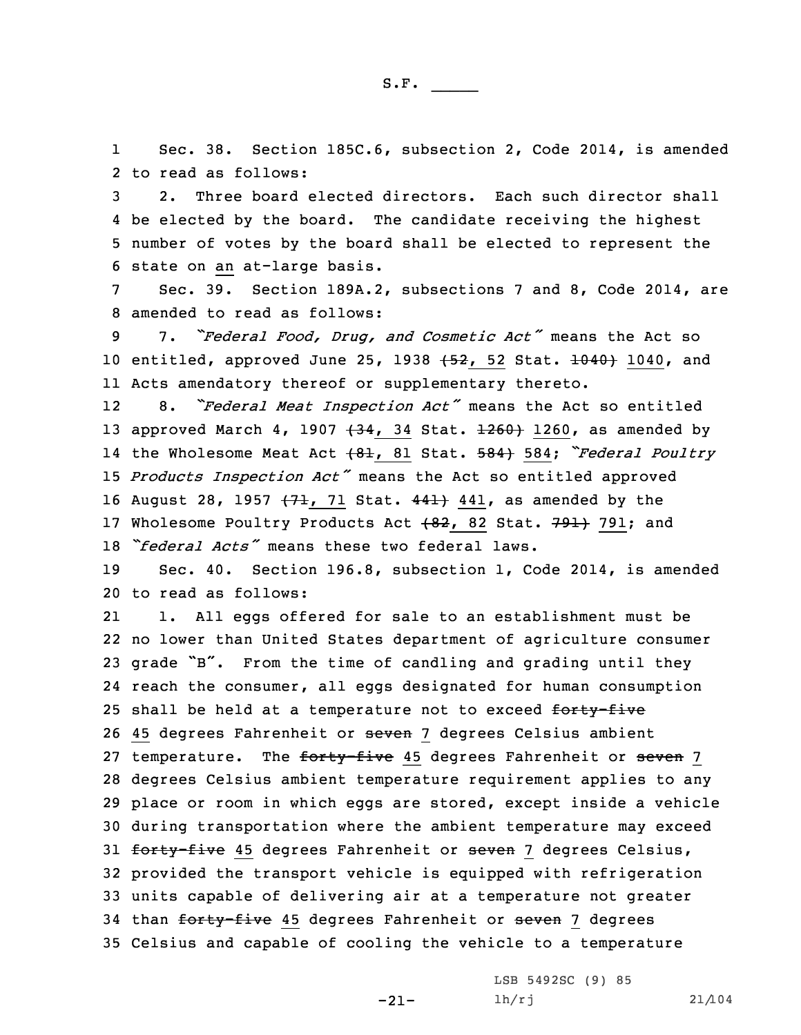1 Sec. 38. Section 185C.6, subsection 2, Code 2014, is amended 2 to read as follows:

 2. Three board elected directors. Each such director shall be elected by the board. The candidate receiving the highest number of votes by the board shall be elected to represent the state on an at-large basis.

7 Sec. 39. Section 189A.2, subsections 7 and 8, Code 2014, are 8 amended to read as follows:

<sup>9</sup> 7. *"Federal Food, Drug, and Cosmetic Act"* means the Act so 10 entitled, approved June 25, 1938 (52, 52 Stat. 1040) 1040, and 11 Acts amendatory thereof or supplementary thereto.

12 8. *"Federal Meat Inspection Act"* means the Act so entitled 13 approved March 4, 1907  $(34, 34 \text{ Stat. } \pm 260)$  1260, as amended by 14 the Wholesome Meat Act (81, <sup>81</sup> Stat. 584) 584; *"Federal Poultry* <sup>15</sup> *Products Inspection Act"* means the Act so entitled approved 16 August 28, 1957  $(71, 71$  Stat.  $441$  441, as amended by the 17 Wholesome Poultry Products Act  $+82$ , 82 Stat. 791+ 791; and 18 *"federal Acts"* means these two federal laws.

19 Sec. 40. Section 196.8, subsection 1, Code 2014, is amended 20 to read as follows:

21 1. All eggs offered for sale to an establishment must be 22 no lower than United States department of agriculture consumer <sup>23</sup> grade "B". From the time of candling and grading until they 24 reach the consumer, all eggs designated for human consumption 25 shall be held at a temperature not to exceed forty-five 26 45 degrees Fahrenheit or seven 7 degrees Celsius ambient 27 temperature. The forty-five 45 degrees Fahrenheit or seven 7 28 degrees Celsius ambient temperature requirement applies to any 29 place or room in which eggs are stored, except inside <sup>a</sup> vehicle 30 during transportation where the ambient temperature may exceed 31 forty-five 45 degrees Fahrenheit or seven 7 degrees Celsius, 32 provided the transport vehicle is equipped with refrigeration 33 units capable of delivering air at <sup>a</sup> temperature not greater 34 than forty-five 45 degrees Fahrenheit or seven 7 degrees 35 Celsius and capable of cooling the vehicle to <sup>a</sup> temperature

-21-

LSB 5492SC (9) 85 lh/rj 21/104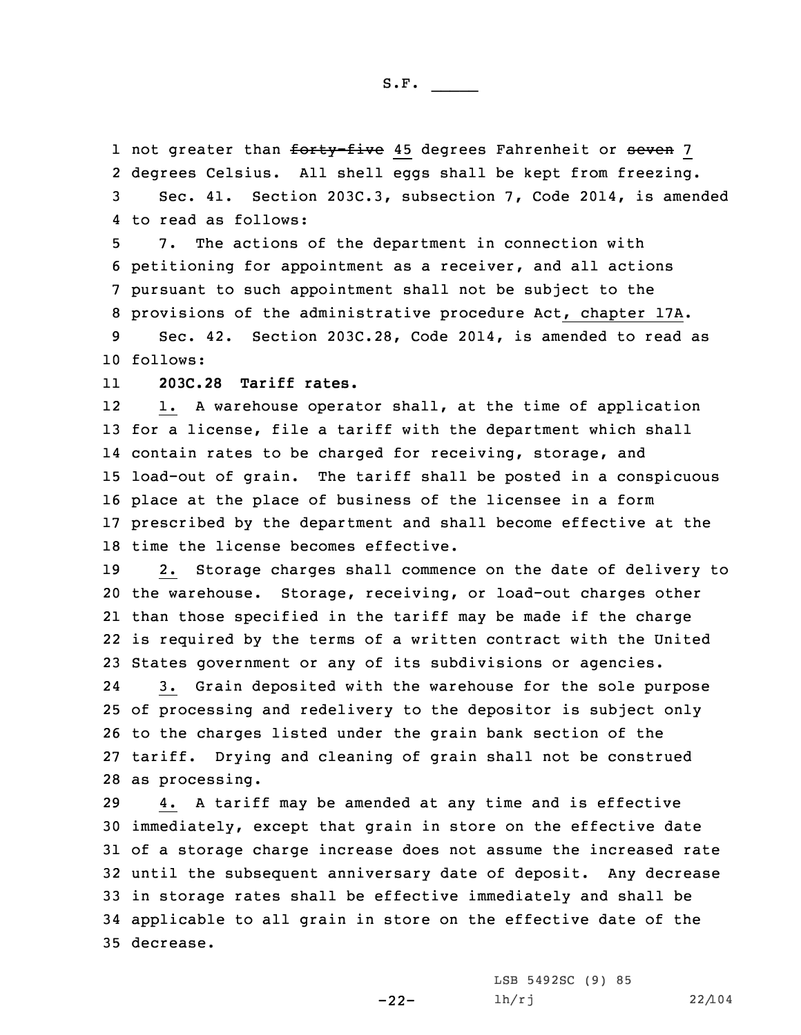1 not greater than <del>forty-five</del> 45 degrees Fahrenheit or <del>seven</del> 7 degrees Celsius. All shell eggs shall be kept from freezing. Sec. 41. Section 203C.3, subsection 7, Code 2014, is amended to read as follows:

 7. The actions of the department in connection with petitioning for appointment as <sup>a</sup> receiver, and all actions pursuant to such appointment shall not be subject to the provisions of the administrative procedure Act, chapter 17A.

9 Sec. 42. Section 203C.28, Code 2014, is amended to read as 10 follows:

11**203C.28 Tariff rates.**

12 1. <sup>A</sup> warehouse operator shall, at the time of application for <sup>a</sup> license, file <sup>a</sup> tariff with the department which shall contain rates to be charged for receiving, storage, and load-out of grain. The tariff shall be posted in <sup>a</sup> conspicuous place at the place of business of the licensee in <sup>a</sup> form prescribed by the department and shall become effective at the time the license becomes effective.

 2. Storage charges shall commence on the date of delivery to the warehouse. Storage, receiving, or load-out charges other than those specified in the tariff may be made if the charge is required by the terms of <sup>a</sup> written contract with the United States government or any of its subdivisions or agencies.

24 3. Grain deposited with the warehouse for the sole purpose of processing and redelivery to the depositor is subject only to the charges listed under the grain bank section of the tariff. Drying and cleaning of grain shall not be construed as processing.

 4. <sup>A</sup> tariff may be amended at any time and is effective immediately, except that grain in store on the effective date of <sup>a</sup> storage charge increase does not assume the increased rate until the subsequent anniversary date of deposit. Any decrease in storage rates shall be effective immediately and shall be applicable to all grain in store on the effective date of the decrease.

-22-

LSB 5492SC (9) 85 lh/rj 22/104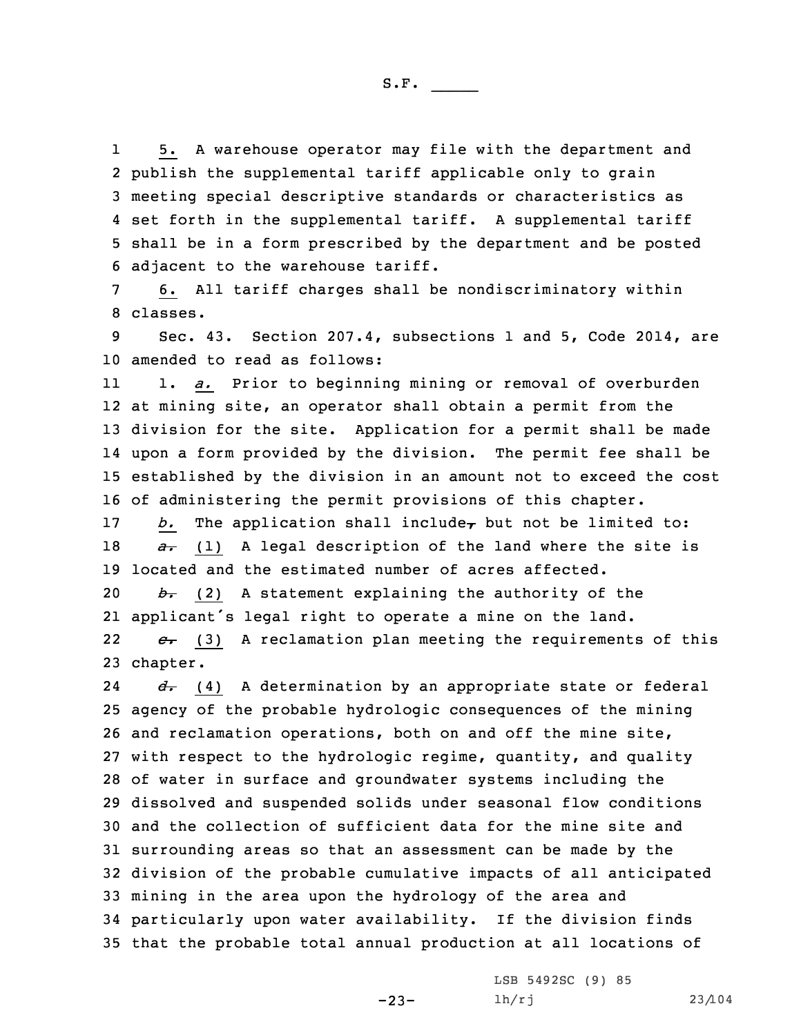1 5. <sup>A</sup> warehouse operator may file with the department and publish the supplemental tariff applicable only to grain meeting special descriptive standards or characteristics as set forth in the supplemental tariff. <sup>A</sup> supplemental tariff shall be in <sup>a</sup> form prescribed by the department and be posted adjacent to the warehouse tariff.

7 6. All tariff charges shall be nondiscriminatory within 8 classes.

9 Sec. 43. Section 207.4, subsections 1 and 5, Code 2014, are 10 amended to read as follows:

11 1. *a.* Prior to beginning mining or removal of overburden at mining site, an operator shall obtain <sup>a</sup> permit from the division for the site. Application for <sup>a</sup> permit shall be made upon <sup>a</sup> form provided by the division. The permit fee shall be established by the division in an amount not to exceed the cost of administering the permit provisions of this chapter.

17 *b.* The application shall include<sub> $\tau$ </sub> but not be limited to: 18 *a*. (1) A legal description of the land where the site is 19 located and the estimated number of acres affected.

20 *b.* (2) <sup>A</sup> statement explaining the authority of the 21 applicant's legal right to operate <sup>a</sup> mine on the land.

22 *c.* (3) <sup>A</sup> reclamation plan meeting the requirements of this 23 chapter.

24 *d.* (4) <sup>A</sup> determination by an appropriate state or federal agency of the probable hydrologic consequences of the mining and reclamation operations, both on and off the mine site, with respect to the hydrologic regime, quantity, and quality of water in surface and groundwater systems including the dissolved and suspended solids under seasonal flow conditions and the collection of sufficient data for the mine site and surrounding areas so that an assessment can be made by the division of the probable cumulative impacts of all anticipated mining in the area upon the hydrology of the area and particularly upon water availability. If the division finds that the probable total annual production at all locations of

-23-

LSB 5492SC (9) 85 lh/rj 23/104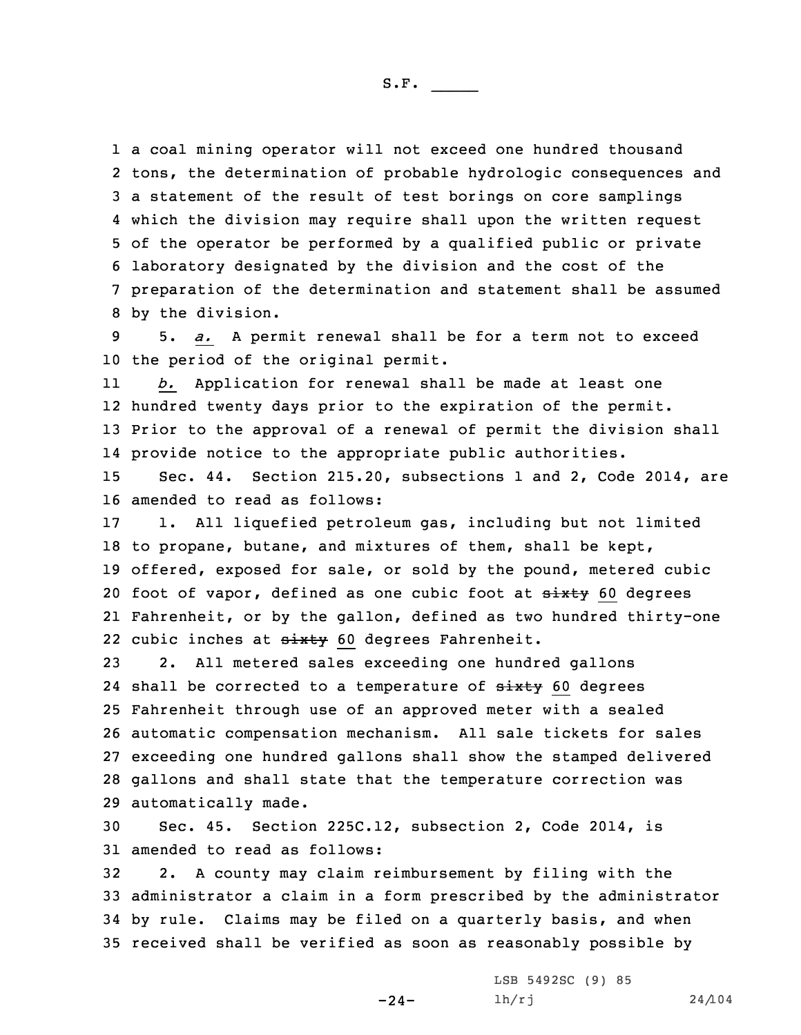<sup>a</sup> coal mining operator will not exceed one hundred thousand tons, the determination of probable hydrologic consequences and <sup>a</sup> statement of the result of test borings on core samplings which the division may require shall upon the written request of the operator be performed by <sup>a</sup> qualified public or private laboratory designated by the division and the cost of the preparation of the determination and statement shall be assumed by the division.

9 5. *a.* <sup>A</sup> permit renewal shall be for <sup>a</sup> term not to exceed 10 the period of the original permit.

11 *b.* Application for renewal shall be made at least one 12 hundred twenty days prior to the expiration of the permit. 13 Prior to the approval of <sup>a</sup> renewal of permit the division shall 14 provide notice to the appropriate public authorities.

15 Sec. 44. Section 215.20, subsections 1 and 2, Code 2014, are 16 amended to read as follows:

 1. All liquefied petroleum gas, including but not limited to propane, butane, and mixtures of them, shall be kept, offered, exposed for sale, or sold by the pound, metered cubic 20 foot of vapor, defined as one cubic foot at sixty 60 degrees Fahrenheit, or by the gallon, defined as two hundred thirty-one 22 cubic inches at sixty 60 degrees Fahrenheit.

 2. All metered sales exceeding one hundred gallons 24 shall be corrected to a temperature of  $\frac{ \text{ M } }{ \text{ M } }$  60 degrees Fahrenheit through use of an approved meter with <sup>a</sup> sealed automatic compensation mechanism. All sale tickets for sales exceeding one hundred gallons shall show the stamped delivered gallons and shall state that the temperature correction was automatically made.

30 Sec. 45. Section 225C.12, subsection 2, Code 2014, is 31 amended to read as follows:

 2. <sup>A</sup> county may claim reimbursement by filing with the administrator <sup>a</sup> claim in <sup>a</sup> form prescribed by the administrator by rule. Claims may be filed on <sup>a</sup> quarterly basis, and when received shall be verified as soon as reasonably possible by

-24-

LSB 5492SC (9) 85 lh/rj 24/104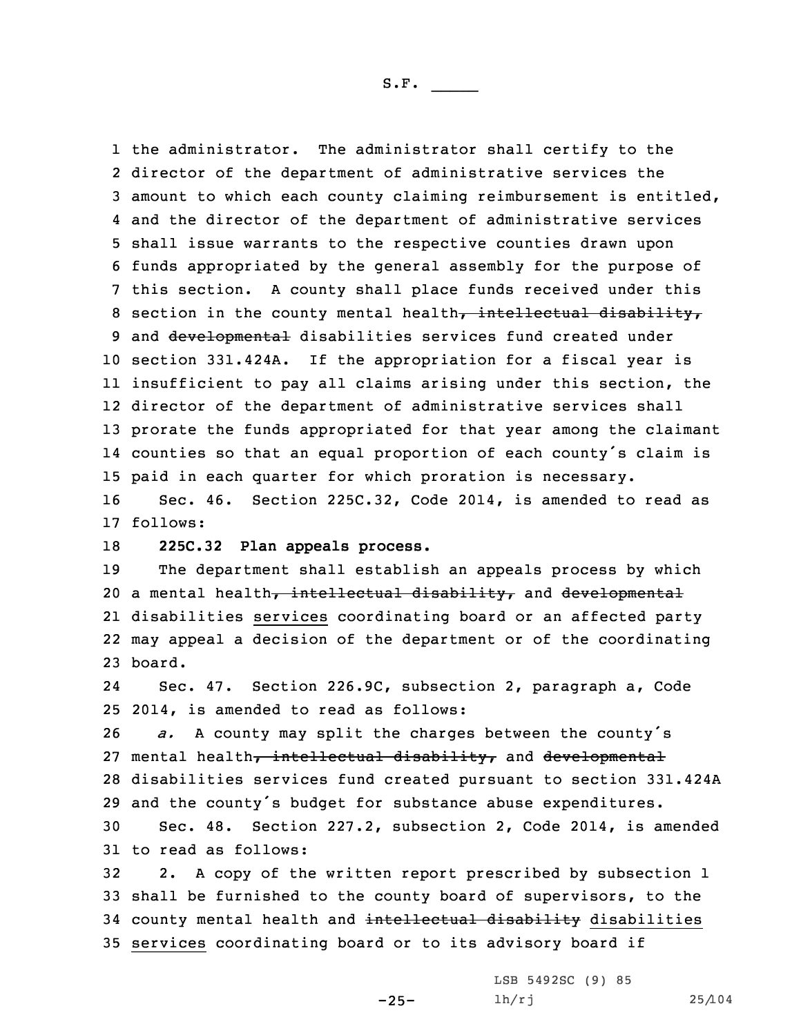the administrator. The administrator shall certify to the director of the department of administrative services the amount to which each county claiming reimbursement is entitled, and the director of the department of administrative services shall issue warrants to the respective counties drawn upon funds appropriated by the general assembly for the purpose of this section. <sup>A</sup> county shall place funds received under this 8 section in the county mental health, intellectual disability, 9 and developmental disabilities services fund created under section 331.424A. If the appropriation for <sup>a</sup> fiscal year is insufficient to pay all claims arising under this section, the director of the department of administrative services shall prorate the funds appropriated for that year among the claimant counties so that an equal proportion of each county's claim is paid in each quarter for which proration is necessary. Sec. 46. Section 225C.32, Code 2014, is amended to read as

17 follows:

18 **225C.32 Plan appeals process.**

19 The department shall establish an appeals process by which 20 a mental health, intellectual disability, and developmental 21 disabilities services coordinating board or an affected party 22 may appeal <sup>a</sup> decision of the department or of the coordinating 23 board.

24 Sec. 47. Section 226.9C, subsection 2, paragraph a, Code 25 2014, is amended to read as follows:

 *a.* <sup>A</sup> county may split the charges between the county's 27 mental health, intellectual disability, and developmental disabilities services fund created pursuant to section 331.424A and the county's budget for substance abuse expenditures.

30 Sec. 48. Section 227.2, subsection 2, Code 2014, is amended 31 to read as follows:

 2. <sup>A</sup> copy of the written report prescribed by subsection 1 shall be furnished to the county board of supervisors, to the 34 county mental health and intellectual disability disabilities services coordinating board or to its advisory board if

-25-

LSB 5492SC (9) 85 lh/rj 25/104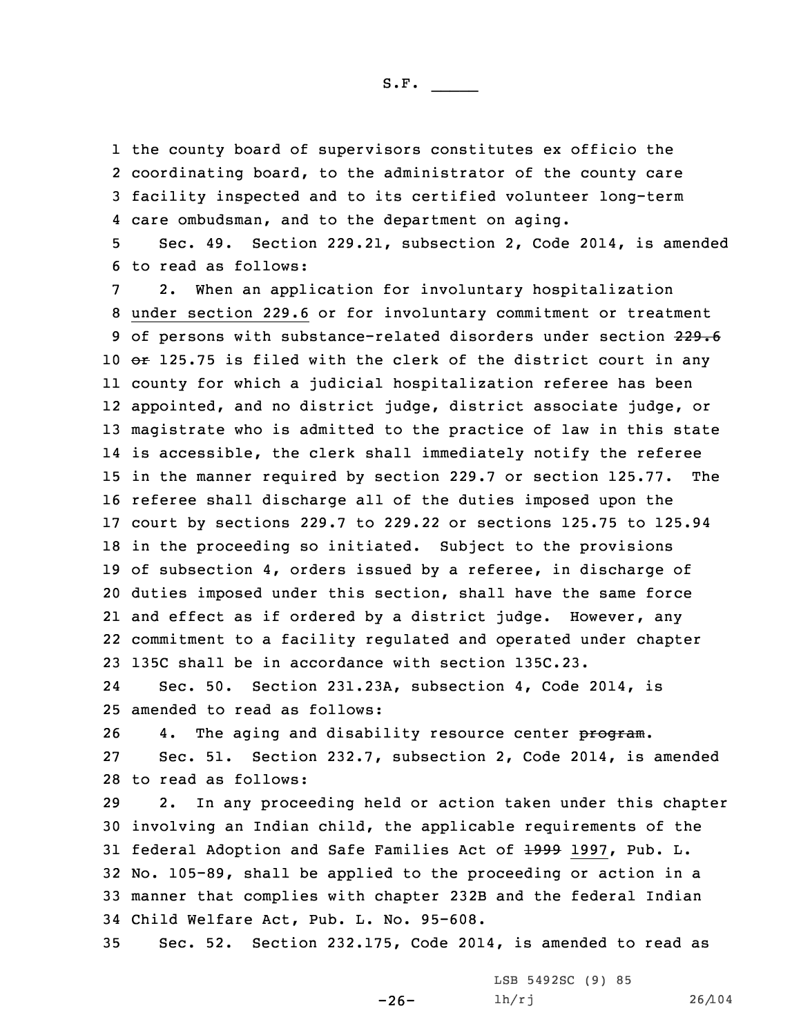the county board of supervisors constitutes ex officio the coordinating board, to the administrator of the county care facility inspected and to its certified volunteer long-term care ombudsman, and to the department on aging.

5 Sec. 49. Section 229.21, subsection 2, Code 2014, is amended 6 to read as follows:

 2. When an application for involuntary hospitalization under section 229.6 or for involuntary commitment or treatment 9 of persons with substance-related disorders under section 229.6 10 or 125.75 is filed with the clerk of the district court in any county for which <sup>a</sup> judicial hospitalization referee has been appointed, and no district judge, district associate judge, or magistrate who is admitted to the practice of law in this state is accessible, the clerk shall immediately notify the referee in the manner required by section 229.7 or section 125.77. The referee shall discharge all of the duties imposed upon the court by sections 229.7 to 229.22 or sections 125.75 to 125.94 in the proceeding so initiated. Subject to the provisions of subsection 4, orders issued by <sup>a</sup> referee, in discharge of duties imposed under this section, shall have the same force and effect as if ordered by <sup>a</sup> district judge. However, any commitment to <sup>a</sup> facility regulated and operated under chapter 135C shall be in accordance with section 135C.23.

24 Sec. 50. Section 231.23A, subsection 4, Code 2014, is 25 amended to read as follows:

26 4. The aging and disability resource center program.

27 Sec. 51. Section 232.7, subsection 2, Code 2014, is amended 28 to read as follows:

 2. In any proceeding held or action taken under this chapter involving an Indian child, the applicable requirements of the 31 federal Adoption and Safe Families Act of +999 1997, Pub. L. No. 105-89, shall be applied to the proceeding or action in <sup>a</sup> manner that complies with chapter 232B and the federal Indian Child Welfare Act, Pub. L. No. 95-608.

35 Sec. 52. Section 232.175, Code 2014, is amended to read as

-26-

LSB 5492SC (9) 85 lh/rj 26/104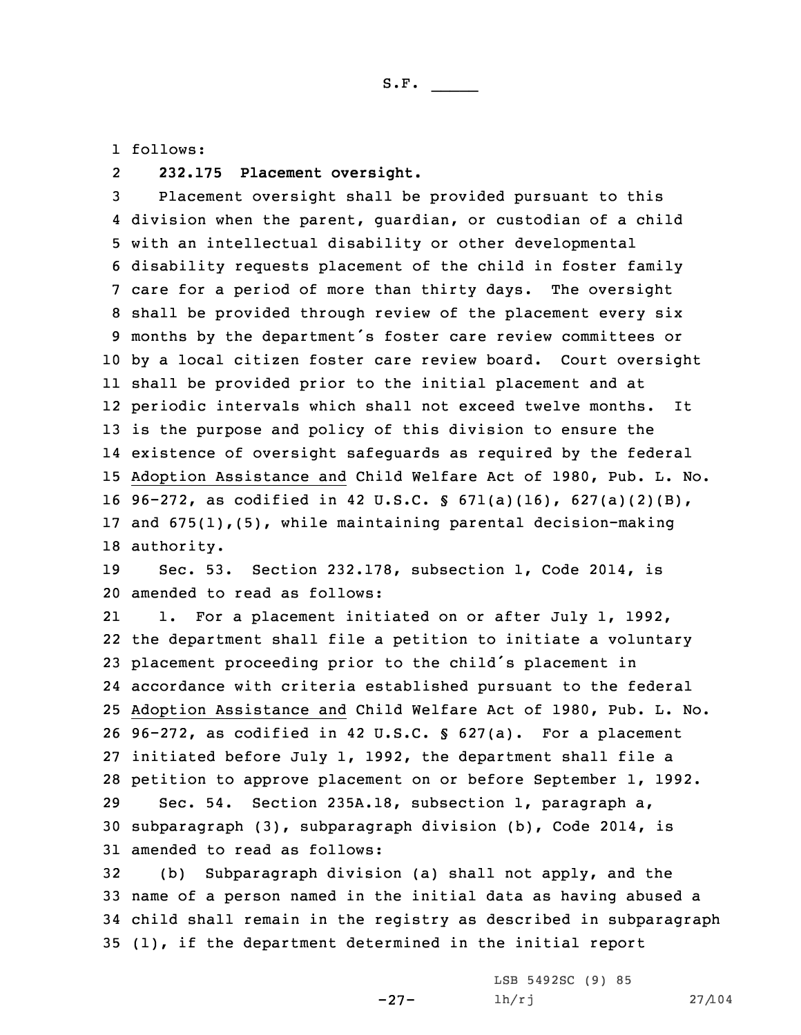1 follows:

## 2**232.175 Placement oversight.**

 Placement oversight shall be provided pursuant to this division when the parent, guardian, or custodian of <sup>a</sup> child with an intellectual disability or other developmental disability requests placement of the child in foster family care for <sup>a</sup> period of more than thirty days. The oversight shall be provided through review of the placement every six months by the department's foster care review committees or by <sup>a</sup> local citizen foster care review board. Court oversight shall be provided prior to the initial placement and at periodic intervals which shall not exceed twelve months. It is the purpose and policy of this division to ensure the existence of oversight safeguards as required by the federal Adoption Assistance and Child Welfare Act of 1980, Pub. L. No. 96-272, as codified in 42 U.S.C. § 671(a)(16), 627(a)(2)(B), and 675(1),(5), while maintaining parental decision-making authority.

19 Sec. 53. Section 232.178, subsection 1, Code 2014, is 20 amended to read as follows:

21 1. For <sup>a</sup> placement initiated on or after July 1, 1992, the department shall file <sup>a</sup> petition to initiate <sup>a</sup> voluntary placement proceeding prior to the child's placement in accordance with criteria established pursuant to the federal Adoption Assistance and Child Welfare Act of 1980, Pub. L. No. 96-272, as codified in 42 U.S.C. § 627(a). For <sup>a</sup> placement initiated before July 1, 1992, the department shall file <sup>a</sup> petition to approve placement on or before September 1, 1992. Sec. 54. Section 235A.18, subsection 1, paragraph a, subparagraph (3), subparagraph division (b), Code 2014, is amended to read as follows:

 (b) Subparagraph division (a) shall not apply, and the name of <sup>a</sup> person named in the initial data as having abused <sup>a</sup> child shall remain in the registry as described in subparagraph (1), if the department determined in the initial report

-27-

LSB 5492SC (9) 85 lh/rj 27/104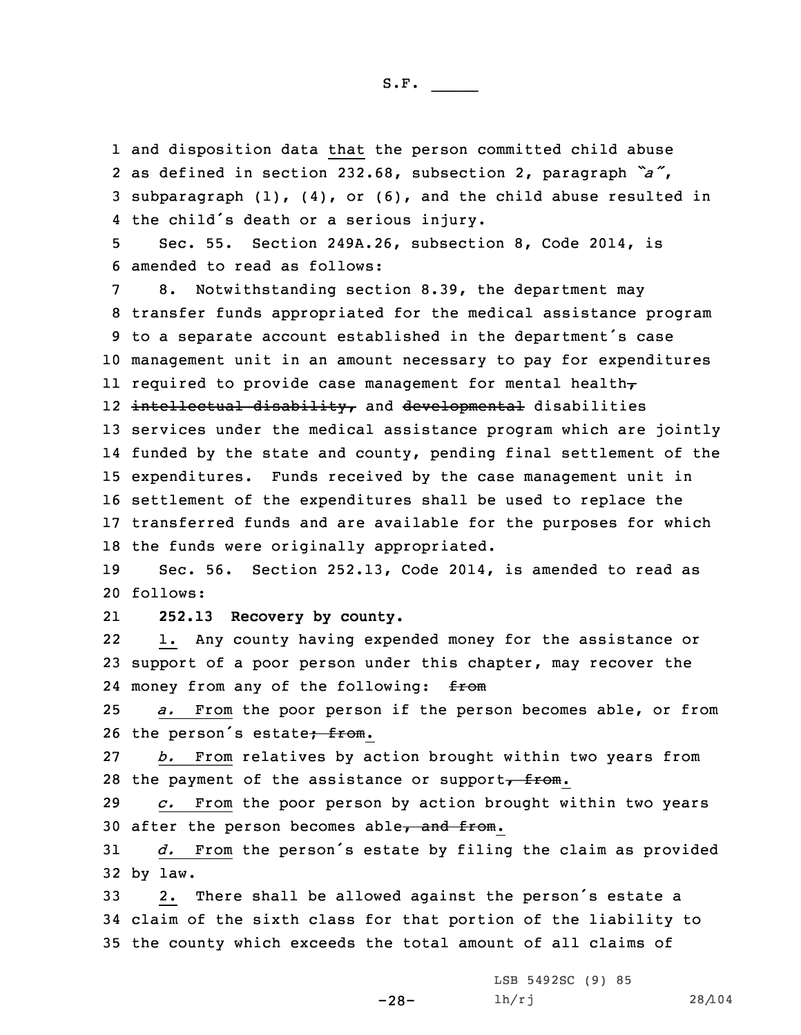and disposition data that the person committed child abuse as defined in section 232.68, subsection 2, paragraph *"a"*, subparagraph (1), (4), or (6), and the child abuse resulted in the child's death or <sup>a</sup> serious injury.

5 Sec. 55. Section 249A.26, subsection 8, Code 2014, is 6 amended to read as follows:

8. Notwithstanding section 8.39, the department may transfer funds appropriated for the medical assistance program to <sup>a</sup> separate account established in the department's case management unit in an amount necessary to pay for expenditures required to provide case management for mental health, 12 <del>intellectual disability,</del> and <del>developmental</del> disabilities services under the medical assistance program which are jointly funded by the state and county, pending final settlement of the expenditures. Funds received by the case management unit in settlement of the expenditures shall be used to replace the transferred funds and are available for the purposes for which the funds were originally appropriated.

19 Sec. 56. Section 252.13, Code 2014, is amended to read as 20 follows:

21**252.13 Recovery by county.**

22 1. Any county having expended money for the assistance or 23 support of <sup>a</sup> poor person under this chapter, may recover the 24 money from any of the following: from

25 *a.* From the poor person if the person becomes able, or from 26 the person's estate<del>; from</del>.

27 *b.* From relatives by action brought within two years from 28 the payment of the assistance or support $\overline{f}$  from.

29 *c.* From the poor person by action brought within two years 30 after the person becomes able $\tau$  and from.

<sup>31</sup> *d.* From the person's estate by filing the claim as provided 32 by law.

<sup>33</sup> 2. There shall be allowed against the person's estate <sup>a</sup> 34 claim of the sixth class for that portion of the liability to 35 the county which exceeds the total amount of all claims of

-28-

LSB 5492SC (9) 85 lh/rj 28/104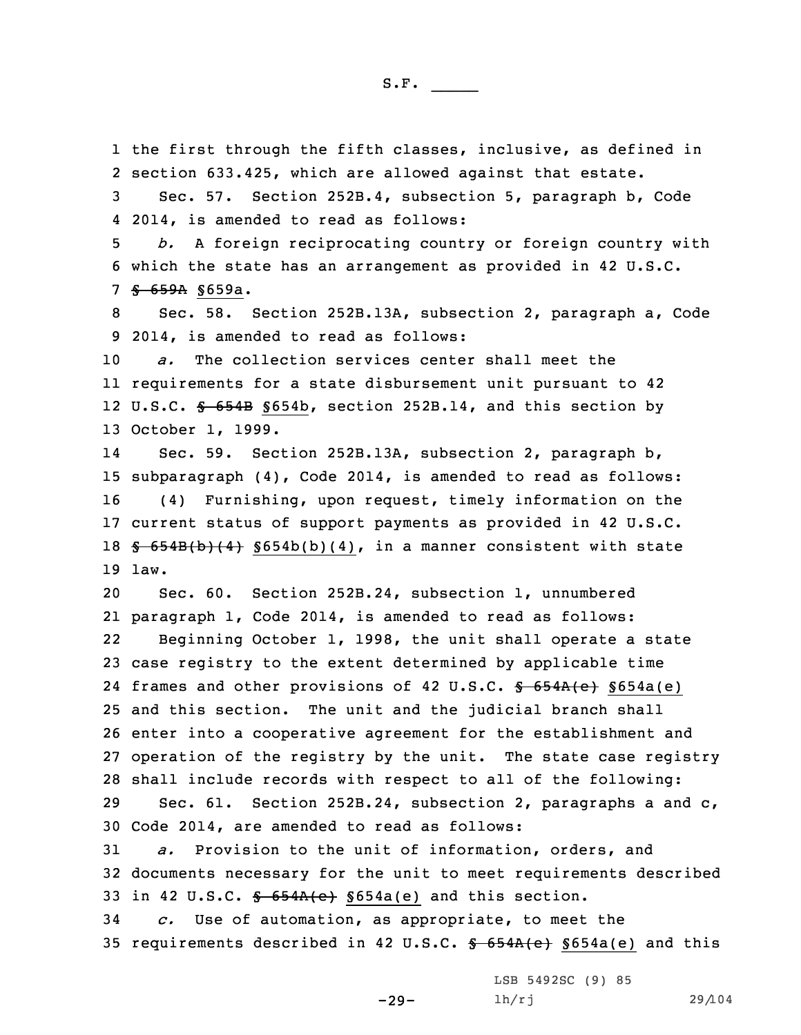1 the first through the fifth classes, inclusive, as defined in 2 section 633.425, which are allowed against that estate.

3 Sec. 57. Section 252B.4, subsection 5, paragraph b, Code 4 2014, is amended to read as follows:

5 *b.* <sup>A</sup> foreign reciprocating country or foreign country with 6 which the state has an arrangement as provided in 42 U.S.C. 7 § 659A §659a.

8 Sec. 58. Section 252B.13A, subsection 2, paragraph a, Code 9 2014, is amended to read as follows:

 *a.* The collection services center shall meet the requirements for <sup>a</sup> state disbursement unit pursuant to 42 12 U.S.C. <del>§ 654B</del> §654b, section 252B.14, and this section by October 1, 1999.

14 Sec. 59. Section 252B.13A, subsection 2, paragraph b, 15 subparagraph (4), Code 2014, is amended to read as follows: 16 (4) Furnishing, upon request, timely information on the 17 current status of support payments as provided in 42 U.S.C. 18  $\frac{18}{18}$   $\frac{654B(b)(4)}{18}$   $\frac{5654b(b)(4)}{18}$ , in a manner consistent with state 19 law.

 Sec. 60. Section 252B.24, subsection 1, unnumbered paragraph 1, Code 2014, is amended to read as follows: 22 Beginning October 1, 1998, the unit shall operate <sup>a</sup> state case registry to the extent determined by applicable time 24 frames and other provisions of 42 U.S.C. <del>§ 654A(e)</del> §654a(e) and this section. The unit and the judicial branch shall enter into <sup>a</sup> cooperative agreement for the establishment and operation of the registry by the unit. The state case registry shall include records with respect to all of the following: Sec. 61. Section 252B.24, subsection 2, paragraphs <sup>a</sup> and c, Code 2014, are amended to read as follows:

31 *a.* Provision to the unit of information, orders, and 32 documents necessary for the unit to meet requirements described 33 in 42 U.S.C.  $$654A(e) $654a(e)$  and this section.

34 *c.* Use of automation, as appropriate, to meet the 35 requirements described in 42 U.S.C.  $$654A(e) $654a(e)$  and this

-29-

LSB 5492SC (9) 85 lh/rj 29/104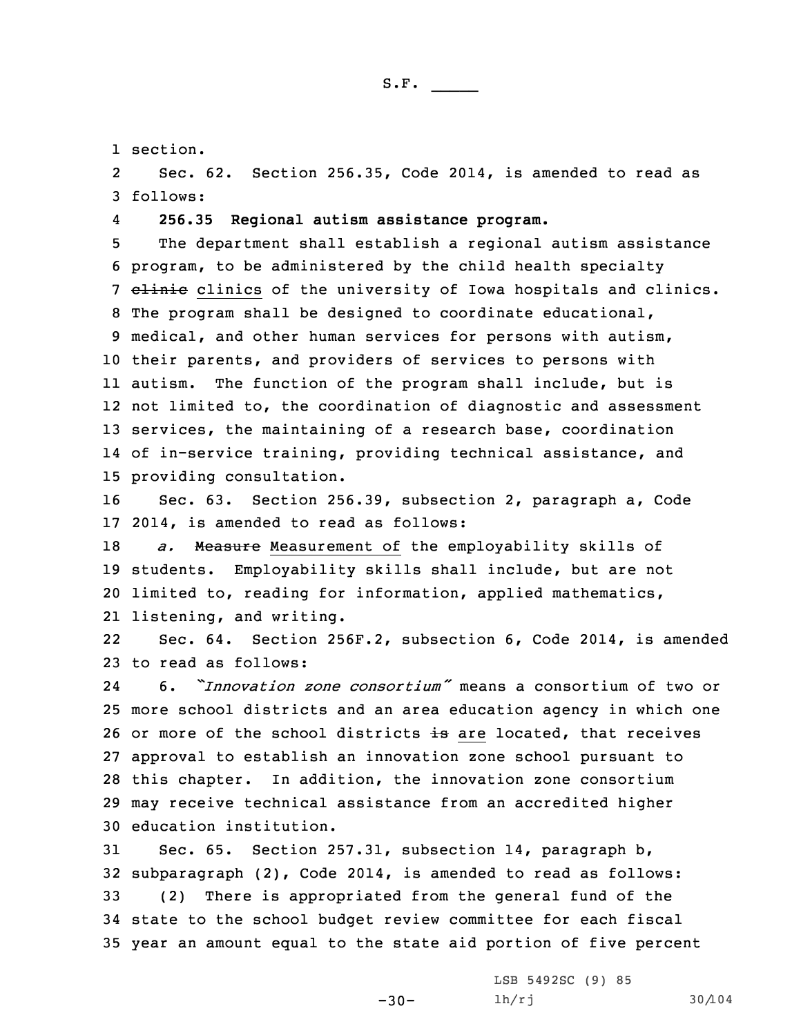1 section.

2 Sec. 62. Section 256.35, Code 2014, is amended to read as 3 follows:

4**256.35 Regional autism assistance program.**

 The department shall establish <sup>a</sup> regional autism assistance program, to be administered by the child health specialty 7 elinic clinics of the university of Iowa hospitals and clinics. The program shall be designed to coordinate educational, medical, and other human services for persons with autism, their parents, and providers of services to persons with 11 autism. The function of the program shall include, but is not limited to, the coordination of diagnostic and assessment services, the maintaining of <sup>a</sup> research base, coordination of in-service training, providing technical assistance, and providing consultation.

16 Sec. 63. Section 256.39, subsection 2, paragraph a, Code 17 2014, is amended to read as follows:

 *a.* Measure Measurement of the employability skills of students. Employability skills shall include, but are not limited to, reading for information, applied mathematics, listening, and writing.

22 Sec. 64. Section 256F.2, subsection 6, Code 2014, is amended 23 to read as follows:

24 6. *"Innovation zone consortium"* means <sup>a</sup> consortium of two or more school districts and an area education agency in which one 26 or more of the school districts is are located, that receives approval to establish an innovation zone school pursuant to this chapter. In addition, the innovation zone consortium may receive technical assistance from an accredited higher education institution.

 Sec. 65. Section 257.31, subsection 14, paragraph b, subparagraph (2), Code 2014, is amended to read as follows: (2) There is appropriated from the general fund of the state to the school budget review committee for each fiscal year an amount equal to the state aid portion of five percent

 $-30-$ 

LSB 5492SC (9) 85 lh/rj 30/104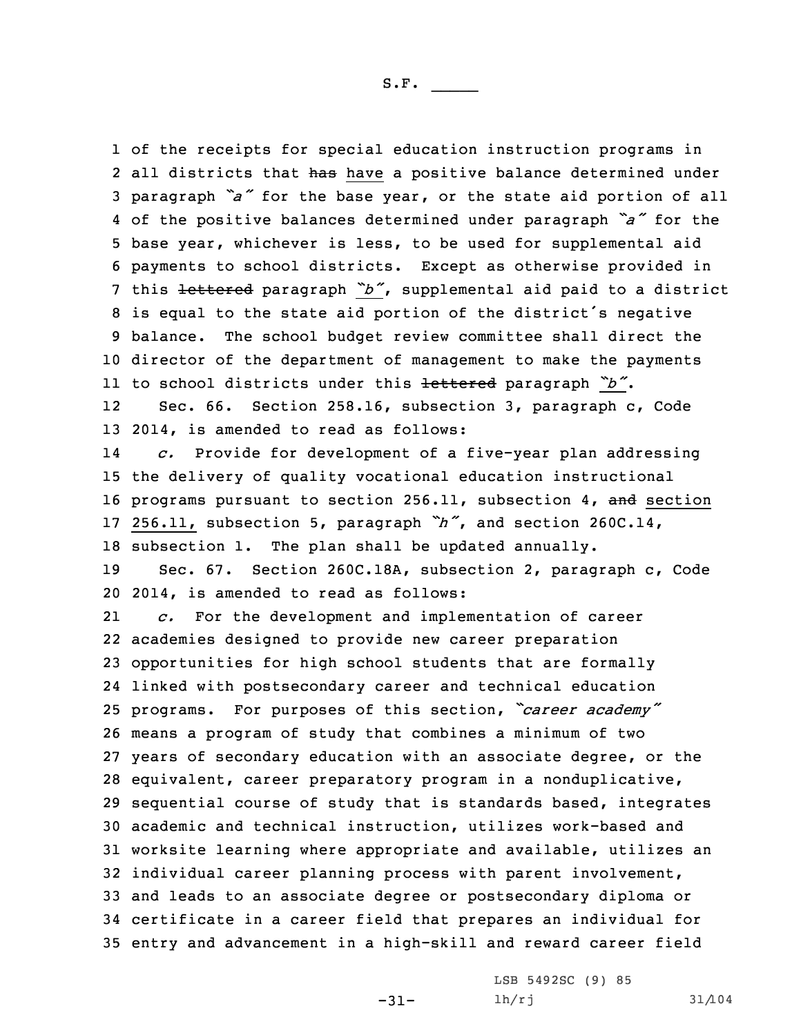of the receipts for special education instruction programs in 2 all districts that has have a positive balance determined under paragraph *"a"* for the base year, or the state aid portion of all of the positive balances determined under paragraph *"a"* for the base year, whichever is less, to be used for supplemental aid payments to school districts. Except as otherwise provided in this lettered paragraph *"b"*, supplemental aid paid to <sup>a</sup> district is equal to the state aid portion of the district's negative balance. The school budget review committee shall direct the director of the department of management to make the payments to school districts under this lettered paragraph *"b"*. 12 Sec. 66. Section 258.16, subsection 3, paragraph c, Code 2014, is amended to read as follows: 14 *c.* Provide for development of <sup>a</sup> five-year plan addressing the delivery of quality vocational education instructional 16 programs pursuant to section 256.11, subsection 4, and section 256.11, subsection 5, paragraph *"h"*, and section 260C.14, subsection 1. The plan shall be updated annually. Sec. 67. Section 260C.18A, subsection 2, paragraph c, Code 2014, is amended to read as follows: 21 *c.* For the development and implementation of career academies designed to provide new career preparation opportunities for high school students that are formally linked with postsecondary career and technical education programs. For purposes of this section, *"career academy"* means <sup>a</sup> program of study that combines <sup>a</sup> minimum of two years of secondary education with an associate degree, or the equivalent, career preparatory program in <sup>a</sup> nonduplicative, sequential course of study that is standards based, integrates academic and technical instruction, utilizes work-based and worksite learning where appropriate and available, utilizes an individual career planning process with parent involvement, and leads to an associate degree or postsecondary diploma or certificate in <sup>a</sup> career field that prepares an individual for entry and advancement in <sup>a</sup> high-skill and reward career field

-31-

LSB 5492SC (9) 85 lh/rj 31/104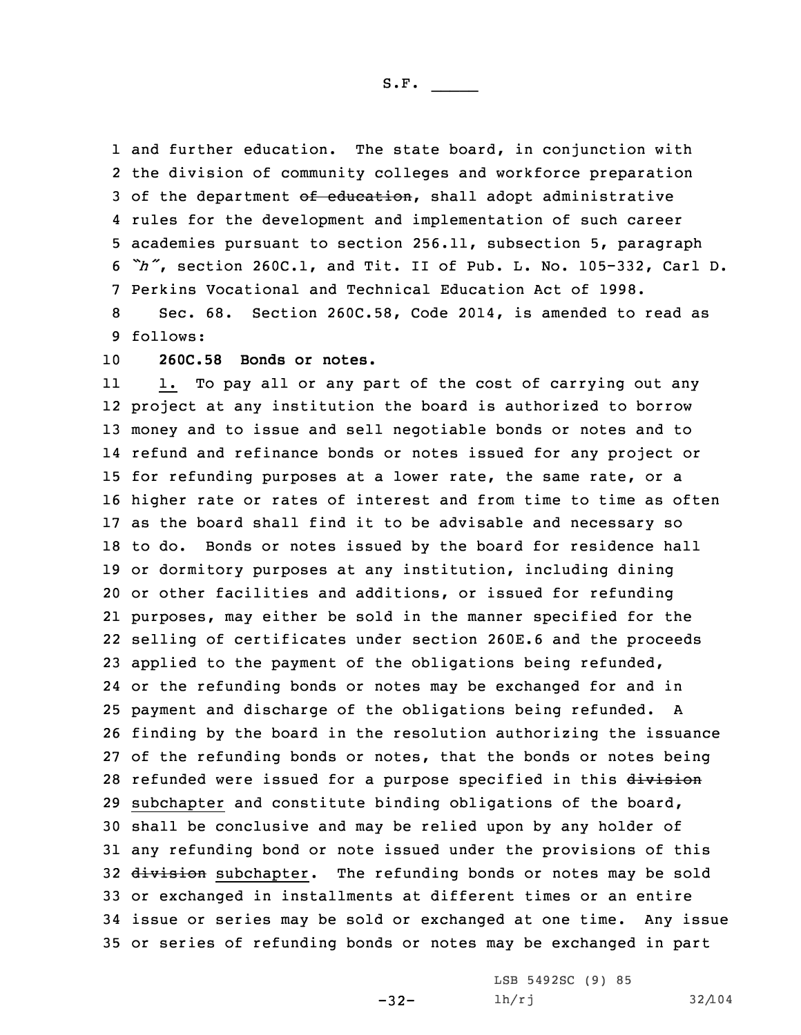and further education. The state board, in conjunction with the division of community colleges and workforce preparation 3 of the department of education, shall adopt administrative rules for the development and implementation of such career academies pursuant to section 256.11, subsection 5, paragraph *"h"*, section 260C.1, and Tit. II of Pub. L. No. 105-332, Carl D. Perkins Vocational and Technical Education Act of 1998. Sec. 68. Section 260C.58, Code 2014, is amended to read as

9 follows:

10 **260C.58 Bonds or notes.**

11 1. To pay all or any part of the cost of carrying out any project at any institution the board is authorized to borrow money and to issue and sell negotiable bonds or notes and to refund and refinance bonds or notes issued for any project or for refunding purposes at <sup>a</sup> lower rate, the same rate, or <sup>a</sup> higher rate or rates of interest and from time to time as often as the board shall find it to be advisable and necessary so to do. Bonds or notes issued by the board for residence hall or dormitory purposes at any institution, including dining or other facilities and additions, or issued for refunding purposes, may either be sold in the manner specified for the selling of certificates under section 260E.6 and the proceeds applied to the payment of the obligations being refunded, or the refunding bonds or notes may be exchanged for and in payment and discharge of the obligations being refunded. <sup>A</sup> finding by the board in the resolution authorizing the issuance of the refunding bonds or notes, that the bonds or notes being 28 refunded were issued for a purpose specified in this division subchapter and constitute binding obligations of the board, shall be conclusive and may be relied upon by any holder of any refunding bond or note issued under the provisions of this 32 division subchapter. The refunding bonds or notes may be sold or exchanged in installments at different times or an entire issue or series may be sold or exchanged at one time. Any issue or series of refunding bonds or notes may be exchanged in part

-32-

LSB 5492SC (9) 85 lh/rj 32/104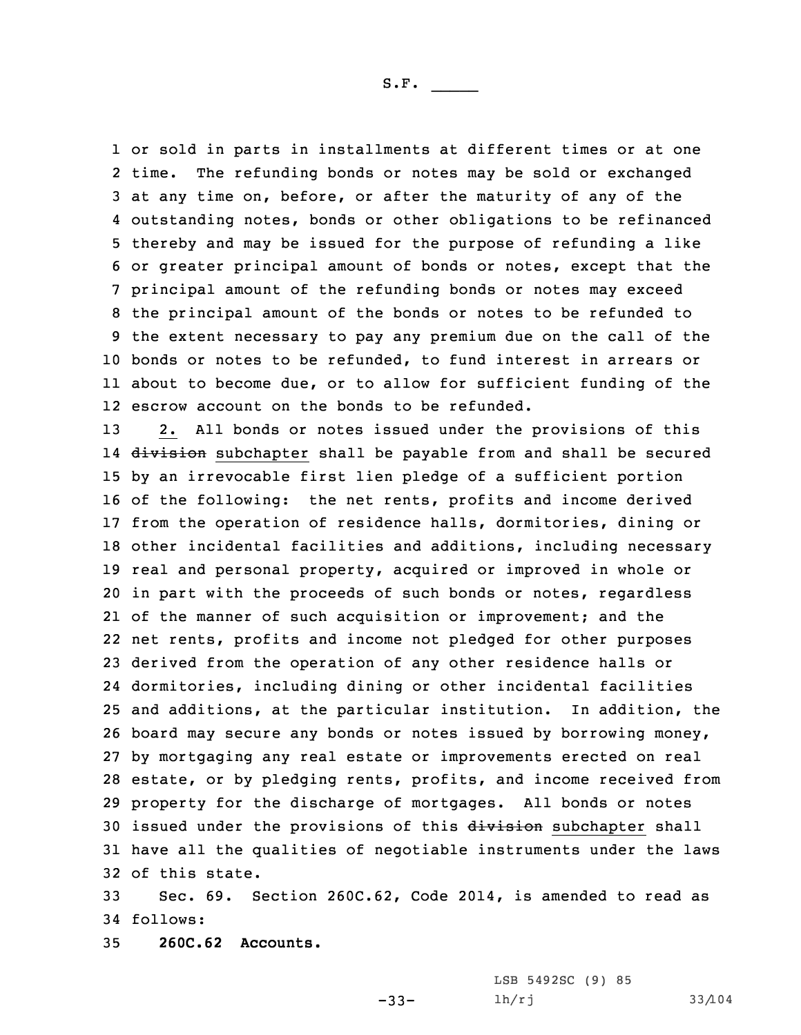or sold in parts in installments at different times or at one 2 time. The refunding bonds or notes may be sold or exchanged at any time on, before, or after the maturity of any of the outstanding notes, bonds or other obligations to be refinanced thereby and may be issued for the purpose of refunding <sup>a</sup> like or greater principal amount of bonds or notes, except that the principal amount of the refunding bonds or notes may exceed the principal amount of the bonds or notes to be refunded to the extent necessary to pay any premium due on the call of the bonds or notes to be refunded, to fund interest in arrears or about to become due, or to allow for sufficient funding of the escrow account on the bonds to be refunded.

 2. All bonds or notes issued under the provisions of this 14 <del>division</del> subchapter shall be payable from and shall be secured by an irrevocable first lien pledge of <sup>a</sup> sufficient portion of the following: the net rents, profits and income derived from the operation of residence halls, dormitories, dining or other incidental facilities and additions, including necessary real and personal property, acquired or improved in whole or in part with the proceeds of such bonds or notes, regardless of the manner of such acquisition or improvement; and the net rents, profits and income not pledged for other purposes derived from the operation of any other residence halls or dormitories, including dining or other incidental facilities and additions, at the particular institution. In addition, the board may secure any bonds or notes issued by borrowing money, by mortgaging any real estate or improvements erected on real estate, or by pledging rents, profits, and income received from property for the discharge of mortgages. All bonds or notes 30 issued under the provisions of this division subchapter shall have all the qualities of negotiable instruments under the laws of this state.

33 Sec. 69. Section 260C.62, Code 2014, is amended to read as 34 follows:

 $-33-$ 

35 **260C.62 Accounts.**

LSB 5492SC (9) 85 lh/rj 33/104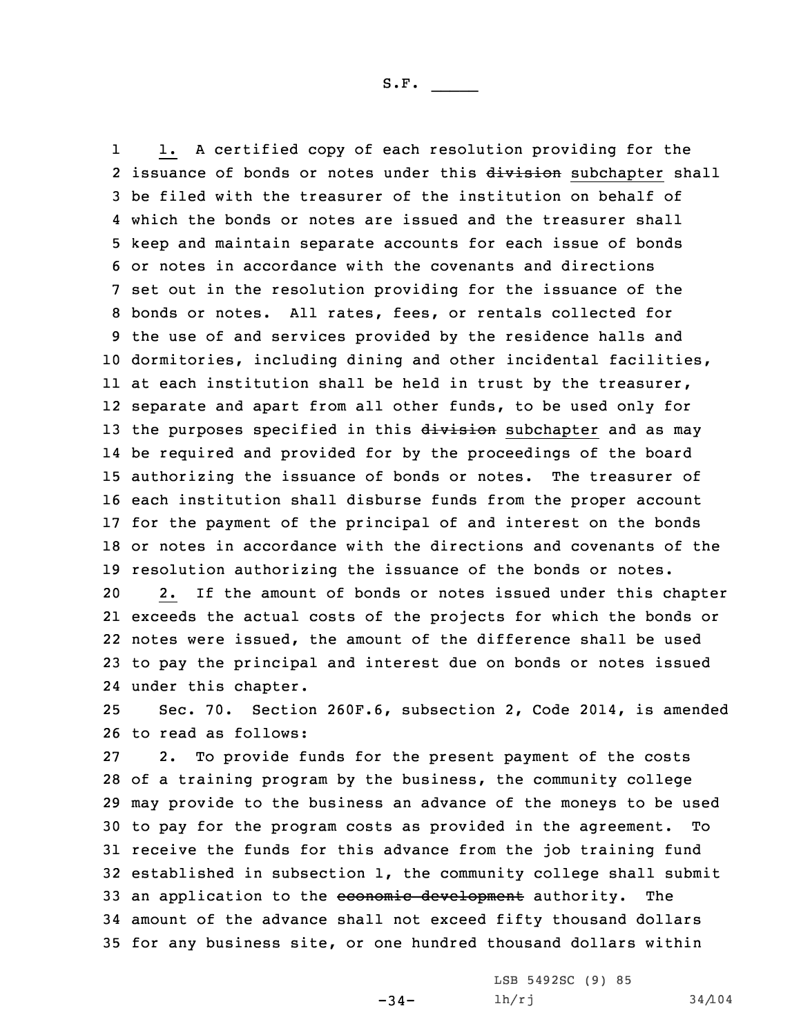1 1. <sup>A</sup> certified copy of each resolution providing for the 2 issuance of bonds or notes under this division subchapter shall be filed with the treasurer of the institution on behalf of which the bonds or notes are issued and the treasurer shall keep and maintain separate accounts for each issue of bonds or notes in accordance with the covenants and directions set out in the resolution providing for the issuance of the bonds or notes. All rates, fees, or rentals collected for the use of and services provided by the residence halls and dormitories, including dining and other incidental facilities, at each institution shall be held in trust by the treasurer, separate and apart from all other funds, to be used only for 13 the purposes specified in this division subchapter and as may be required and provided for by the proceedings of the board authorizing the issuance of bonds or notes. The treasurer of each institution shall disburse funds from the proper account for the payment of the principal of and interest on the bonds or notes in accordance with the directions and covenants of the resolution authorizing the issuance of the bonds or notes. 2. If the amount of bonds or notes issued under this chapter

 exceeds the actual costs of the projects for which the bonds or notes were issued, the amount of the difference shall be used to pay the principal and interest due on bonds or notes issued under this chapter.

25 Sec. 70. Section 260F.6, subsection 2, Code 2014, is amended 26 to read as follows:

 2. To provide funds for the present payment of the costs of <sup>a</sup> training program by the business, the community college may provide to the business an advance of the moneys to be used to pay for the program costs as provided in the agreement. To receive the funds for this advance from the job training fund established in subsection 1, the community college shall submit 33 an application to the economic development authority. The amount of the advance shall not exceed fifty thousand dollars for any business site, or one hundred thousand dollars within

 $-34-$ 

LSB 5492SC (9) 85 lh/rj 34/104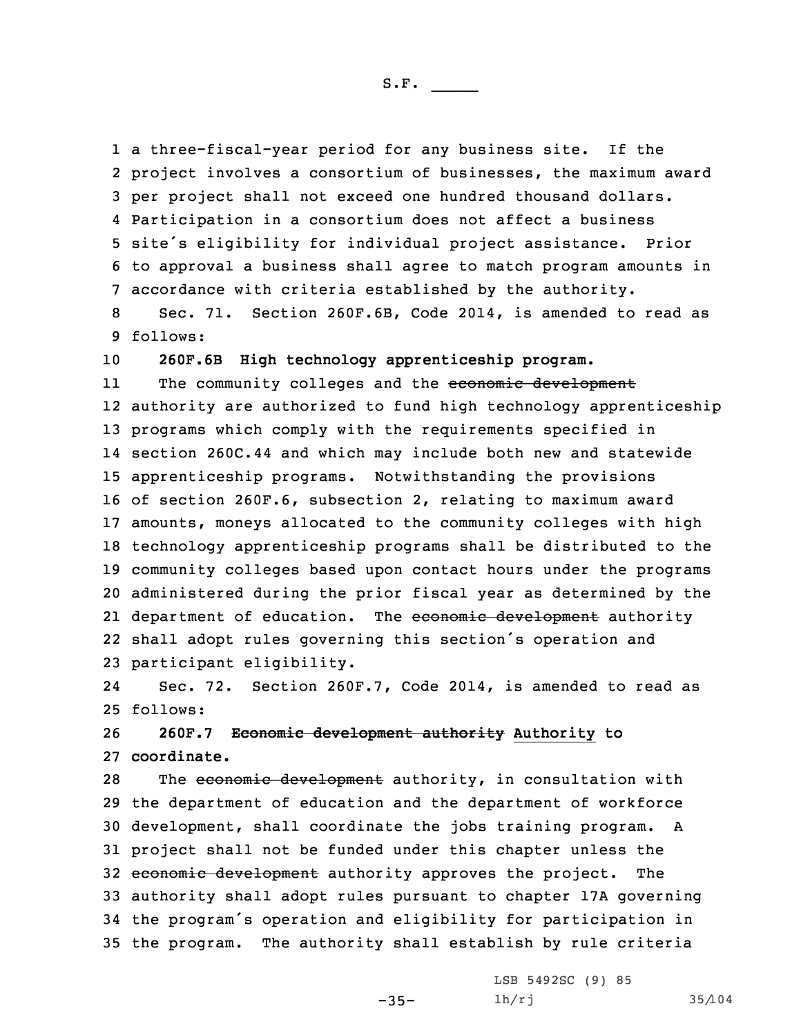<sup>a</sup> three-fiscal-year period for any business site. If the project involves <sup>a</sup> consortium of businesses, the maximum award per project shall not exceed one hundred thousand dollars. Participation in <sup>a</sup> consortium does not affect <sup>a</sup> business site's eligibility for individual project assistance. Prior to approval <sup>a</sup> business shall agree to match program amounts in accordance with criteria established by the authority.

8 Sec. 71. Section 260F.6B, Code 2014, is amended to read as 9 follows:

10 **260F.6B High technology apprenticeship program.**

11The community colleges and the economic development authority are authorized to fund high technology apprenticeship programs which comply with the requirements specified in section 260C.44 and which may include both new and statewide apprenticeship programs. Notwithstanding the provisions of section 260F.6, subsection 2, relating to maximum award amounts, moneys allocated to the community colleges with high technology apprenticeship programs shall be distributed to the community colleges based upon contact hours under the programs administered during the prior fiscal year as determined by the 21 department of education. The <del>economic development</del> authority shall adopt rules governing this section's operation and participant eligibility.

24 Sec. 72. Section 260F.7, Code 2014, is amended to read as 25 follows:

26 **260F.7 Economic development authority Authority to** 27 **coordinate.**

28 The economic development authority, in consultation with the department of education and the department of workforce development, shall coordinate the jobs training program. <sup>A</sup> project shall not be funded under this chapter unless the 32 economic development authority approves the project. The authority shall adopt rules pursuant to chapter 17A governing the program's operation and eligibility for participation in the program. The authority shall establish by rule criteria

-35-

LSB 5492SC (9) 85 lh/rj 35/104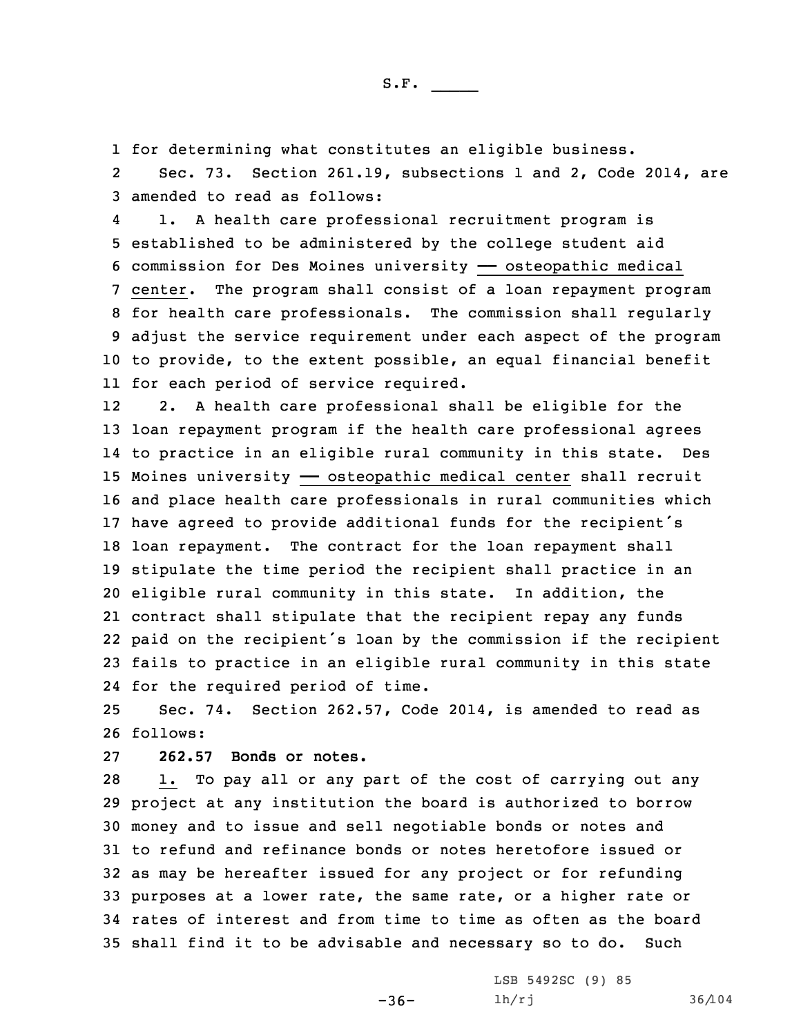1 for determining what constitutes an eligible business.

2 Sec. 73. Section 261.19, subsections 1 and 2, Code 2014, are 3 amended to read as follows:

4 1. <sup>A</sup> health care professional recruitment program is established to be administered by the college student aid commission for Des Moines university —— osteopathic medical center. The program shall consist of <sup>a</sup> loan repayment program for health care professionals. The commission shall regularly adjust the service requirement under each aspect of the program to provide, to the extent possible, an equal financial benefit for each period of service required.

12 2. <sup>A</sup> health care professional shall be eligible for the loan repayment program if the health care professional agrees to practice in an eligible rural community in this state. Des 15 Moines university - osteopathic medical center shall recruit and place health care professionals in rural communities which have agreed to provide additional funds for the recipient's loan repayment. The contract for the loan repayment shall stipulate the time period the recipient shall practice in an eligible rural community in this state. In addition, the contract shall stipulate that the recipient repay any funds paid on the recipient's loan by the commission if the recipient fails to practice in an eligible rural community in this state for the required period of time.

25 Sec. 74. Section 262.57, Code 2014, is amended to read as 26 follows:

27 **262.57 Bonds or notes.**

 1. To pay all or any part of the cost of carrying out any project at any institution the board is authorized to borrow money and to issue and sell negotiable bonds or notes and to refund and refinance bonds or notes heretofore issued or as may be hereafter issued for any project or for refunding purposes at <sup>a</sup> lower rate, the same rate, or <sup>a</sup> higher rate or rates of interest and from time to time as often as the board shall find it to be advisable and necessary so to do. Such

 $-36-$ 

LSB 5492SC (9) 85 lh/rj 36/104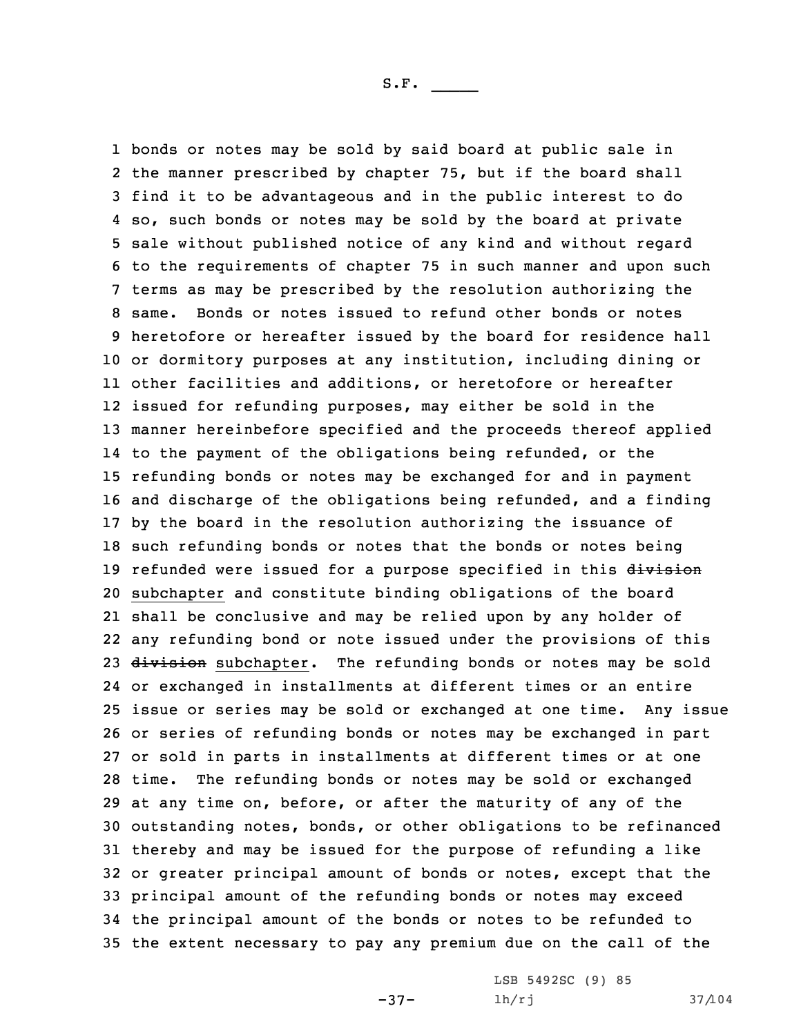bonds or notes may be sold by said board at public sale in the manner prescribed by chapter 75, but if the board shall find it to be advantageous and in the public interest to do so, such bonds or notes may be sold by the board at private sale without published notice of any kind and without regard to the requirements of chapter 75 in such manner and upon such terms as may be prescribed by the resolution authorizing the same. Bonds or notes issued to refund other bonds or notes heretofore or hereafter issued by the board for residence hall or dormitory purposes at any institution, including dining or other facilities and additions, or heretofore or hereafter issued for refunding purposes, may either be sold in the manner hereinbefore specified and the proceeds thereof applied to the payment of the obligations being refunded, or the refunding bonds or notes may be exchanged for and in payment and discharge of the obligations being refunded, and <sup>a</sup> finding by the board in the resolution authorizing the issuance of such refunding bonds or notes that the bonds or notes being 19 refunded were issued for a purpose specified in this division subchapter and constitute binding obligations of the board shall be conclusive and may be relied upon by any holder of any refunding bond or note issued under the provisions of this 23 division subchapter. The refunding bonds or notes may be sold or exchanged in installments at different times or an entire issue or series may be sold or exchanged at one time. Any issue or series of refunding bonds or notes may be exchanged in part or sold in parts in installments at different times or at one time. The refunding bonds or notes may be sold or exchanged at any time on, before, or after the maturity of any of the outstanding notes, bonds, or other obligations to be refinanced thereby and may be issued for the purpose of refunding <sup>a</sup> like or greater principal amount of bonds or notes, except that the principal amount of the refunding bonds or notes may exceed the principal amount of the bonds or notes to be refunded to the extent necessary to pay any premium due on the call of the

 $-37-$ 

LSB 5492SC (9) 85 lh/rj 37/104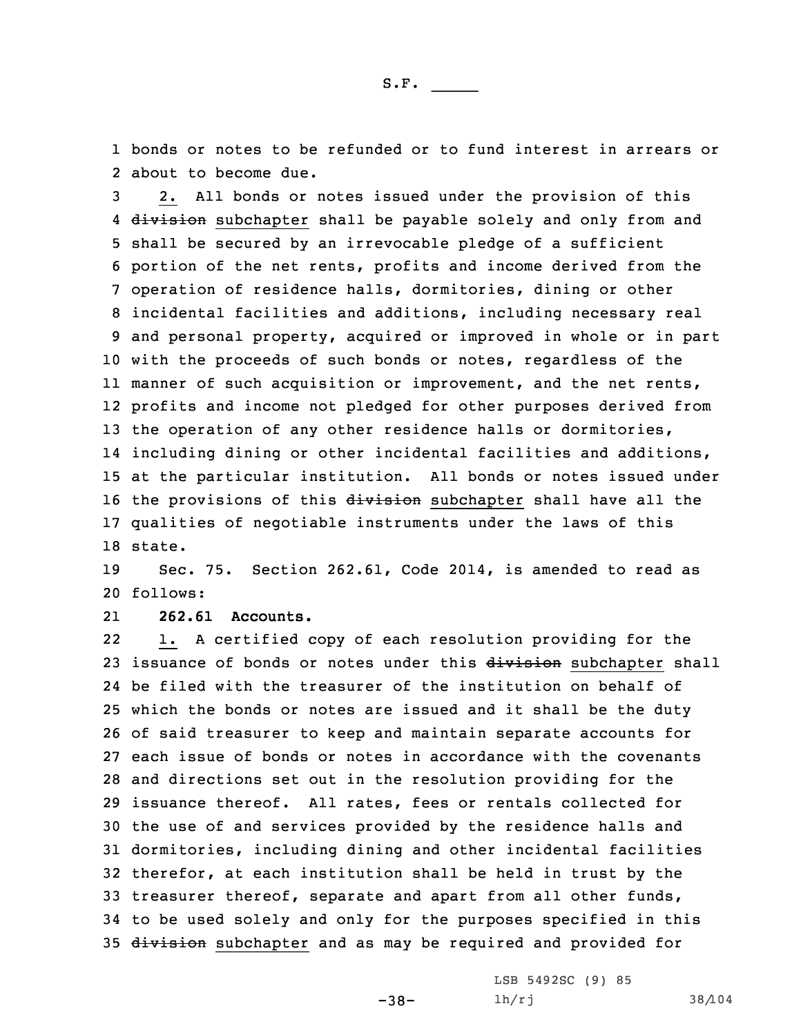1 bonds or notes to be refunded or to fund interest in arrears or 2 about to become due.

 2. All bonds or notes issued under the provision of this 4 <del>division</del> subchapter shall be payable solely and only from and shall be secured by an irrevocable pledge of <sup>a</sup> sufficient portion of the net rents, profits and income derived from the operation of residence halls, dormitories, dining or other incidental facilities and additions, including necessary real and personal property, acquired or improved in whole or in part with the proceeds of such bonds or notes, regardless of the manner of such acquisition or improvement, and the net rents, profits and income not pledged for other purposes derived from 13 the operation of any other residence halls or dormitories, including dining or other incidental facilities and additions, at the particular institution. All bonds or notes issued under 16 the provisions of this division subchapter shall have all the qualities of negotiable instruments under the laws of this 18 state.

19 Sec. 75. Section 262.61, Code 2014, is amended to read as 20 follows:

21**262.61 Accounts.**

22 1. <sup>A</sup> certified copy of each resolution providing for the 23 issuance of bonds or notes under this division subchapter shall be filed with the treasurer of the institution on behalf of which the bonds or notes are issued and it shall be the duty of said treasurer to keep and maintain separate accounts for each issue of bonds or notes in accordance with the covenants and directions set out in the resolution providing for the issuance thereof. All rates, fees or rentals collected for the use of and services provided by the residence halls and dormitories, including dining and other incidental facilities therefor, at each institution shall be held in trust by the treasurer thereof, separate and apart from all other funds, to be used solely and only for the purposes specified in this 35 division subchapter and as may be required and provided for

-38-

LSB 5492SC (9) 85 lh/rj 38/104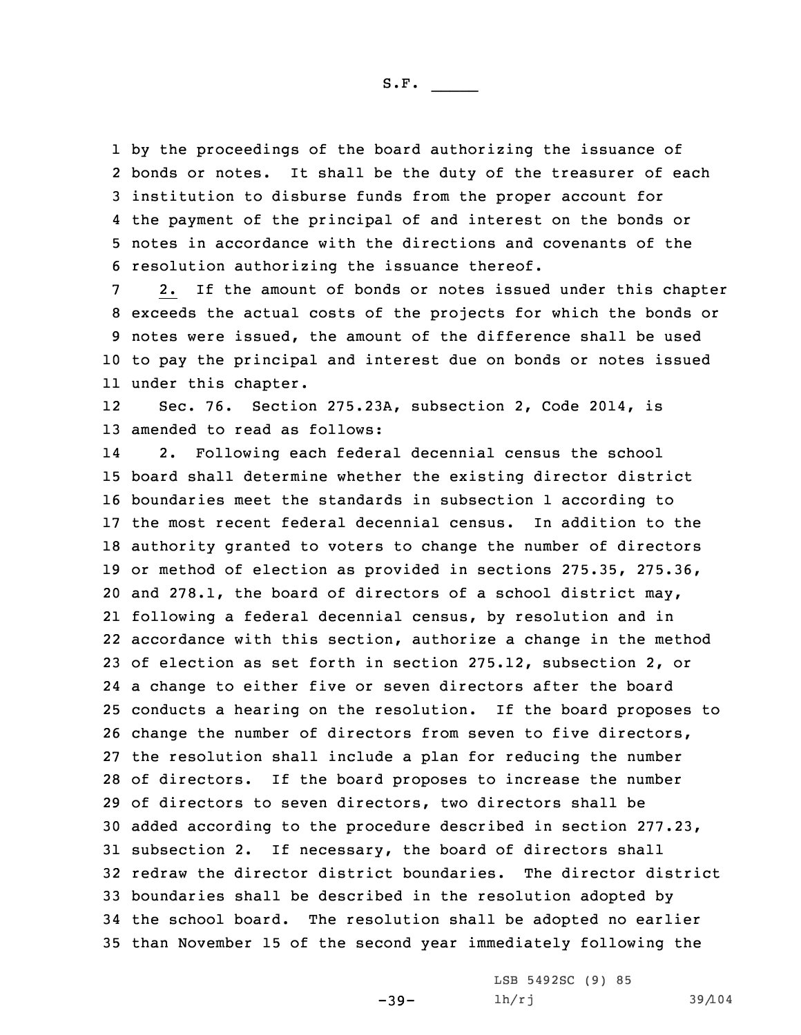by the proceedings of the board authorizing the issuance of bonds or notes. It shall be the duty of the treasurer of each institution to disburse funds from the proper account for the payment of the principal of and interest on the bonds or notes in accordance with the directions and covenants of the resolution authorizing the issuance thereof.

 2. If the amount of bonds or notes issued under this chapter exceeds the actual costs of the projects for which the bonds or notes were issued, the amount of the difference shall be used to pay the principal and interest due on bonds or notes issued under this chapter.

12 Sec. 76. Section 275.23A, subsection 2, Code 2014, is 13 amended to read as follows:

14 2. Following each federal decennial census the school board shall determine whether the existing director district boundaries meet the standards in subsection 1 according to the most recent federal decennial census. In addition to the authority granted to voters to change the number of directors or method of election as provided in sections 275.35, 275.36, and 278.1, the board of directors of <sup>a</sup> school district may, following <sup>a</sup> federal decennial census, by resolution and in accordance with this section, authorize <sup>a</sup> change in the method of election as set forth in section 275.12, subsection 2, or <sup>a</sup> change to either five or seven directors after the board conducts <sup>a</sup> hearing on the resolution. If the board proposes to change the number of directors from seven to five directors, the resolution shall include <sup>a</sup> plan for reducing the number of directors. If the board proposes to increase the number of directors to seven directors, two directors shall be added according to the procedure described in section 277.23, subsection 2. If necessary, the board of directors shall redraw the director district boundaries. The director district boundaries shall be described in the resolution adopted by the school board. The resolution shall be adopted no earlier than November 15 of the second year immediately following the

 $-39-$ 

LSB 5492SC (9) 85 lh/rj 39/104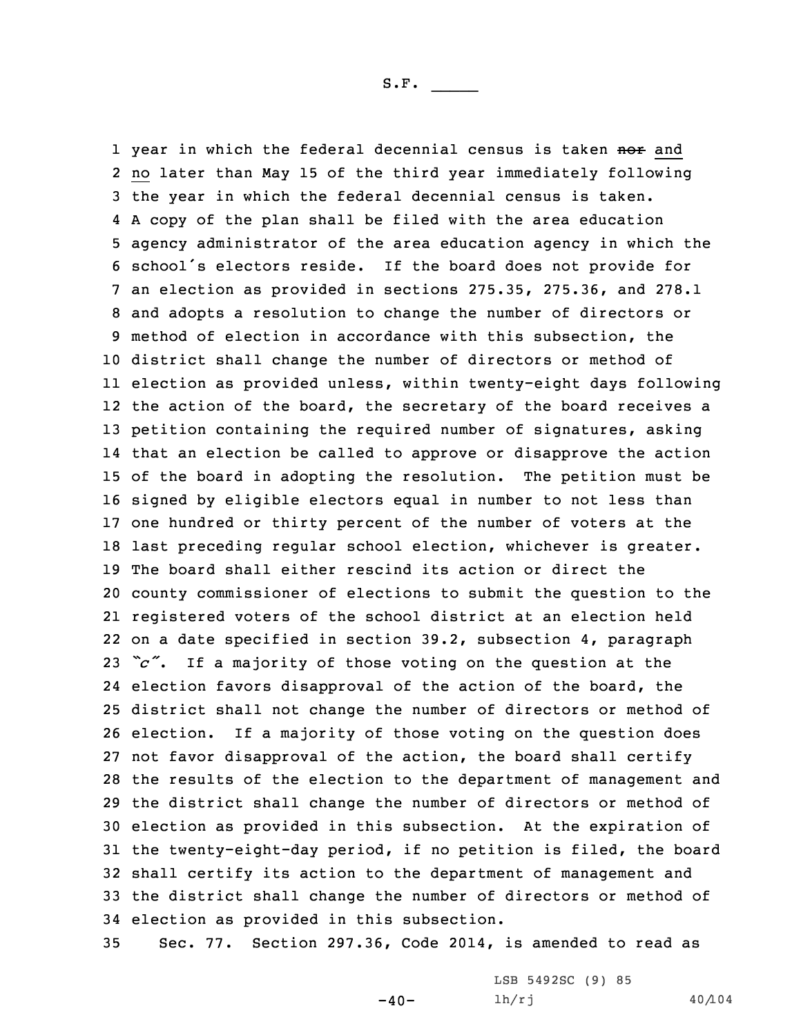1 year in which the federal decennial census is taken <del>nor</del> and no later than May 15 of the third year immediately following the year in which the federal decennial census is taken. <sup>A</sup> copy of the plan shall be filed with the area education agency administrator of the area education agency in which the school's electors reside. If the board does not provide for an election as provided in sections 275.35, 275.36, and 278.1 and adopts <sup>a</sup> resolution to change the number of directors or method of election in accordance with this subsection, the district shall change the number of directors or method of election as provided unless, within twenty-eight days following the action of the board, the secretary of the board receives <sup>a</sup> petition containing the required number of signatures, asking that an election be called to approve or disapprove the action of the board in adopting the resolution. The petition must be signed by eligible electors equal in number to not less than one hundred or thirty percent of the number of voters at the last preceding regular school election, whichever is greater. The board shall either rescind its action or direct the county commissioner of elections to submit the question to the registered voters of the school district at an election held on <sup>a</sup> date specified in section 39.2, subsection 4, paragraph *"c"*. If <sup>a</sup> majority of those voting on the question at the election favors disapproval of the action of the board, the district shall not change the number of directors or method of election. If <sup>a</sup> majority of those voting on the question does not favor disapproval of the action, the board shall certify the results of the election to the department of management and the district shall change the number of directors or method of election as provided in this subsection. At the expiration of the twenty-eight-day period, if no petition is filed, the board shall certify its action to the department of management and the district shall change the number of directors or method of election as provided in this subsection.

35 Sec. 77. Section 297.36, Code 2014, is amended to read as

 $-40-$ 

LSB 5492SC (9) 85 lh/rj 40/104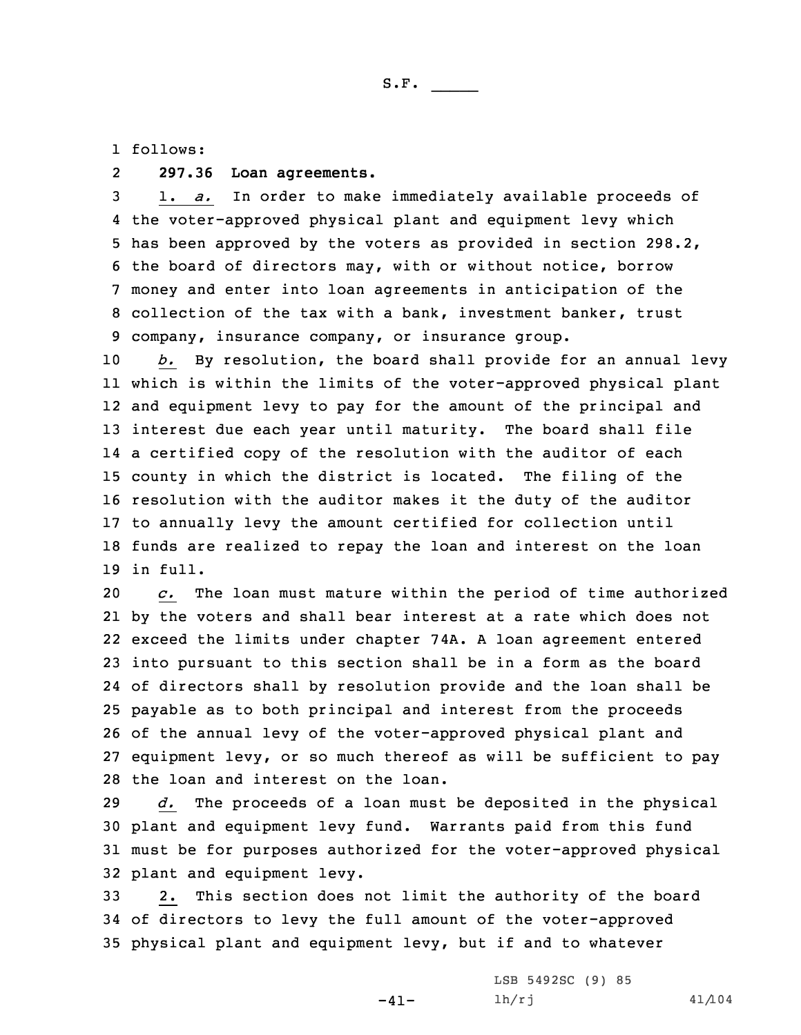1 follows:

## 2**297.36 Loan agreements.**

 1. *a.* In order to make immediately available proceeds of the voter-approved physical plant and equipment levy which has been approved by the voters as provided in section 298.2, the board of directors may, with or without notice, borrow money and enter into loan agreements in anticipation of the collection of the tax with <sup>a</sup> bank, investment banker, trust company, insurance company, or insurance group.

 *b.* By resolution, the board shall provide for an annual levy which is within the limits of the voter-approved physical plant and equipment levy to pay for the amount of the principal and interest due each year until maturity. The board shall file <sup>a</sup> certified copy of the resolution with the auditor of each county in which the district is located. The filing of the resolution with the auditor makes it the duty of the auditor to annually levy the amount certified for collection until funds are realized to repay the loan and interest on the loan 19 in full.

 *c.* The loan must mature within the period of time authorized by the voters and shall bear interest at <sup>a</sup> rate which does not exceed the limits under chapter 74A. <sup>A</sup> loan agreement entered into pursuant to this section shall be in <sup>a</sup> form as the board of directors shall by resolution provide and the loan shall be payable as to both principal and interest from the proceeds of the annual levy of the voter-approved physical plant and equipment levy, or so much thereof as will be sufficient to pay the loan and interest on the loan.

 *d.* The proceeds of <sup>a</sup> loan must be deposited in the physical plant and equipment levy fund. Warrants paid from this fund must be for purposes authorized for the voter-approved physical plant and equipment levy.

33 2. This section does not limit the authority of the board 34 of directors to levy the full amount of the voter-approved 35 physical plant and equipment levy, but if and to whatever

-41-

```
LSB 5492SC (9) 85
lh/rj 41/104
```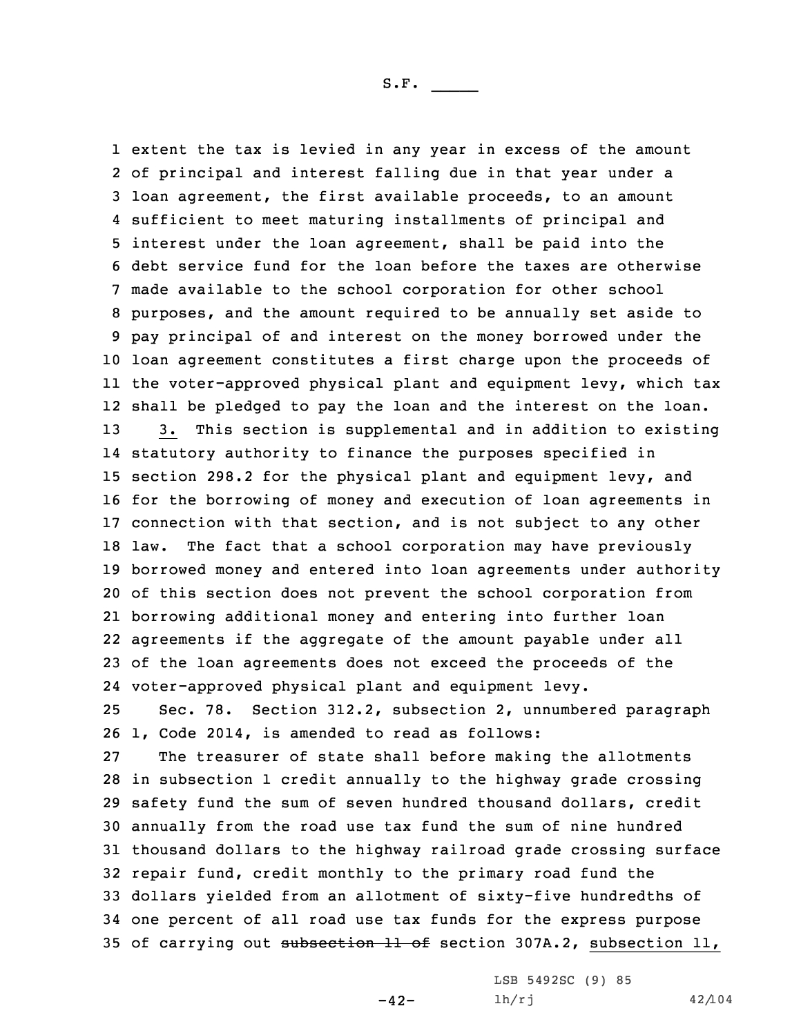1 extent the tax is levied in any year in excess of the amount

 of principal and interest falling due in that year under <sup>a</sup> loan agreement, the first available proceeds, to an amount sufficient to meet maturing installments of principal and interest under the loan agreement, shall be paid into the debt service fund for the loan before the taxes are otherwise made available to the school corporation for other school purposes, and the amount required to be annually set aside to pay principal of and interest on the money borrowed under the loan agreement constitutes <sup>a</sup> first charge upon the proceeds of the voter-approved physical plant and equipment levy, which tax shall be pledged to pay the loan and the interest on the loan. 3. This section is supplemental and in addition to existing statutory authority to finance the purposes specified in section 298.2 for the physical plant and equipment levy, and for the borrowing of money and execution of loan agreements in connection with that section, and is not subject to any other law. The fact that <sup>a</sup> school corporation may have previously borrowed money and entered into loan agreements under authority of this section does not prevent the school corporation from borrowing additional money and entering into further loan agreements if the aggregate of the amount payable under all of the loan agreements does not exceed the proceeds of the voter-approved physical plant and equipment levy. Sec. 78. Section 312.2, subsection 2, unnumbered paragraph 1, Code 2014, is amended to read as follows: The treasurer of state shall before making the allotments in subsection 1 credit annually to the highway grade crossing safety fund the sum of seven hundred thousand dollars, credit annually from the road use tax fund the sum of nine hundred thousand dollars to the highway railroad grade crossing surface repair fund, credit monthly to the primary road fund the dollars yielded from an allotment of sixty-five hundredths of one percent of all road use tax funds for the express purpose 35 of carrying out subsection 11 of section 307A.2, subsection 11,

 $-42-$ 

LSB 5492SC (9) 85 lh/rj 42/104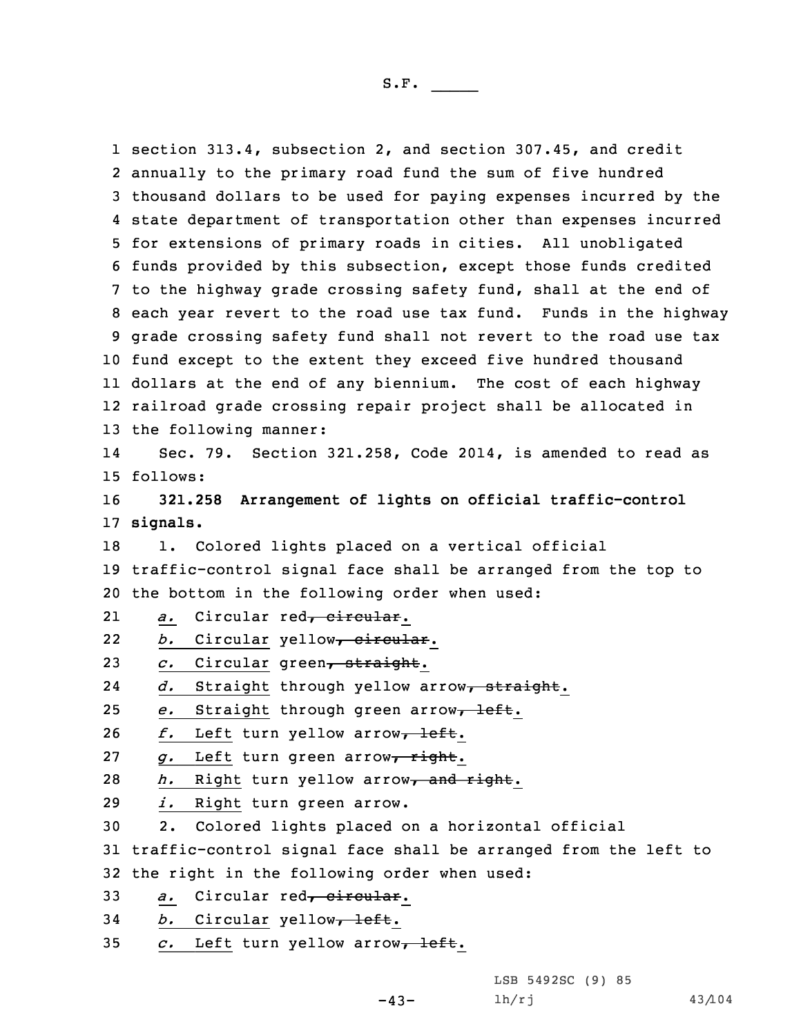section 313.4, subsection 2, and section 307.45, and credit annually to the primary road fund the sum of five hundred thousand dollars to be used for paying expenses incurred by the state department of transportation other than expenses incurred for extensions of primary roads in cities. All unobligated funds provided by this subsection, except those funds credited to the highway grade crossing safety fund, shall at the end of each year revert to the road use tax fund. Funds in the highway grade crossing safety fund shall not revert to the road use tax fund except to the extent they exceed five hundred thousand dollars at the end of any biennium. The cost of each highway railroad grade crossing repair project shall be allocated in the following manner: 14 Sec. 79. Section 321.258, Code 2014, is amended to read as 15 follows: **321.258 Arrangement of lights on official traffic-control** 17 **signals.** 18 1. Colored lights placed on a vertical official traffic-control signal face shall be arranged from the top to the bottom in the following order when used: 21a. Circular red<del>, circular</del>. 22b. Circular yellow, circular. *c.* Circular green, straight. 24 *d.* Straight through yellow arrow, straight. *e.* Straight through green arrow<sub>7</sub> left. *f.* Left turn yellow arrow<sub>7</sub> left. *g.* Left turn green arrow, right. *h.* Right turn yellow arrow<sub>r</sub> and right. *i.* Right turn green arrow. 2. Colored lights placed on <sup>a</sup> horizontal official traffic-control signal face shall be arranged from the left to the right in the following order when used: *a.* Circular red<del>, circular</del>. *b.* Circular yellow<sub>7</sub> left. *c.* Left turn yellow arrow, left.

 $-43-$ 

LSB 5492SC (9) 85 lh/rj 43/104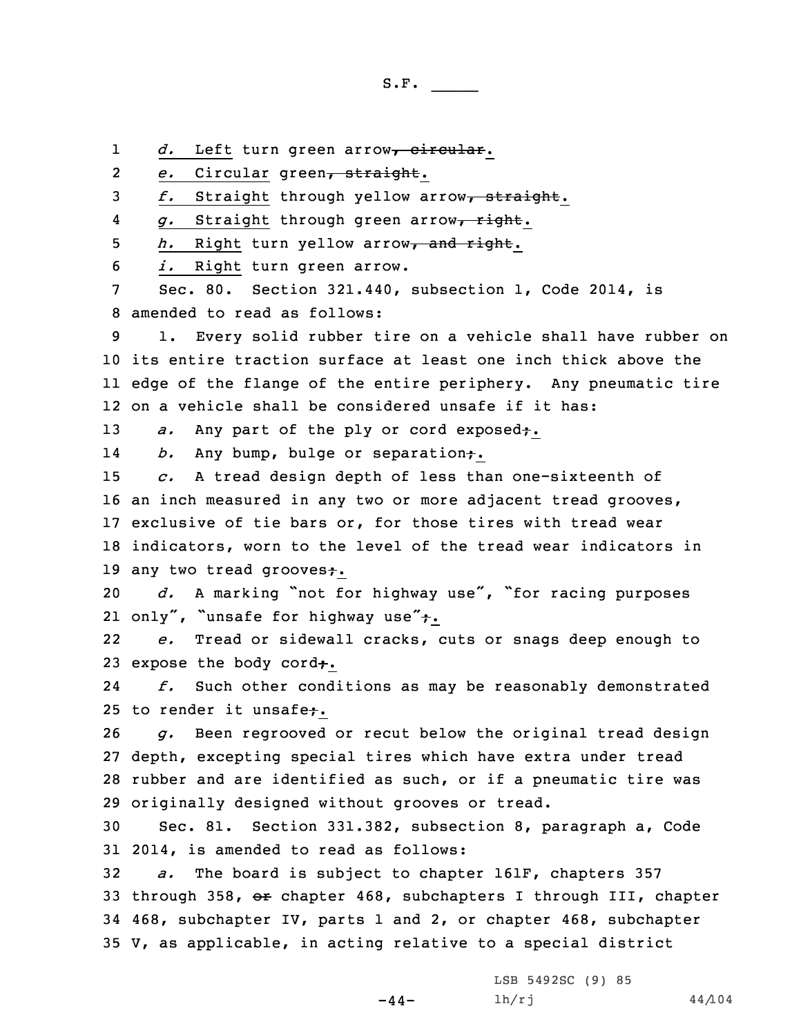1d. Left turn green arrow<sub>r</sub> circular.

2*e.* Circular green, straight.

3 f. Straight through yellow arrow<sub>r</sub> straight.

4*g.* Straight through green arrow, right.

5 *h.* Right turn yellow arrow<sub>7</sub> and right.

6 *i.* Right turn green arrow.

7 Sec. 80. Section 321.440, subsection 1, Code 2014, is 8 amended to read as follows:

 1. Every solid rubber tire on <sup>a</sup> vehicle shall have rubber on its entire traction surface at least one inch thick above the edge of the flange of the entire periphery. Any pneumatic tire on <sup>a</sup> vehicle shall be considered unsafe if it has:

13 *a.* Any part of the ply or cord exposed<sub>t</sub>.

14b. Any bump, bulge or separation.

 *c.* <sup>A</sup> tread design depth of less than one-sixteenth of an inch measured in any two or more adjacent tread grooves, exclusive of tie bars or, for those tires with tread wear indicators, worn to the level of the tread wear indicators in 19 any two tread grooves+.

<sup>20</sup> *d.* <sup>A</sup> marking "not for highway use", "for racing purposes 21 only", "unsafe for highway use"+.

22 *e.* Tread or sidewall cracks, cuts or snags deep enough to 23 expose the body cord $\div$ .

24 *f.* Such other conditions as may be reasonably demonstrated 25 to render it unsafe+.

 *g.* Been regrooved or recut below the original tread design depth, excepting special tires which have extra under tread rubber and are identified as such, or if <sup>a</sup> pneumatic tire was originally designed without grooves or tread.

30 Sec. 81. Section 331.382, subsection 8, paragraph a, Code 31 2014, is amended to read as follows:

 *a.* The board is subject to chapter 161F, chapters 357 33 through 358, or chapter 468, subchapters I through III, chapter 468, subchapter IV, parts 1 and 2, or chapter 468, subchapter V, as applicable, in acting relative to <sup>a</sup> special district

 $-44-$ 

LSB 5492SC (9) 85  $1h/rj$  44/104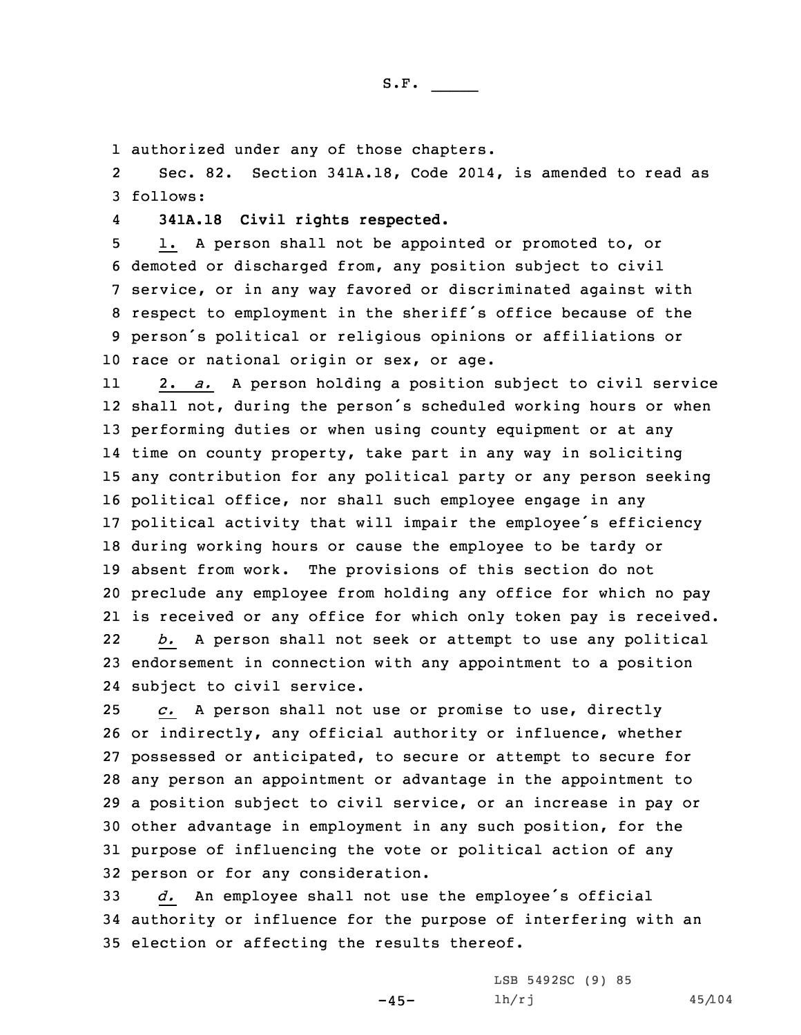1 authorized under any of those chapters.

2 Sec. 82. Section 341A.18, Code 2014, is amended to read as 3 follows:

4**341A.18 Civil rights respected.**

 1. <sup>A</sup> person shall not be appointed or promoted to, or demoted or discharged from, any position subject to civil service, or in any way favored or discriminated against with respect to employment in the sheriff's office because of the person's political or religious opinions or affiliations or race or national origin or sex, or age.

11 2. *a.* <sup>A</sup> person holding <sup>a</sup> position subject to civil service shall not, during the person's scheduled working hours or when performing duties or when using county equipment or at any time on county property, take part in any way in soliciting any contribution for any political party or any person seeking political office, nor shall such employee engage in any political activity that will impair the employee's efficiency during working hours or cause the employee to be tardy or absent from work. The provisions of this section do not preclude any employee from holding any office for which no pay is received or any office for which only token pay is received. 22 *b.* <sup>A</sup> person shall not seek or attempt to use any political endorsement in connection with any appointment to <sup>a</sup> position subject to civil service.

 *c.* <sup>A</sup> person shall not use or promise to use, directly or indirectly, any official authority or influence, whether possessed or anticipated, to secure or attempt to secure for any person an appointment or advantage in the appointment to <sup>a</sup> position subject to civil service, or an increase in pay or other advantage in employment in any such position, for the purpose of influencing the vote or political action of any person or for any consideration.

<sup>33</sup> *d.* An employee shall not use the employee's official 34 authority or influence for the purpose of interfering with an 35 election or affecting the results thereof.

 $-45-$ 

LSB 5492SC (9) 85 lh/rj 45/104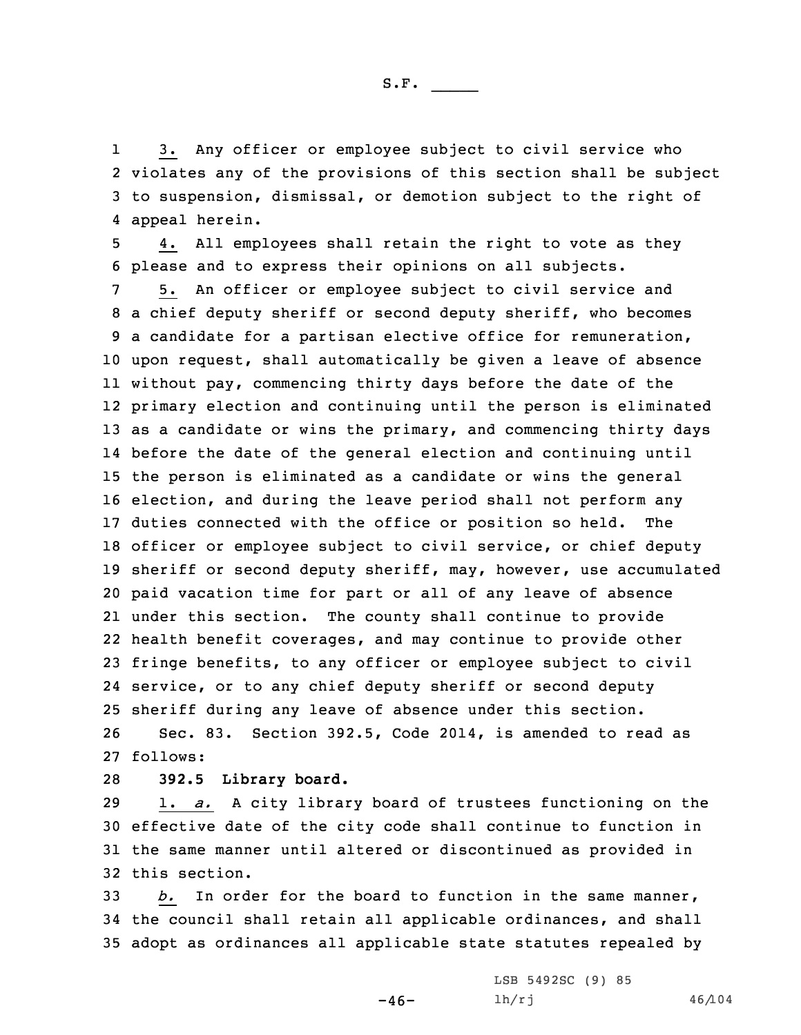1 3. Any officer or employee subject to civil service who 2 violates any of the provisions of this section shall be subject 3 to suspension, dismissal, or demotion subject to the right of 4 appeal herein.

5 4. All employees shall retain the right to vote as they 6 please and to express their opinions on all subjects.

 5. An officer or employee subject to civil service and <sup>a</sup> chief deputy sheriff or second deputy sheriff, who becomes <sup>a</sup> candidate for <sup>a</sup> partisan elective office for remuneration, upon request, shall automatically be given <sup>a</sup> leave of absence without pay, commencing thirty days before the date of the primary election and continuing until the person is eliminated as <sup>a</sup> candidate or wins the primary, and commencing thirty days before the date of the general election and continuing until the person is eliminated as <sup>a</sup> candidate or wins the general election, and during the leave period shall not perform any duties connected with the office or position so held. The officer or employee subject to civil service, or chief deputy sheriff or second deputy sheriff, may, however, use accumulated paid vacation time for part or all of any leave of absence under this section. The county shall continue to provide health benefit coverages, and may continue to provide other fringe benefits, to any officer or employee subject to civil service, or to any chief deputy sheriff or second deputy sheriff during any leave of absence under this section. Sec. 83. Section 392.5, Code 2014, is amended to read as 27 follows:

## 28 **392.5 Library board.**

 1. *a.* <sup>A</sup> city library board of trustees functioning on the effective date of the city code shall continue to function in the same manner until altered or discontinued as provided in this section.

33 *b.* In order for the board to function in the same manner, 34 the council shall retain all applicable ordinances, and shall 35 adopt as ordinances all applicable state statutes repealed by

 $-46-$ 

LSB 5492SC (9) 85 lh/rj 46/104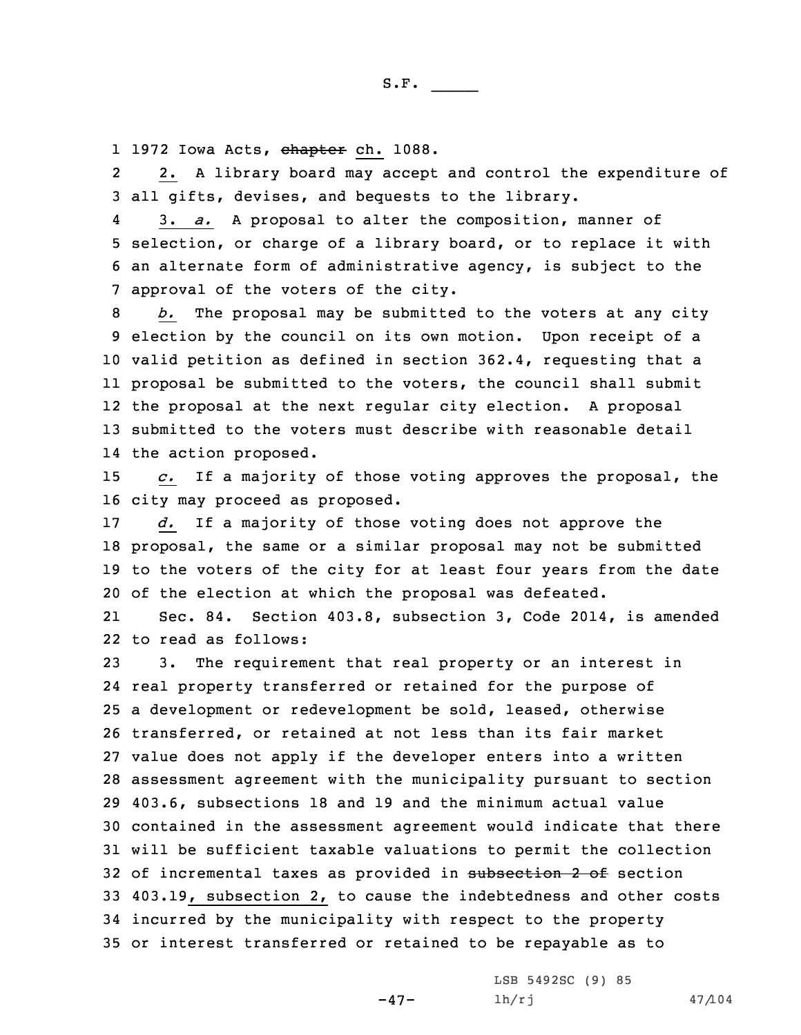l 1972 Iowa Acts, <del>chapter</del> ch. 1088.

2 2. <sup>A</sup> library board may accept and control the expenditure of 3 all gifts, devises, and bequests to the library.

4 3. *a.* <sup>A</sup> proposal to alter the composition, manner of 5 selection, or charge of <sup>a</sup> library board, or to replace it with 6 an alternate form of administrative agency, is subject to the 7 approval of the voters of the city.

 *b.* The proposal may be submitted to the voters at any city election by the council on its own motion. Upon receipt of <sup>a</sup> valid petition as defined in section 362.4, requesting that <sup>a</sup> proposal be submitted to the voters, the council shall submit the proposal at the next regular city election. <sup>A</sup> proposal submitted to the voters must describe with reasonable detail the action proposed.

15 *c.* If <sup>a</sup> majority of those voting approves the proposal, the 16 city may proceed as proposed.

 *d.* If <sup>a</sup> majority of those voting does not approve the proposal, the same or <sup>a</sup> similar proposal may not be submitted to the voters of the city for at least four years from the date of the election at which the proposal was defeated.

21 Sec. 84. Section 403.8, subsection 3, Code 2014, is amended 22 to read as follows:

 3. The requirement that real property or an interest in real property transferred or retained for the purpose of <sup>a</sup> development or redevelopment be sold, leased, otherwise transferred, or retained at not less than its fair market value does not apply if the developer enters into <sup>a</sup> written assessment agreement with the municipality pursuant to section 403.6, subsections 18 and 19 and the minimum actual value contained in the assessment agreement would indicate that there will be sufficient taxable valuations to permit the collection 32 of incremental taxes as provided in subsection 2 of section 403.19, subsection 2, to cause the indebtedness and other costs incurred by the municipality with respect to the property or interest transferred or retained to be repayable as to

-47-

LSB 5492SC (9) 85  $1h/rj$  47/104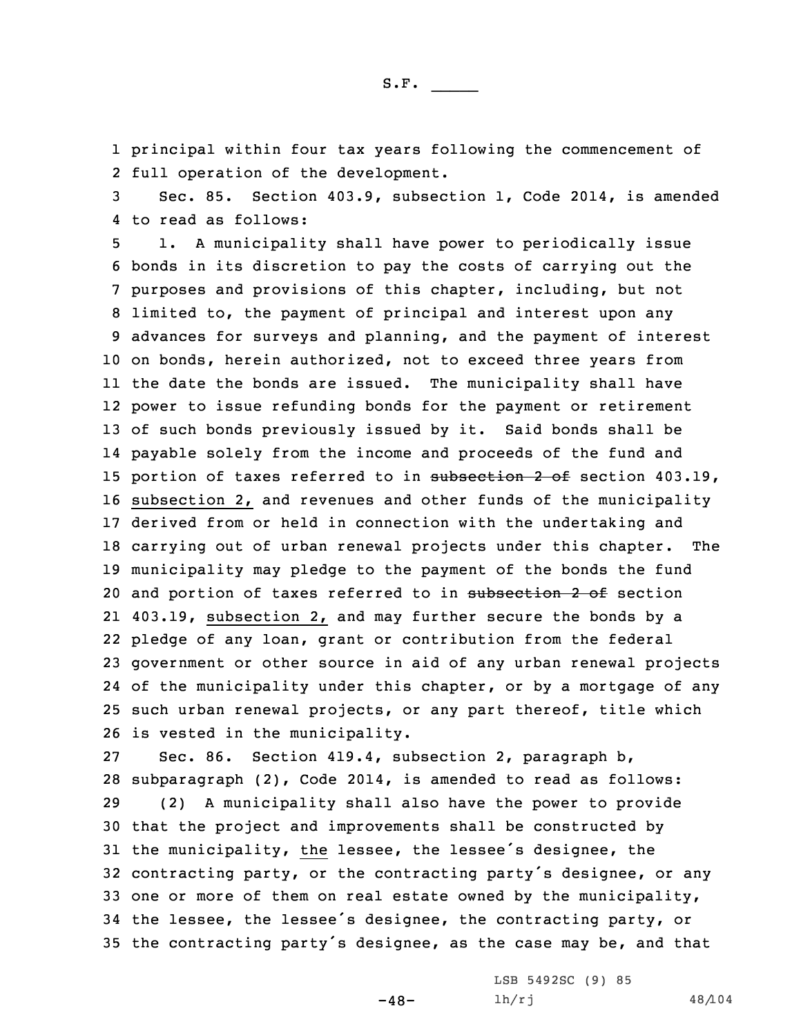1 principal within four tax years following the commencement of 2 full operation of the development.

3 Sec. 85. Section 403.9, subsection 1, Code 2014, is amended 4 to read as follows:

 1. <sup>A</sup> municipality shall have power to periodically issue bonds in its discretion to pay the costs of carrying out the purposes and provisions of this chapter, including, but not limited to, the payment of principal and interest upon any advances for surveys and planning, and the payment of interest on bonds, herein authorized, not to exceed three years from the date the bonds are issued. The municipality shall have power to issue refunding bonds for the payment or retirement of such bonds previously issued by it. Said bonds shall be payable solely from the income and proceeds of the fund and 15 portion of taxes referred to in subsection 2 of section 403.19, subsection 2, and revenues and other funds of the municipality derived from or held in connection with the undertaking and carrying out of urban renewal projects under this chapter. The municipality may pledge to the payment of the bonds the fund 20 and portion of taxes referred to in subsection 2 of section 403.19, subsection 2, and may further secure the bonds by <sup>a</sup> pledge of any loan, grant or contribution from the federal government or other source in aid of any urban renewal projects of the municipality under this chapter, or by <sup>a</sup> mortgage of any such urban renewal projects, or any part thereof, title which is vested in the municipality.

 Sec. 86. Section 419.4, subsection 2, paragraph b, subparagraph (2), Code 2014, is amended to read as follows: (2) <sup>A</sup> municipality shall also have the power to provide that the project and improvements shall be constructed by the municipality, the lessee, the lessee's designee, the contracting party, or the contracting party's designee, or any one or more of them on real estate owned by the municipality, the lessee, the lessee's designee, the contracting party, or the contracting party's designee, as the case may be, and that

-48-

LSB 5492SC (9) 85 lh/rj 48/104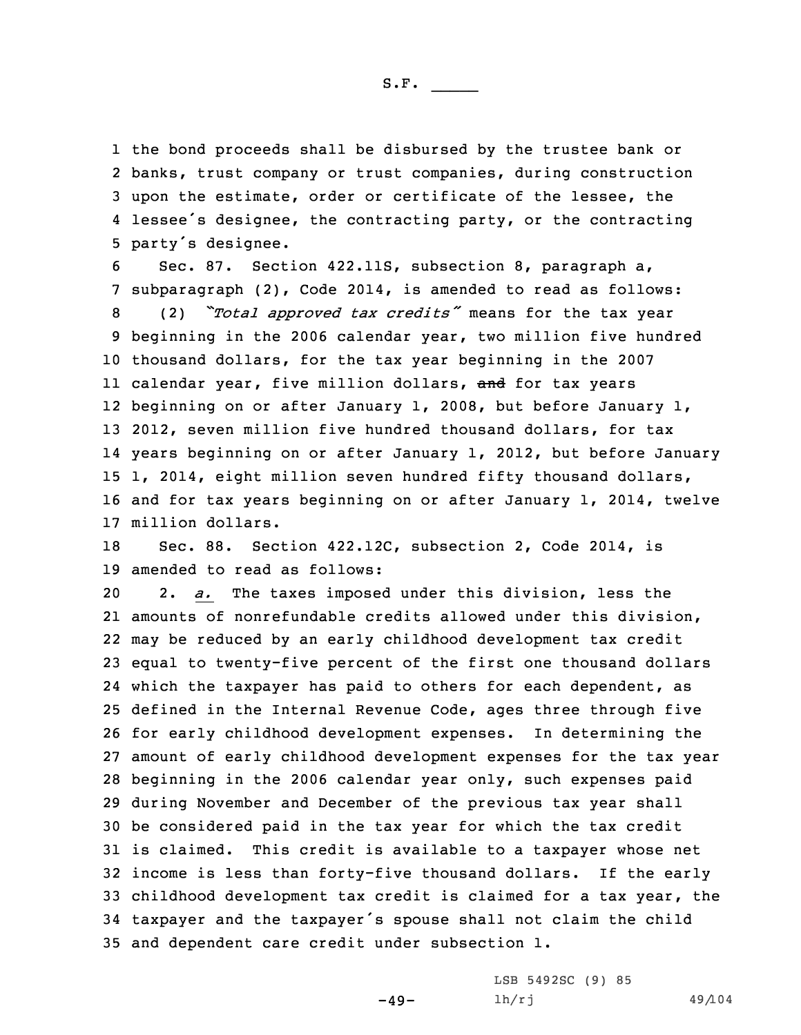the bond proceeds shall be disbursed by the trustee bank or banks, trust company or trust companies, during construction upon the estimate, order or certificate of the lessee, the lessee's designee, the contracting party, or the contracting party's designee.

 Sec. 87. Section 422.11S, subsection 8, paragraph a, subparagraph (2), Code 2014, is amended to read as follows: (2) *"Total approved tax credits"* means for the tax year beginning in the 2006 calendar year, two million five hundred thousand dollars, for the tax year beginning in the 2007 ll calendar year, five million dollars, <del>and</del> for tax years beginning on or after January 1, 2008, but before January 1, 2012, seven million five hundred thousand dollars, for tax years beginning on or after January 1, 2012, but before January 1, 2014, eight million seven hundred fifty thousand dollars, and for tax years beginning on or after January 1, 2014, twelve million dollars.

18 Sec. 88. Section 422.12C, subsection 2, Code 2014, is 19 amended to read as follows:

 2. *a.* The taxes imposed under this division, less the amounts of nonrefundable credits allowed under this division, may be reduced by an early childhood development tax credit equal to twenty-five percent of the first one thousand dollars which the taxpayer has paid to others for each dependent, as defined in the Internal Revenue Code, ages three through five for early childhood development expenses. In determining the amount of early childhood development expenses for the tax year beginning in the 2006 calendar year only, such expenses paid during November and December of the previous tax year shall be considered paid in the tax year for which the tax credit is claimed. This credit is available to <sup>a</sup> taxpayer whose net income is less than forty-five thousand dollars. If the early childhood development tax credit is claimed for <sup>a</sup> tax year, the taxpayer and the taxpayer's spouse shall not claim the child and dependent care credit under subsection 1.

 $-49-$ 

LSB 5492SC (9) 85 lh/rj 49/104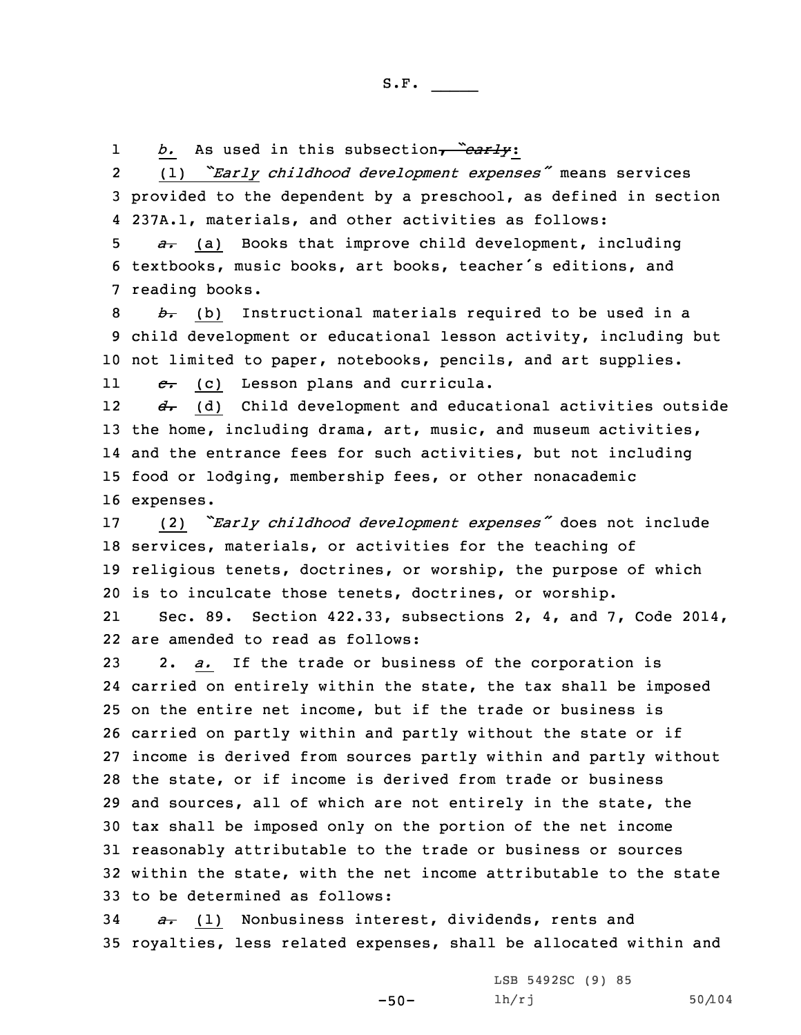1*b.* As used in this subsection, *"early*:

2 (1) *"Early childhood development expenses"* means services 3 provided to the dependent by <sup>a</sup> preschool, as defined in section 4 237A.1, materials, and other activities as follows:

5 *a.* (a) Books that improve child development, including 6 textbooks, music books, art books, teacher's editions, and 7 reading books.

8 *b.* (b) Instructional materials required to be used in <sup>a</sup> 9 child development or educational lesson activity, including but 10 not limited to paper, notebooks, pencils, and art supplies.

11*c.* (c) Lesson plans and curricula.

12 *d.* (d) Child development and educational activities outside the home, including drama, art, music, and museum activities, and the entrance fees for such activities, but not including food or lodging, membership fees, or other nonacademic expenses.

 (2) *"Early childhood development expenses"* does not include services, materials, or activities for the teaching of religious tenets, doctrines, or worship, the purpose of which is to inculcate those tenets, doctrines, or worship.

21 Sec. 89. Section 422.33, subsections 2, 4, and 7, Code 2014, 22 are amended to read as follows:

 2. *a.* If the trade or business of the corporation is carried on entirely within the state, the tax shall be imposed on the entire net income, but if the trade or business is carried on partly within and partly without the state or if income is derived from sources partly within and partly without the state, or if income is derived from trade or business and sources, all of which are not entirely in the state, the tax shall be imposed only on the portion of the net income reasonably attributable to the trade or business or sources within the state, with the net income attributable to the state to be determined as follows:

34 *a.* (1) Nonbusiness interest, dividends, rents and 35 royalties, less related expenses, shall be allocated within and

-50-

LSB 5492SC (9) 85 lh/rj 50/104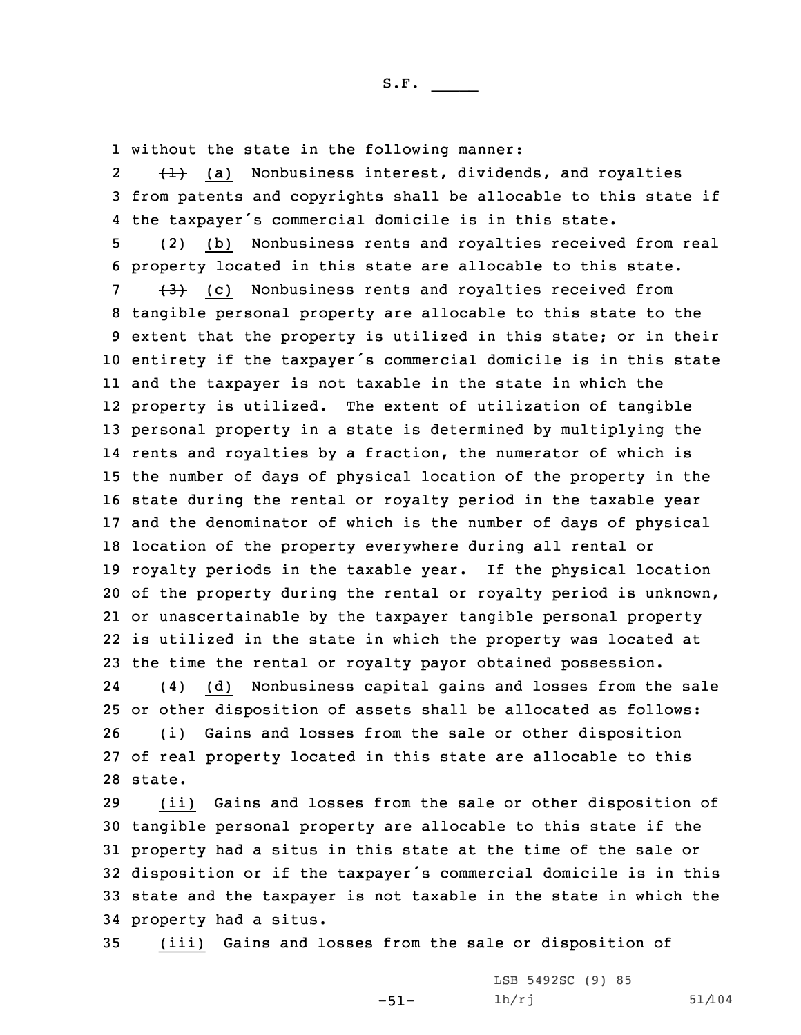1 without the state in the following manner:

2 $\{\pm\}$  (a) Nonbusiness interest, dividends, and royalties 3 from patents and copyrights shall be allocable to this state if 4 the taxpayer's commercial domicile is in this state.

 $5$   $\{2\}$  (b) Nonbusiness rents and royalties received from real 6 property located in this state are allocable to this state.

  $\{3\}$  (c) Nonbusiness rents and royalties received from tangible personal property are allocable to this state to the extent that the property is utilized in this state; or in their entirety if the taxpayer's commercial domicile is in this state and the taxpayer is not taxable in the state in which the property is utilized. The extent of utilization of tangible personal property in <sup>a</sup> state is determined by multiplying the rents and royalties by <sup>a</sup> fraction, the numerator of which is the number of days of physical location of the property in the state during the rental or royalty period in the taxable year and the denominator of which is the number of days of physical location of the property everywhere during all rental or royalty periods in the taxable year. If the physical location of the property during the rental or royalty period is unknown, or unascertainable by the taxpayer tangible personal property is utilized in the state in which the property was located at the time the rental or royalty payor obtained possession. 24 $(4)$  (d) Nonbusiness capital gains and losses from the sale or other disposition of assets shall be allocated as follows: (i) Gains and losses from the sale or other disposition

27 of real property located in this state are allocable to this 28 state.

 (ii) Gains and losses from the sale or other disposition of tangible personal property are allocable to this state if the property had <sup>a</sup> situs in this state at the time of the sale or disposition or if the taxpayer's commercial domicile is in this state and the taxpayer is not taxable in the state in which the property had <sup>a</sup> situs.

-51-

35 (iii) Gains and losses from the sale or disposition of

```
LSB 5492SC (9) 85
lh/rj 51/104
```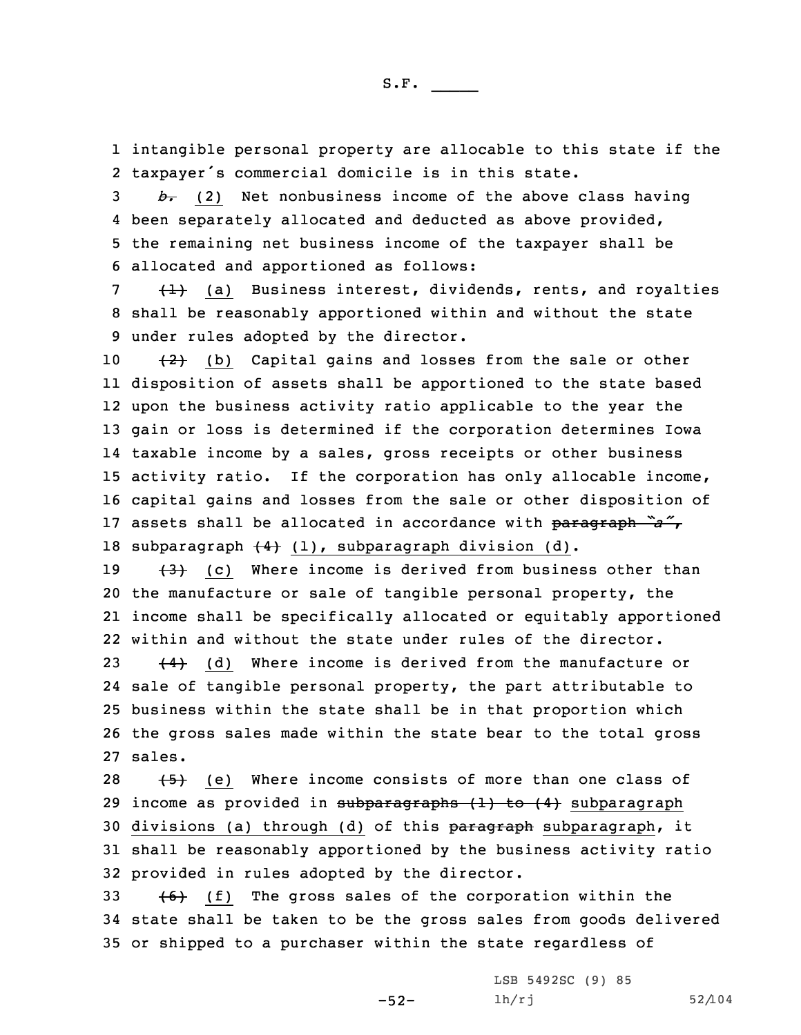1 intangible personal property are allocable to this state if the 2 taxpayer's commercial domicile is in this state.

 *b.* (2) Net nonbusiness income of the above class having been separately allocated and deducted as above provided, the remaining net business income of the taxpayer shall be allocated and apportioned as follows:

 $7 + 1$  (a) Business interest, dividends, rents, and royalties 8 shall be reasonably apportioned within and without the state 9 under rules adopted by the director.

 $(2)$  (b) Capital gains and losses from the sale or other disposition of assets shall be apportioned to the state based upon the business activity ratio applicable to the year the gain or loss is determined if the corporation determines Iowa taxable income by <sup>a</sup> sales, gross receipts or other business activity ratio. If the corporation has only allocable income, capital gains and losses from the sale or other disposition of assets shall be allocated in accordance with paragraph *"a"*, 18 subparagraph  $\{4\}$  (1), subparagraph division (d).

 $(3)$  (c) Where income is derived from business other than the manufacture or sale of tangible personal property, the income shall be specifically allocated or equitably apportioned within and without the state under rules of the director.

 $(4)$  (d) Where income is derived from the manufacture or sale of tangible personal property, the part attributable to business within the state shall be in that proportion which the gross sales made within the state bear to the total gross 27 sales.

28  $(5)$  (e) Where income consists of more than one class of 29 income as provided in subparagraphs  $(1)$  to  $(4)$  subparagraph 30 divisions (a) through (d) of this paragraph subparagraph, it 31 shall be reasonably apportioned by the business activity ratio 32 provided in rules adopted by the director.

33  $+6$ ) (f) The gross sales of the corporation within the 34 state shall be taken to be the gross sales from goods delivered 35 or shipped to <sup>a</sup> purchaser within the state regardless of

-52-

LSB 5492SC (9) 85 lh/rj 52/104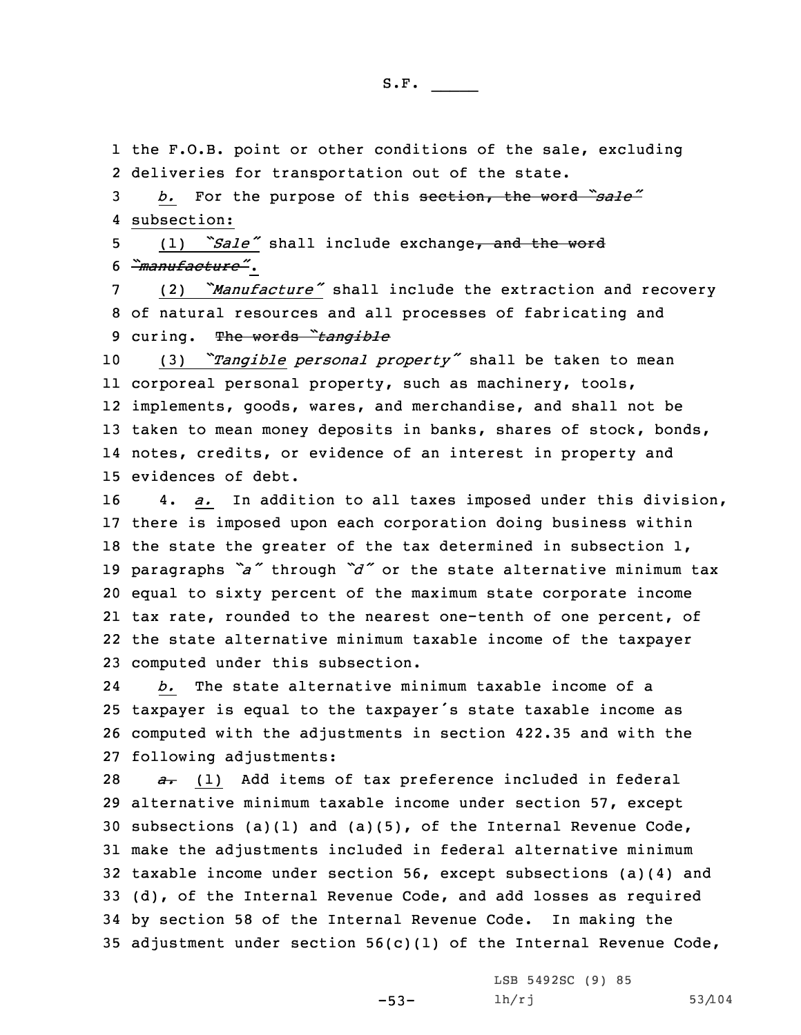1 the F.O.B. point or other conditions of the sale, excluding 2 deliveries for transportation out of the state.

<sup>3</sup> *b.* For the purpose of this section, the word *"sale"* 4 subsection:

5 (1) *"Sale"* shall include exchange, and the word 6 *"manufacture"*.

<sup>7</sup> (2) *"Manufacture"* shall include the extraction and recovery 8 of natural resources and all processes of fabricating and <sup>9</sup> curing. The words *"tangible*

 (3) *"Tangible personal property"* shall be taken to mean corporeal personal property, such as machinery, tools, implements, goods, wares, and merchandise, and shall not be 13 taken to mean money deposits in banks, shares of stock, bonds, notes, credits, or evidence of an interest in property and evidences of debt.

 4. *a.* In addition to all taxes imposed under this division, there is imposed upon each corporation doing business within the state the greater of the tax determined in subsection 1, paragraphs *"a"* through *"d"* or the state alternative minimum tax equal to sixty percent of the maximum state corporate income tax rate, rounded to the nearest one-tenth of one percent, of the state alternative minimum taxable income of the taxpayer computed under this subsection.

24 *b.* The state alternative minimum taxable income of <sup>a</sup> <sup>25</sup> taxpayer is equal to the taxpayer's state taxable income as 26 computed with the adjustments in section 422.35 and with the 27 following adjustments:

*a*. (1) Add items of tax preference included in federal alternative minimum taxable income under section 57, except subsections (a)(1) and (a)(5), of the Internal Revenue Code, make the adjustments included in federal alternative minimum taxable income under section 56, except subsections (a)(4) and (d), of the Internal Revenue Code, and add losses as required by section 58 of the Internal Revenue Code. In making the adjustment under section 56(c)(1) of the Internal Revenue Code,

-53-

LSB 5492SC (9) 85 lh/rj 53/104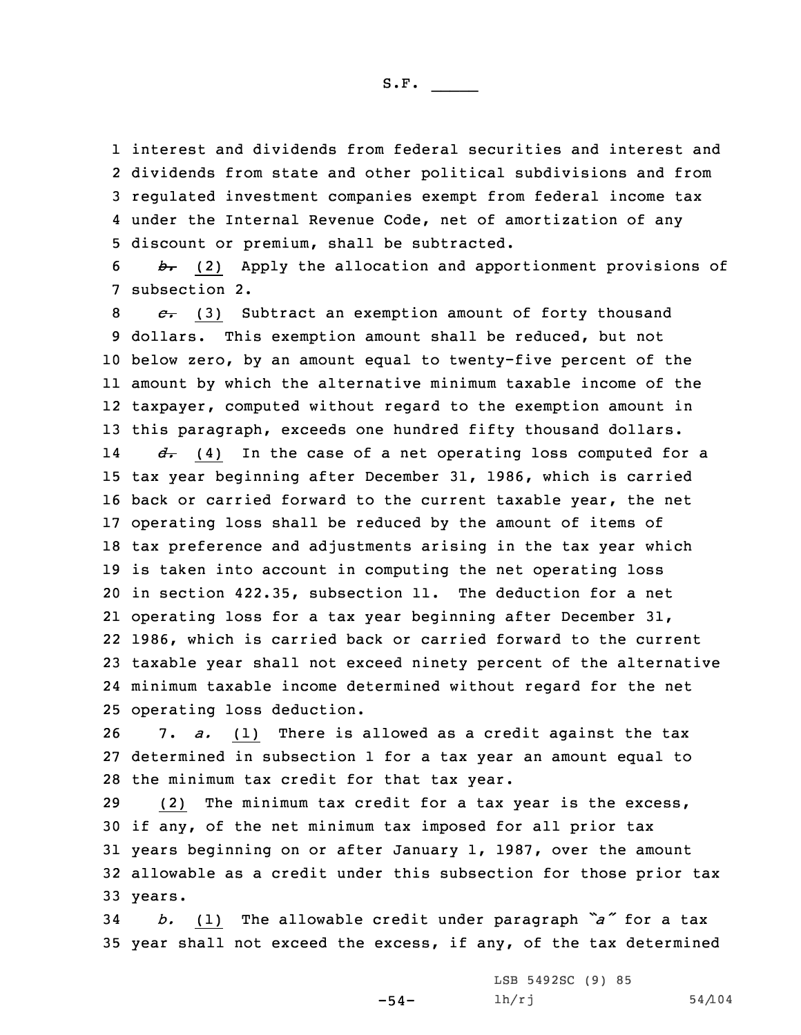interest and dividends from federal securities and interest and dividends from state and other political subdivisions and from regulated investment companies exempt from federal income tax under the Internal Revenue Code, net of amortization of any discount or premium, shall be subtracted.

6 *b.* (2) Apply the allocation and apportionment provisions of 7 subsection 2.

 *c.* (3) Subtract an exemption amount of forty thousand dollars. This exemption amount shall be reduced, but not below zero, by an amount equal to twenty-five percent of the amount by which the alternative minimum taxable income of the taxpayer, computed without regard to the exemption amount in this paragraph, exceeds one hundred fifty thousand dollars.

14 *d.* (4) In the case of <sup>a</sup> net operating loss computed for <sup>a</sup> tax year beginning after December 31, 1986, which is carried back or carried forward to the current taxable year, the net operating loss shall be reduced by the amount of items of tax preference and adjustments arising in the tax year which is taken into account in computing the net operating loss in section 422.35, subsection 11. The deduction for <sup>a</sup> net operating loss for <sup>a</sup> tax year beginning after December 31, 1986, which is carried back or carried forward to the current taxable year shall not exceed ninety percent of the alternative minimum taxable income determined without regard for the net operating loss deduction.

26 7. *a.* (1) There is allowed as <sup>a</sup> credit against the tax 27 determined in subsection 1 for <sup>a</sup> tax year an amount equal to 28 the minimum tax credit for that tax year.

 (2) The minimum tax credit for <sup>a</sup> tax year is the excess, if any, of the net minimum tax imposed for all prior tax years beginning on or after January 1, 1987, over the amount allowable as <sup>a</sup> credit under this subsection for those prior tax 33 years.

<sup>34</sup> *b.* (1) The allowable credit under paragraph *"a"* for <sup>a</sup> tax 35 year shall not exceed the excess, if any, of the tax determined

-54-

LSB 5492SC (9) 85 lh/rj 54/104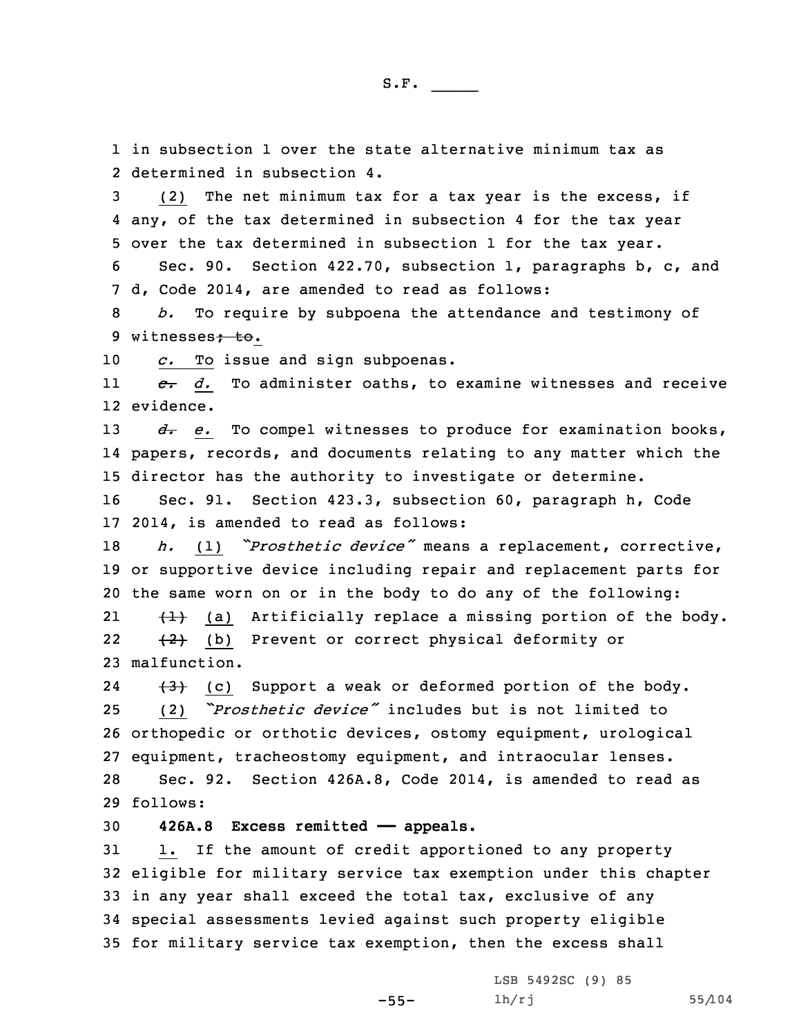1 in subsection 1 over the state alternative minimum tax as 2 determined in subsection 4.

3 (2) The net minimum tax for <sup>a</sup> tax year is the excess, if 4 any, of the tax determined in subsection 4 for the tax year 5 over the tax determined in subsection 1 for the tax year.

6 Sec. 90. Section 422.70, subsection 1, paragraphs b, c, and 7 d, Code 2014, are amended to read as follows:

8 *b.* To require by subpoena the attendance and testimony of 9 witnesses; to.

10 *c.* To issue and sign subpoenas.

11 *c. d.* To administer oaths, to examine witnesses and receive 12 evidence.

13 *d*. *e*. To compel witnesses to produce for examination books, 14 papers, records, and documents relating to any matter which the 15 director has the authority to investigate or determine.

16 Sec. 91. Section 423.3, subsection 60, paragraph h, Code 17 2014, is amended to read as follows:

<sup>18</sup> *h.* (1) *"Prosthetic device"* means <sup>a</sup> replacement, corrective, 19 or supportive device including repair and replacement parts for 20 the same worn on or in the body to do any of the following: 21 $\{+\}$  (a) Artificially replace a missing portion of the body.

22 (2) (b) Prevent or correct physical deformity or 23 malfunction.

24 $(3)$  (c) Support a weak or deformed portion of the body. 25 (2) *"Prosthetic device"* includes but is not limited to 26 orthopedic or orthotic devices, ostomy equipment, urological 27 equipment, tracheostomy equipment, and intraocular lenses. 28 Sec. 92. Section 426A.8, Code 2014, is amended to read as 29 follows:

30 **426A.8 Excess remitted —— appeals.**

 1. If the amount of credit apportioned to any property eligible for military service tax exemption under this chapter in any year shall exceed the total tax, exclusive of any special assessments levied against such property eligible for military service tax exemption, then the excess shall

-55-

LSB 5492SC (9) 85 lh/rj 55/104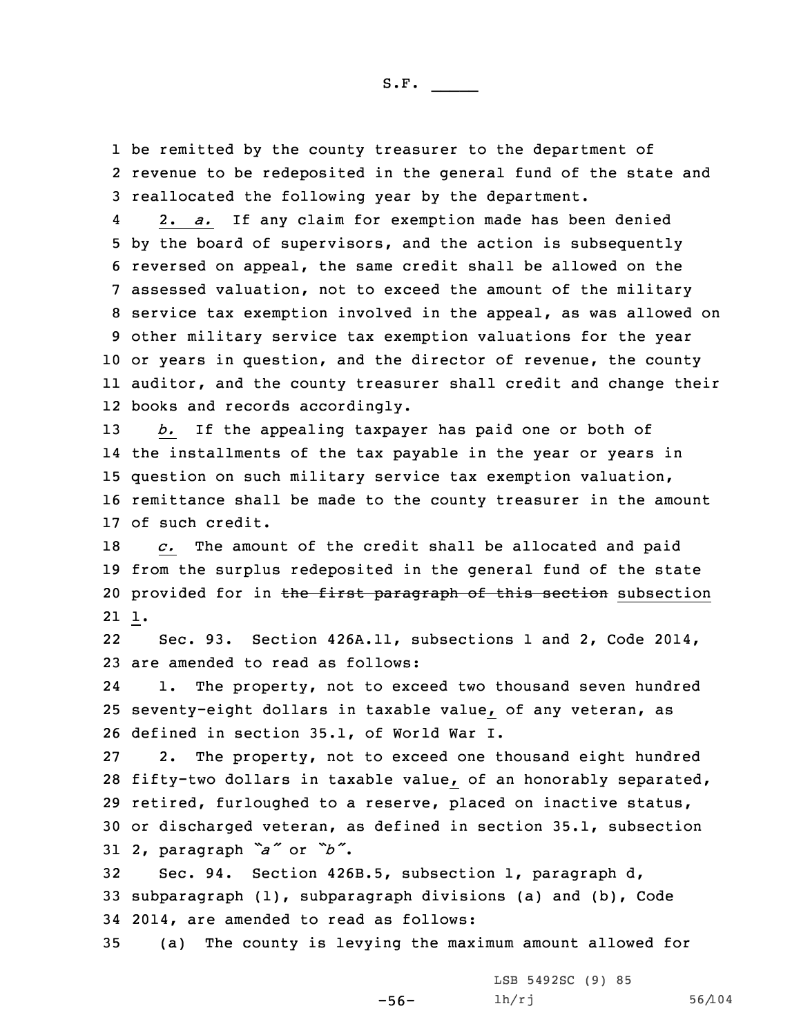1 be remitted by the county treasurer to the department of 2 revenue to be redeposited in the general fund of the state and 3 reallocated the following year by the department.

4 2. *a.* If any claim for exemption made has been denied by the board of supervisors, and the action is subsequently reversed on appeal, the same credit shall be allowed on the assessed valuation, not to exceed the amount of the military service tax exemption involved in the appeal, as was allowed on other military service tax exemption valuations for the year or years in question, and the director of revenue, the county auditor, and the county treasurer shall credit and change their books and records accordingly.

 *b.* If the appealing taxpayer has paid one or both of the installments of the tax payable in the year or years in question on such military service tax exemption valuation, remittance shall be made to the county treasurer in the amount of such credit.

18 *c.* The amount of the credit shall be allocated and paid 19 from the surplus redeposited in the general fund of the state 20 provided for in the first paragraph of this section subsection 21 1.

22 Sec. 93. Section 426A.11, subsections 1 and 2, Code 2014, 23 are amended to read as follows:

24 1. The property, not to exceed two thousand seven hundred 25 seventy-eight dollars in taxable value, of any veteran, as 26 defined in section 35.1, of World War I.

 2. The property, not to exceed one thousand eight hundred fifty-two dollars in taxable value, of an honorably separated, retired, furloughed to <sup>a</sup> reserve, placed on inactive status, or discharged veteran, as defined in section 35.1, subsection 2, paragraph *"a"* or *"b"*.

32 Sec. 94. Section 426B.5, subsection 1, paragraph d, 33 subparagraph (1), subparagraph divisions (a) and (b), Code 34 2014, are amended to read as follows:

35 (a) The county is levying the maximum amount allowed for

-56-

LSB 5492SC (9) 85 lh/rj 56/104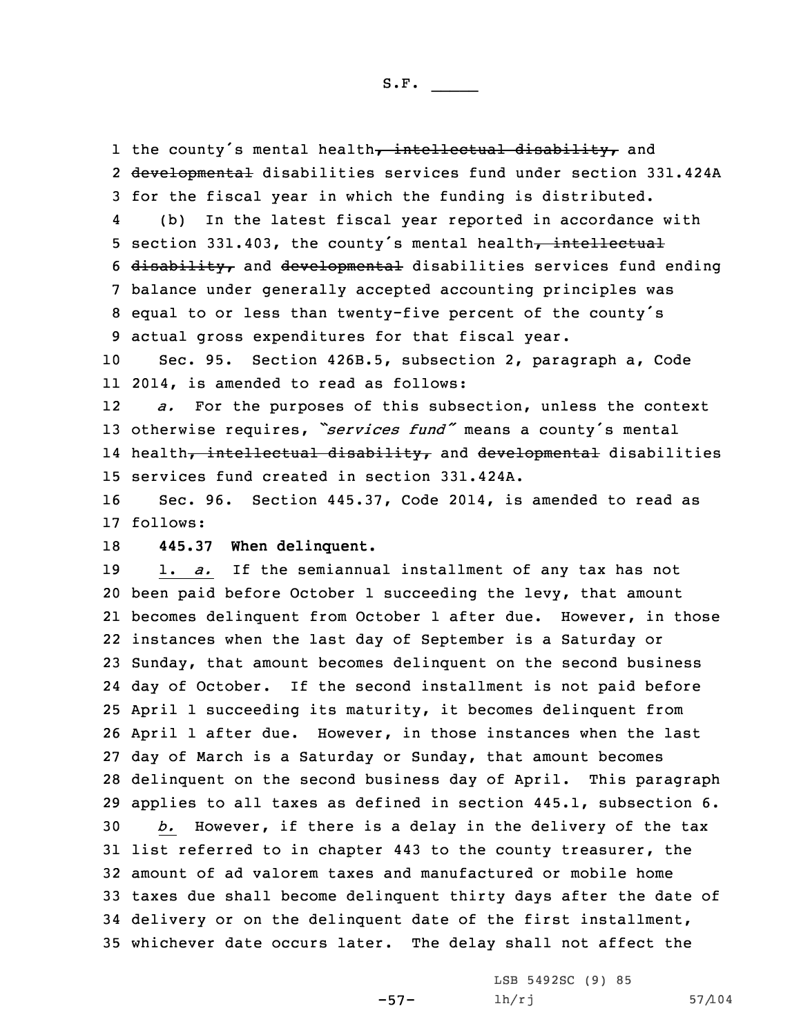1 the county's mental health, intellectual disability, and 2 <del>developmental</del> disabilities services fund under section 331.424A 3 for the fiscal year in which the funding is distributed. 4

 (b) In the latest fiscal year reported in accordance with 5 section 331.403, the county's mental health, intellectual 6 disability, and developmental disabilities services fund ending 7 balance under generally accepted accounting principles was <sup>8</sup> equal to or less than twenty-five percent of the county's 9 actual gross expenditures for that fiscal year.

10 Sec. 95. Section 426B.5, subsection 2, paragraph a, Code 11 2014, is amended to read as follows:

12 *a.* For the purposes of this subsection, unless the context <sup>13</sup> otherwise requires, *"services fund"* means <sup>a</sup> county's mental 14 health<del>, intellectual disability,</del> and <del>developmental</del> disabilities 15 services fund created in section 331.424A.

16 Sec. 96. Section 445.37, Code 2014, is amended to read as 17 follows:

18 **445.37 When delinquent.**

 1. *a.* If the semiannual installment of any tax has not been paid before October 1 succeeding the levy, that amount becomes delinquent from October 1 after due. However, in those instances when the last day of September is <sup>a</sup> Saturday or Sunday, that amount becomes delinquent on the second business day of October. If the second installment is not paid before April 1 succeeding its maturity, it becomes delinquent from April 1 after due. However, in those instances when the last day of March is <sup>a</sup> Saturday or Sunday, that amount becomes delinquent on the second business day of April. This paragraph applies to all taxes as defined in section 445.1, subsection 6. *b.* However, if there is <sup>a</sup> delay in the delivery of the tax list referred to in chapter 443 to the county treasurer, the amount of ad valorem taxes and manufactured or mobile home taxes due shall become delinquent thirty days after the date of delivery or on the delinquent date of the first installment, whichever date occurs later. The delay shall not affect the

-57-

LSB 5492SC (9) 85 lh/rj 57/104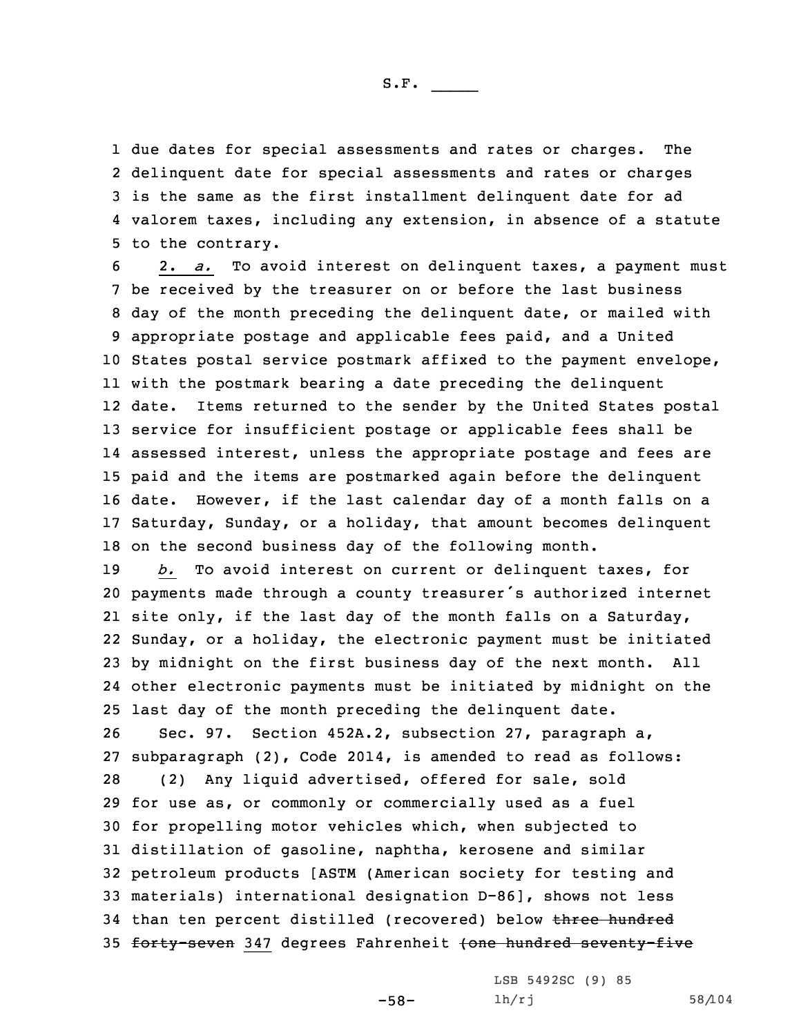due dates for special assessments and rates or charges. The delinquent date for special assessments and rates or charges is the same as the first installment delinquent date for ad valorem taxes, including any extension, in absence of <sup>a</sup> statute to the contrary.

 2. *a.* To avoid interest on delinquent taxes, <sup>a</sup> payment must be received by the treasurer on or before the last business day of the month preceding the delinquent date, or mailed with appropriate postage and applicable fees paid, and <sup>a</sup> United States postal service postmark affixed to the payment envelope, with the postmark bearing <sup>a</sup> date preceding the delinquent date. Items returned to the sender by the United States postal service for insufficient postage or applicable fees shall be assessed interest, unless the appropriate postage and fees are paid and the items are postmarked again before the delinquent date. However, if the last calendar day of <sup>a</sup> month falls on <sup>a</sup> Saturday, Sunday, or <sup>a</sup> holiday, that amount becomes delinquent on the second business day of the following month.

 *b.* To avoid interest on current or delinquent taxes, for payments made through <sup>a</sup> county treasurer's authorized internet site only, if the last day of the month falls on <sup>a</sup> Saturday, Sunday, or <sup>a</sup> holiday, the electronic payment must be initiated by midnight on the first business day of the next month. All other electronic payments must be initiated by midnight on the last day of the month preceding the delinquent date.

 Sec. 97. Section 452A.2, subsection 27, paragraph a, subparagraph (2), Code 2014, is amended to read as follows: (2) Any liquid advertised, offered for sale, sold for use as, or commonly or commercially used as <sup>a</sup> fuel for propelling motor vehicles which, when subjected to distillation of gasoline, naphtha, kerosene and similar petroleum products [ASTM (American society for testing and materials) international designation D-86], shows not less 34 than ten percent distilled (recovered) below three hundred 35 forty-seven 347 degrees Fahrenheit (one hundred seventy-five

-58-

LSB 5492SC (9) 85 lh/rj 58/104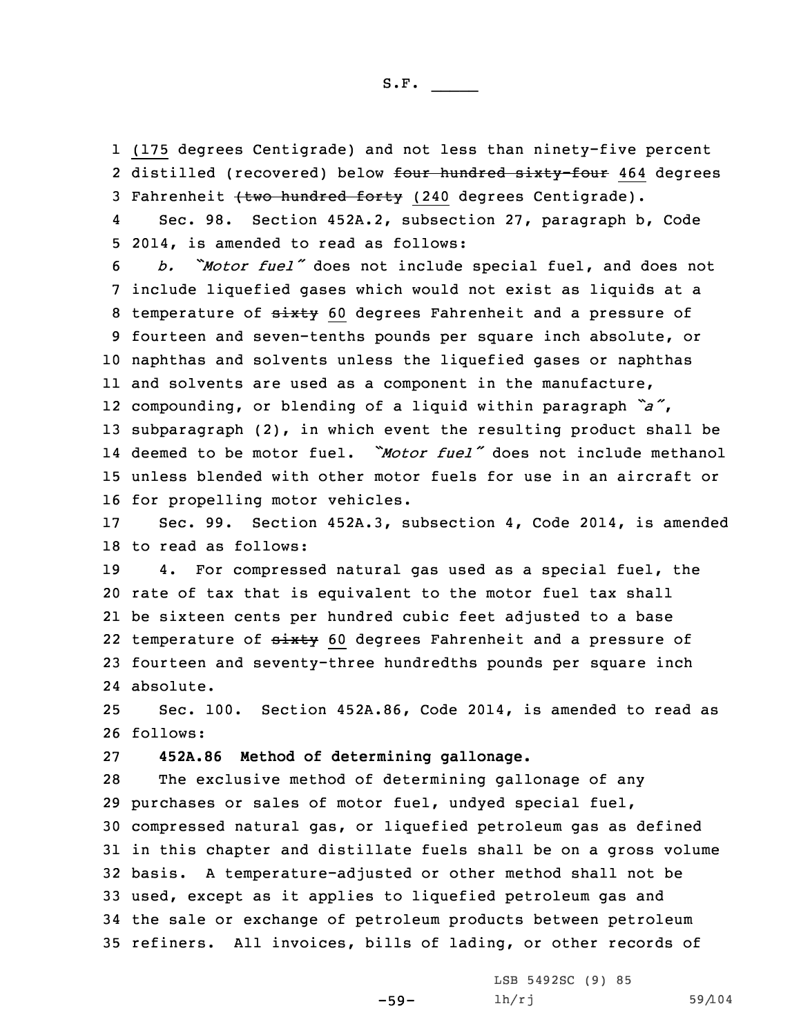1 (175 degrees Centigrade) and not less than ninety-five percent 2 distilled (recovered) below <del>four hundred sixty-four</del> 464 degrees 3 Fahrenheit (two hundred forty (240 degrees Centigrade).

4 Sec. 98. Section 452A.2, subsection 27, paragraph b, Code 5 2014, is amended to read as follows:

 *b. "Motor fuel"* does not include special fuel, and does not include liquefied gases which would not exist as liquids at <sup>a</sup> 8 temperature of sixty 60 degrees Fahrenheit and a pressure of fourteen and seven-tenths pounds per square inch absolute, or naphthas and solvents unless the liquefied gases or naphthas and solvents are used as <sup>a</sup> component in the manufacture, compounding, or blending of <sup>a</sup> liquid within paragraph *"a"*, subparagraph (2), in which event the resulting product shall be deemed to be motor fuel. *"Motor fuel"* does not include methanol unless blended with other motor fuels for use in an aircraft or for propelling motor vehicles.

17 Sec. 99. Section 452A.3, subsection 4, Code 2014, is amended 18 to read as follows:

 4. For compressed natural gas used as <sup>a</sup> special fuel, the rate of tax that is equivalent to the motor fuel tax shall be sixteen cents per hundred cubic feet adjusted to <sup>a</sup> base 22 temperature of sixty 60 degrees Fahrenheit and a pressure of fourteen and seventy-three hundredths pounds per square inch absolute.

25 Sec. 100. Section 452A.86, Code 2014, is amended to read as 26 follows:

## 27 **452A.86 Method of determining gallonage.**

 The exclusive method of determining gallonage of any purchases or sales of motor fuel, undyed special fuel, compressed natural gas, or liquefied petroleum gas as defined in this chapter and distillate fuels shall be on <sup>a</sup> gross volume basis. <sup>A</sup> temperature-adjusted or other method shall not be used, except as it applies to liquefied petroleum gas and the sale or exchange of petroleum products between petroleum refiners. All invoices, bills of lading, or other records of

-59-

LSB 5492SC (9) 85 lh/rj 59/104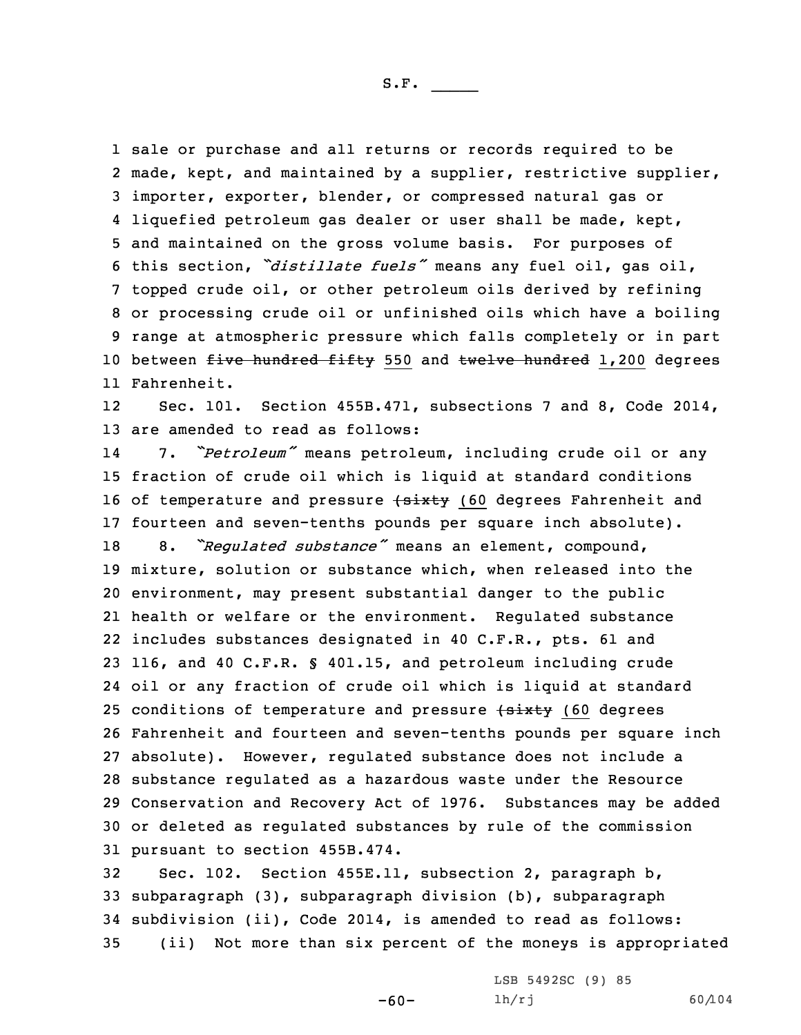sale or purchase and all returns or records required to be made, kept, and maintained by <sup>a</sup> supplier, restrictive supplier, importer, exporter, blender, or compressed natural gas or liquefied petroleum gas dealer or user shall be made, kept, and maintained on the gross volume basis. For purposes of this section, *"distillate fuels"* means any fuel oil, gas oil, topped crude oil, or other petroleum oils derived by refining or processing crude oil or unfinished oils which have <sup>a</sup> boiling range at atmospheric pressure which falls completely or in part 10 between five hundred fifty 550 and twelve hundred 1,200 degrees Fahrenheit.

12 Sec. 101. Section 455B.471, subsections 7 and 8, Code 2014, 13 are amended to read as follows:

14 7. *"Petroleum"* means petroleum, including crude oil or any fraction of crude oil which is liquid at standard conditions 16 of temperature and pressure (sixty (60 degrees Fahrenheit and fourteen and seven-tenths pounds per square inch absolute). 8. *"Regulated substance"* means an element, compound, mixture, solution or substance which, when released into the environment, may present substantial danger to the public health or welfare or the environment. Regulated substance includes substances designated in 40 C.F.R., pts. 61 and 116, and 40 C.F.R. § 401.15, and petroleum including crude oil or any fraction of crude oil which is liquid at standard 25 conditions of temperature and pressure  $\{$ sixty (60 degrees Fahrenheit and fourteen and seven-tenths pounds per square inch absolute). However, regulated substance does not include <sup>a</sup> substance regulated as <sup>a</sup> hazardous waste under the Resource Conservation and Recovery Act of 1976. Substances may be added or deleted as regulated substances by rule of the commission pursuant to section 455B.474.

 Sec. 102. Section 455E.11, subsection 2, paragraph b, subparagraph (3), subparagraph division (b), subparagraph subdivision (ii), Code 2014, is amended to read as follows: (ii) Not more than six percent of the moneys is appropriated

-60-

LSB 5492SC (9) 85 lh/rj 60/104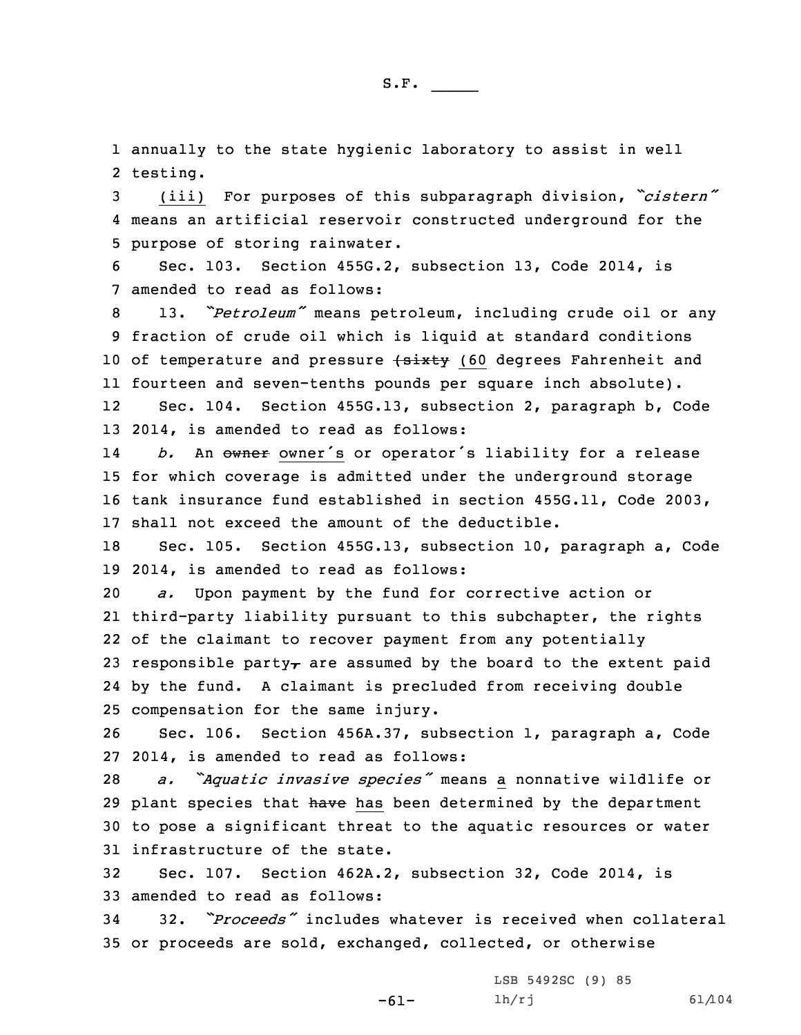1 annually to the state hygienic laboratory to assist in well 2 testing.

<sup>3</sup> (iii) For purposes of this subparagraph division, *"cistern"* 4 means an artificial reservoir constructed underground for the 5 purpose of storing rainwater.

6 Sec. 103. Section 455G.2, subsection 13, Code 2014, is 7 amended to read as follows:

<sup>8</sup> 13. *"Petroleum"* means petroleum, including crude oil or any 9 fraction of crude oil which is liquid at standard conditions 10 of temperature and pressure (sixty (60 degrees Fahrenheit and 11 fourteen and seven-tenths pounds per square inch absolute). 12Sec. 104. Section 455G.13, subsection 2, paragraph b, Code

13 2014, is amended to read as follows:

14b. An owner owner's or operator's liability for a release 15 for which coverage is admitted under the underground storage 16 tank insurance fund established in section 455G.11, Code 2003, 17 shall not exceed the amount of the deductible.

18 Sec. 105. Section 455G.13, subsection 10, paragraph a, Code 19 2014, is amended to read as follows:

 *a.* Upon payment by the fund for corrective action or third-party liability pursuant to this subchapter, the rights of the claimant to recover payment from any potentially 23 responsible party<sub> $\tau$ </sub> are assumed by the board to the extent paid by the fund. <sup>A</sup> claimant is precluded from receiving double compensation for the same injury.

26 Sec. 106. Section 456A.37, subsection 1, paragraph a, Code 27 2014, is amended to read as follows:

 *a. "Aquatic invasive species"* means <sup>a</sup> nonnative wildlife or 29 plant species that have has been determined by the department to pose <sup>a</sup> significant threat to the aquatic resources or water infrastructure of the state.

32 Sec. 107. Section 462A.2, subsection 32, Code 2014, is 33 amended to read as follows:

34 32. *"Proceeds"* includes whatever is received when collateral 35 or proceeds are sold, exchanged, collected, or otherwise

> -61- LSB 5492SC (9) 85 lh/rj 61/104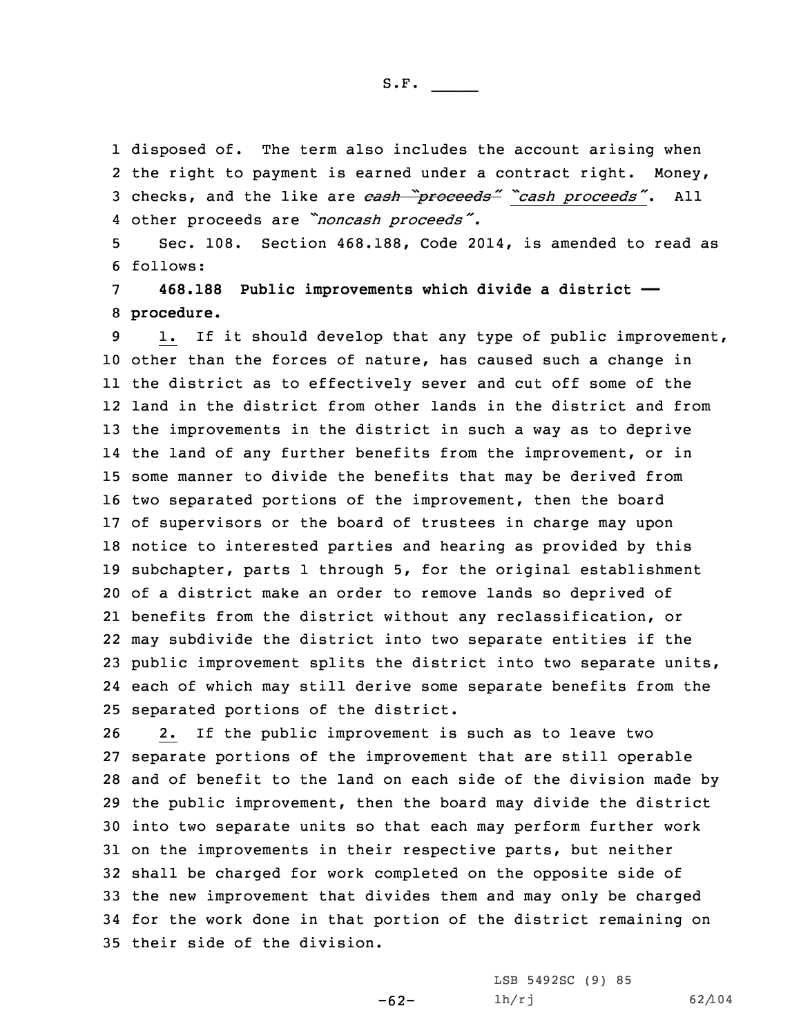disposed of. The term also includes the account arising when 2 the right to payment is earned under a contract right. Money, checks, and the like are *cash "proceeds" "cash proceeds"*. All other proceeds are *"noncash proceeds"*.

5 Sec. 108. Section 468.188, Code 2014, is amended to read as 6 follows:

7 **468.188 Public improvements which divide <sup>a</sup> district ——** 8 **procedure.**

 1. If it should develop that any type of public improvement, other than the forces of nature, has caused such <sup>a</sup> change in the district as to effectively sever and cut off some of the land in the district from other lands in the district and from the improvements in the district in such <sup>a</sup> way as to deprive the land of any further benefits from the improvement, or in some manner to divide the benefits that may be derived from two separated portions of the improvement, then the board of supervisors or the board of trustees in charge may upon notice to interested parties and hearing as provided by this subchapter, parts 1 through 5, for the original establishment of <sup>a</sup> district make an order to remove lands so deprived of benefits from the district without any reclassification, or may subdivide the district into two separate entities if the public improvement splits the district into two separate units, each of which may still derive some separate benefits from the separated portions of the district.

 2. If the public improvement is such as to leave two separate portions of the improvement that are still operable and of benefit to the land on each side of the division made by the public improvement, then the board may divide the district into two separate units so that each may perform further work on the improvements in their respective parts, but neither shall be charged for work completed on the opposite side of the new improvement that divides them and may only be charged for the work done in that portion of the district remaining on their side of the division.

-62-

LSB 5492SC (9) 85 lh/rj 62/104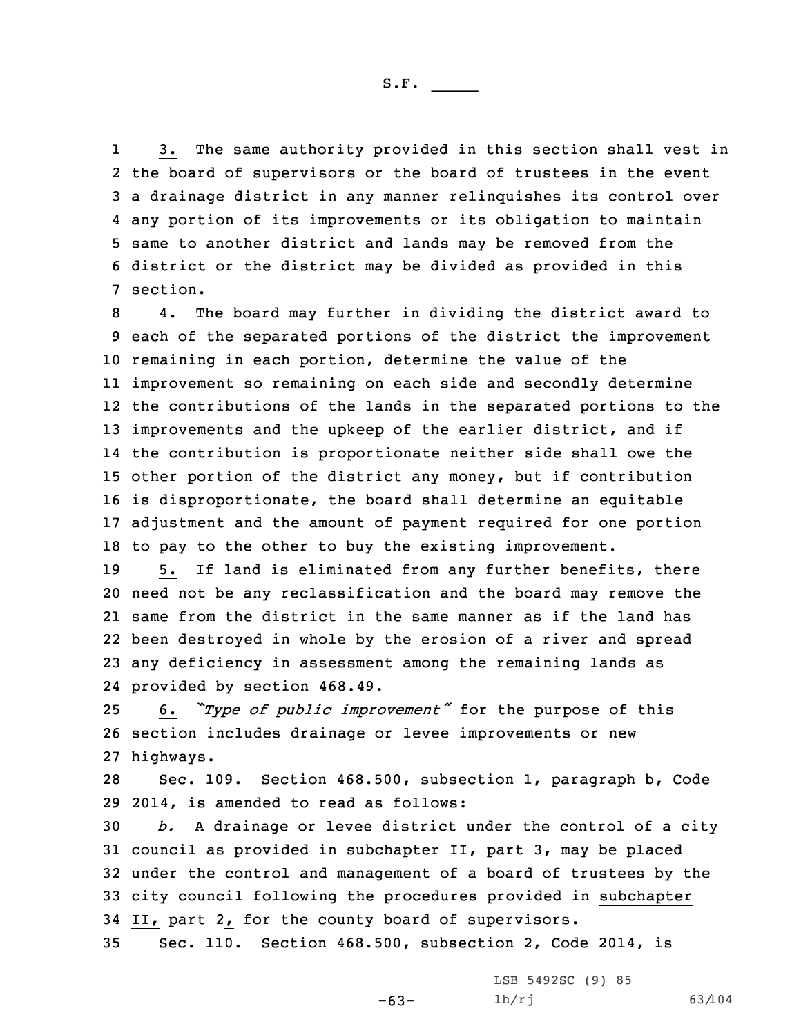1 3. The same authority provided in this section shall vest in the board of supervisors or the board of trustees in the event <sup>a</sup> drainage district in any manner relinquishes its control over any portion of its improvements or its obligation to maintain same to another district and lands may be removed from the district or the district may be divided as provided in this 7 section.

 4. The board may further in dividing the district award to each of the separated portions of the district the improvement remaining in each portion, determine the value of the improvement so remaining on each side and secondly determine the contributions of the lands in the separated portions to the 13 improvements and the upkeep of the earlier district, and if the contribution is proportionate neither side shall owe the other portion of the district any money, but if contribution is disproportionate, the board shall determine an equitable adjustment and the amount of payment required for one portion to pay to the other to buy the existing improvement.

 5. If land is eliminated from any further benefits, there need not be any reclassification and the board may remove the same from the district in the same manner as if the land has been destroyed in whole by the erosion of <sup>a</sup> river and spread any deficiency in assessment among the remaining lands as provided by section 468.49.

<sup>25</sup> 6. *"Type of public improvement"* for the purpose of this 26 section includes drainage or levee improvements or new 27 highways.

28 Sec. 109. Section 468.500, subsection 1, paragraph b, Code 29 2014, is amended to read as follows:

 *b.* <sup>A</sup> drainage or levee district under the control of <sup>a</sup> city council as provided in subchapter II, part 3, may be placed under the control and management of <sup>a</sup> board of trustees by the city council following the procedures provided in subchapter II, part 2, for the county board of supervisors.

-63-

35 Sec. 110. Section 468.500, subsection 2, Code 2014, is

LSB 5492SC (9) 85 lh/rj 63/104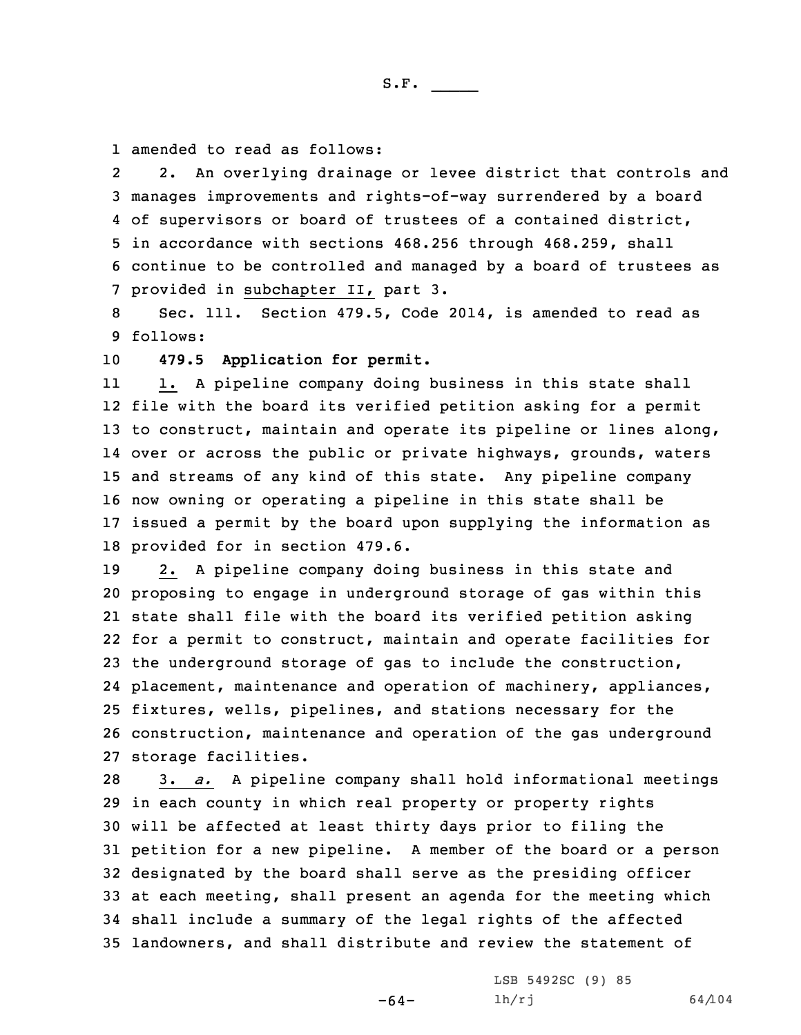1 amended to read as follows:

2 2. An overlying drainage or levee district that controls and manages improvements and rights-of-way surrendered by <sup>a</sup> board of supervisors or board of trustees of <sup>a</sup> contained district, in accordance with sections 468.256 through 468.259, shall continue to be controlled and managed by <sup>a</sup> board of trustees as provided in subchapter II, part 3.

8 Sec. 111. Section 479.5, Code 2014, is amended to read as 9 follows:

10 **479.5 Application for permit.**

11 1. <sup>A</sup> pipeline company doing business in this state shall file with the board its verified petition asking for <sup>a</sup> permit to construct, maintain and operate its pipeline or lines along, over or across the public or private highways, grounds, waters and streams of any kind of this state. Any pipeline company now owning or operating <sup>a</sup> pipeline in this state shall be issued <sup>a</sup> permit by the board upon supplying the information as provided for in section 479.6.

 2. <sup>A</sup> pipeline company doing business in this state and proposing to engage in underground storage of gas within this state shall file with the board its verified petition asking for <sup>a</sup> permit to construct, maintain and operate facilities for the underground storage of gas to include the construction, placement, maintenance and operation of machinery, appliances, fixtures, wells, pipelines, and stations necessary for the construction, maintenance and operation of the gas underground storage facilities.

 3. *a.* <sup>A</sup> pipeline company shall hold informational meetings in each county in which real property or property rights will be affected at least thirty days prior to filing the petition for <sup>a</sup> new pipeline. <sup>A</sup> member of the board or <sup>a</sup> person designated by the board shall serve as the presiding officer at each meeting, shall present an agenda for the meeting which shall include <sup>a</sup> summary of the legal rights of the affected landowners, and shall distribute and review the statement of

-64-

LSB 5492SC (9) 85  $1h/rj$  64/104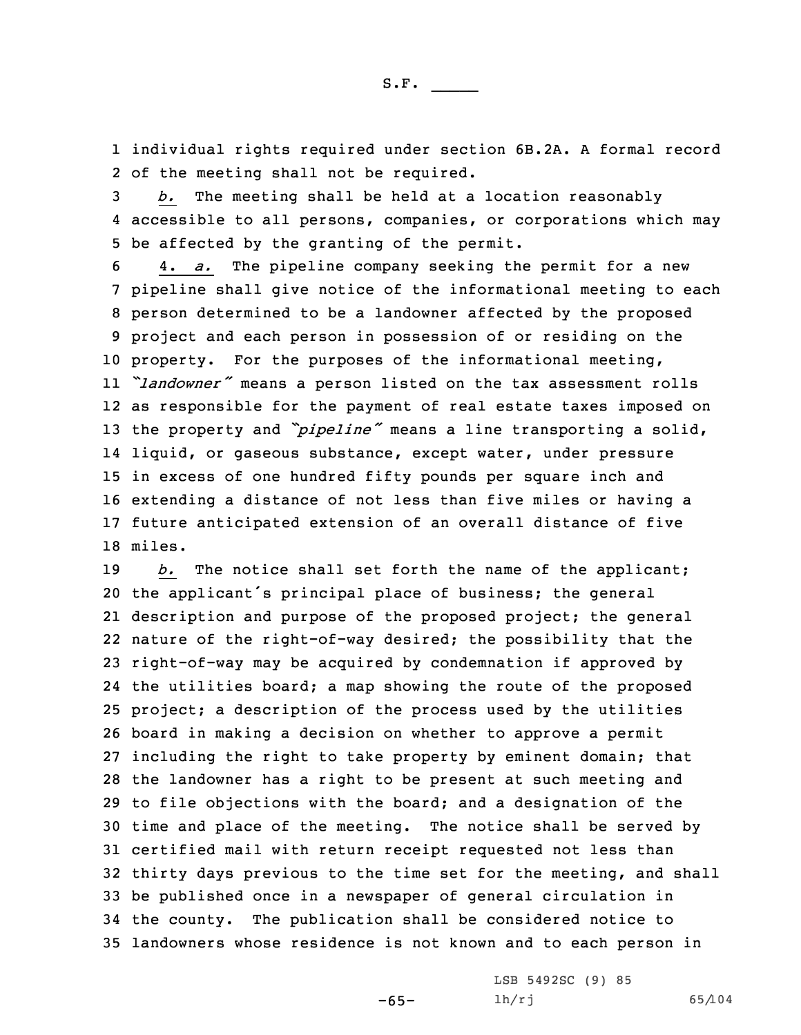1 individual rights required under section 6B.2A. <sup>A</sup> formal record 2 of the meeting shall not be required.

3 *b.* The meeting shall be held at <sup>a</sup> location reasonably 4 accessible to all persons, companies, or corporations which may 5 be affected by the granting of the permit.

 4. *a.* The pipeline company seeking the permit for <sup>a</sup> new pipeline shall give notice of the informational meeting to each person determined to be <sup>a</sup> landowner affected by the proposed project and each person in possession of or residing on the property. For the purposes of the informational meeting, *"landowner"* means <sup>a</sup> person listed on the tax assessment rolls as responsible for the payment of real estate taxes imposed on the property and *"pipeline"* means <sup>a</sup> line transporting <sup>a</sup> solid, liquid, or gaseous substance, except water, under pressure in excess of one hundred fifty pounds per square inch and extending <sup>a</sup> distance of not less than five miles or having <sup>a</sup> future anticipated extension of an overall distance of five 18 miles.

 *b.* The notice shall set forth the name of the applicant; the applicant's principal place of business; the general description and purpose of the proposed project; the general nature of the right-of-way desired; the possibility that the right-of-way may be acquired by condemnation if approved by the utilities board; <sup>a</sup> map showing the route of the proposed project; <sup>a</sup> description of the process used by the utilities board in making <sup>a</sup> decision on whether to approve <sup>a</sup> permit including the right to take property by eminent domain; that the landowner has <sup>a</sup> right to be present at such meeting and to file objections with the board; and <sup>a</sup> designation of the time and place of the meeting. The notice shall be served by certified mail with return receipt requested not less than thirty days previous to the time set for the meeting, and shall be published once in <sup>a</sup> newspaper of general circulation in the county. The publication shall be considered notice to landowners whose residence is not known and to each person in

-65-

LSB 5492SC (9) 85 lh/rj 65/104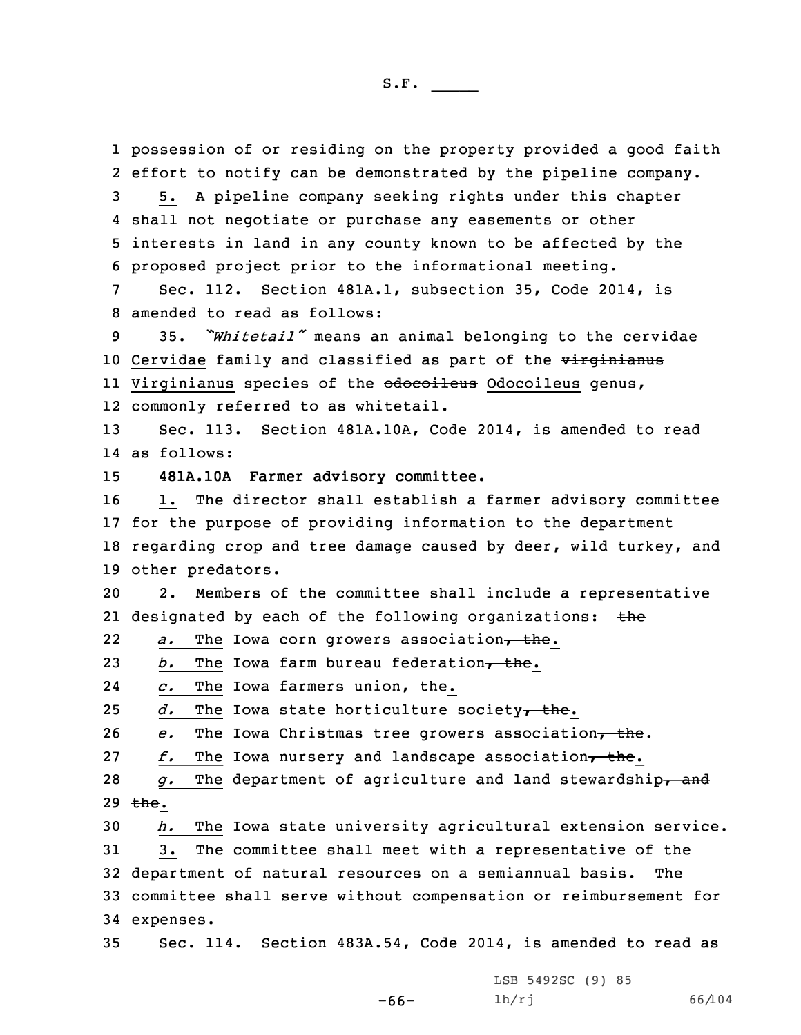possession of or residing on the property provided <sup>a</sup> good faith effort to notify can be demonstrated by the pipeline company. 5. <sup>A</sup> pipeline company seeking rights under this chapter shall not negotiate or purchase any easements or other interests in land in any county known to be affected by the proposed project prior to the informational meeting. Sec. 112. Section 481A.1, subsection 35, Code 2014, is amended to read as follows: 35. *"Whitetail"* means an animal belonging to the cervidae 10 Cervidae family and classified as part of the virginianus ll Virginianus species of the <del>odocoileus</del> Odocoileus genus, commonly referred to as whitetail. Sec. 113. Section 481A.10A, Code 2014, is amended to read as follows: **481A.10A Farmer advisory committee.** 1. The director shall establish <sup>a</sup> farmer advisory committee for the purpose of providing information to the department regarding crop and tree damage caused by deer, wild turkey, and other predators. 2. Members of the committee shall include <sup>a</sup> representative 21 designated by each of the following organizations: the 22a. The Iowa corn growers association, the. *b.* The Iowa farm bureau federation, the. 24c. The Iowa farmers union, the.  $d.$  The Iowa state horticulture society<sub>7</sub> the. *e.* The Iowa Christmas tree growers association, the. *f.* The Iowa nursery and landscape association, the. *g.* The department of agriculture and land stewardship<sub>r</sub> and 29  $the.$  *h.* The Iowa state university agricultural extension service. 3. The committee shall meet with <sup>a</sup> representative of the department of natural resources on <sup>a</sup> semiannual basis. The committee shall serve without compensation or reimbursement for expenses. Sec. 114. Section 483A.54, Code 2014, is amended to read as

-66-

LSB 5492SC (9) 85 lh/rj 66/104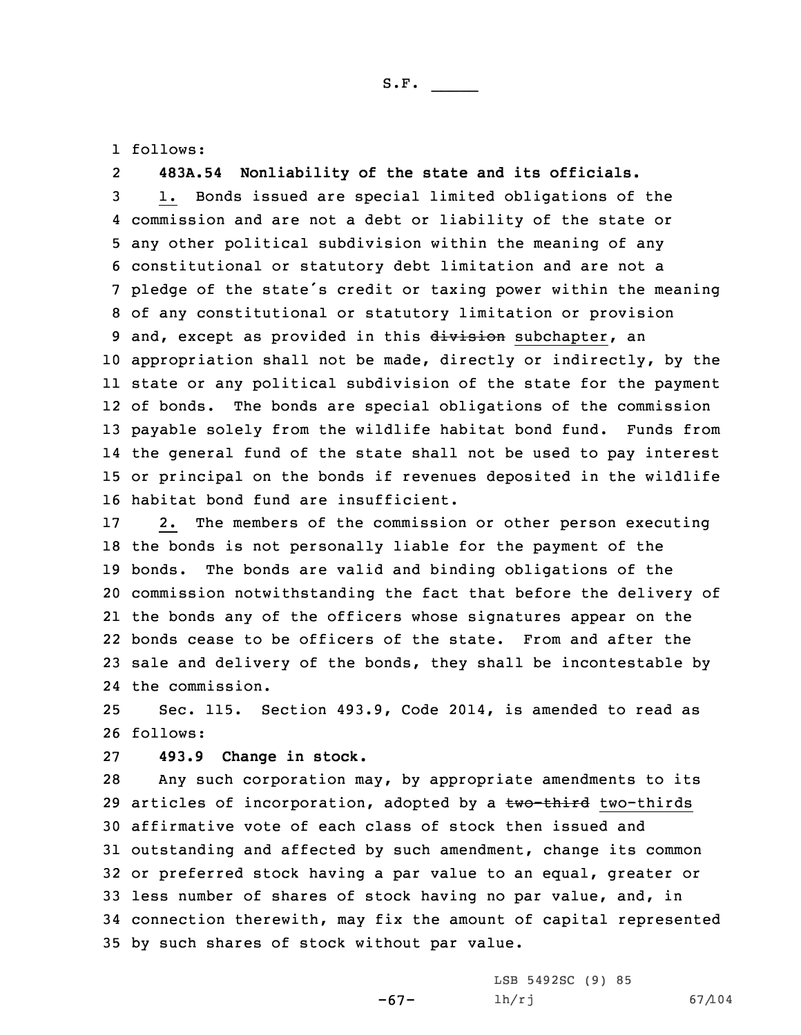1 follows:

2**483A.54 Nonliability of the state and its officials.**

 1. Bonds issued are special limited obligations of the commission and are not <sup>a</sup> debt or liability of the state or any other political subdivision within the meaning of any constitutional or statutory debt limitation and are not <sup>a</sup> pledge of the state's credit or taxing power within the meaning of any constitutional or statutory limitation or provision 9 and, except as provided in this division subchapter, an appropriation shall not be made, directly or indirectly, by the state or any political subdivision of the state for the payment of bonds. The bonds are special obligations of the commission payable solely from the wildlife habitat bond fund. Funds from the general fund of the state shall not be used to pay interest or principal on the bonds if revenues deposited in the wildlife habitat bond fund are insufficient.

 2. The members of the commission or other person executing the bonds is not personally liable for the payment of the bonds. The bonds are valid and binding obligations of the commission notwithstanding the fact that before the delivery of the bonds any of the officers whose signatures appear on the bonds cease to be officers of the state. From and after the sale and delivery of the bonds, they shall be incontestable by the commission.

25 Sec. 115. Section 493.9, Code 2014, is amended to read as 26 follows:

27 **493.9 Change in stock.**

 Any such corporation may, by appropriate amendments to its 29 articles of incorporation, adopted by a two-third two-thirds affirmative vote of each class of stock then issued and outstanding and affected by such amendment, change its common or preferred stock having <sup>a</sup> par value to an equal, greater or less number of shares of stock having no par value, and, in connection therewith, may fix the amount of capital represented by such shares of stock without par value.

-67-

LSB 5492SC (9) 85 lh/rj 67/104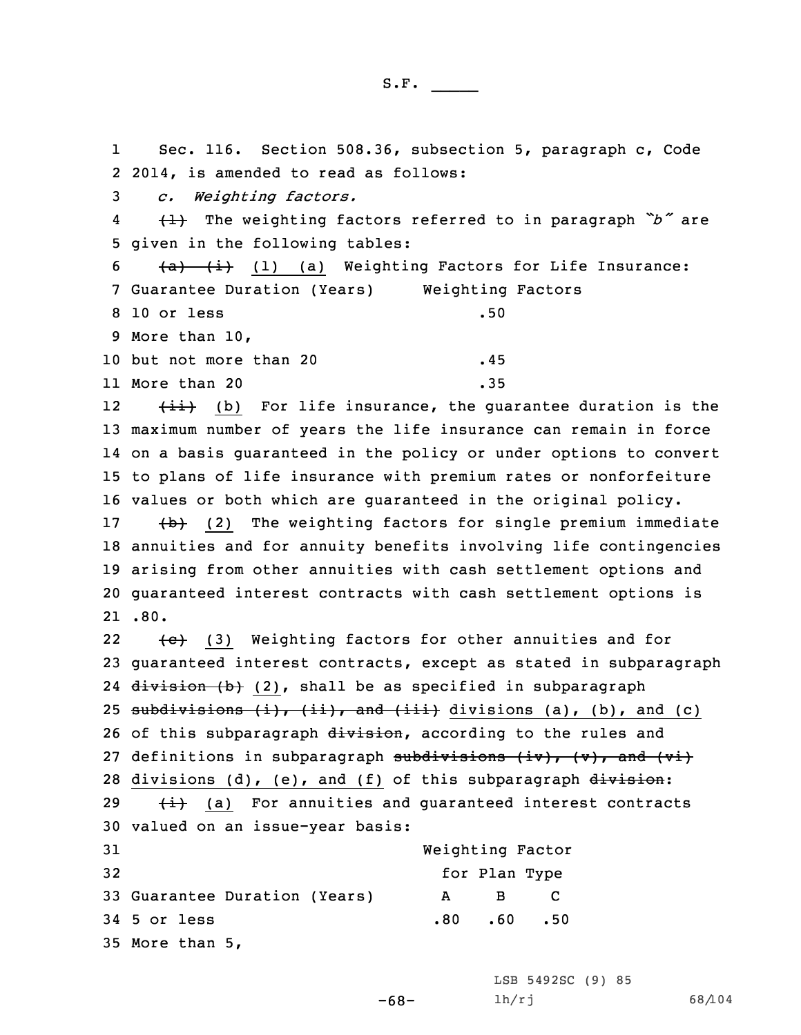1 Sec. 116. Section 508.36, subsection 5, paragraph c, Code 2 2014, is amended to read as follows:

3 *c. Weighting factors.*

4 (1) The weighting factors referred to in paragraph *"b"* are 5 given in the following tables:

 $6$   $\overline{a}$   $\overline{i}$   $\overline{i}$   $(1)$   $(a)$  Weighting Factors for Life Insurance: 7 Guarantee Duration (Years) Weighting Factors 8 10 or less .50 9 More than 10, 10 but not more than 20 .45 11 More than 20 **.35** 

12 $\{\pm i\}$  (b) For life insurance, the guarantee duration is the maximum number of years the life insurance can remain in force on <sup>a</sup> basis guaranteed in the policy or under options to convert to plans of life insurance with premium rates or nonforfeiture values or both which are guaranteed in the original policy.

17 (b) (2) The weighting factors for single premium immediate 18 annuities and for annuity benefits involving life contingencies 19 arising from other annuities with cash settlement options and 20 guaranteed interest contracts with cash settlement options is 21 .80.

22 $\{e\}$  (3) Weighting factors for other annuities and for 23 guaranteed interest contracts, except as stated in subparagraph 24 <del>division (b)</del> (2), shall be as specified in subparagraph 25 subdivisions  $(i)$ ,  $(ii)$ , and  $(iii)$  divisions  $(a)$ ,  $(b)$ , and  $(c)$ 26 of this subparagraph division, according to the rules and 27 definitions in subparagraph subdivisions  $(iv)$ ,  $(v)$ , and  $(vi)$ 28 divisions  $(d)$ ,  $(e)$ , and  $(f)$  of this subparagraph  $division$ : 29  $\leftarrow$   $\leftarrow$  (a) For annuities and guaranteed interest contracts 30 valued on an issue-year basis: 31 Weighting Factor

 $-68-$ 

| 3 L |                               |  |  | Weighting Factor |               |     |
|-----|-------------------------------|--|--|------------------|---------------|-----|
| 32  |                               |  |  |                  | for Plan Type |     |
|     | 33 Guarantee Duration (Years) |  |  | $\mathbf{A}$     | - B           |     |
|     | 34 5 or less                  |  |  | .80              | .60           | .50 |
|     | 35 More than 5,               |  |  |                  |               |     |

LSB 5492SC (9) 85 lh/rj 68/104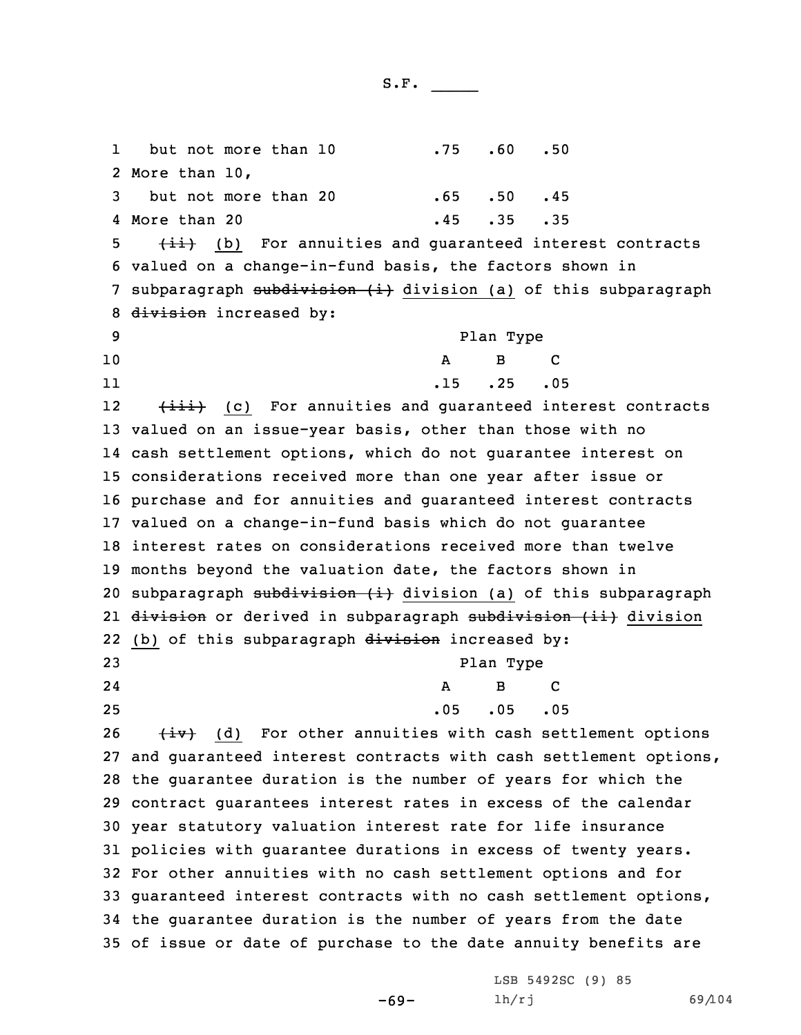1but not more than 10 .75 .60 .50 2 More than 10, 3 but not more than 20 .65 .50 .45 4 More than 20 .45 .35 .35 5 (ii) (b) For annuities and guaranteed interest contracts 6 valued on <sup>a</sup> change-in-fund basis, the factors shown in 7 subparagraph subdivision (i) division (a) of this subparagraph 8 division increased by: 9 Plan Type 10 A B C 11 .15 .25 .05 12(iii) (c) For annuities and guaranteed interest contracts 13 valued on an issue-year basis, other than those with no 14 cash settlement options, which do not guarantee interest on 15 considerations received more than one year after issue or 16 purchase and for annuities and guaranteed interest contracts 17 valued on <sup>a</sup> change-in-fund basis which do not guarantee 18 interest rates on considerations received more than twelve 19 months beyond the valuation date, the factors shown in 20 subparagraph subdivision (i) division (a) of this subparagraph 21 <del>division</del> or derived in subparagraph <del>subdivision (ii)</del> division 22 (b) of this subparagraph division increased by: 23 Plan Type 2424 A B C 25 .05 .05 .05  $26$   $\leftarrow$   $\leftarrow$   $\leftarrow$   $\leftarrow$   $\leftarrow$   $\leftarrow$   $\leftarrow$   $\leftarrow$   $\leftarrow$   $\leftarrow$   $\leftarrow$   $\leftarrow$   $\leftarrow$   $\leftarrow$   $\leftarrow$   $\leftarrow$   $\leftarrow$   $\leftarrow$   $\leftarrow$   $\leftarrow$   $\leftarrow$   $\leftarrow$   $\leftarrow$   $\leftarrow$   $\leftarrow$   $\leftarrow$   $\leftarrow$   $\leftarrow$   $\leftarrow$   $\leftarrow$   $\leftarrow$   $\leftarrow$   $\leftarrow$   $\leftarrow$   $\leftarrow$   $\leftarrow$  27 and guaranteed interest contracts with cash settlement options, 28 the guarantee duration is the number of years for which the 29 contract guarantees interest rates in excess of the calendar 30 year statutory valuation interest rate for life insurance 31 policies with guarantee durations in excess of twenty years. 32 For other annuities with no cash settlement options and for 33 guaranteed interest contracts with no cash settlement options, 34 the guarantee duration is the number of years from the date 35 of issue or date of purchase to the date annuity benefits are

-69-

LSB 5492SC (9) 85 lh/rj 69/104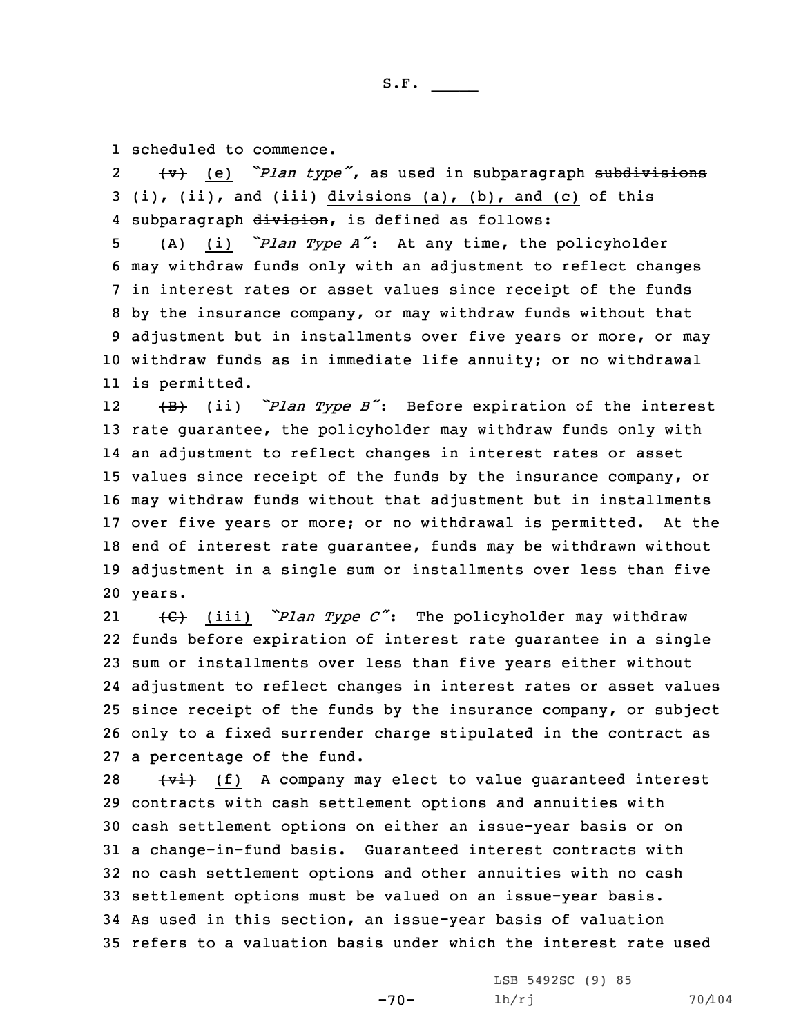1 scheduled to commence.

2 (v) (e) *"Plan type"*, as used in subparagraph subdivisions  $3$   $(i)$ ,  $(i)$ , and  $(iii)$  divisions (a), (b), and (c) of this 4 subparagraph division, is defined as follows:

 (A) (i) *"Plan Type <sup>A</sup>"*: At any time, the policyholder may withdraw funds only with an adjustment to reflect changes in interest rates or asset values since receipt of the funds by the insurance company, or may withdraw funds without that adjustment but in installments over five years or more, or may withdraw funds as in immediate life annuity; or no withdrawal is permitted.

12 (B) (ii) *"Plan Type <sup>B</sup>"*: Before expiration of the interest rate guarantee, the policyholder may withdraw funds only with an adjustment to reflect changes in interest rates or asset values since receipt of the funds by the insurance company, or may withdraw funds without that adjustment but in installments over five years or more; or no withdrawal is permitted. At the end of interest rate guarantee, funds may be withdrawn without adjustment in <sup>a</sup> single sum or installments over less than five 20 years.

21 (C) (iii) *"Plan Type <sup>C</sup>"*: The policyholder may withdraw funds before expiration of interest rate guarantee in <sup>a</sup> single sum or installments over less than five years either without adjustment to reflect changes in interest rates or asset values since receipt of the funds by the insurance company, or subject only to <sup>a</sup> fixed surrender charge stipulated in the contract as <sup>a</sup> percentage of the fund.

  $\left\{\text{v}^{\frac{1}{2}}\right\}$  (f) A company may elect to value guaranteed interest contracts with cash settlement options and annuities with cash settlement options on either an issue-year basis or on <sup>a</sup> change-in-fund basis. Guaranteed interest contracts with no cash settlement options and other annuities with no cash settlement options must be valued on an issue-year basis. As used in this section, an issue-year basis of valuation refers to <sup>a</sup> valuation basis under which the interest rate used

-70-

LSB 5492SC (9) 85 lh/rj 70/104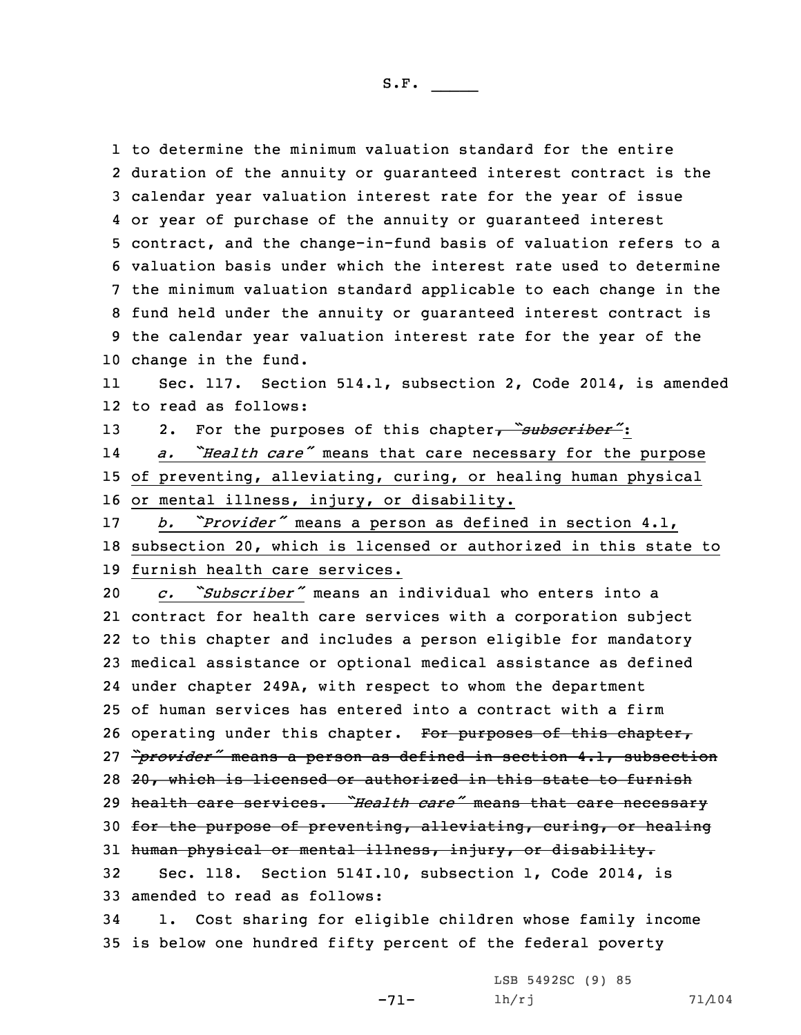to determine the minimum valuation standard for the entire duration of the annuity or guaranteed interest contract is the calendar year valuation interest rate for the year of issue or year of purchase of the annuity or guaranteed interest contract, and the change-in-fund basis of valuation refers to <sup>a</sup> valuation basis under which the interest rate used to determine the minimum valuation standard applicable to each change in the fund held under the annuity or guaranteed interest contract is the calendar year valuation interest rate for the year of the change in the fund.

11 Sec. 117. Section 514.1, subsection 2, Code 2014, is amended 12 to read as follows:

13 2. For the purposes of this chapter, *"subscriber"*:

14 *a. "Health care"* means that care necessary for the purpose 15 of preventing, alleviating, curing, or healing human physical 16 or mental illness, injury, or disability.

<sup>17</sup> *b. "Provider"* means <sup>a</sup> person as defined in section 4.1, 18 subsection 20, which is licensed or authorized in this state to 19 furnish health care services.

 *c. "Subscriber"* means an individual who enters into <sup>a</sup> contract for health care services with <sup>a</sup> corporation subject to this chapter and includes <sup>a</sup> person eligible for mandatory medical assistance or optional medical assistance as defined under chapter 249A, with respect to whom the department of human services has entered into <sup>a</sup> contract with <sup>a</sup> firm 26 operating under this chapter. For purposes of this chapter, *"provider"* means <sup>a</sup> person as defined in section 4.1, subsection 20, which is licensed or authorized in this state to furnish health care services. *"Health care"* means that care necessary for the purpose of preventing, alleviating, curing, or healing human physical or mental illness, injury, or disability. Sec. 118. Section 514I.10, subsection 1, Code 2014, is amended to read as follows: 1. Cost sharing for eligible children whose family income

35 is below one hundred fifty percent of the federal poverty

-71-

LSB 5492SC (9) 85 lh/rj 71/104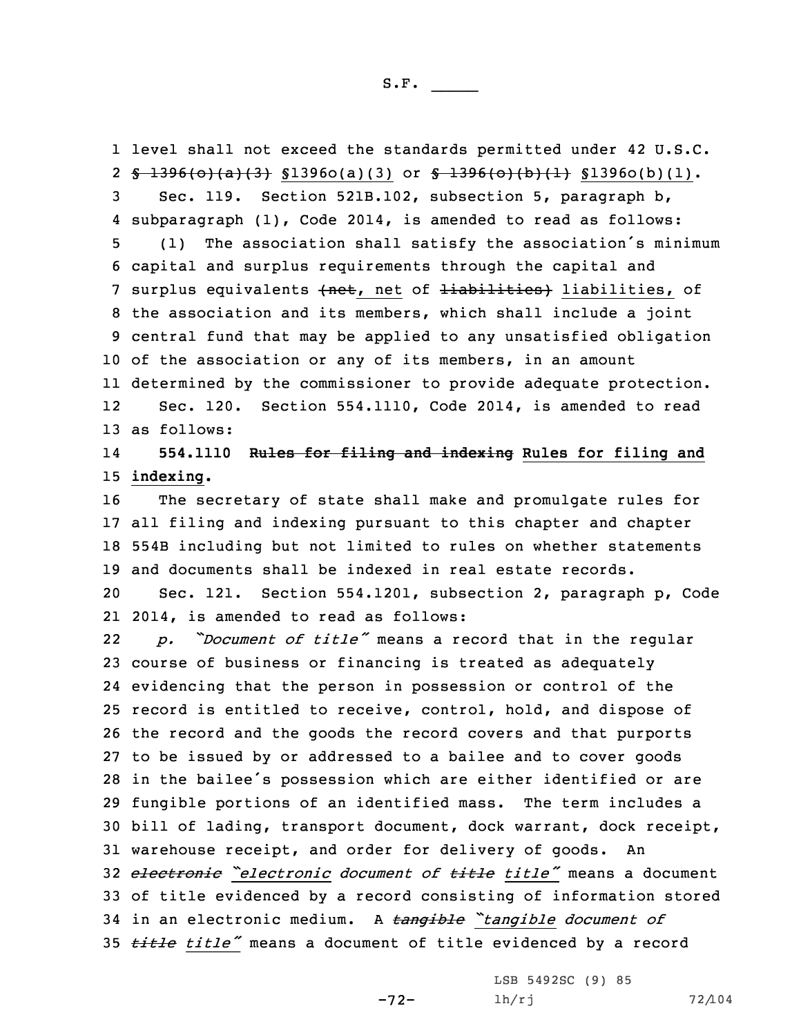level shall not exceed the standards permitted under 42 U.S.C. 2 <del>§ 1396(o)(a)(3)</del> §1396o(a)(3) or <del>§ 1396(o)(b)(1)</del> §1396o(b)(1). Sec. 119. Section 521B.102, subsection 5, paragraph b, subparagraph (1), Code 2014, is amended to read as follows: (1) The association shall satisfy the association's minimum capital and surplus requirements through the capital and 7 surplus equivalents (net, net of liabilities) liabilities, of the association and its members, which shall include <sup>a</sup> joint central fund that may be applied to any unsatisfied obligation of the association or any of its members, in an amount determined by the commissioner to provide adequate protection. 12 Sec. 120. Section 554.1110, Code 2014, is amended to read as follows:

## 14 **554.1110 Rules for filing and indexing Rules for filing and** 15 **indexing.**

 The secretary of state shall make and promulgate rules for all filing and indexing pursuant to this chapter and chapter 554B including but not limited to rules on whether statements and documents shall be indexed in real estate records.

20 Sec. 121. Section 554.1201, subsection 2, paragraph p, Code 21 2014, is amended to read as follows:

22 *p. "Document of title"* means <sup>a</sup> record that in the regular course of business or financing is treated as adequately evidencing that the person in possession or control of the record is entitled to receive, control, hold, and dispose of the record and the goods the record covers and that purports to be issued by or addressed to <sup>a</sup> bailee and to cover goods in the bailee's possession which are either identified or are fungible portions of an identified mass. The term includes <sup>a</sup> bill of lading, transport document, dock warrant, dock receipt, warehouse receipt, and order for delivery of goods. An *electronic "electronic document of title title"* means <sup>a</sup> document of title evidenced by <sup>a</sup> record consisting of information stored in an electronic medium. <sup>A</sup> *tangible "tangible document of title title"* means <sup>a</sup> document of title evidenced by <sup>a</sup> record

-72-

LSB 5492SC (9) 85 lh/rj 72/104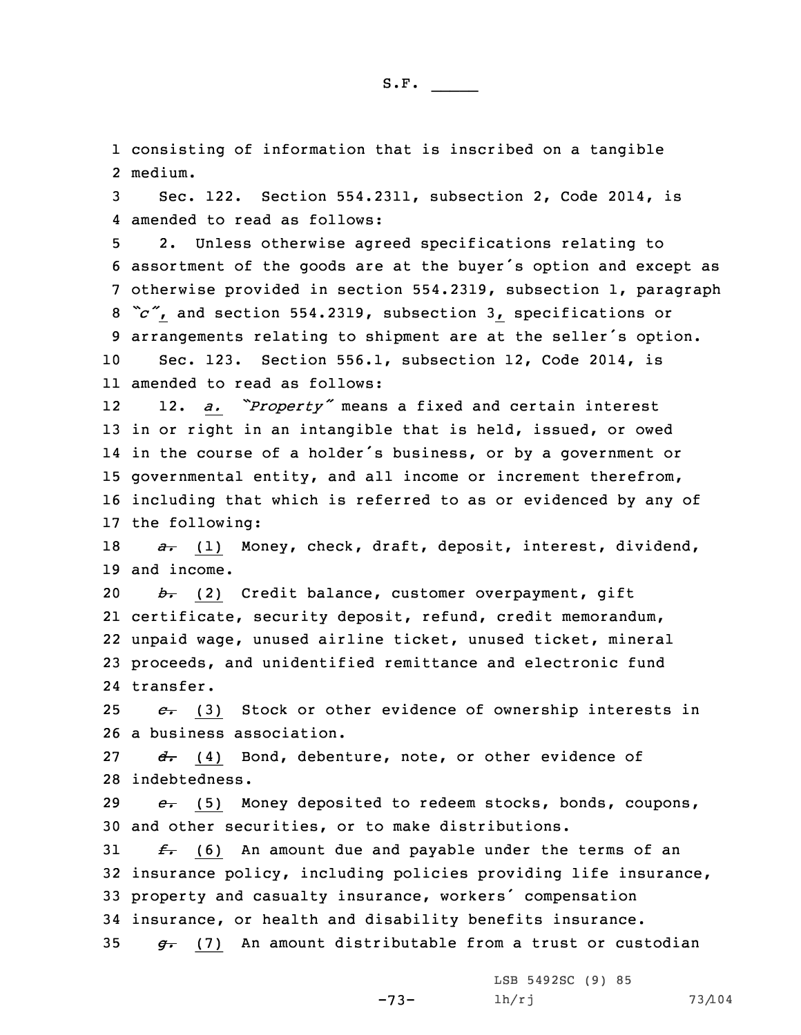1 consisting of information that is inscribed on <sup>a</sup> tangible 2 medium.

3 Sec. 122. Section 554.2311, subsection 2, Code 2014, is 4 amended to read as follows:

 2. Unless otherwise agreed specifications relating to assortment of the goods are at the buyer's option and except as otherwise provided in section 554.2319, subsection 1, paragraph *"c"*, and section 554.2319, subsection 3, specifications or arrangements relating to shipment are at the seller's option. Sec. 123. Section 556.1, subsection 12, Code 2014, is amended to read as follows:

12 12. *a. "Property"* means <sup>a</sup> fixed and certain interest in or right in an intangible that is held, issued, or owed in the course of <sup>a</sup> holder's business, or by <sup>a</sup> government or governmental entity, and all income or increment therefrom, including that which is referred to as or evidenced by any of the following:

18 *a.* (1) Money, check, draft, deposit, interest, dividend, 19 and income.

 *b.* (2) Credit balance, customer overpayment, gift certificate, security deposit, refund, credit memorandum, unpaid wage, unused airline ticket, unused ticket, mineral proceeds, and unidentified remittance and electronic fund transfer.

25 *c.* (3) Stock or other evidence of ownership interests in 26 <sup>a</sup> business association.

27 *d.* (4) Bond, debenture, note, or other evidence of 28 indebtedness.

29 *e.* (5) Money deposited to redeem stocks, bonds, coupons, 30 and other securities, or to make distributions.

 *f.* (6) An amount due and payable under the terms of an insurance policy, including policies providing life insurance, property and casualty insurance, workers' compensation insurance, or health and disability benefits insurance. *g.* (7) An amount distributable from <sup>a</sup> trust or custodian

-73-

LSB 5492SC (9) 85 lh/rj 73/104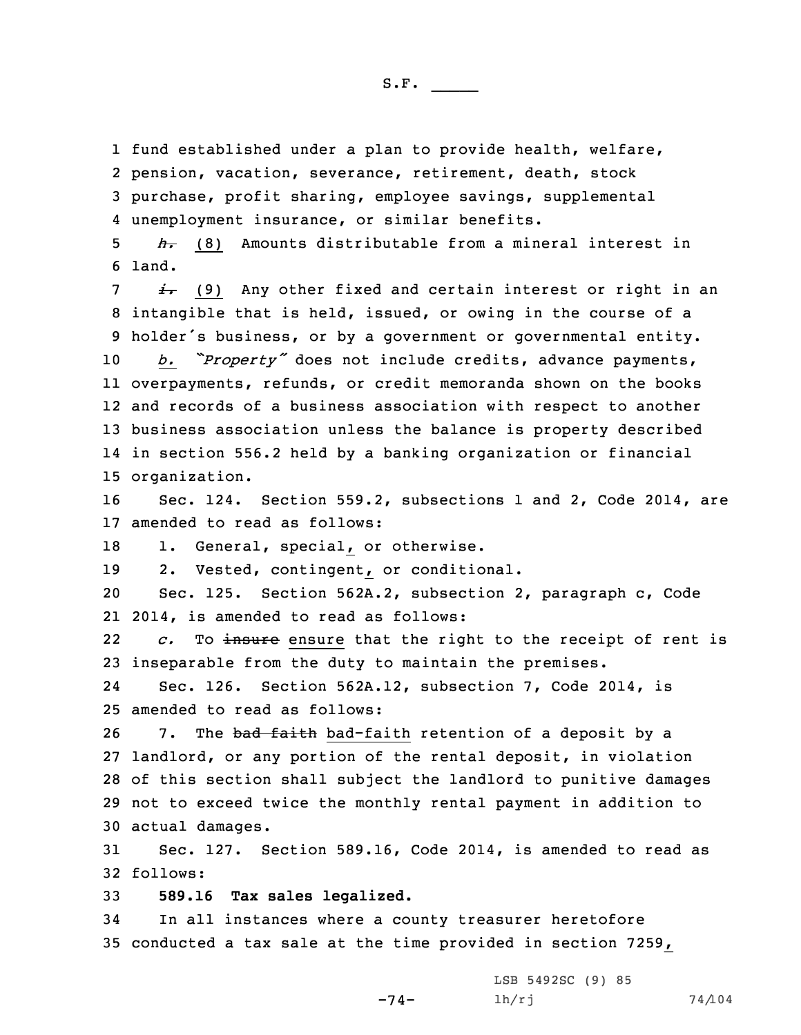fund established under <sup>a</sup> plan to provide health, welfare, pension, vacation, severance, retirement, death, stock purchase, profit sharing, employee savings, supplemental unemployment insurance, or similar benefits.

5 *h.* (8) Amounts distributable from <sup>a</sup> mineral interest in 6 land.

 *i.* (9) Any other fixed and certain interest or right in an intangible that is held, issued, or owing in the course of <sup>a</sup> holder's business, or by <sup>a</sup> government or governmental entity. *b. "Property"* does not include credits, advance payments, overpayments, refunds, or credit memoranda shown on the books and records of <sup>a</sup> business association with respect to another business association unless the balance is property described in section 556.2 held by <sup>a</sup> banking organization or financial organization.

16 Sec. 124. Section 559.2, subsections 1 and 2, Code 2014, are 17 amended to read as follows:

18 1. General, special, or otherwise.

19 2. Vested, contingent, or conditional.

20 Sec. 125. Section 562A.2, subsection 2, paragraph c, Code 21 2014, is amended to read as follows:

22 *c.* To insure ensure that the right to the receipt of rent is 23 inseparable from the duty to maintain the premises.

24 Sec. 126. Section 562A.12, subsection 7, Code 2014, is 25 amended to read as follows:

26 7. The bad faith bad-faith retention of a deposit by a landlord, or any portion of the rental deposit, in violation of this section shall subject the landlord to punitive damages not to exceed twice the monthly rental payment in addition to actual damages.

31 Sec. 127. Section 589.16, Code 2014, is amended to read as 32 follows:

-74-

33 **589.16 Tax sales legalized.**

34 In all instances where <sup>a</sup> county treasurer heretofore 35 conducted <sup>a</sup> tax sale at the time provided in section 7259,

> LSB 5492SC (9) 85 lh/rj 74/104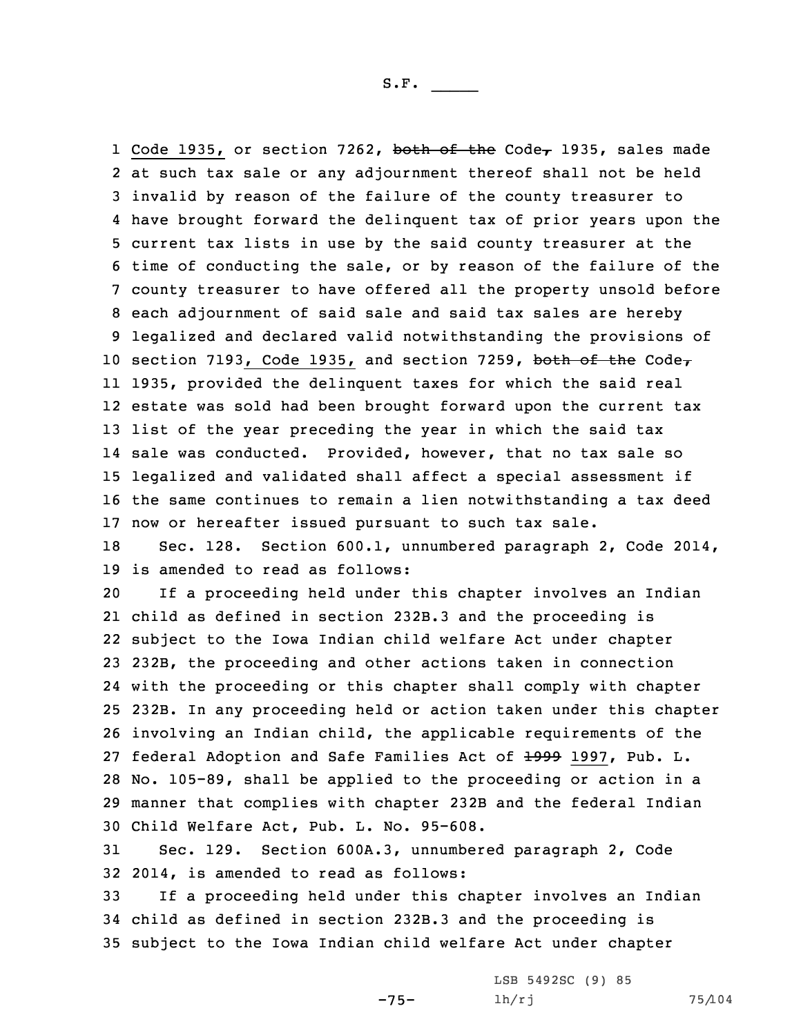1 Code 1935, or section 7262, both of the Code, 1935, sales made at such tax sale or any adjournment thereof shall not be held invalid by reason of the failure of the county treasurer to have brought forward the delinquent tax of prior years upon the current tax lists in use by the said county treasurer at the time of conducting the sale, or by reason of the failure of the county treasurer to have offered all the property unsold before each adjournment of said sale and said tax sales are hereby legalized and declared valid notwithstanding the provisions of 10 section 7193, Code 1935, and section 7259, both of the Code $<sub>7</sub>$ </sub> 1935, provided the delinquent taxes for which the said real estate was sold had been brought forward upon the current tax list of the year preceding the year in which the said tax sale was conducted. Provided, however, that no tax sale so legalized and validated shall affect <sup>a</sup> special assessment if the same continues to remain <sup>a</sup> lien notwithstanding <sup>a</sup> tax deed now or hereafter issued pursuant to such tax sale.

18 Sec. 128. Section 600.1, unnumbered paragraph 2, Code 2014, 19 is amended to read as follows:

 If <sup>a</sup> proceeding held under this chapter involves an Indian child as defined in section 232B.3 and the proceeding is subject to the Iowa Indian child welfare Act under chapter 232B, the proceeding and other actions taken in connection with the proceeding or this chapter shall comply with chapter 232B. In any proceeding held or action taken under this chapter involving an Indian child, the applicable requirements of the 27 federal Adoption and Safe Families Act of +999 1997, Pub. L. No. 105-89, shall be applied to the proceeding or action in <sup>a</sup> manner that complies with chapter 232B and the federal Indian Child Welfare Act, Pub. L. No. 95-608.

31 Sec. 129. Section 600A.3, unnumbered paragraph 2, Code 32 2014, is amended to read as follows:

33 If <sup>a</sup> proceeding held under this chapter involves an Indian 34 child as defined in section 232B.3 and the proceeding is 35 subject to the Iowa Indian child welfare Act under chapter

-75-

LSB 5492SC (9) 85 lh/rj 75/104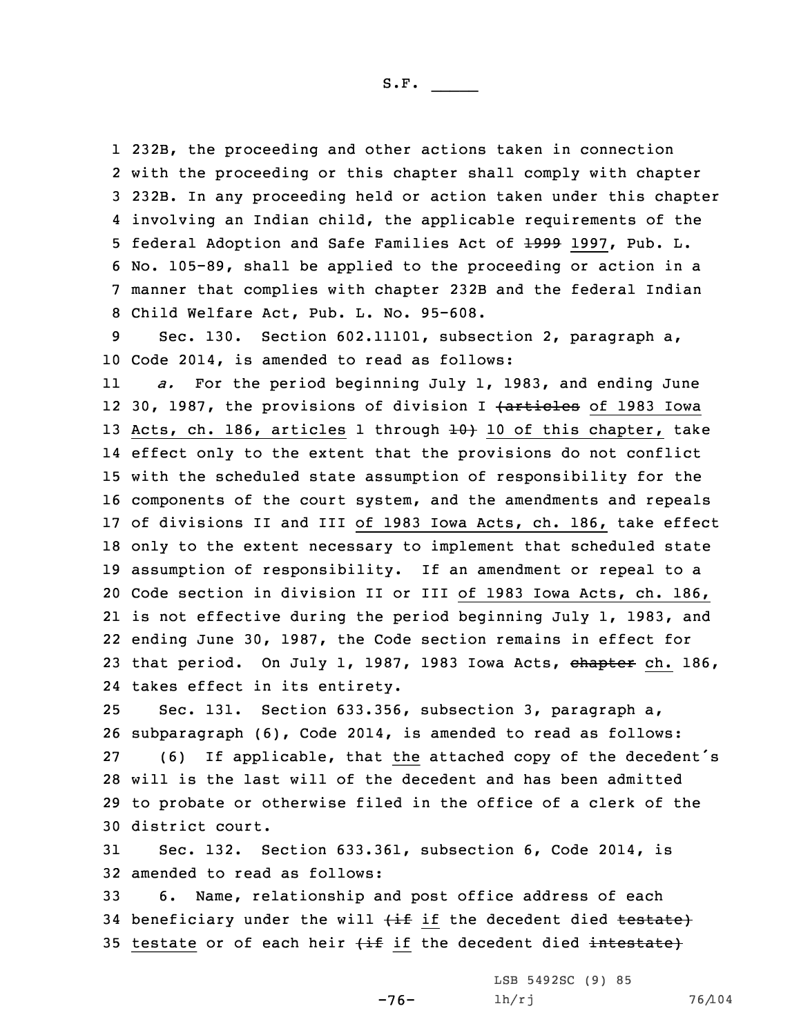232B, the proceeding and other actions taken in connection with the proceeding or this chapter shall comply with chapter 232B. In any proceeding held or action taken under this chapter involving an Indian child, the applicable requirements of the 5 federal Adoption and Safe Families Act of 1999 1997, Pub. L. No. 105-89, shall be applied to the proceeding or action in <sup>a</sup> manner that complies with chapter 232B and the federal Indian Child Welfare Act, Pub. L. No. 95-608.

9 Sec. 130. Section 602.11101, subsection 2, paragraph a, 10 Code 2014, is amended to read as follows:

11 *a.* For the period beginning July 1, 1983, and ending June 12 30, 1987, the provisions of division I <del>(articles</del> of 1983 Iowa 13 Acts, ch. 186, articles 1 through  $\pm 0$  10 of this chapter, take effect only to the extent that the provisions do not conflict with the scheduled state assumption of responsibility for the components of the court system, and the amendments and repeals of divisions II and III of 1983 Iowa Acts, ch. 186, take effect only to the extent necessary to implement that scheduled state assumption of responsibility. If an amendment or repeal to <sup>a</sup> Code section in division II or III of 1983 Iowa Acts, ch. 186, is not effective during the period beginning July 1, 1983, and ending June 30, 1987, the Code section remains in effect for 23 that period. On July 1, 1987, 1983 Iowa Acts, chapter ch. 186, takes effect in its entirety.

 Sec. 131. Section 633.356, subsection 3, paragraph a, subparagraph (6), Code 2014, is amended to read as follows: (6) If applicable, that the attached copy of the decedent's will is the last will of the decedent and has been admitted to probate or otherwise filed in the office of <sup>a</sup> clerk of the district court.

31 Sec. 132. Section 633.361, subsection 6, Code 2014, is 32 amended to read as follows:

33 6. Name, relationship and post office address of each 34 beneficiary under the will  $\{\pm f\}$  if the decedent died  $\pm$ estate) 35 testate or of each heir  $\{\pm f\}$  if the decedent died intestate)

-76-

LSB 5492SC (9) 85 lh/rj 76/104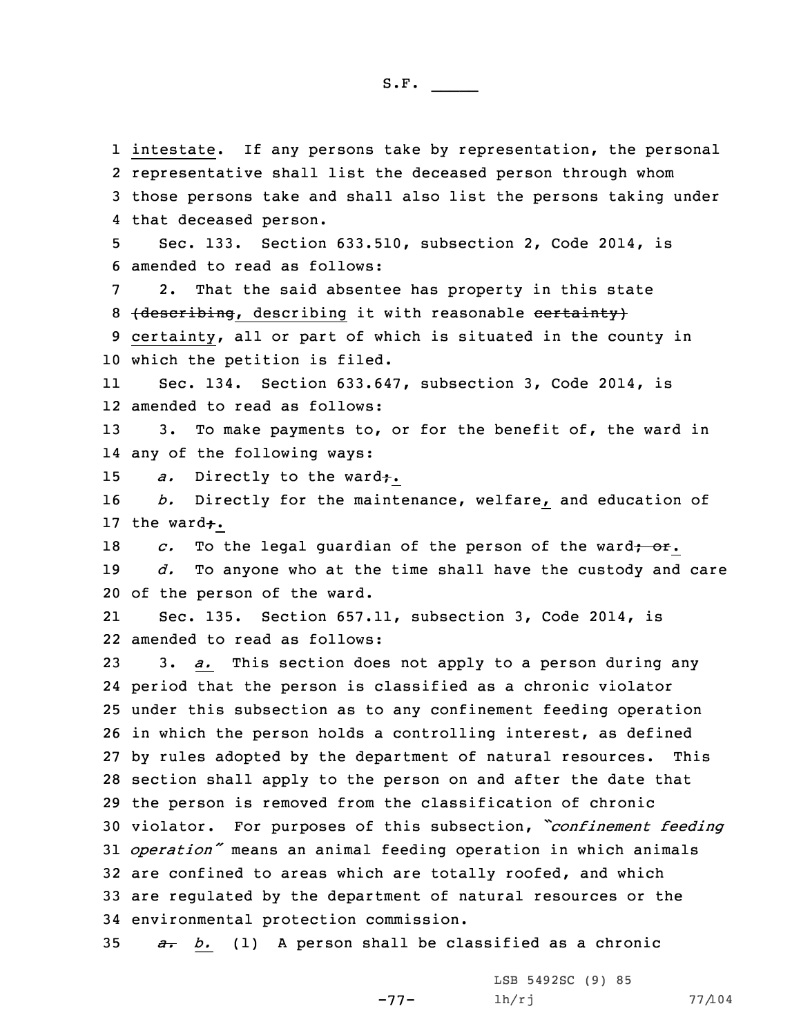intestate. If any persons take by representation, the personal representative shall list the deceased person through whom those persons take and shall also list the persons taking under that deceased person. Sec. 133. Section 633.510, subsection 2, Code 2014, is amended to read as follows: 2. That the said absentee has property in this state 8 (describing, describing it with reasonable certainty) certainty, all or part of which is situated in the county in which the petition is filed. 11 Sec. 134. Section 633.647, subsection 3, Code 2014, is amended to read as follows: 13 3. To make payments to, or for the benefit of, the ward in any of the following ways: *a.* Directly to the ward<del>;</del>. *b.* Directly for the maintenance, welfare, and education of 17 the ward $\div$ . *c.* To the legal quardian of the person of the ward<del>; or</del>. *d.* To anyone who at the time shall have the custody and care of the person of the ward. 21 Sec. 135. Section 657.11, subsection 3, Code 2014, is amended to read as follows: 3. *a.* This section does not apply to <sup>a</sup> person during any period that the person is classified as <sup>a</sup> chronic violator under this subsection as to any confinement feeding operation in which the person holds <sup>a</sup> controlling interest, as defined by rules adopted by the department of natural resources. This section shall apply to the person on and after the date that the person is removed from the classification of chronic violator. For purposes of this subsection, *"confinement feeding operation"* means an animal feeding operation in which animals are confined to areas which are totally roofed, and which are regulated by the department of natural resources or the environmental protection commission.

35 *a. b.* (1) <sup>A</sup> person shall be classified as <sup>a</sup> chronic

-77- LSB 5492SC (9) 85  $lh/rj$  77/104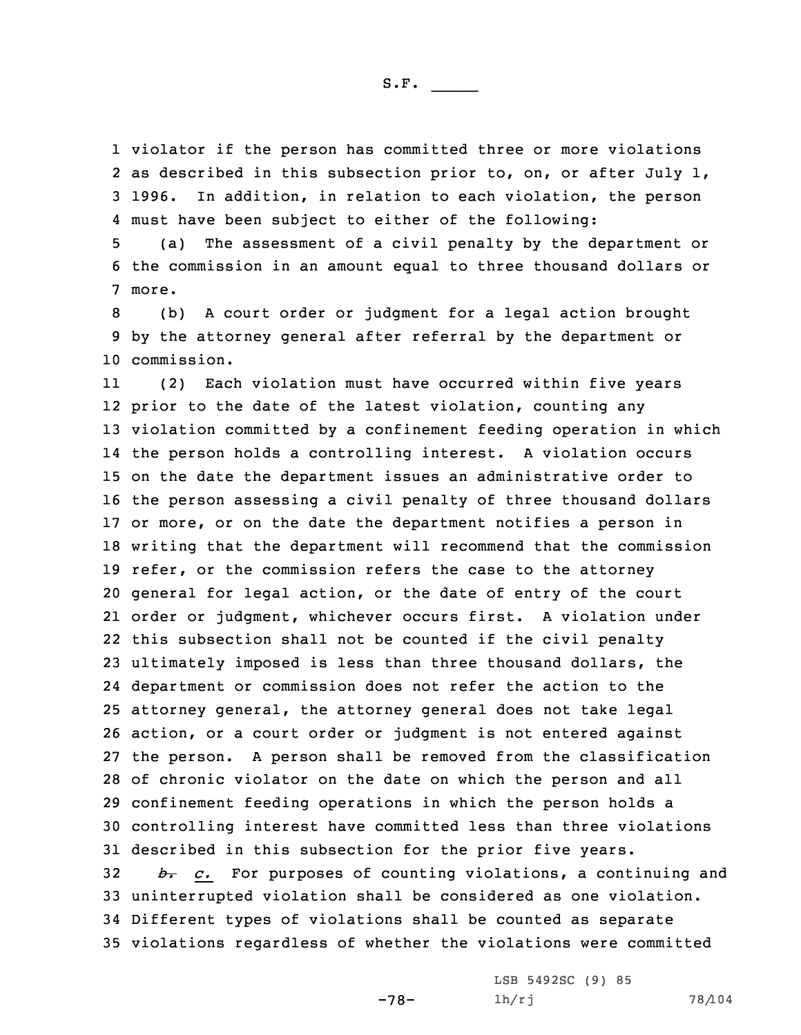violator if the person has committed three or more violations as described in this subsection prior to, on, or after July 1, 1996. In addition, in relation to each violation, the person must have been subject to either of the following:

5 (a) The assessment of <sup>a</sup> civil penalty by the department or 6 the commission in an amount equal to three thousand dollars or 7 more.

8 (b) <sup>A</sup> court order or judgment for <sup>a</sup> legal action brought 9 by the attorney general after referral by the department or 10 commission.

11 (2) Each violation must have occurred within five years prior to the date of the latest violation, counting any violation committed by <sup>a</sup> confinement feeding operation in which the person holds <sup>a</sup> controlling interest. <sup>A</sup> violation occurs on the date the department issues an administrative order to the person assessing <sup>a</sup> civil penalty of three thousand dollars or more, or on the date the department notifies <sup>a</sup> person in writing that the department will recommend that the commission refer, or the commission refers the case to the attorney general for legal action, or the date of entry of the court order or judgment, whichever occurs first. <sup>A</sup> violation under this subsection shall not be counted if the civil penalty ultimately imposed is less than three thousand dollars, the department or commission does not refer the action to the attorney general, the attorney general does not take legal action, or <sup>a</sup> court order or judgment is not entered against the person. <sup>A</sup> person shall be removed from the classification of chronic violator on the date on which the person and all confinement feeding operations in which the person holds <sup>a</sup> controlling interest have committed less than three violations described in this subsection for the prior five years. *b. c.* For purposes of counting violations, <sup>a</sup> continuing and uninterrupted violation shall be considered as one violation. Different types of violations shall be counted as separate violations regardless of whether the violations were committed

-78-

LSB 5492SC (9) 85 lh/rj 78/104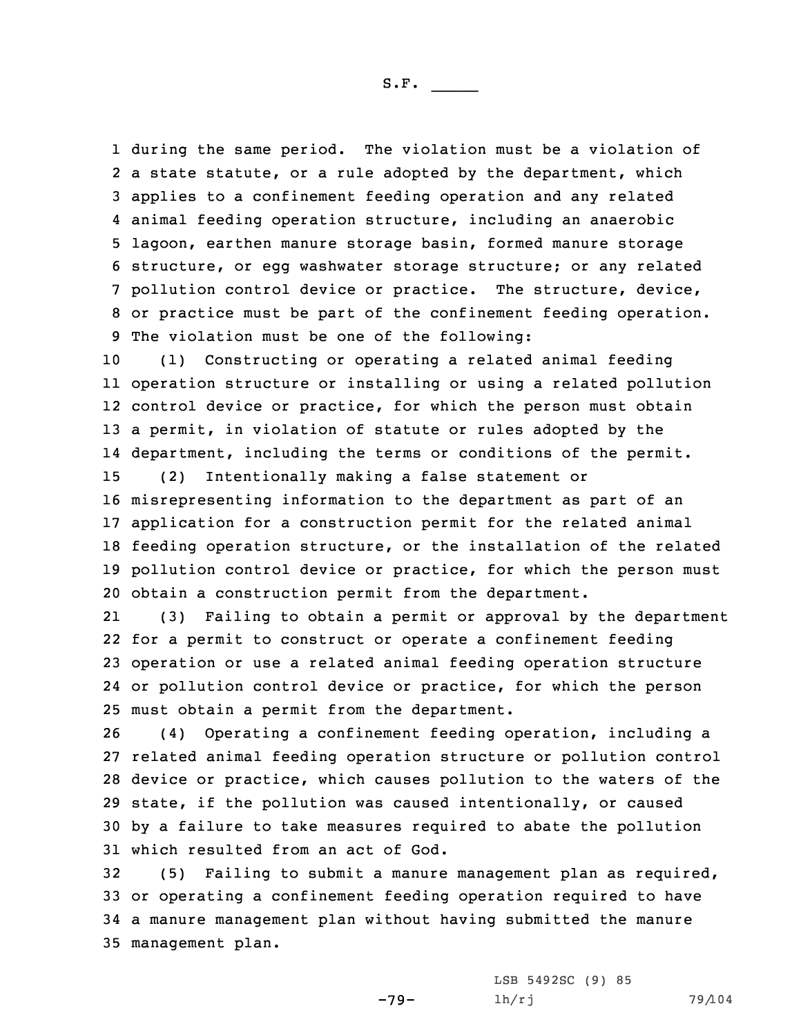during the same period. The violation must be <sup>a</sup> violation of 2 a state statute, or a rule adopted by the department, which applies to <sup>a</sup> confinement feeding operation and any related animal feeding operation structure, including an anaerobic lagoon, earthen manure storage basin, formed manure storage structure, or egg washwater storage structure; or any related pollution control device or practice. The structure, device, or practice must be part of the confinement feeding operation. The violation must be one of the following:

 (1) Constructing or operating <sup>a</sup> related animal feeding operation structure or installing or using <sup>a</sup> related pollution control device or practice, for which the person must obtain <sup>a</sup> permit, in violation of statute or rules adopted by the department, including the terms or conditions of the permit. (2) Intentionally making <sup>a</sup> false statement or

 misrepresenting information to the department as part of an application for <sup>a</sup> construction permit for the related animal feeding operation structure, or the installation of the related pollution control device or practice, for which the person must obtain <sup>a</sup> construction permit from the department.

21 (3) Failing to obtain <sup>a</sup> permit or approval by the department for <sup>a</sup> permit to construct or operate <sup>a</sup> confinement feeding operation or use <sup>a</sup> related animal feeding operation structure or pollution control device or practice, for which the person must obtain <sup>a</sup> permit from the department.

 (4) Operating <sup>a</sup> confinement feeding operation, including <sup>a</sup> related animal feeding operation structure or pollution control device or practice, which causes pollution to the waters of the state, if the pollution was caused intentionally, or caused by <sup>a</sup> failure to take measures required to abate the pollution which resulted from an act of God.

 (5) Failing to submit <sup>a</sup> manure management plan as required, or operating <sup>a</sup> confinement feeding operation required to have <sup>a</sup> manure management plan without having submitted the manure management plan.

-79-

LSB 5492SC (9) 85 lh/rj 79/104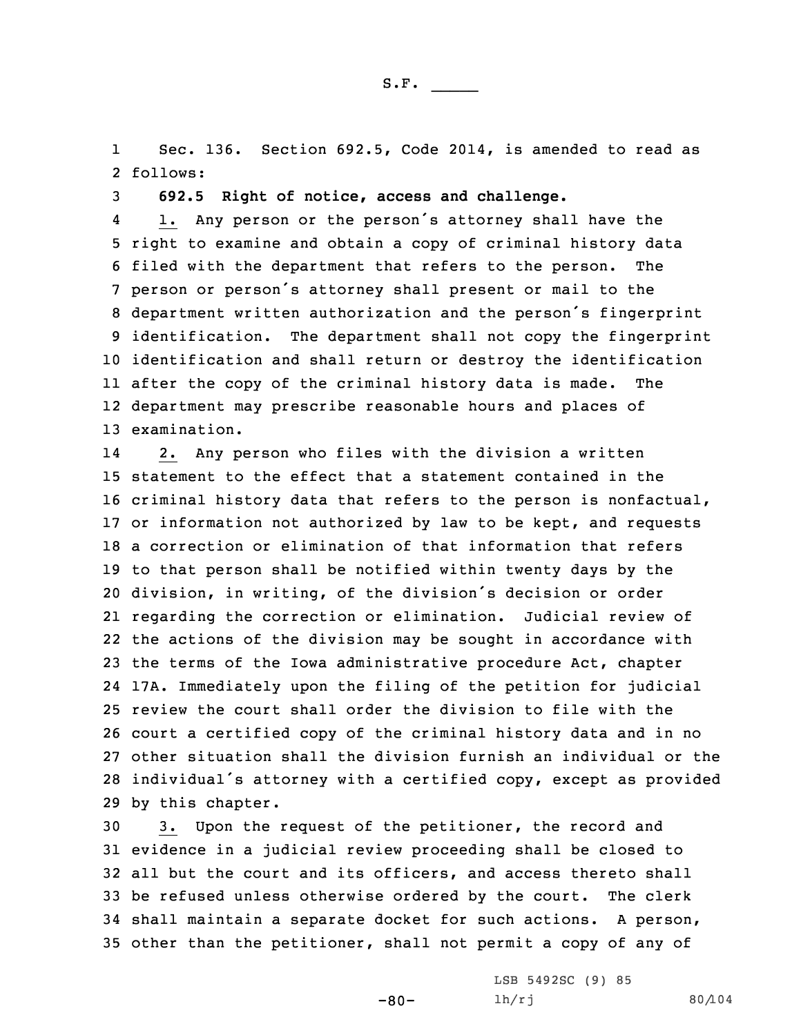1 Sec. 136. Section 692.5, Code 2014, is amended to read as 2 follows:

3 **692.5 Right of notice, access and challenge.**

4 1. Any person or the person's attorney shall have the right to examine and obtain <sup>a</sup> copy of criminal history data filed with the department that refers to the person. The person or person's attorney shall present or mail to the department written authorization and the person's fingerprint identification. The department shall not copy the fingerprint identification and shall return or destroy the identification after the copy of the criminal history data is made. The department may prescribe reasonable hours and places of examination.

14 2. Any person who files with the division <sup>a</sup> written statement to the effect that <sup>a</sup> statement contained in the criminal history data that refers to the person is nonfactual, or information not authorized by law to be kept, and requests <sup>a</sup> correction or elimination of that information that refers to that person shall be notified within twenty days by the division, in writing, of the division's decision or order regarding the correction or elimination. Judicial review of the actions of the division may be sought in accordance with the terms of the Iowa administrative procedure Act, chapter 17A. Immediately upon the filing of the petition for judicial review the court shall order the division to file with the court <sup>a</sup> certified copy of the criminal history data and in no other situation shall the division furnish an individual or the individual's attorney with <sup>a</sup> certified copy, except as provided by this chapter.

 3. Upon the request of the petitioner, the record and evidence in <sup>a</sup> judicial review proceeding shall be closed to all but the court and its officers, and access thereto shall be refused unless otherwise ordered by the court. The clerk shall maintain <sup>a</sup> separate docket for such actions. <sup>A</sup> person, other than the petitioner, shall not permit <sup>a</sup> copy of any of

-80-

LSB 5492SC (9) 85 lh/rj 80/104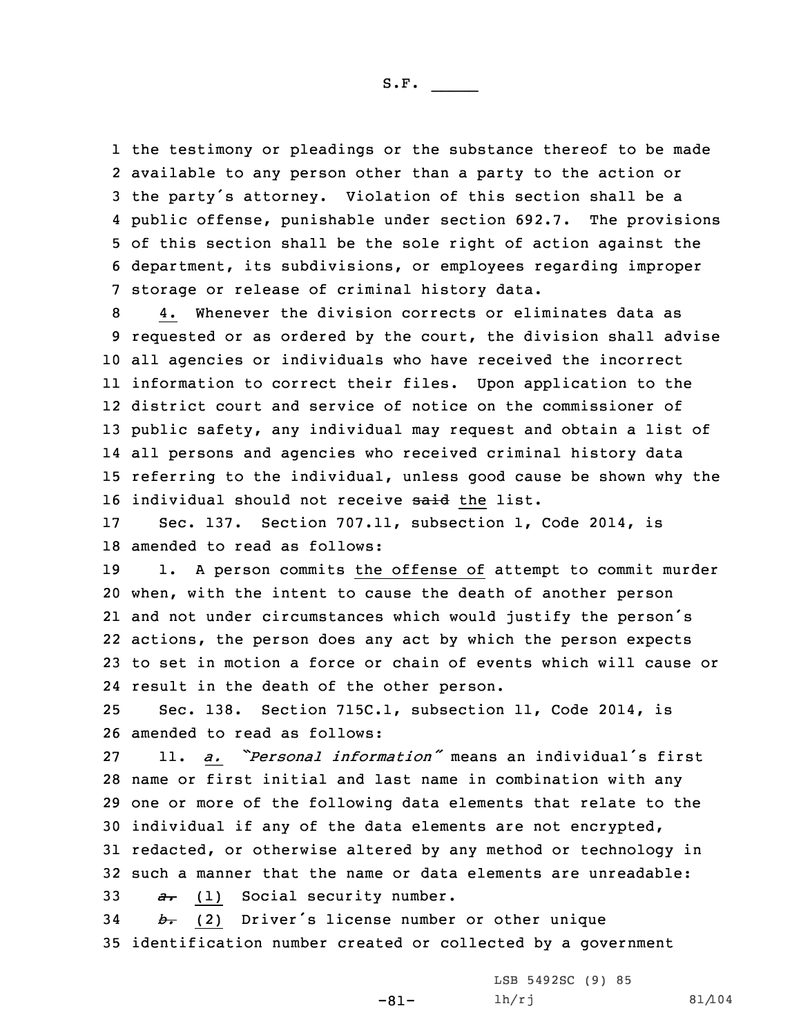the testimony or pleadings or the substance thereof to be made available to any person other than <sup>a</sup> party to the action or the party's attorney. Violation of this section shall be <sup>a</sup> public offense, punishable under section 692.7. The provisions of this section shall be the sole right of action against the department, its subdivisions, or employees regarding improper storage or release of criminal history data.

 4. Whenever the division corrects or eliminates data as requested or as ordered by the court, the division shall advise all agencies or individuals who have received the incorrect information to correct their files. Upon application to the district court and service of notice on the commissioner of public safety, any individual may request and obtain <sup>a</sup> list of all persons and agencies who received criminal history data referring to the individual, unless good cause be shown why the 16 individual should not receive said the list.

17 Sec. 137. Section 707.11, subsection 1, Code 2014, is 18 amended to read as follows:

 1. <sup>A</sup> person commits the offense of attempt to commit murder when, with the intent to cause the death of another person and not under circumstances which would justify the person's actions, the person does any act by which the person expects to set in motion <sup>a</sup> force or chain of events which will cause or result in the death of the other person.

25 Sec. 138. Section 715C.1, subsection 11, Code 2014, is 26 amended to read as follows:

 11. *a. "Personal information"* means an individual's first name or first initial and last name in combination with any one or more of the following data elements that relate to the individual if any of the data elements are not encrypted, redacted, or otherwise altered by any method or technology in such a manner that the name or data elements are unreadable: *a.* (1) Social security number.

<sup>34</sup> *b.* (2) Driver's license number or other unique 35 identification number created or collected by <sup>a</sup> government

-81-

LSB 5492SC (9) 85 lh/rj 81/104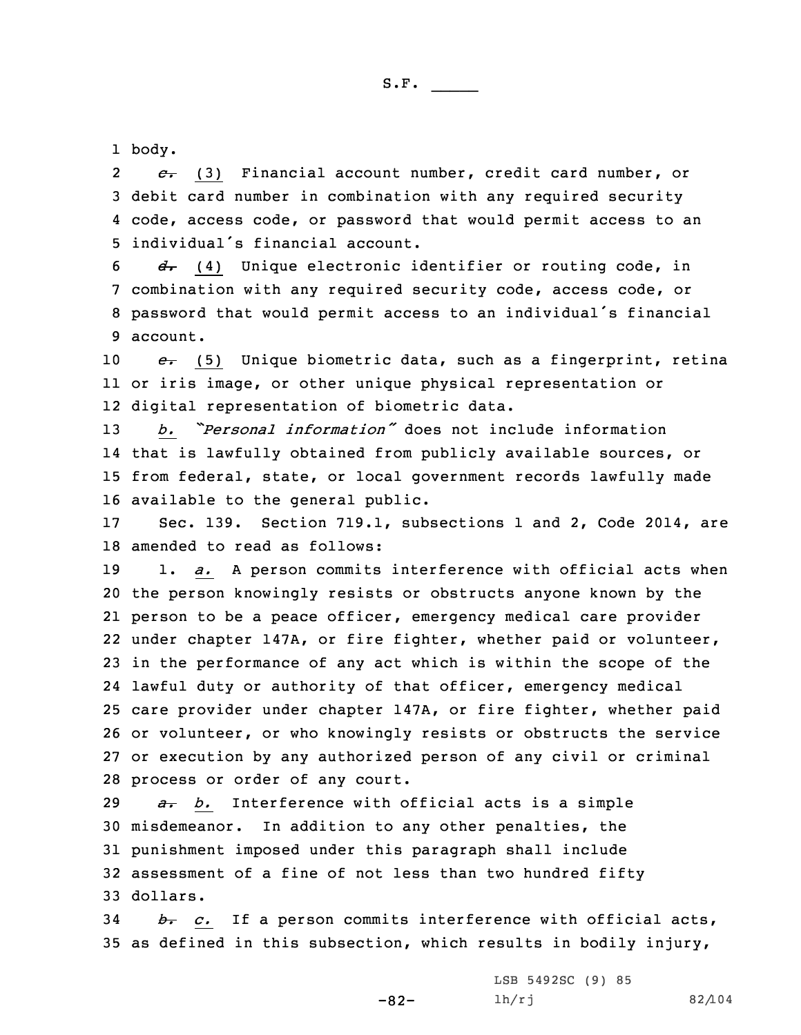1 body.

2 *c.* (3) Financial account number, credit card number, or 3 debit card number in combination with any required security 4 code, access code, or password that would permit access to an 5 individual's financial account.

 *d.* (4) Unique electronic identifier or routing code, in combination with any required security code, access code, or password that would permit access to an individual's financial 9 account.

10 *e.* (5) Unique biometric data, such as <sup>a</sup> fingerprint, retina 11 or iris image, or other unique physical representation or 12 digital representation of biometric data.

 *b. "Personal information"* does not include information that is lawfully obtained from publicly available sources, or from federal, state, or local government records lawfully made available to the general public.

17 Sec. 139. Section 719.1, subsections 1 and 2, Code 2014, are 18 amended to read as follows:

 1. *a.* <sup>A</sup> person commits interference with official acts when the person knowingly resists or obstructs anyone known by the person to be <sup>a</sup> peace officer, emergency medical care provider under chapter 147A, or fire fighter, whether paid or volunteer, in the performance of any act which is within the scope of the lawful duty or authority of that officer, emergency medical care provider under chapter 147A, or fire fighter, whether paid or volunteer, or who knowingly resists or obstructs the service or execution by any authorized person of any civil or criminal process or order of any court.

 *a. b.* Interference with official acts is <sup>a</sup> simple misdemeanor. In addition to any other penalties, the punishment imposed under this paragraph shall include assessment of <sup>a</sup> fine of not less than two hundred fifty 33 dollars.

34 *b. c.* If <sup>a</sup> person commits interference with official acts, 35 as defined in this subsection, which results in bodily injury,

-82-

LSB 5492SC (9) 85 lh/rj 82/104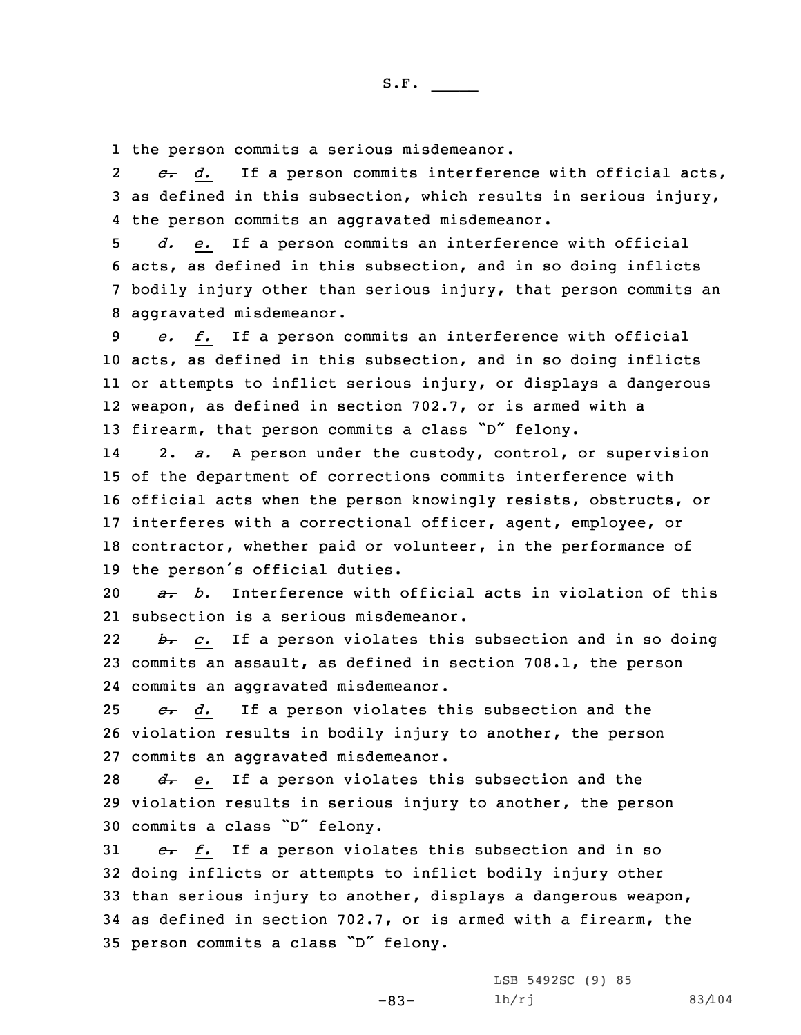1 the person commits <sup>a</sup> serious misdemeanor.

2 *c. d.* If <sup>a</sup> person commits interference with official acts, 3 as defined in this subsection, which results in serious injury, 4 the person commits an aggravated misdemeanor.

 *d. e.* If <sup>a</sup> person commits an interference with official acts, as defined in this subsection, and in so doing inflicts bodily injury other than serious injury, that person commits an aggravated misdemeanor.

 *e. f.* If <sup>a</sup> person commits an interference with official acts, as defined in this subsection, and in so doing inflicts or attempts to inflict serious injury, or displays <sup>a</sup> dangerous weapon, as defined in section 702.7, or is armed with <sup>a</sup> 13 firearm, that person commits a class "D" felony.

14 2. *a.* <sup>A</sup> person under the custody, control, or supervision of the department of corrections commits interference with official acts when the person knowingly resists, obstructs, or interferes with <sup>a</sup> correctional officer, agent, employee, or contractor, whether paid or volunteer, in the performance of the person's official duties.

20 *a. b.* Interference with official acts in violation of this 21 subsection is <sup>a</sup> serious misdemeanor.

22 *b. c.* If <sup>a</sup> person violates this subsection and in so doing 23 commits an assault, as defined in section 708.1, the person 24 commits an aggravated misdemeanor.

25 *c. d.* If <sup>a</sup> person violates this subsection and the 26 violation results in bodily injury to another, the person 27 commits an aggravated misdemeanor.

28 *d*. *e*. If a person violates this subsection and the 29 violation results in serious injury to another, the person <sup>30</sup> commits <sup>a</sup> class "D" felony.

*e. f.* If a person violates this subsection and in so doing inflicts or attempts to inflict bodily injury other than serious injury to another, displays <sup>a</sup> dangerous weapon, as defined in section 702.7, or is armed with <sup>a</sup> firearm, the person commits <sup>a</sup> class "D" felony.

-83-

LSB 5492SC (9) 85 lh/rj 83/104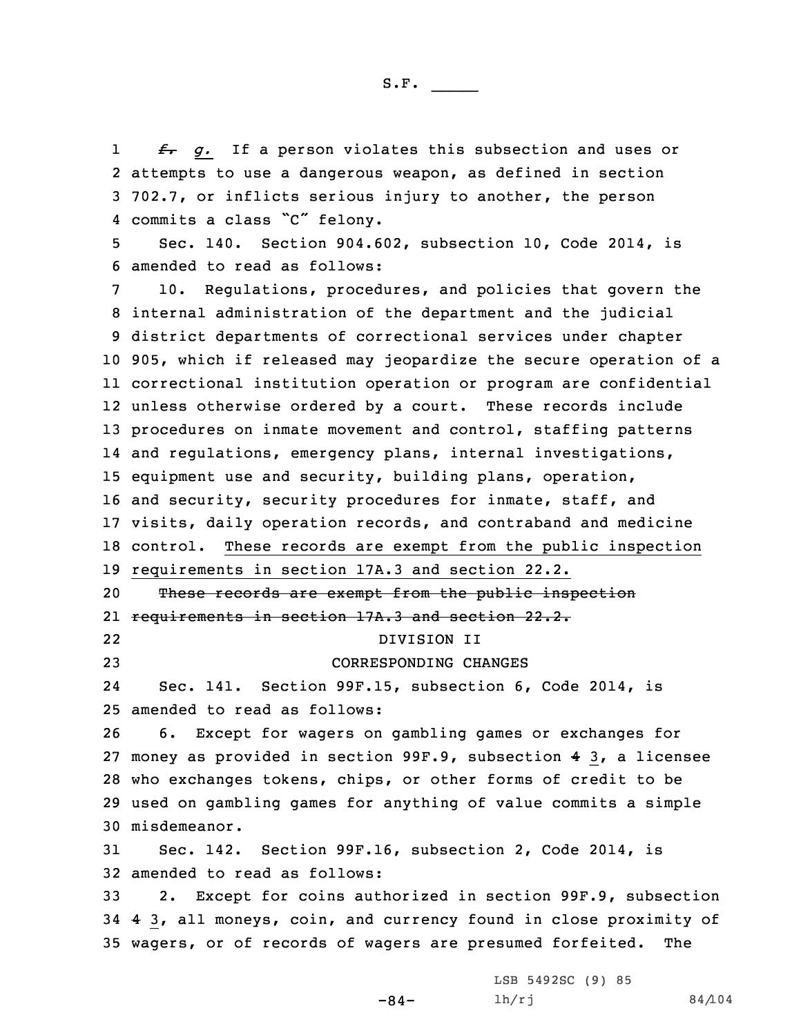1 *f. g.* If <sup>a</sup> person violates this subsection and uses or 2 attempts to use <sup>a</sup> dangerous weapon, as defined in section 3 702.7, or inflicts serious injury to another, the person 4 commits <sup>a</sup> class "C" felony.

5 Sec. 140. Section 904.602, subsection 10, Code 2014, is 6 amended to read as follows:

 10. Regulations, procedures, and policies that govern the internal administration of the department and the judicial district departments of correctional services under chapter 905, which if released may jeopardize the secure operation of <sup>a</sup> correctional institution operation or program are confidential unless otherwise ordered by <sup>a</sup> court. These records include 13 procedures on inmate movement and control, staffing patterns and regulations, emergency plans, internal investigations, equipment use and security, building plans, operation, and security, security procedures for inmate, staff, and visits, daily operation records, and contraband and medicine control. These records are exempt from the public inspection requirements in section 17A.3 and section 22.2. These records are exempt from the public inspection requirements in section 17A.3 and section 22.2. 22 DIVISION II CORRESPONDING CHANGES 24 Sec. 141. Section 99F.15, subsection 6, Code 2014, is amended to read as follows: 6. Except for wagers on gambling games or exchanges for money as provided in section 99F.9, subsection 4 3, <sup>a</sup> licensee who exchanges tokens, chips, or other forms of credit to be used on gambling games for anything of value commits <sup>a</sup> simple misdemeanor. Sec. 142. Section 99F.16, subsection 2, Code 2014, is amended to read as follows: 2. Except for coins authorized in section 99F.9, subsection 4 3, all moneys, coin, and currency found in close proximity of wagers, or of records of wagers are presumed forfeited. The

-84-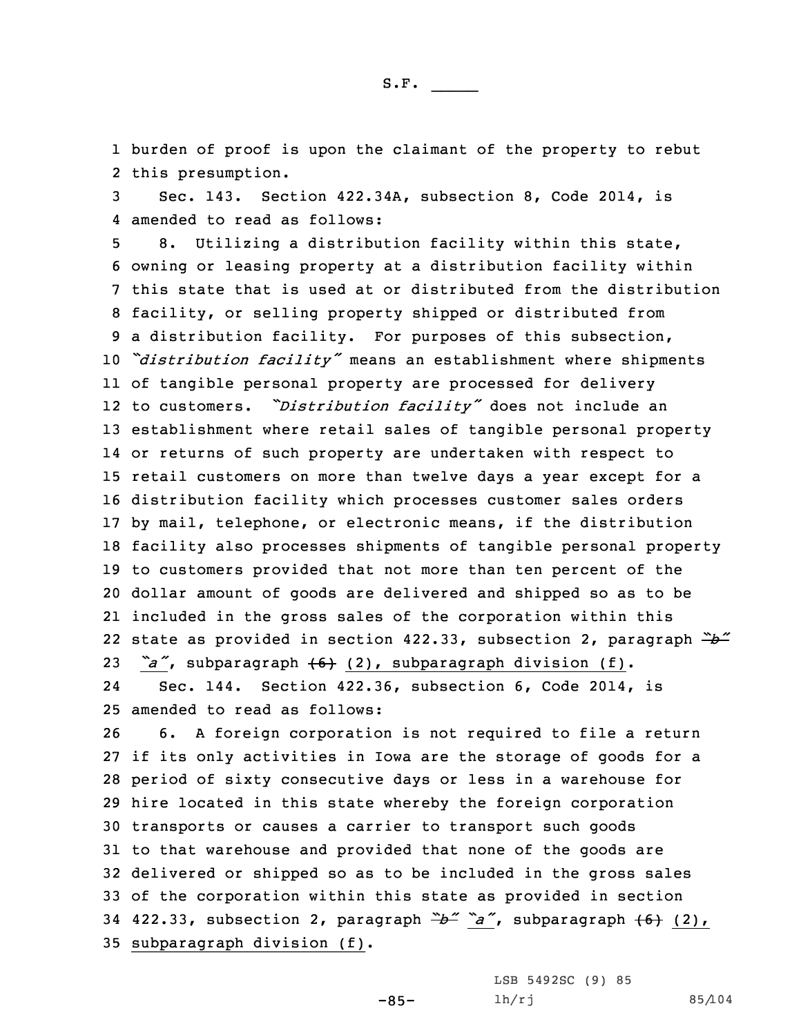1 burden of proof is upon the claimant of the property to rebut 2 this presumption.

3 Sec. 143. Section 422.34A, subsection 8, Code 2014, is 4 amended to read as follows:

 8. Utilizing <sup>a</sup> distribution facility within this state, owning or leasing property at <sup>a</sup> distribution facility within this state that is used at or distributed from the distribution facility, or selling property shipped or distributed from <sup>a</sup> distribution facility. For purposes of this subsection, *"distribution facility"* means an establishment where shipments of tangible personal property are processed for delivery to customers. *"Distribution facility"* does not include an establishment where retail sales of tangible personal property or returns of such property are undertaken with respect to retail customers on more than twelve days <sup>a</sup> year except for <sup>a</sup> distribution facility which processes customer sales orders by mail, telephone, or electronic means, if the distribution facility also processes shipments of tangible personal property to customers provided that not more than ten percent of the dollar amount of goods are delivered and shipped so as to be included in the gross sales of the corporation within this state as provided in section 422.33, subsection 2, paragraph *"b" "a"*, subparagraph (6) (2), subparagraph division (f). 24Sec. 144. Section 422.36, subsection 6, Code 2014, is

25 amended to read as follows:

 6. <sup>A</sup> foreign corporation is not required to file <sup>a</sup> return if its only activities in Iowa are the storage of goods for <sup>a</sup> period of sixty consecutive days or less in <sup>a</sup> warehouse for hire located in this state whereby the foreign corporation transports or causes <sup>a</sup> carrier to transport such goods to that warehouse and provided that none of the goods are delivered or shipped so as to be included in the gross sales of the corporation within this state as provided in section 422.33, subsection 2, paragraph *"b" "a"*, subparagraph (6) (2), subparagraph division (f).

-85-

LSB 5492SC (9) 85 lh/rj 85/104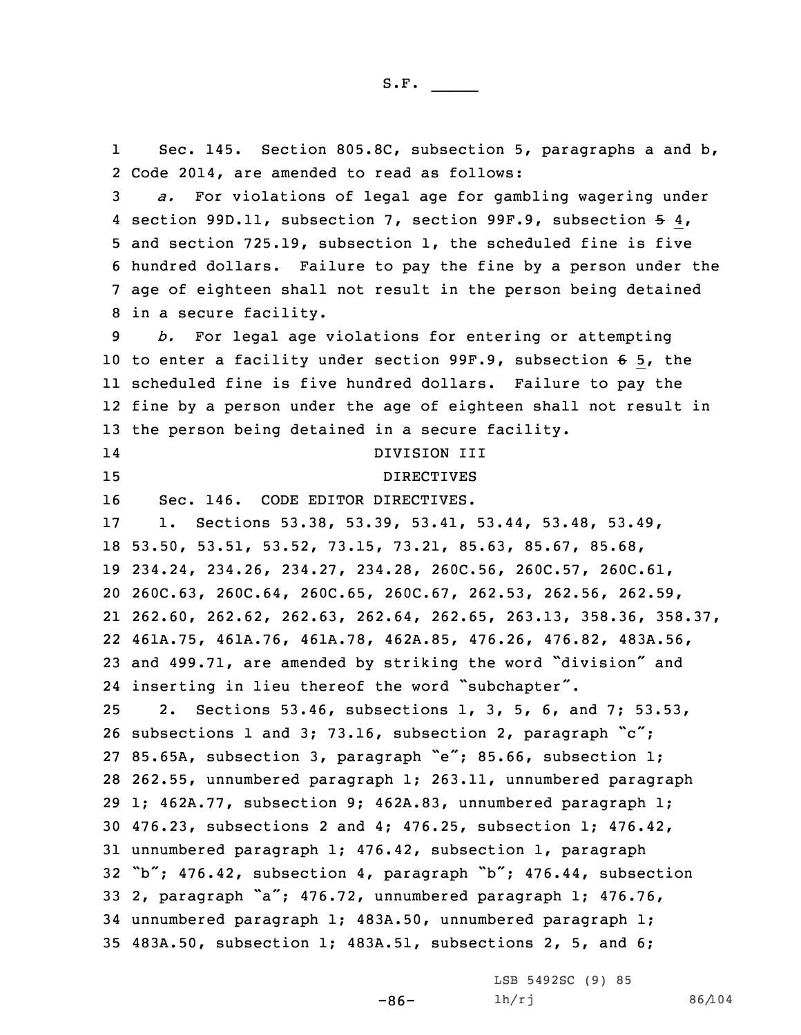1 Sec. 145. Section 805.8C, subsection 5, paragraphs <sup>a</sup> and b, 2 Code 2014, are amended to read as follows:

 *a.* For violations of legal age for gambling wagering under section 99D.11, subsection 7, section 99F.9, subsection 5 4, and section 725.19, subsection 1, the scheduled fine is five hundred dollars. Failure to pay the fine by <sup>a</sup> person under the age of eighteen shall not result in the person being detained in <sup>a</sup> secure facility.

 *b.* For legal age violations for entering or attempting to enter <sup>a</sup> facility under section 99F.9, subsection 6 5, the scheduled fine is five hundred dollars. Failure to pay the fine by <sup>a</sup> person under the age of eighteen shall not result in the person being detained in <sup>a</sup> secure facility.

14 DIVISION III 15 DIRECTIVES Sec. 146. CODE EDITOR DIRECTIVES. 1. Sections 53.38, 53.39, 53.41, 53.44, 53.48, 53.49, 53.50, 53.51, 53.52, 73.15, 73.21, 85.63, 85.67, 85.68, 234.24, 234.26, 234.27, 234.28, 260C.56, 260C.57, 260C.61, 260C.63, 260C.64, 260C.65, 260C.67, 262.53, 262.56, 262.59, 262.60, 262.62, 262.63, 262.64, 262.65, 263.13, 358.36, 358.37, 461A.75, 461A.76, 461A.78, 462A.85, 476.26, 476.82, 483A.56, and 499.71, are amended by striking the word "division" and inserting in lieu thereof the word "subchapter". 2. Sections 53.46, subsections 1, 3, 5, 6, and 7; 53.53, subsections <sup>1</sup> and 3; 73.16, subsection 2, paragraph "c"; 85.65A, subsection 3, paragraph "e"; 85.66, subsection 1; 262.55, unnumbered paragraph 1; 263.11, unnumbered paragraph 1; 462A.77, subsection 9; 462A.83, unnumbered paragraph 1; 476.23, subsections 2 and 4; 476.25, subsection 1; 476.42, unnumbered paragraph 1; 476.42, subsection 1, paragraph "b"; 476.42, subsection 4, paragraph "b"; 476.44, subsection 2, paragraph "a"; 476.72, unnumbered paragraph 1; 476.76, unnumbered paragraph 1; 483A.50, unnumbered paragraph 1; 483A.50, subsection 1; 483A.51, subsections 2, 5, and 6;

LSB 5492SC (9) 85

 $-86-$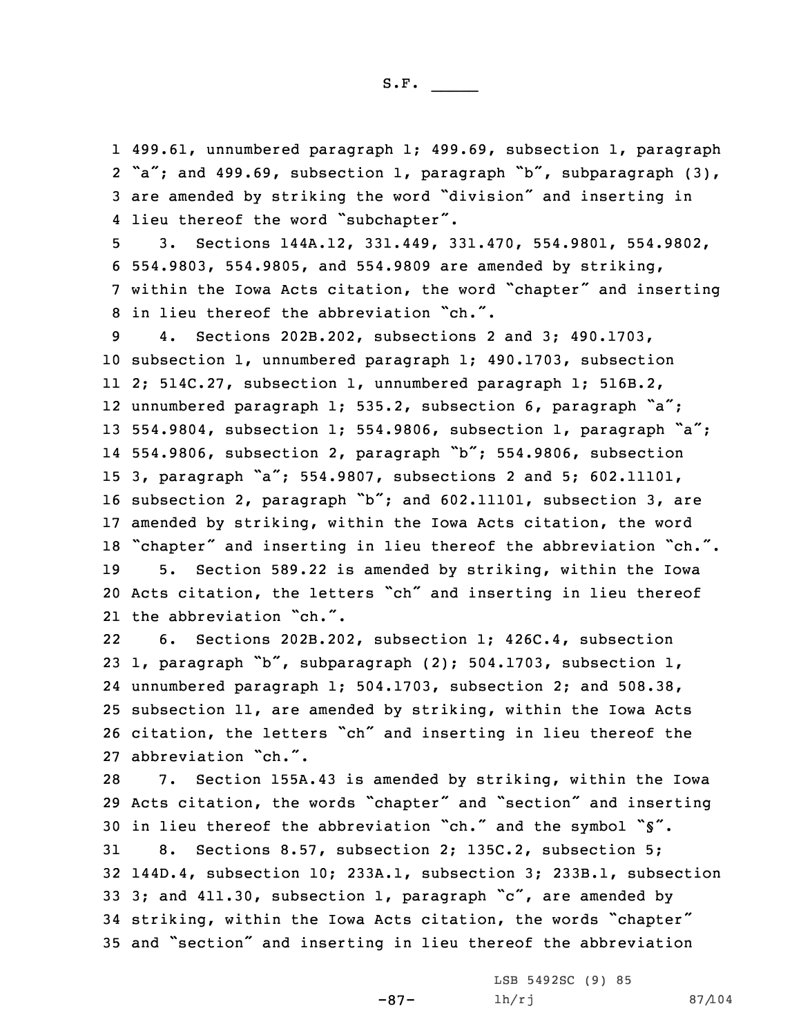499.61, unnumbered paragraph 1; 499.69, subsection 1, paragraph "a"; and 499.69, subsection 1, paragraph "b", subparagraph (3), are amended by striking the word "division" and inserting in 4 lieu thereof the word "subchapter".

 3. Sections 144A.12, 331.449, 331.470, 554.9801, 554.9802, 554.9803, 554.9805, and 554.9809 are amended by striking, within the Iowa Acts citation, the word "chapter" and inserting in lieu thereof the abbreviation "ch.".

 4. Sections 202B.202, subsections 2 and 3; 490.1703, subsection 1, unnumbered paragraph 1; 490.1703, subsection 2; 514C.27, subsection 1, unnumbered paragraph 1; 516B.2, unnumbered paragraph 1; 535.2, subsection 6, paragraph "a"; 554.9804, subsection 1; 554.9806, subsection 1, paragraph "a"; 554.9806, subsection 2, paragraph "b"; 554.9806, subsection 3, paragraph "a"; 554.9807, subsections <sup>2</sup> and 5; 602.11101, subsection 2, paragraph "b"; and 602.11101, subsection 3, are amended by striking, within the Iowa Acts citation, the word "chapter" and inserting in lieu thereof the abbreviation "ch.". 5. Section 589.22 is amended by striking, within the Iowa Acts citation, the letters "ch" and inserting in lieu thereof the abbreviation "ch.".

22 6. Sections 202B.202, subsection 1; 426C.4, subsection 1, paragraph "b", subparagraph (2); 504.1703, subsection 1, unnumbered paragraph 1; 504.1703, subsection 2; and 508.38, subsection 11, are amended by striking, within the Iowa Acts citation, the letters "ch" and inserting in lieu thereof the abbreviation "ch.".

 7. Section 155A.43 is amended by striking, within the Iowa Acts citation, the words "chapter" and "section" and inserting in lieu thereof the abbreviation "ch." and the symbol "§". 8. Sections 8.57, subsection 2; 135C.2, subsection 5; 144D.4, subsection 10; 233A.1, subsection 3; 233B.1, subsection 33 3; and 411.30, subsection 1, paragraph "c", are amended by striking, within the Iowa Acts citation, the words "chapter" and "section" and inserting in lieu thereof the abbreviation

-87-

LSB 5492SC (9) 85 lh/rj 87/104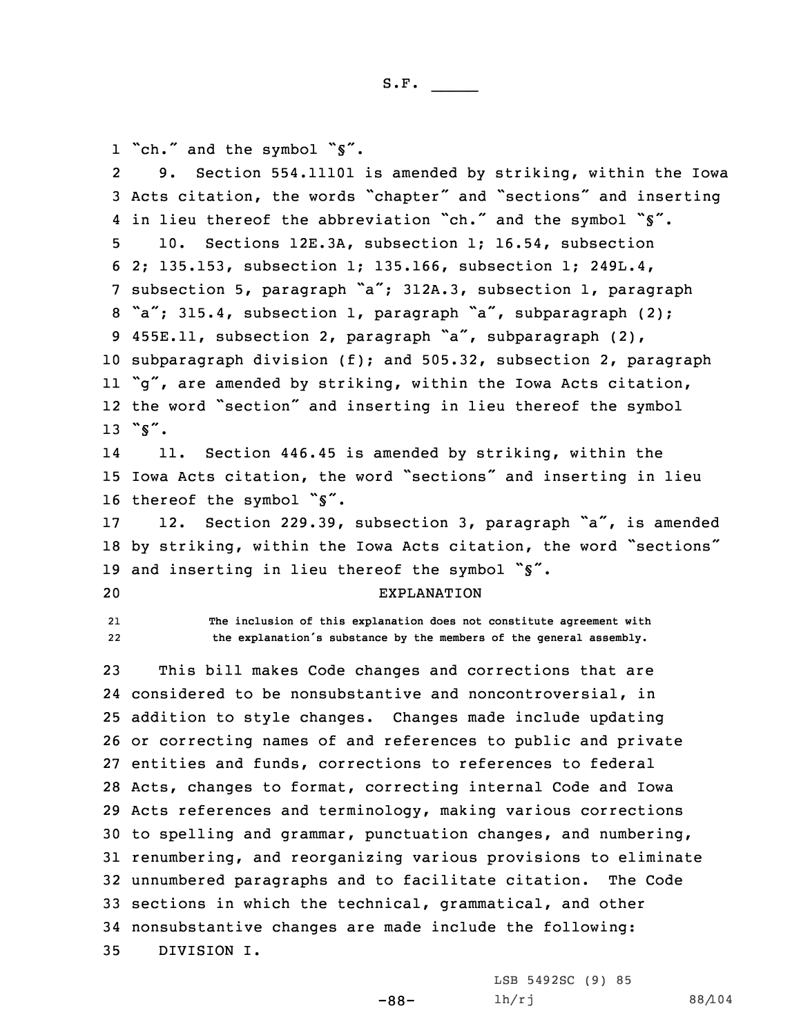1 "ch." and the symbol "§".

2 9. Section 554.11101 is amended by striking, within the Iowa Acts citation, the words "chapter" and "sections" and inserting 4 in lieu thereof the abbreviation "ch." and the symbol "\$". 10. Sections 12E.3A, subsection 1; 16.54, subsection 2; 135.153, subsection 1; 135.166, subsection 1; 249L.4, subsection 5, paragraph "a"; 312A.3, subsection 1, paragraph 8 "a"; 315.4, subsection 1, paragraph "a", subparagraph (2); 455E.11, subsection 2, paragraph "a", subparagraph (2), subparagraph division (f); and 505.32, subsection 2, paragraph "g", are amended by striking, within the Iowa Acts citation, the word "section" and inserting in lieu thereof the symbol 13 "§". 14 11. Section 446.45 is amended by striking, within the Iowa Acts citation, the word "sections" and inserting in lieu 16 thereof the symbol "\$". 12. Section 229.39, subsection 3, paragraph "a", is amended by striking, within the Iowa Acts citation, the word "sections" 19 and inserting in lieu thereof the symbol " $\zeta$ ". EXPLANATION 21 **The inclusion of this explanation does not constitute agreement with** 22 **the explanation's substance by the members of the general assembly.** This bill makes Code changes and corrections that are considered to be nonsubstantive and noncontroversial, in addition to style changes. Changes made include updating or correcting names of and references to public and private entities and funds, corrections to references to federal Acts, changes to format, correcting internal Code and Iowa Acts references and terminology, making various corrections to spelling and grammar, punctuation changes, and numbering, renumbering, and reorganizing various provisions to eliminate unnumbered paragraphs and to facilitate citation. The Code

34 nonsubstantive changes are made include the following:

33 sections in which the technical, grammatical, and other

-88-

35 DIVISION I.

LSB 5492SC (9) 85 lh/rj 88/104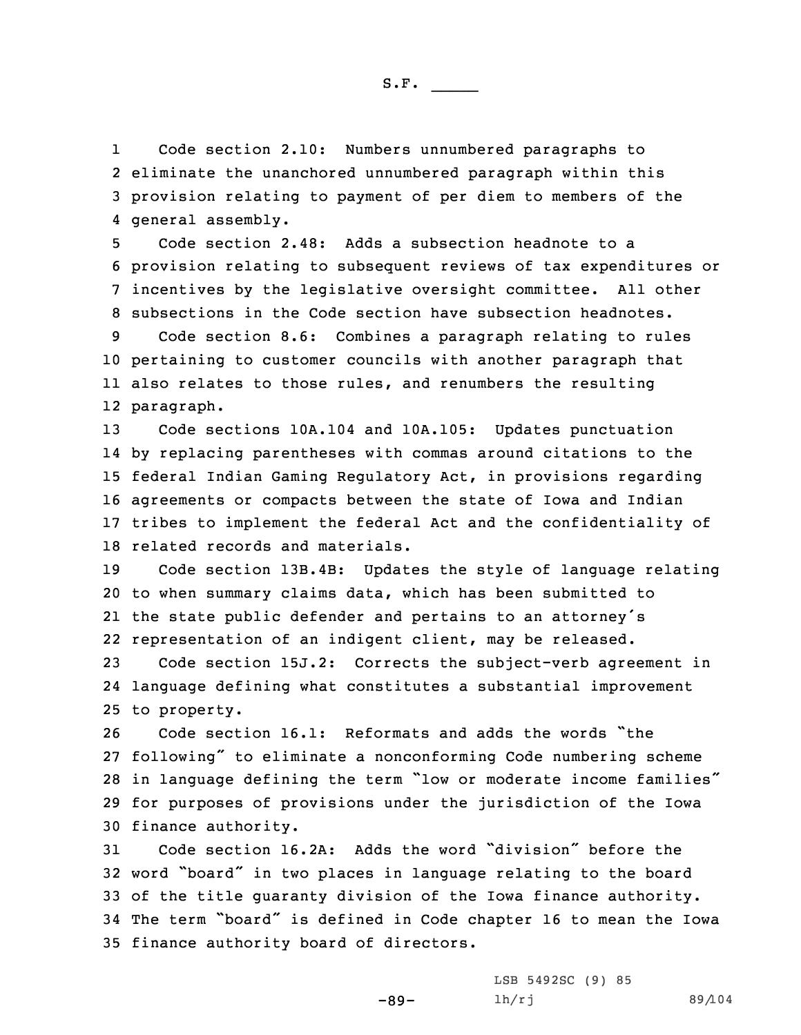1 Code section 2.10: Numbers unnumbered paragraphs to 2 eliminate the unanchored unnumbered paragraph within this 3 provision relating to payment of per diem to members of the 4 general assembly.

 Code section 2.48: Adds <sup>a</sup> subsection headnote to <sup>a</sup> provision relating to subsequent reviews of tax expenditures or incentives by the legislative oversight committee. All other subsections in the Code section have subsection headnotes.

 Code section 8.6: Combines <sup>a</sup> paragraph relating to rules pertaining to customer councils with another paragraph that also relates to those rules, and renumbers the resulting paragraph.

 Code sections 10A.104 and 10A.105: Updates punctuation by replacing parentheses with commas around citations to the federal Indian Gaming Regulatory Act, in provisions regarding agreements or compacts between the state of Iowa and Indian tribes to implement the federal Act and the confidentiality of related records and materials.

 Code section 13B.4B: Updates the style of language relating to when summary claims data, which has been submitted to the state public defender and pertains to an attorney's representation of an indigent client, may be released.

23 Code section 15J.2: Corrects the subject-verb agreement in 24 language defining what constitutes <sup>a</sup> substantial improvement 25 to property.

 Code section 16.1: Reformats and adds the words "the following" to eliminate <sup>a</sup> nonconforming Code numbering scheme in language defining the term "low or moderate income families" for purposes of provisions under the jurisdiction of the Iowa finance authority.

 Code section 16.2A: Adds the word "division" before the word "board" in two places in language relating to the board of the title guaranty division of the Iowa finance authority. The term "board" is defined in Code chapter <sup>16</sup> to mean the Iowa finance authority board of directors.

-89-

LSB 5492SC (9) 85 lh/rj 89/104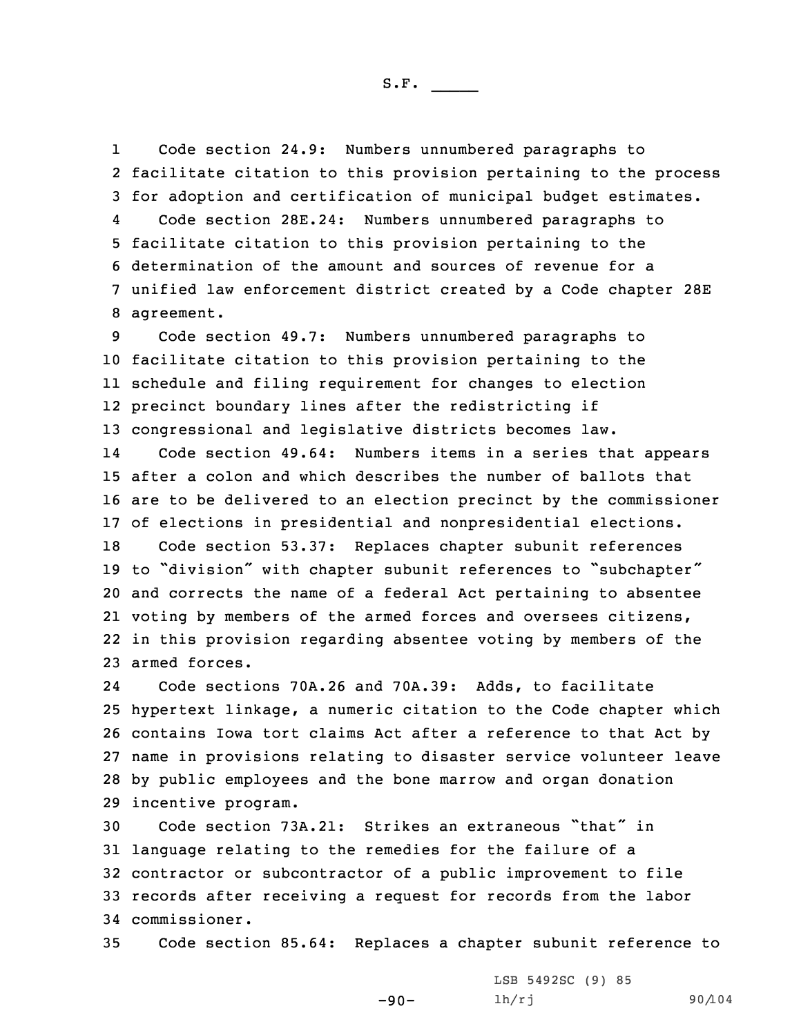1 Code section 24.9: Numbers unnumbered paragraphs to 2 facilitate citation to this provision pertaining to the process 3 for adoption and certification of municipal budget estimates. 4 Code section 28E.24: Numbers unnumbered paragraphs to 5 facilitate citation to this provision pertaining to the 6 determination of the amount and sources of revenue for <sup>a</sup> 7 unified law enforcement district created by <sup>a</sup> Code chapter 28E 8 agreement.

 Code section 49.7: Numbers unnumbered paragraphs to facilitate citation to this provision pertaining to the schedule and filing requirement for changes to election precinct boundary lines after the redistricting if congressional and legislative districts becomes law.

14 Code section 49.64: Numbers items in <sup>a</sup> series that appears 15 after <sup>a</sup> colon and which describes the number of ballots that 16 are to be delivered to an election precinct by the commissioner 17 of elections in presidential and nonpresidential elections.

 Code section 53.37: Replaces chapter subunit references to "division" with chapter subunit references to "subchapter" and corrects the name of <sup>a</sup> federal Act pertaining to absentee voting by members of the armed forces and oversees citizens, in this provision regarding absentee voting by members of the armed forces.

24 Code sections 70A.26 and 70A.39: Adds, to facilitate hypertext linkage, <sup>a</sup> numeric citation to the Code chapter which contains Iowa tort claims Act after <sup>a</sup> reference to that Act by name in provisions relating to disaster service volunteer leave by public employees and the bone marrow and organ donation incentive program.

 Code section 73A.21: Strikes an extraneous "that" in language relating to the remedies for the failure of <sup>a</sup> contractor or subcontractor of <sup>a</sup> public improvement to file records after receiving <sup>a</sup> request for records from the labor commissioner.

35 Code section 85.64: Replaces <sup>a</sup> chapter subunit reference to

-90-

LSB 5492SC (9) 85 lh/rj 90/104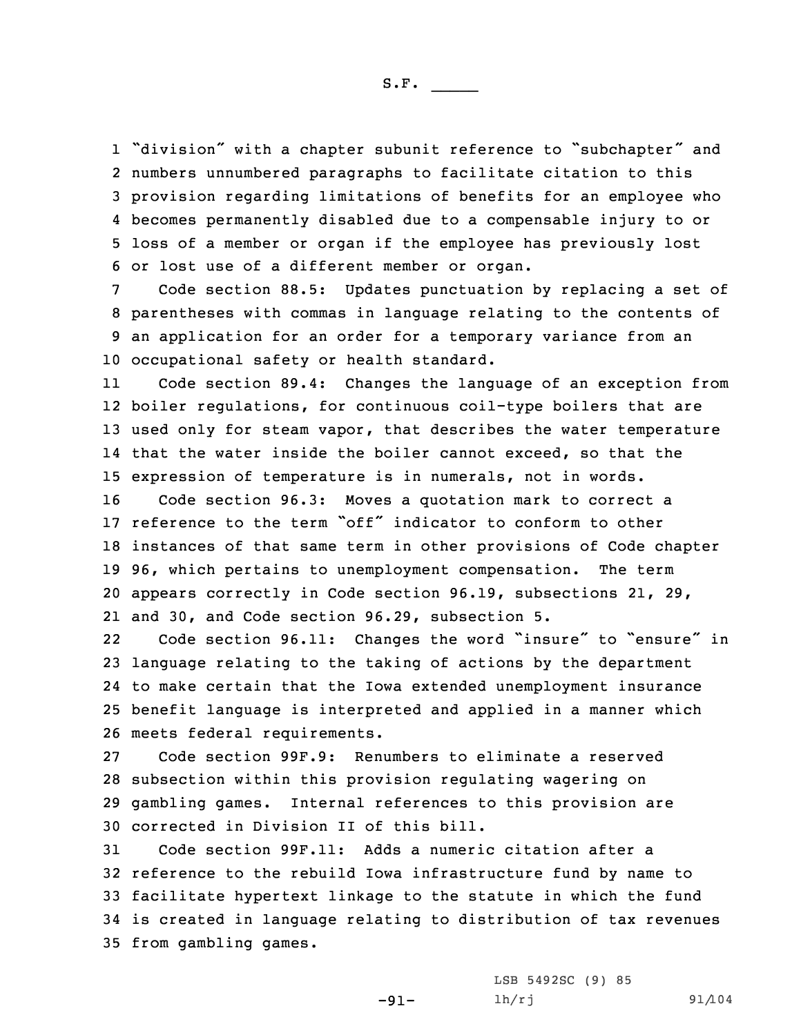"division" with <sup>a</sup> chapter subunit reference to "subchapter" and numbers unnumbered paragraphs to facilitate citation to this provision regarding limitations of benefits for an employee who becomes permanently disabled due to <sup>a</sup> compensable injury to or loss of <sup>a</sup> member or organ if the employee has previously lost or lost use of <sup>a</sup> different member or organ.

 Code section 88.5: Updates punctuation by replacing <sup>a</sup> set of parentheses with commas in language relating to the contents of an application for an order for <sup>a</sup> temporary variance from an occupational safety or health standard.

11 Code section 89.4: Changes the language of an exception from boiler regulations, for continuous coil-type boilers that are used only for steam vapor, that describes the water temperature that the water inside the boiler cannot exceed, so that the expression of temperature is in numerals, not in words.

 Code section 96.3: Moves <sup>a</sup> quotation mark to correct <sup>a</sup> reference to the term "off" indicator to conform to other instances of that same term in other provisions of Code chapter 96, which pertains to unemployment compensation. The term appears correctly in Code section 96.19, subsections 21, 29, and 30, and Code section 96.29, subsection 5.

22Code section 96.11: Changes the word "insure" to "ensure" in language relating to the taking of actions by the department to make certain that the Iowa extended unemployment insurance benefit language is interpreted and applied in <sup>a</sup> manner which meets federal requirements.

 Code section 99F.9: Renumbers to eliminate <sup>a</sup> reserved subsection within this provision regulating wagering on gambling games. Internal references to this provision are corrected in Division II of this bill.

 Code section 99F.11: Adds <sup>a</sup> numeric citation after <sup>a</sup> reference to the rebuild Iowa infrastructure fund by name to facilitate hypertext linkage to the statute in which the fund is created in language relating to distribution of tax revenues from gambling games.

-91-

LSB 5492SC (9) 85 lh/rj 91/104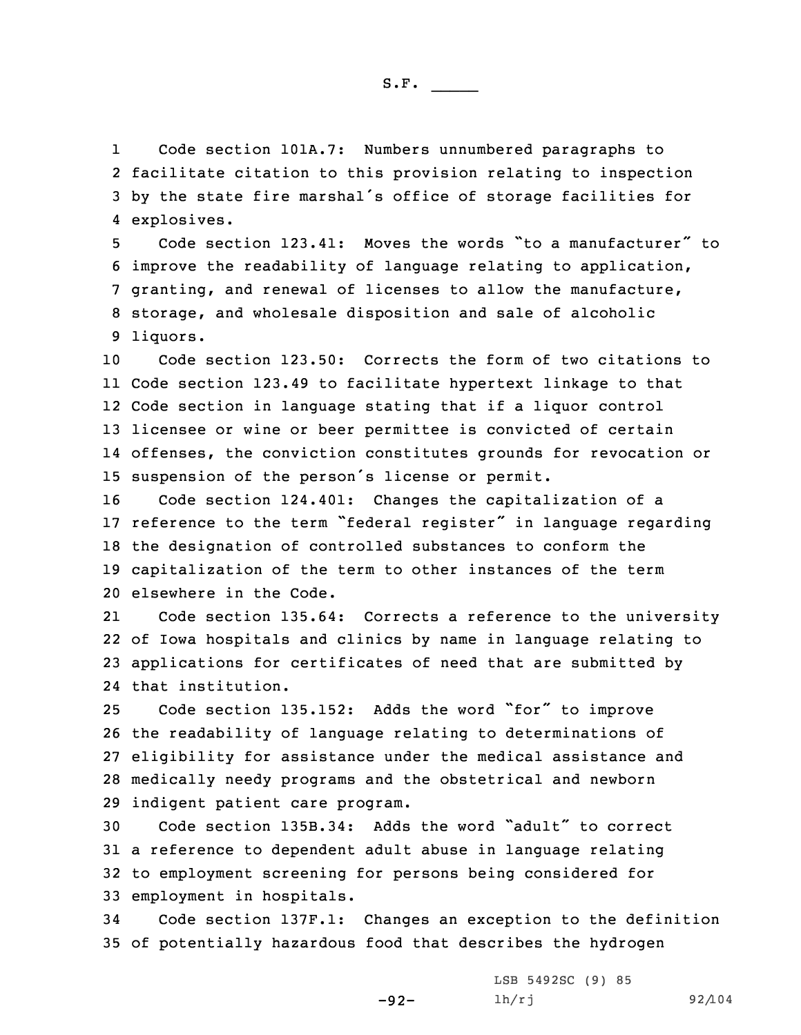1 Code section 101A.7: Numbers unnumbered paragraphs to 2 facilitate citation to this provision relating to inspection <sup>3</sup> by the state fire marshal's office of storage facilities for 4 explosives.

 Code section 123.41: Moves the words "to <sup>a</sup> manufacturer" to improve the readability of language relating to application, granting, and renewal of licenses to allow the manufacture, storage, and wholesale disposition and sale of alcoholic 9 liquors.

 Code section 123.50: Corrects the form of two citations to Code section 123.49 to facilitate hypertext linkage to that Code section in language stating that if <sup>a</sup> liquor control licensee or wine or beer permittee is convicted of certain offenses, the conviction constitutes grounds for revocation or suspension of the person's license or permit.

 Code section 124.401: Changes the capitalization of <sup>a</sup> reference to the term "federal register" in language regarding the designation of controlled substances to conform the capitalization of the term to other instances of the term elsewhere in the Code.

21 Code section 135.64: Corrects <sup>a</sup> reference to the university 22 of Iowa hospitals and clinics by name in language relating to 23 applications for certificates of need that are submitted by 24 that institution.

 Code section 135.152: Adds the word "for" to improve the readability of language relating to determinations of eligibility for assistance under the medical assistance and medically needy programs and the obstetrical and newborn indigent patient care program.

 Code section 135B.34: Adds the word "adult" to correct <sup>a</sup> reference to dependent adult abuse in language relating to employment screening for persons being considered for employment in hospitals.

34 Code section 137F.1: Changes an exception to the definition 35 of potentially hazardous food that describes the hydrogen

-92-

LSB 5492SC (9) 85 lh/rj 92/104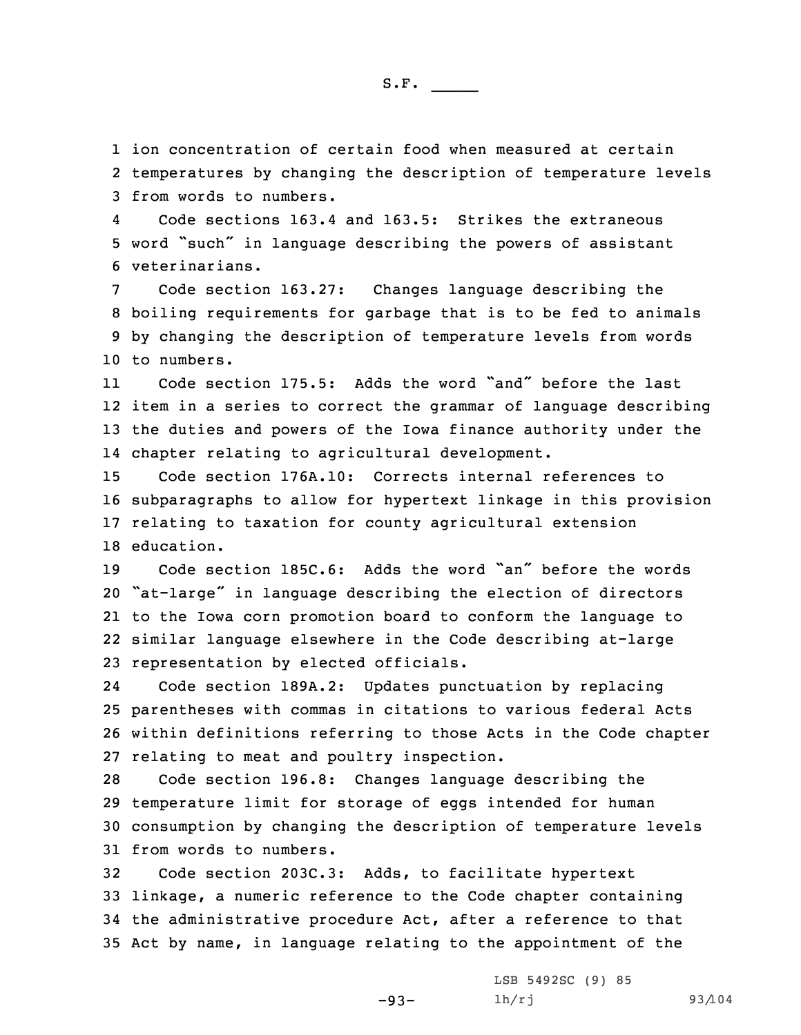1 ion concentration of certain food when measured at certain

2 temperatures by changing the description of temperature levels 3 from words to numbers.

4 Code sections 163.4 and 163.5: Strikes the extraneous <sup>5</sup> word "such" in language describing the powers of assistant 6 veterinarians.

 Code section 163.27: Changes language describing the boiling requirements for garbage that is to be fed to animals by changing the description of temperature levels from words to numbers.

11 Code section 175.5: Adds the word "and" before the last 12 item in <sup>a</sup> series to correct the grammar of language describing 13 the duties and powers of the Iowa finance authority under the 14 chapter relating to agricultural development.

 Code section 176A.10: Corrects internal references to subparagraphs to allow for hypertext linkage in this provision relating to taxation for county agricultural extension education.

 Code section 185C.6: Adds the word "an" before the words "at-large" in language describing the election of directors to the Iowa corn promotion board to conform the language to similar language elsewhere in the Code describing at-large representation by elected officials.

24 Code section 189A.2: Updates punctuation by replacing 25 parentheses with commas in citations to various federal Acts 26 within definitions referring to those Acts in the Code chapter 27 relating to meat and poultry inspection.

 Code section 196.8: Changes language describing the temperature limit for storage of eggs intended for human consumption by changing the description of temperature levels from words to numbers.

 Code section 203C.3: Adds, to facilitate hypertext linkage, <sup>a</sup> numeric reference to the Code chapter containing the administrative procedure Act, after <sup>a</sup> reference to that Act by name, in language relating to the appointment of the

-93-

LSB 5492SC (9) 85 lh/rj 93/104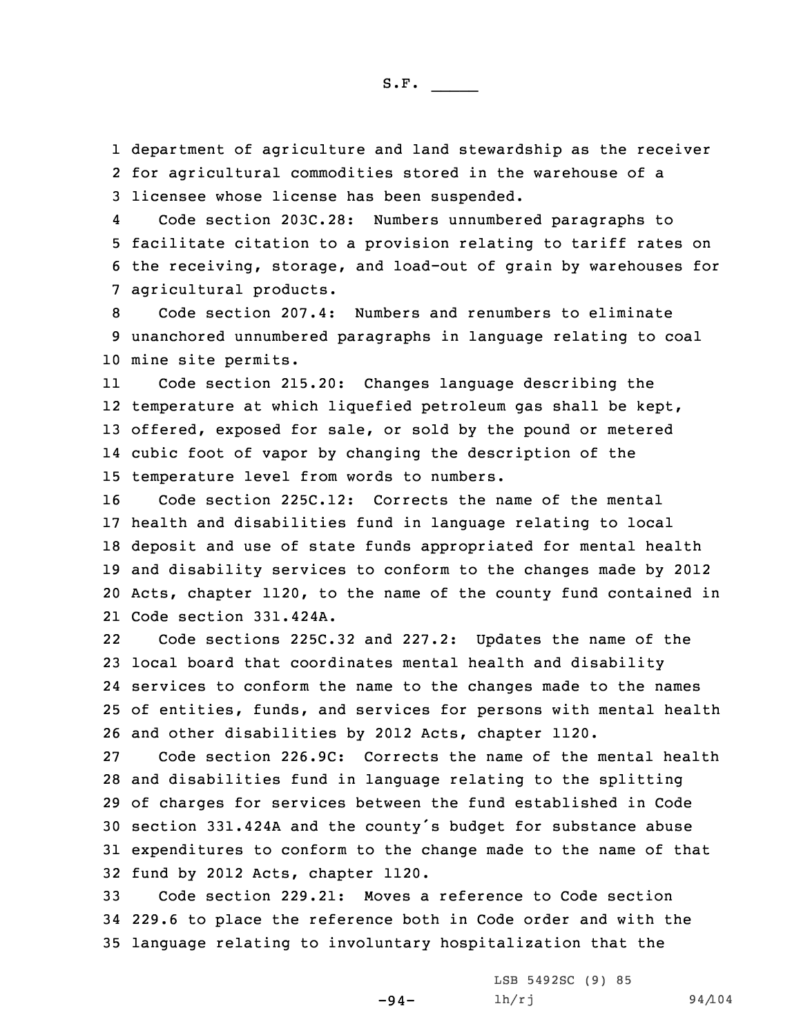1 department of agriculture and land stewardship as the receiver 2 for agricultural commodities stored in the warehouse of <sup>a</sup> 3 licensee whose license has been suspended.

4 Code section 203C.28: Numbers unnumbered paragraphs to 5 facilitate citation to <sup>a</sup> provision relating to tariff rates on 6 the receiving, storage, and load-out of grain by warehouses for 7 agricultural products.

8 Code section 207.4: Numbers and renumbers to eliminate 9 unanchored unnumbered paragraphs in language relating to coal 10 mine site permits.

11 Code section 215.20: Changes language describing the temperature at which liquefied petroleum gas shall be kept, offered, exposed for sale, or sold by the pound or metered cubic foot of vapor by changing the description of the temperature level from words to numbers.

 Code section 225C.12: Corrects the name of the mental health and disabilities fund in language relating to local deposit and use of state funds appropriated for mental health and disability services to conform to the changes made by 2012 Acts, chapter 1120, to the name of the county fund contained in Code section 331.424A.

22 Code sections 225C.32 and 227.2: Updates the name of the local board that coordinates mental health and disability services to conform the name to the changes made to the names of entities, funds, and services for persons with mental health and other disabilities by 2012 Acts, chapter 1120.

 Code section 226.9C: Corrects the name of the mental health and disabilities fund in language relating to the splitting of charges for services between the fund established in Code section 331.424A and the county's budget for substance abuse expenditures to conform to the change made to the name of that fund by 2012 Acts, chapter 1120.

33 Code section 229.21: Moves <sup>a</sup> reference to Code section 34 229.6 to place the reference both in Code order and with the 35 language relating to involuntary hospitalization that the

-94-

LSB 5492SC (9) 85 lh/rj 94/104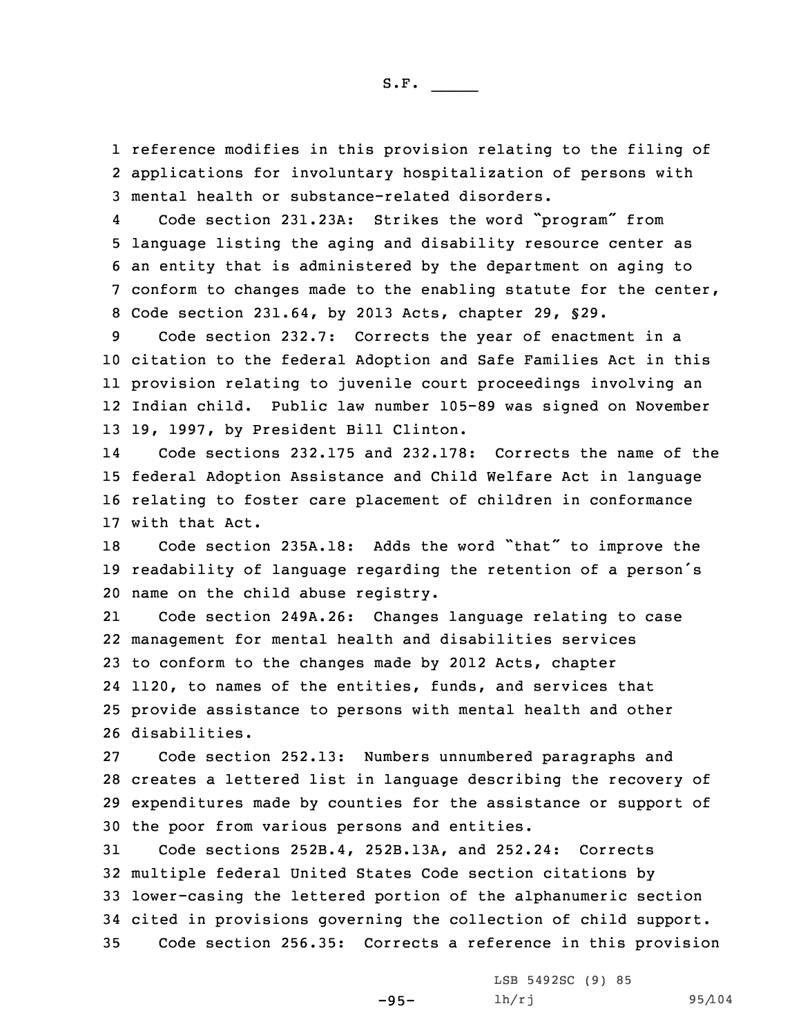1 reference modifies in this provision relating to the filing of 2 applications for involuntary hospitalization of persons with 3 mental health or substance-related disorders.

4 Code section 231.23A: Strikes the word "program" from language listing the aging and disability resource center as an entity that is administered by the department on aging to conform to changes made to the enabling statute for the center, Code section 231.64, by 2013 Acts, chapter 29, §29.

 Code section 232.7: Corrects the year of enactment in <sup>a</sup> citation to the federal Adoption and Safe Families Act in this provision relating to juvenile court proceedings involving an Indian child. Public law number 105-89 was signed on November 19, 1997, by President Bill Clinton.

14 Code sections 232.175 and 232.178: Corrects the name of the 15 federal Adoption Assistance and Child Welfare Act in language 16 relating to foster care placement of children in conformance 17 with that Act.

<sup>18</sup> Code section 235A.18: Adds the word "that" to improve the <sup>19</sup> readability of language regarding the retention of <sup>a</sup> person's 20 name on the child abuse registry.

21 Code section 249A.26: Changes language relating to case management for mental health and disabilities services to conform to the changes made by 2012 Acts, chapter 1120, to names of the entities, funds, and services that provide assistance to persons with mental health and other disabilities.

 Code section 252.13: Numbers unnumbered paragraphs and creates <sup>a</sup> lettered list in language describing the recovery of expenditures made by counties for the assistance or support of the poor from various persons and entities.

 Code sections 252B.4, 252B.13A, and 252.24: Corrects multiple federal United States Code section citations by lower-casing the lettered portion of the alphanumeric section cited in provisions governing the collection of child support. Code section 256.35: Corrects <sup>a</sup> reference in this provision

-95-

LSB 5492SC (9) 85 lh/rj 95/104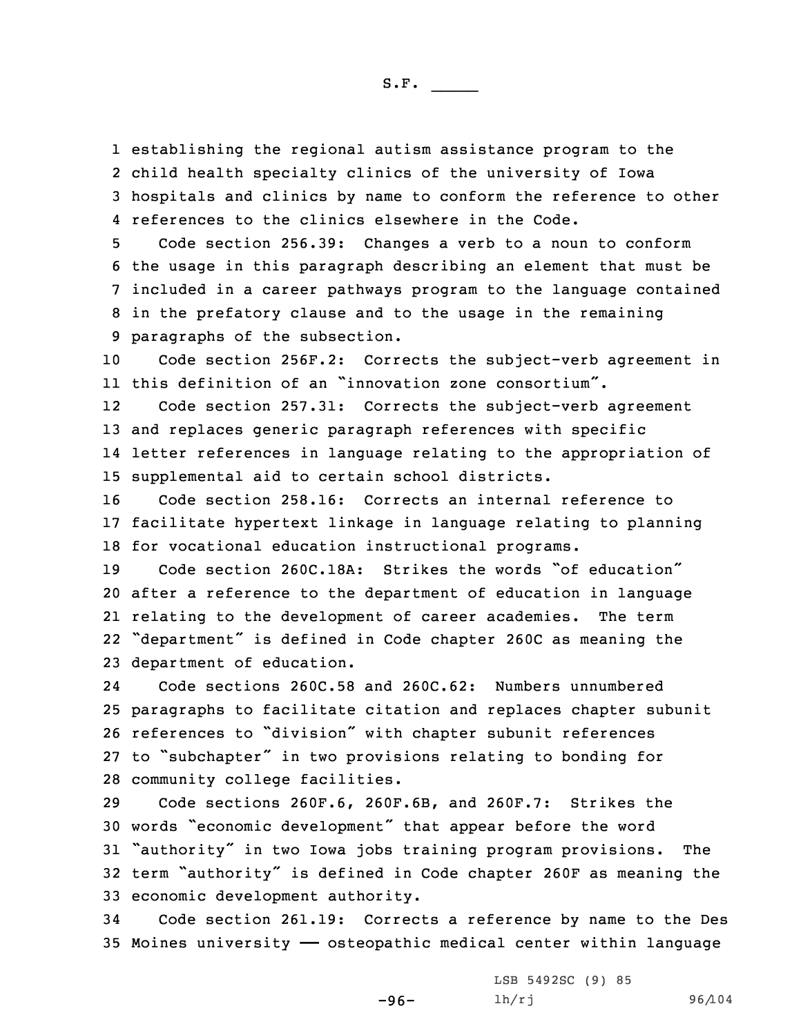establishing the regional autism assistance program to the child health specialty clinics of the university of Iowa hospitals and clinics by name to conform the reference to other references to the clinics elsewhere in the Code.

 Code section 256.39: Changes <sup>a</sup> verb to <sup>a</sup> noun to conform the usage in this paragraph describing an element that must be included in <sup>a</sup> career pathways program to the language contained in the prefatory clause and to the usage in the remaining paragraphs of the subsection.

10 Code section 256F.2: Corrects the subject-verb agreement in 11 this definition of an "innovation zone consortium".

12 Code section 257.31: Corrects the subject-verb agreement 13 and replaces generic paragraph references with specific 14 letter references in language relating to the appropriation of 15 supplemental aid to certain school districts.

16 Code section 258.16: Corrects an internal reference to 17 facilitate hypertext linkage in language relating to planning 18 for vocational education instructional programs.

 Code section 260C.18A: Strikes the words "of education" after <sup>a</sup> reference to the department of education in language relating to the development of career academies. The term "department" is defined in Code chapter 260C as meaning the department of education.

24 Code sections 260C.58 and 260C.62: Numbers unnumbered paragraphs to facilitate citation and replaces chapter subunit references to "division" with chapter subunit references to "subchapter" in two provisions relating to bonding for community college facilities.

 Code sections 260F.6, 260F.6B, and 260F.7: Strikes the words "economic development" that appear before the word "authority" in two Iowa jobs training program provisions. The term "authority" is defined in Code chapter 260F as meaning the economic development authority.

34 Code section 261.19: Corrects <sup>a</sup> reference by name to the Des 35 Moines university —— osteopathic medical center within language

-96-

LSB 5492SC (9) 85 lh/rj 96/104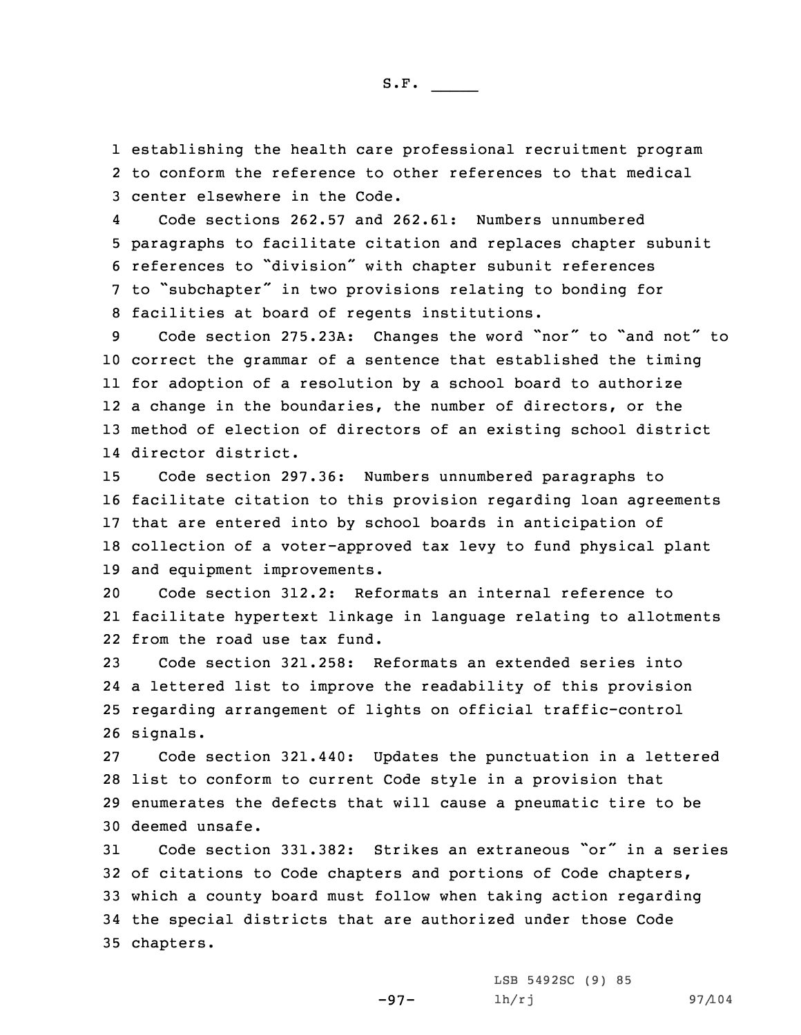1 establishing the health care professional recruitment program 2 to conform the reference to other references to that medical 3 center elsewhere in the Code.

4 Code sections 262.57 and 262.61: Numbers unnumbered paragraphs to facilitate citation and replaces chapter subunit references to "division" with chapter subunit references to "subchapter" in two provisions relating to bonding for facilities at board of regents institutions.

 Code section 275.23A: Changes the word "nor" to "and not" to correct the grammar of <sup>a</sup> sentence that established the timing for adoption of <sup>a</sup> resolution by <sup>a</sup> school board to authorize <sup>a</sup> change in the boundaries, the number of directors, or the method of election of directors of an existing school district director district.

 Code section 297.36: Numbers unnumbered paragraphs to facilitate citation to this provision regarding loan agreements that are entered into by school boards in anticipation of collection of <sup>a</sup> voter-approved tax levy to fund physical plant and equipment improvements.

20 Code section 312.2: Reformats an internal reference to 21 facilitate hypertext linkage in language relating to allotments 22 from the road use tax fund.

 Code section 321.258: Reformats an extended series into <sup>a</sup> lettered list to improve the readability of this provision regarding arrangement of lights on official traffic-control 26 signals.

 Code section 321.440: Updates the punctuation in <sup>a</sup> lettered list to conform to current Code style in <sup>a</sup> provision that enumerates the defects that will cause <sup>a</sup> pneumatic tire to be deemed unsafe.

 Code section 331.382: Strikes an extraneous "or" in <sup>a</sup> series of citations to Code chapters and portions of Code chapters, which <sup>a</sup> county board must follow when taking action regarding the special districts that are authorized under those Code chapters.

-97-

LSB 5492SC (9) 85 lh/rj 97/104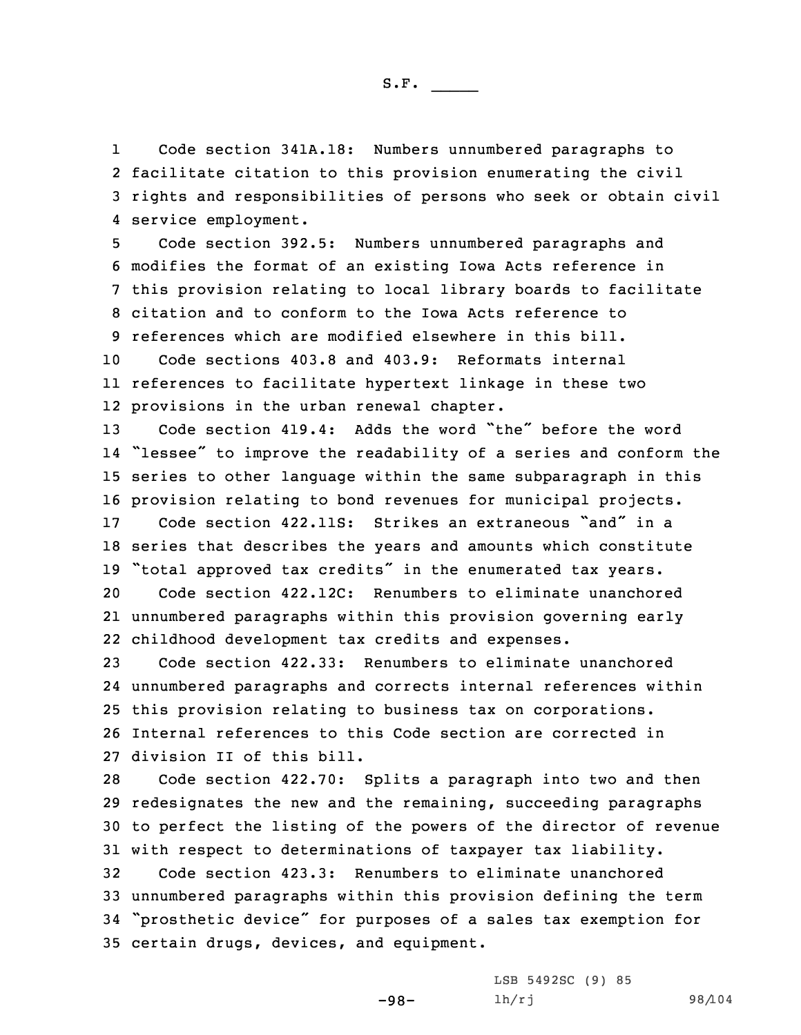1 Code section 341A.18: Numbers unnumbered paragraphs to 2 facilitate citation to this provision enumerating the civil 3 rights and responsibilities of persons who seek or obtain civil 4 service employment.

 Code section 392.5: Numbers unnumbered paragraphs and modifies the format of an existing Iowa Acts reference in this provision relating to local library boards to facilitate citation and to conform to the Iowa Acts reference to references which are modified elsewhere in this bill.

10 Code sections 403.8 and 403.9: Reformats internal 11 references to facilitate hypertext linkage in these two 12 provisions in the urban renewal chapter.

 Code section 419.4: Adds the word "the" before the word "lessee" to improve the readability of <sup>a</sup> series and conform the series to other language within the same subparagraph in this provision relating to bond revenues for municipal projects.

17 Code section 422.11S: Strikes an extraneous "and" in <sup>a</sup> 18 series that describes the years and amounts which constitute <sup>19</sup> "total approved tax credits" in the enumerated tax years.

20 Code section 422.12C: Renumbers to eliminate unanchored 21 unnumbered paragraphs within this provision governing early 22 childhood development tax credits and expenses.

 Code section 422.33: Renumbers to eliminate unanchored unnumbered paragraphs and corrects internal references within this provision relating to business tax on corporations. Internal references to this Code section are corrected in division II of this bill.

 Code section 422.70: Splits <sup>a</sup> paragraph into two and then redesignates the new and the remaining, succeeding paragraphs to perfect the listing of the powers of the director of revenue with respect to determinations of taxpayer tax liability. Code section 423.3: Renumbers to eliminate unanchored unnumbered paragraphs within this provision defining the term "prosthetic device" for purposes of <sup>a</sup> sales tax exemption for certain drugs, devices, and equipment.

> LSB 5492SC (9) 85 lh/rj 98/104

-98-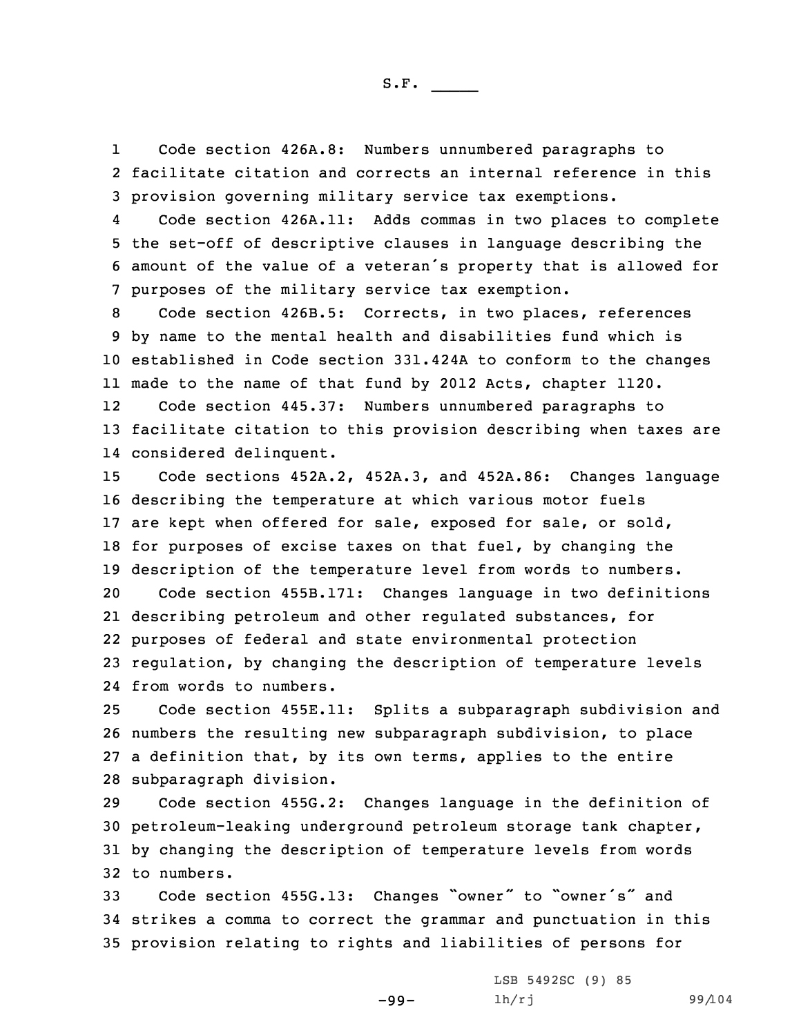1 Code section 426A.8: Numbers unnumbered paragraphs to 2 facilitate citation and corrects an internal reference in this 3 provision governing military service tax exemptions.

4 Code section 426A.11: Adds commas in two places to complete 5 the set-off of descriptive clauses in language describing the <sup>6</sup> amount of the value of <sup>a</sup> veteran's property that is allowed for 7 purposes of the military service tax exemption.

 Code section 426B.5: Corrects, in two places, references by name to the mental health and disabilities fund which is established in Code section 331.424A to conform to the changes made to the name of that fund by 2012 Acts, chapter 1120.

12 Code section 445.37: Numbers unnumbered paragraphs to 13 facilitate citation to this provision describing when taxes are 14 considered delinquent.

 Code sections 452A.2, 452A.3, and 452A.86: Changes language describing the temperature at which various motor fuels 17 are kept when offered for sale, exposed for sale, or sold, for purposes of excise taxes on that fuel, by changing the description of the temperature level from words to numbers. Code section 455B.171: Changes language in two definitions describing petroleum and other regulated substances, for purposes of federal and state environmental protection

23 regulation, by changing the description of temperature levels 24 from words to numbers.

 Code section 455E.11: Splits <sup>a</sup> subparagraph subdivision and numbers the resulting new subparagraph subdivision, to place <sup>a</sup> definition that, by its own terms, applies to the entire subparagraph division.

 Code section 455G.2: Changes language in the definition of petroleum-leaking underground petroleum storage tank chapter, by changing the description of temperature levels from words to numbers.

<sup>33</sup> Code section 455G.13: Changes "owner" to "owner's" and 34 strikes <sup>a</sup> comma to correct the grammar and punctuation in this 35 provision relating to rights and liabilities of persons for

-99-

LSB 5492SC (9) 85 lh/rj 99/104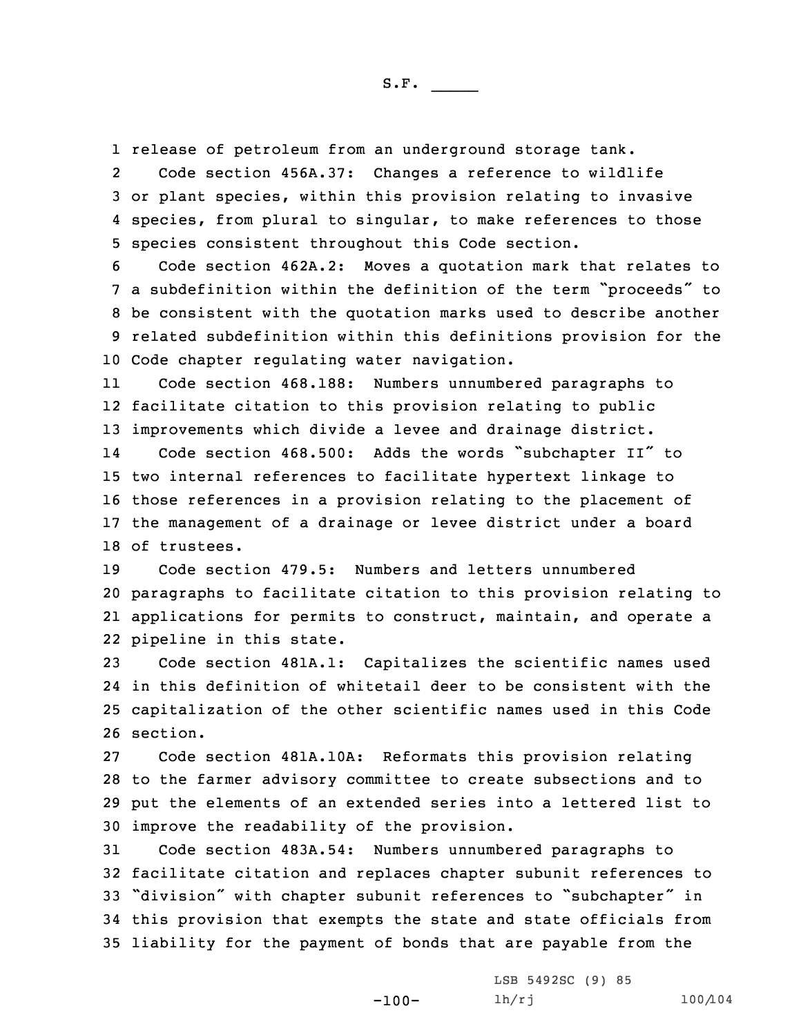1 release of petroleum from an underground storage tank.

2 Code section 456A.37: Changes <sup>a</sup> reference to wildlife 3 or plant species, within this provision relating to invasive 4 species, from plural to singular, to make references to those 5 species consistent throughout this Code section.

 Code section 462A.2: Moves <sup>a</sup> quotation mark that relates to <sup>a</sup> subdefinition within the definition of the term "proceeds" to be consistent with the quotation marks used to describe another related subdefinition within this definitions provision for the Code chapter regulating water navigation.

11 Code section 468.188: Numbers unnumbered paragraphs to 12 facilitate citation to this provision relating to public 13 improvements which divide <sup>a</sup> levee and drainage district.

14 Code section 468.500: Adds the words "subchapter II" to two internal references to facilitate hypertext linkage to those references in <sup>a</sup> provision relating to the placement of the management of <sup>a</sup> drainage or levee district under <sup>a</sup> board of trustees.

 Code section 479.5: Numbers and letters unnumbered paragraphs to facilitate citation to this provision relating to applications for permits to construct, maintain, and operate <sup>a</sup> pipeline in this state.

 Code section 481A.1: Capitalizes the scientific names used in this definition of whitetail deer to be consistent with the capitalization of the other scientific names used in this Code 26 section.

 Code section 481A.10A: Reformats this provision relating to the farmer advisory committee to create subsections and to put the elements of an extended series into <sup>a</sup> lettered list to improve the readability of the provision.

 Code section 483A.54: Numbers unnumbered paragraphs to facilitate citation and replaces chapter subunit references to "division" with chapter subunit references to "subchapter" in this provision that exempts the state and state officials from liability for the payment of bonds that are payable from the

-100-

LSB 5492SC (9) 85 lh/rj 100/104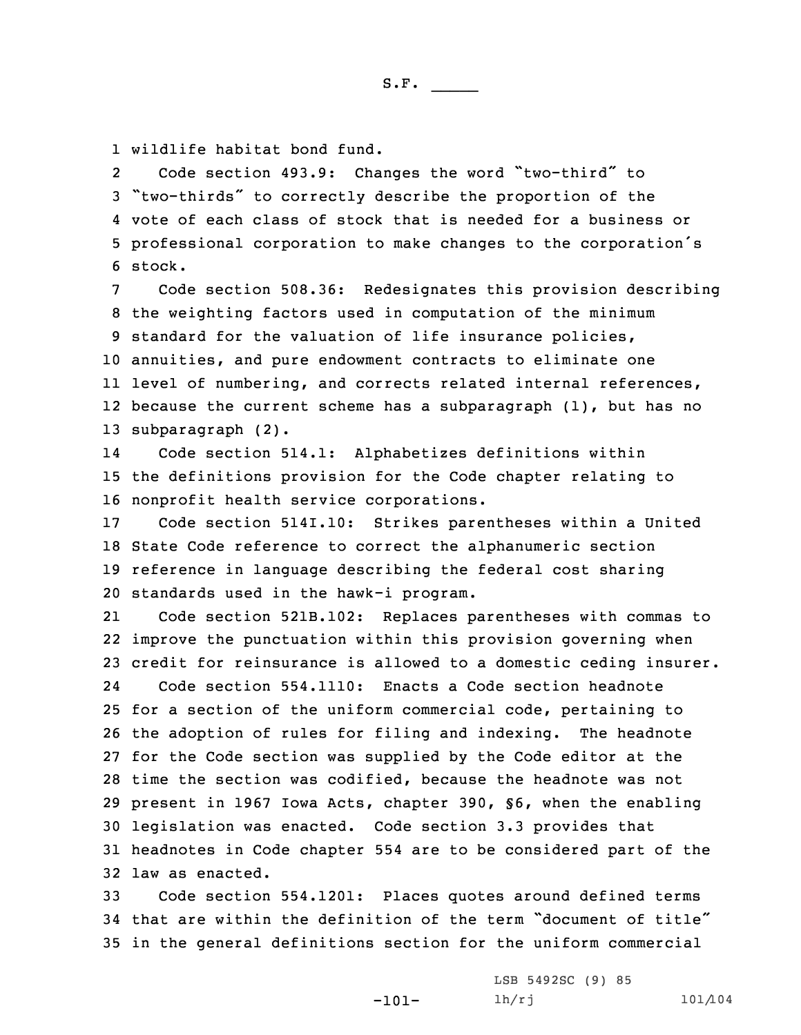1 wildlife habitat bond fund.

2 Code section 493.9: Changes the word "two-third" to <sup>3</sup> "two-thirds" to correctly describe the proportion of the 4 vote of each class of stock that is needed for <sup>a</sup> business or <sup>5</sup> professional corporation to make changes to the corporation's 6 stock.

 Code section 508.36: Redesignates this provision describing the weighting factors used in computation of the minimum standard for the valuation of life insurance policies, annuities, and pure endowment contracts to eliminate one level of numbering, and corrects related internal references, because the current scheme has <sup>a</sup> subparagraph (1), but has no subparagraph (2).

14 Code section 514.1: Alphabetizes definitions within 15 the definitions provision for the Code chapter relating to 16 nonprofit health service corporations.

 Code section 514I.10: Strikes parentheses within <sup>a</sup> United State Code reference to correct the alphanumeric section reference in language describing the federal cost sharing standards used in the hawk-i program.

21 Code section 521B.102: Replaces parentheses with commas to improve the punctuation within this provision governing when credit for reinsurance is allowed to <sup>a</sup> domestic ceding insurer. 24 Code section 554.1110: Enacts <sup>a</sup> Code section headnote for <sup>a</sup> section of the uniform commercial code, pertaining to the adoption of rules for filing and indexing. The headnote for the Code section was supplied by the Code editor at the time the section was codified, because the headnote was not present in 1967 Iowa Acts, chapter 390, §6, when the enabling legislation was enacted. Code section 3.3 provides that headnotes in Code chapter 554 are to be considered part of the law as enacted.

33 Code section 554.1201: Places quotes around defined terms 34 that are within the definition of the term "document of title" 35 in the general definitions section for the uniform commercial

> LSB 5492SC (9) 85 lh/rj 101/104

-101-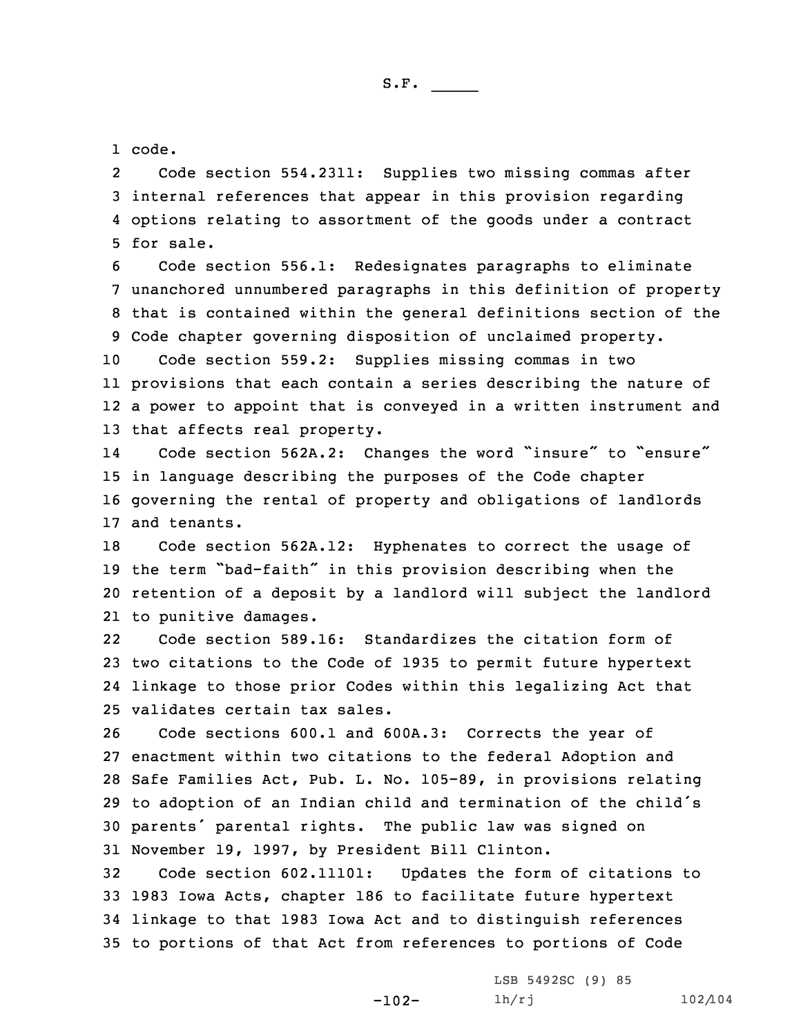1 code.

2 Code section 554.2311: Supplies two missing commas after 3 internal references that appear in this provision regarding 4 options relating to assortment of the goods under <sup>a</sup> contract 5 for sale.

 Code section 556.1: Redesignates paragraphs to eliminate unanchored unnumbered paragraphs in this definition of property that is contained within the general definitions section of the Code chapter governing disposition of unclaimed property.

 Code section 559.2: Supplies missing commas in two provisions that each contain <sup>a</sup> series describing the nature of <sup>a</sup> power to appoint that is conveyed in <sup>a</sup> written instrument and that affects real property.

14Code section 562A.2: Changes the word "insure" to "ensure" 15 in language describing the purposes of the Code chapter 16 governing the rental of property and obligations of landlords 17 and tenants.

 Code section 562A.12: Hyphenates to correct the usage of the term "bad-faith" in this provision describing when the retention of <sup>a</sup> deposit by <sup>a</sup> landlord will subject the landlord to punitive damages.

22 Code section 589.16: Standardizes the citation form of 23 two citations to the Code of 1935 to permit future hypertext 24 linkage to those prior Codes within this legalizing Act that 25 validates certain tax sales.

 Code sections 600.1 and 600A.3: Corrects the year of enactment within two citations to the federal Adoption and Safe Families Act, Pub. L. No. 105-89, in provisions relating to adoption of an Indian child and termination of the child's parents' parental rights. The public law was signed on November 19, 1997, by President Bill Clinton.

 Code section 602.11101: Updates the form of citations to 1983 Iowa Acts, chapter 186 to facilitate future hypertext linkage to that 1983 Iowa Act and to distinguish references to portions of that Act from references to portions of Code

-102-

LSB 5492SC (9) 85 lh/rj 102/104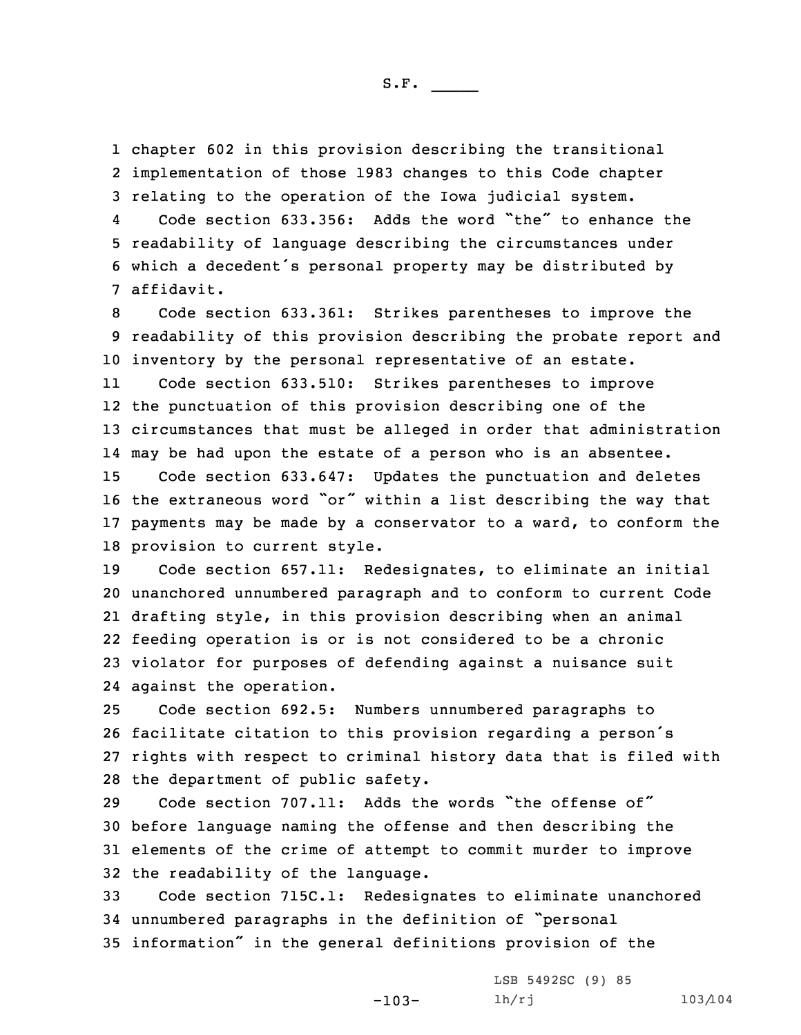1 chapter 602 in this provision describing the transitional 2 implementation of those 1983 changes to this Code chapter 3 relating to the operation of the Iowa judicial system.

4 Code section 633.356: Adds the word "the" to enhance the 5 readability of language describing the circumstances under <sup>6</sup> which <sup>a</sup> decedent's personal property may be distributed by 7 affidavit.

8 Code section 633.361: Strikes parentheses to improve the 9 readability of this provision describing the probate report and 10 inventory by the personal representative of an estate.

11 Code section 633.510: Strikes parentheses to improve the punctuation of this provision describing one of the circumstances that must be alleged in order that administration may be had upon the estate of <sup>a</sup> person who is an absentee. Code section 633.647: Updates the punctuation and deletes

<sup>16</sup> the extraneous word "or" within <sup>a</sup> list describing the way that 17 payments may be made by <sup>a</sup> conservator to <sup>a</sup> ward, to conform the 18 provision to current style.

 Code section 657.11: Redesignates, to eliminate an initial unanchored unnumbered paragraph and to conform to current Code drafting style, in this provision describing when an animal feeding operation is or is not considered to be <sup>a</sup> chronic violator for purposes of defending against <sup>a</sup> nuisance suit against the operation.

 Code section 692.5: Numbers unnumbered paragraphs to facilitate citation to this provision regarding <sup>a</sup> person's rights with respect to criminal history data that is filed with the department of public safety.

 Code section 707.11: Adds the words "the offense of" before language naming the offense and then describing the elements of the crime of attempt to commit murder to improve the readability of the language.

33 Code section 715C.1: Redesignates to eliminate unanchored <sup>34</sup> unnumbered paragraphs in the definition of "personal <sup>35</sup> information" in the general definitions provision of the

-103-

LSB 5492SC (9) 85 lh/rj 103/104